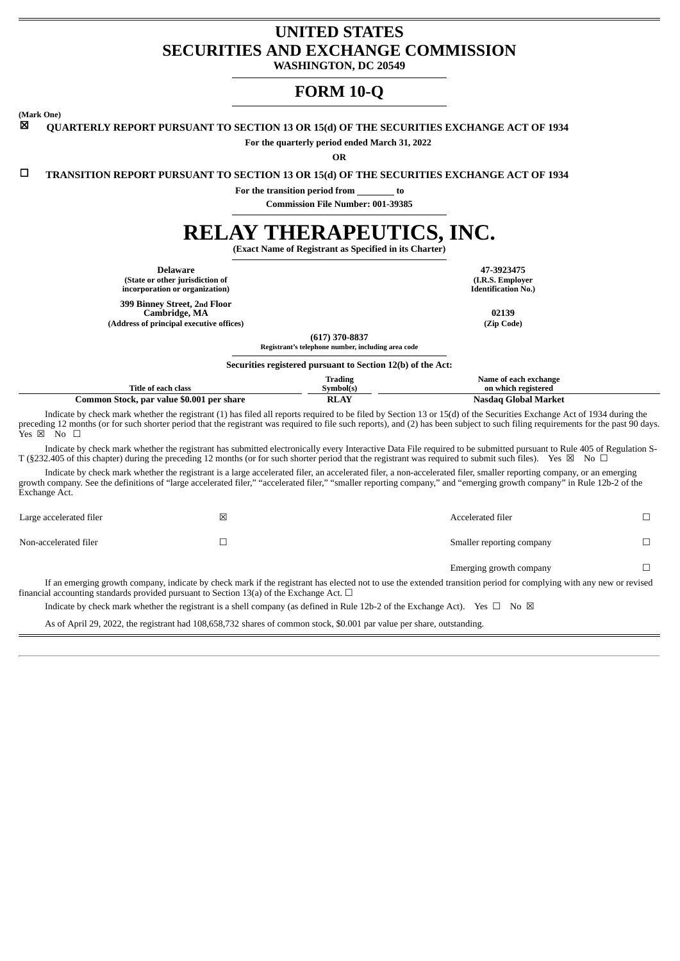# **UNITED STATES SECURITIES AND EXCHANGE COMMISSION**

**WASHINGTON, DC 20549**

## **FORM 10-Q**

**(Mark One)**

## ☒ **QUARTERLY REPORT PURSUANT TO SECTION 13 OR 15(d) OF THE SECURITIES EXCHANGE ACT OF 1934**

**For the quarterly period ended March 31, 2022**

**OR**

## ☐ **TRANSITION REPORT PURSUANT TO SECTION 13 OR 15(d) OF THE SECURITIES EXCHANGE ACT OF 1934**

For the transition period from \_\_\_\_\_\_\_\_ to

**Commission File Number: 001-39385**

# **RELAY THERAPEUTICS, INC.**

**(Exact Name of Registrant as Specified in its Charter)**

| Delaware<br>(State or other jurisdiction of<br>incorporation or organization)             | 47-3923475<br>(I.R.S. Employer<br><b>Identification No.)</b> |
|-------------------------------------------------------------------------------------------|--------------------------------------------------------------|
| 399 Binney Street, 2nd Floor<br>Cambridge, MA<br>(Address of principal executive offices) | 02139<br>(Zip Code)                                          |
| $(617)$ 370-8837                                                                          | .                                                            |

**Registrant's telephone number, including area code**

**Securities registered pursuant to Section 12(b) of the Act:**

| <b>Title of each class</b>                     | Trading<br>Symbol(s. | Name of each exchange<br>on which registered |
|------------------------------------------------|----------------------|----------------------------------------------|
|                                                |                      |                                              |
| Common Stock, par value \$0.001<br>l per share | <b>RLAY</b>          | ı Global Market<br>Nasdag                    |

Indicate by check mark whether the registrant (1) has filed all reports required to be filed by Section 13 or 15(d) of the Securities Exchange Act of 1934 during the preceding 12 months (or for such shorter period that the registrant was required to file such reports), and (2) has been subject to such filing requirements for the past 90 days. Yes ⊠ No □

Indicate by check mark whether the registrant has submitted electronically every Interactive Data File required to be submitted pursuant to Rule 405 of Regulation S-T (§232.405 of this chapter) during the preceding 12 months (or for such shorter period that the registrant was required to submit such files). Yes ⊠ No □

Indicate by check mark whether the registrant is a large accelerated filer, an accelerated filer, a non-accelerated filer, smaller reporting company, or an emerging growth company. See the definitions of "large accelerated filer," "accelerated filer," "smaller reporting company," and "emerging growth company" in Rule 12b-2 of the Exchange Act.

| Large accelerated filer                                                                       | ⊠                                                                                                                                                                   | Accelerated filer         |  |
|-----------------------------------------------------------------------------------------------|---------------------------------------------------------------------------------------------------------------------------------------------------------------------|---------------------------|--|
| Non-accelerated filer                                                                         |                                                                                                                                                                     | Smaller reporting company |  |
|                                                                                               |                                                                                                                                                                     | Emerging growth company   |  |
| financial accounting standards provided pursuant to Section 13(a) of the Exchange Act. $\Box$ | If an emerging growth company, indicate by check mark if the registrant has elected not to use the extended transition period for complying with any new or revised |                           |  |
|                                                                                               | Indicate by check mark whether the registrant is a shell company (as defined in Rule 12b-2 of the Exchange Act). Yes $\Box$ No $\boxtimes$                          |                           |  |

As of April 29, 2022, the registrant had 108,658,732 shares of common stock, \$0.001 par value per share, outstanding.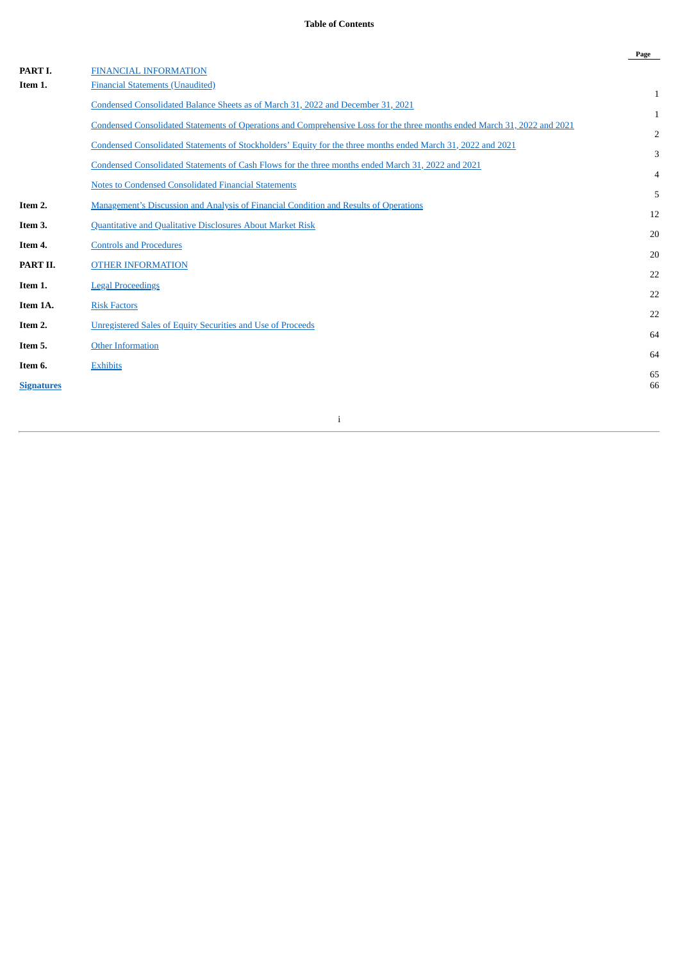## **Table of Contents**

|                   |                                                                                                                           | Page |
|-------------------|---------------------------------------------------------------------------------------------------------------------------|------|
| PART I.           | <b>FINANCIAL INFORMATION</b>                                                                                              |      |
| Item 1.           | <b>Financial Statements (Unaudited)</b>                                                                                   | 1    |
|                   | Condensed Consolidated Balance Sheets as of March 31, 2022 and December 31, 2021                                          | 1    |
|                   | Condensed Consolidated Statements of Operations and Comprehensive Loss for the three months ended March 31, 2022 and 2021 | 2    |
|                   | Condensed Consolidated Statements of Stockholders' Equity for the three months ended March 31, 2022 and 2021              |      |
|                   | Condensed Consolidated Statements of Cash Flows for the three months ended March 31, 2022 and 2021                        | 3    |
|                   | <b>Notes to Condensed Consolidated Financial Statements</b>                                                               | 4    |
|                   |                                                                                                                           | 5    |
| Item 2.           | Management's Discussion and Analysis of Financial Condition and Results of Operations                                     | 12   |
| Item 3.           | Quantitative and Qualitative Disclosures About Market Risk                                                                | 20   |
| Item 4.           | <b>Controls and Procedures</b>                                                                                            | 20   |
| PART II.          | <b>OTHER INFORMATION</b>                                                                                                  |      |
| Item 1.           | <b>Legal Proceedings</b>                                                                                                  | 22   |
| Item 1A.          | <b>Risk Factors</b>                                                                                                       | 22   |
| Item 2.           | <b>Unregistered Sales of Equity Securities and Use of Proceeds</b>                                                        | 22   |
|                   |                                                                                                                           | 64   |
| Item 5.           | <b>Other Information</b>                                                                                                  | 64   |
| Item 6.           | <b>Exhibits</b>                                                                                                           | 65   |
| <b>Signatures</b> |                                                                                                                           | 66   |
|                   |                                                                                                                           |      |

## i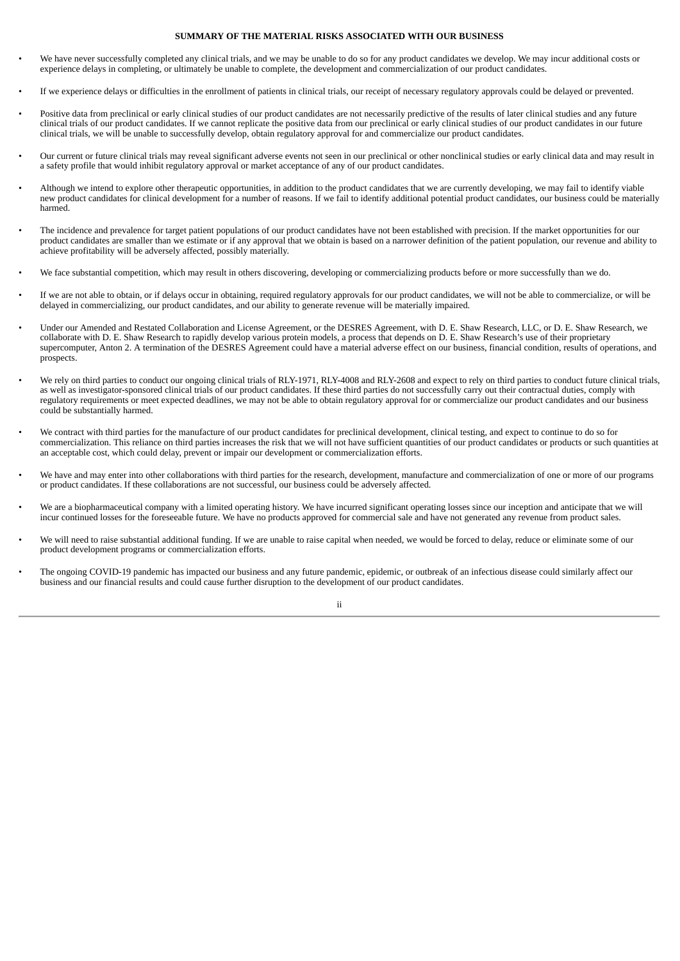#### **SUMMARY OF THE MATERIAL RISKS ASSOCIATED WITH OUR BUSINESS**

- We have never successfully completed any clinical trials, and we may be unable to do so for any product candidates we develop. We may incur additional costs or experience delays in completing, or ultimately be unable to complete, the development and commercialization of our product candidates.
- If we experience delays or difficulties in the enrollment of patients in clinical trials, our receipt of necessary regulatory approvals could be delayed or prevented.
- Positive data from preclinical or early clinical studies of our product candidates are not necessarily predictive of the results of later clinical studies and any future clinical trials of our product candidates. If we cannot replicate the positive data from our preclinical or early clinical studies of our product candidates in our future clinical trials, we will be unable to successfully develop, obtain regulatory approval for and commercialize our product candidates.
- Our current or future clinical trials may reveal significant adverse events not seen in our preclinical or other nonclinical studies or early clinical data and may result in a safety profile that would inhibit regulatory approval or market acceptance of any of our product candidates.
- Although we intend to explore other therapeutic opportunities, in addition to the product candidates that we are currently developing, we may fail to identify viable new product candidates for clinical development for a number of reasons. If we fail to identify additional potential product candidates, our business could be materially harmed.
- The incidence and prevalence for target patient populations of our product candidates have not been established with precision. If the market opportunities for our product candidates are smaller than we estimate or if any approval that we obtain is based on a narrower definition of the patient population, our revenue and ability to achieve profitability will be adversely affected, possibly materially.
- We face substantial competition, which may result in others discovering, developing or commercializing products before or more successfully than we do.
- If we are not able to obtain, or if delays occur in obtaining, required regulatory approvals for our product candidates, we will not be able to commercialize, or will be delayed in commercializing, our product candidates, and our ability to generate revenue will be materially impaired.
- Under our Amended and Restated Collaboration and License Agreement, or the DESRES Agreement, with D. E. Shaw Research, LLC, or D. E. Shaw Research, we collaborate with D. E. Shaw Research to rapidly develop various protein models, a process that depends on D. E. Shaw Research's use of their proprietary supercomputer, Anton 2. A termination of the DESRES Agreement could have a material adverse effect on our business, financial condition, results of operations, and prospects.
- We rely on third parties to conduct our ongoing clinical trials of RLY-1971, RLY-4008 and RLY-2608 and expect to rely on third parties to conduct future clinical trials, as well as investigator-sponsored clinical trials of our product candidates. If these third parties do not successfully carry out their contractual duties, comply with regulatory requirements or meet expected deadlines, we may not be able to obtain regulatory approval for or commercialize our product candidates and our business could be substantially harmed.
- We contract with third parties for the manufacture of our product candidates for preclinical development, clinical testing, and expect to continue to do so for commercialization. This reliance on third parties increases the risk that we will not have sufficient quantities of our product candidates or products or such quantities at an acceptable cost, which could delay, prevent or impair our development or commercialization efforts.
- We have and may enter into other collaborations with third parties for the research, development, manufacture and commercialization of one or more of our programs or product candidates. If these collaborations are not successful, our business could be adversely affected.
- We are a biopharmaceutical company with a limited operating history. We have incurred significant operating losses since our inception and anticipate that we will incur continued losses for the foreseeable future. We have no products approved for commercial sale and have not generated any revenue from product sales.
- We will need to raise substantial additional funding. If we are unable to raise capital when needed, we would be forced to delay, reduce or eliminate some of our product development programs or commercialization efforts.
- The ongoing COVID-19 pandemic has impacted our business and any future pandemic, epidemic, or outbreak of an infectious disease could similarly affect our business and our financial results and could cause further disruption to the development of our product candidates.

ii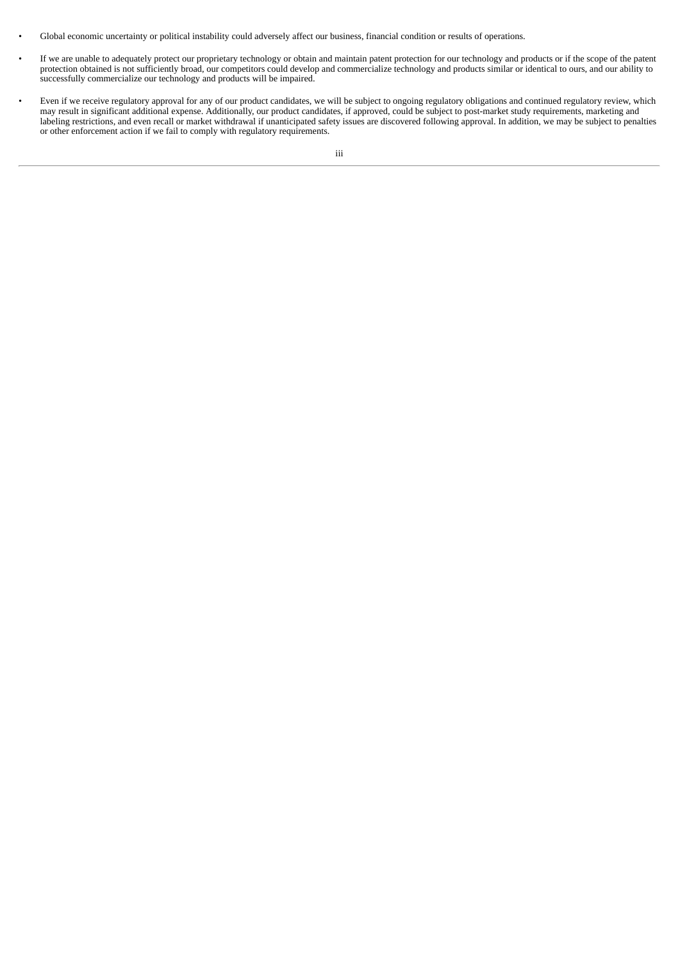- Global economic uncertainty or political instability could adversely affect our business, financial condition or results of operations.
- If we are unable to adequately protect our proprietary technology or obtain and maintain patent protection for our technology and products or if the scope of the patent protection obtained is not sufficiently broad, our competitors could develop and commercialize technology and products similar or identical to ours, and our ability to successfully commercialize our technology and products will be impaired.
- Even if we receive regulatory approval for any of our product candidates, we will be subject to ongoing regulatory obligations and continued regulatory review, which may result in significant additional expense. Additionally, our product candidates, if approved, could be subject to post-market study requirements, marketing and labeling restrictions, and even recall or market withdrawal if unanticipated safety issues are discovered following approval. In addition, we may be subject to penalties or other enforcement action if we fail to comply with regulatory requirements.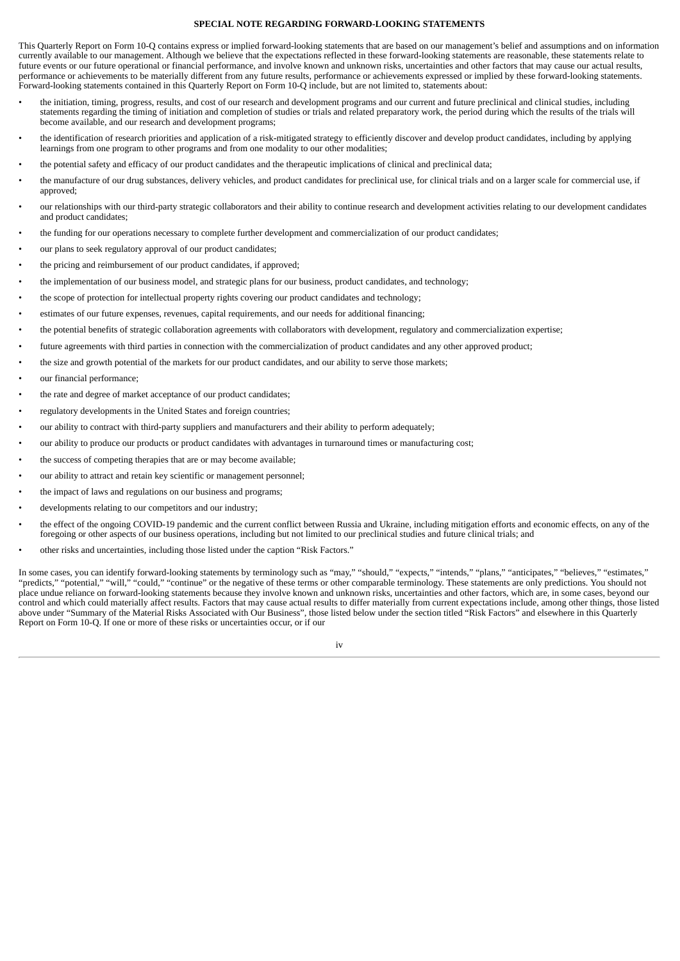#### **SPECIAL NOTE REGARDING FORWARD-LOOKING STATEMENTS**

This Quarterly Report on Form 10-Q contains express or implied forward-looking statements that are based on our management's belief and assumptions and on information currently available to our management. Although we believe that the expectations reflected in these forward-looking statements are reasonable, these statements relate to future events or our future operational or financial performance, and involve known and unknown risks, uncertainties and other factors that may cause our actual results, performance or achievements to be materially different from any future results, performance or achievements expressed or implied by these forward-looking statements. Forward-looking statements contained in this Quarterly Report on Form 10-Q include, but are not limited to, statements about:

- the initiation, timing, progress, results, and cost of our research and development programs and our current and future preclinical and clinical studies, including statements regarding the timing of initiation and completion of studies or trials and related preparatory work, the period during which the results of the trials will become available, and our research and development programs;
- the identification of research priorities and application of a risk-mitigated strategy to efficiently discover and develop product candidates, including by applying learnings from one program to other programs and from one modality to our other modalities;
- the potential safety and efficacy of our product candidates and the therapeutic implications of clinical and preclinical data;
- the manufacture of our drug substances, delivery vehicles, and product candidates for preclinical use, for clinical trials and on a larger scale for commercial use, if approved;
- our relationships with our third-party strategic collaborators and their ability to continue research and development activities relating to our development candidates and product candidates;
- the funding for our operations necessary to complete further development and commercialization of our product candidates;
- our plans to seek regulatory approval of our product candidates;
- the pricing and reimbursement of our product candidates, if approved;
- the implementation of our business model, and strategic plans for our business, product candidates, and technology;
- the scope of protection for intellectual property rights covering our product candidates and technology;
- estimates of our future expenses, revenues, capital requirements, and our needs for additional financing;
- the potential benefits of strategic collaboration agreements with collaborators with development, regulatory and commercialization expertise;
- future agreements with third parties in connection with the commercialization of product candidates and any other approved product;
- the size and growth potential of the markets for our product candidates, and our ability to serve those markets;
- our financial performance;
- the rate and degree of market acceptance of our product candidates;
- regulatory developments in the United States and foreign countries;
- our ability to contract with third-party suppliers and manufacturers and their ability to perform adequately;
- our ability to produce our products or product candidates with advantages in turnaround times or manufacturing cost;
- the success of competing therapies that are or may become available;
- our ability to attract and retain key scientific or management personnel;
- the impact of laws and regulations on our business and programs;
- developments relating to our competitors and our industry;
- the effect of the ongoing COVID-19 pandemic and the current conflict between Russia and Ukraine, including mitigation efforts and economic effects, on any of the foregoing or other aspects of our business operations, including but not limited to our preclinical studies and future clinical trials; and
- other risks and uncertainties, including those listed under the caption "Risk Factors."

In some cases, you can identify forward-looking statements by terminology such as "may," "should," "expects," "intends," "plans," "anticipates," "believes," "estimates," ("predicts," "potential," "will," "could," "continue "potential," "will," "could," "continue" or the negative of these terms or other comparable terminology. These statements are only predictions. You should not place undue reliance on forward-looking statements because they involve known and unknown risks, uncertainties and other factors, which are, in some cases, beyond our control and which could materially affect results. Factors that may cause actual results to differ materially from current expectations include, among other things, those listed above under "Summary of the Material Risks Associated with Our Business", those listed below under the section titled "Risk Factors" and elsewhere in this Quarterly Report on Form 10-Q. If one or more of these risks or uncertainties occur, or if our

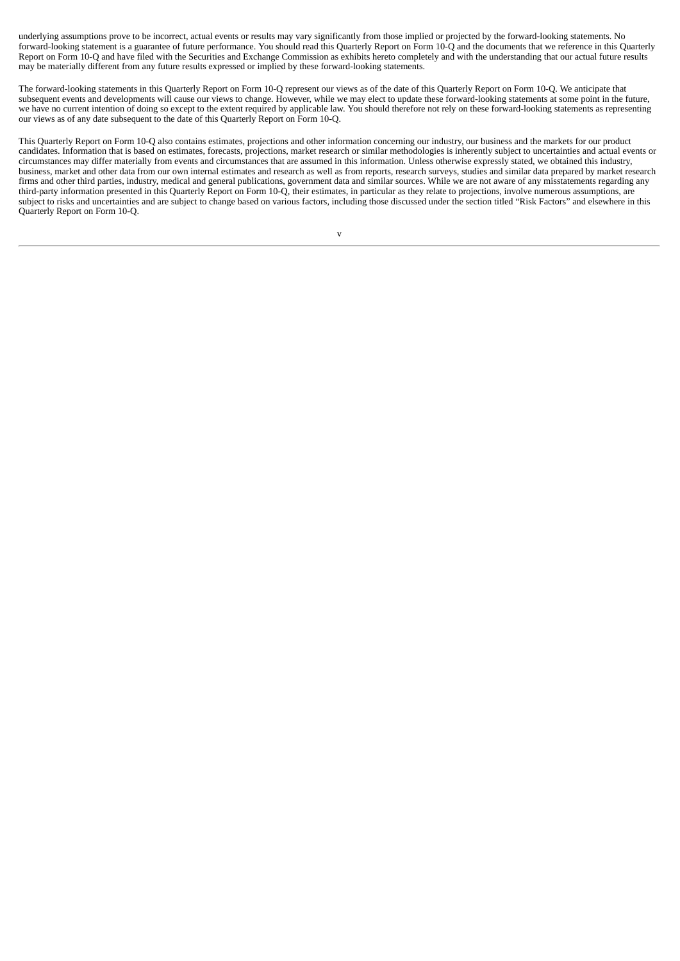underlying assumptions prove to be incorrect, actual events or results may vary significantly from those implied or projected by the forward-looking statements. No forward-looking statement is a guarantee of future performance. You should read this Quarterly Report on Form 10-Q and the documents that we reference in this Quarterly Report on Form 10-Q and have filed with the Securities and Exchange Commission as exhibits hereto completely and with the understanding that our actual future results may be materially different from any future results expressed or implied by these forward-looking statements.

The forward-looking statements in this Quarterly Report on Form 10-Q represent our views as of the date of this Quarterly Report on Form 10-Q. We anticipate that subsequent events and developments will cause our views to change. However, while we may elect to update these forward-looking statements at some point in the future, we have no current intention of doing so except to the extent required by applicable law. You should therefore not rely on these forward-looking statements as representing our views as of any date subsequent to the date of this Quarterly Report on Form 10-Q.

This Quarterly Report on Form 10-Q also contains estimates, projections and other information concerning our industry, our business and the markets for our product candidates. Information that is based on estimates, forecasts, projections, market research or similar methodologies is inherently subject to uncertainties and actual events or circumstances may differ materially from events and circumstances that are assumed in this information. Unless otherwise expressly stated, we obtained this industry, business, market and other data from our own internal estimates and research as well as from reports, research surveys, studies and similar data prepared by market research firms and other third parties, industry, medical and general publications, government data and similar sources. While we are not aware of any misstatements regarding any third-party information presented in this Quarterly Report on Form 10-Q, their estimates, in particular as they relate to projections, involve numerous assumptions, are subject to risks and uncertainties and are subject to change based on various factors, including those discussed under the section titled "Risk Factors" and elsewhere in this Quarterly Report on Form 10-Q.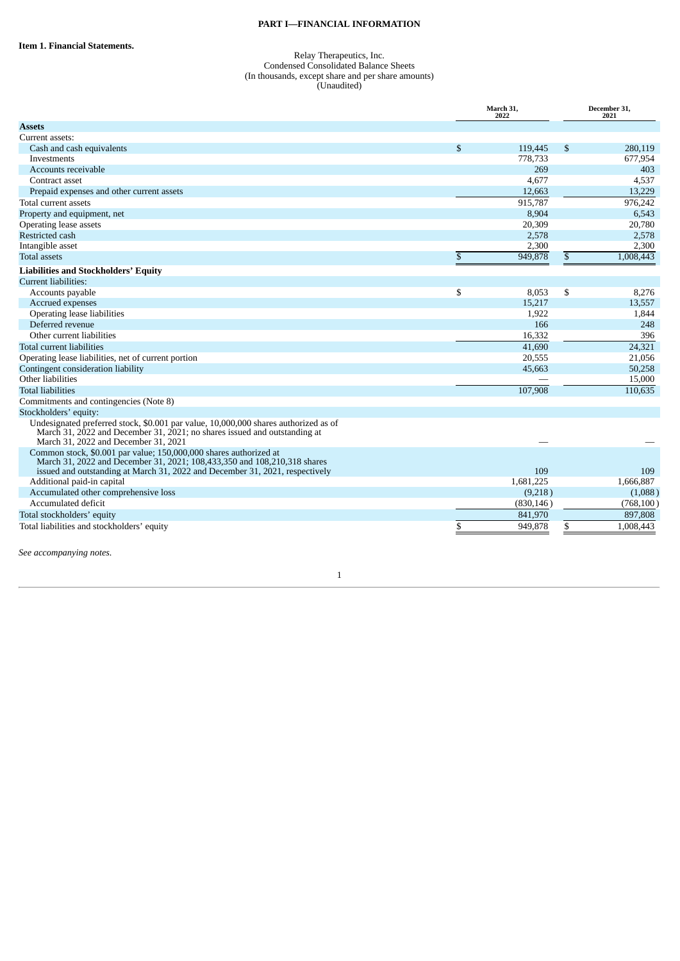## **PART I—FINANCIAL INFORMATION**

#### Relay Therapeutics, Inc. Condensed Consolidated Balance Sheets (In thousands, except share and per share amounts) (Unaudited)

<span id="page-6-2"></span><span id="page-6-1"></span><span id="page-6-0"></span>

|                                                                                                                                                                                                                               | March 31,<br>2022 |    |            |
|-------------------------------------------------------------------------------------------------------------------------------------------------------------------------------------------------------------------------------|-------------------|----|------------|
| <b>Assets</b>                                                                                                                                                                                                                 |                   |    |            |
| Current assets:                                                                                                                                                                                                               |                   |    |            |
| Cash and cash equivalents                                                                                                                                                                                                     | \$<br>119,445     | \$ | 280,119    |
| Investments                                                                                                                                                                                                                   | 778,733           |    | 677,954    |
| Accounts receivable                                                                                                                                                                                                           | 269               |    | 403        |
| Contract asset                                                                                                                                                                                                                | 4,677             |    | 4,537      |
| Prepaid expenses and other current assets                                                                                                                                                                                     | 12,663            |    | 13,229     |
| Total current assets                                                                                                                                                                                                          | 915,787           |    | 976,242    |
| Property and equipment, net                                                                                                                                                                                                   | 8,904             |    | 6,543      |
| Operating lease assets                                                                                                                                                                                                        | 20,309            |    | 20,780     |
| <b>Restricted cash</b>                                                                                                                                                                                                        | 2,578             |    | 2,578      |
| Intangible asset                                                                                                                                                                                                              | 2,300             |    | 2,300      |
| <b>Total assets</b>                                                                                                                                                                                                           | \$<br>949,878     | \$ | 1,008,443  |
| <b>Liabilities and Stockholders' Equity</b>                                                                                                                                                                                   |                   |    |            |
| Current liabilities:                                                                                                                                                                                                          |                   |    |            |
| Accounts payable                                                                                                                                                                                                              | \$<br>8,053       | \$ | 8,276      |
| Accrued expenses                                                                                                                                                                                                              | 15,217            |    | 13,557     |
| Operating lease liabilities                                                                                                                                                                                                   | 1,922             |    | 1,844      |
| Deferred revenue                                                                                                                                                                                                              | 166               |    | 248        |
| Other current liabilities                                                                                                                                                                                                     | 16,332            |    | 396        |
| Total current liabilities                                                                                                                                                                                                     | 41,690            |    | 24,321     |
| Operating lease liabilities, net of current portion                                                                                                                                                                           | 20,555            |    | 21,056     |
| Contingent consideration liability                                                                                                                                                                                            | 45,663            |    | 50,258     |
| Other liabilities                                                                                                                                                                                                             |                   |    | 15,000     |
| <b>Total liabilities</b>                                                                                                                                                                                                      | 107,908           |    | 110.635    |
| Commitments and contingencies (Note 8)                                                                                                                                                                                        |                   |    |            |
| Stockholders' equity:                                                                                                                                                                                                         |                   |    |            |
| Undesignated preferred stock, \$0.001 par value, 10,000,000 shares authorized as of<br>March 31, 2022 and December 31, 2021; no shares issued and outstanding at<br>March 31, 2022 and December 31, 2021                      |                   |    |            |
| Common stock, \$0.001 par value; 150,000,000 shares authorized at<br>March 31, 2022 and December 31, 2021; 108,433,350 and 108,210,318 shares<br>issued and outstanding at March 31, 2022 and December 31, 2021, respectively | 109               |    | 109        |
| Additional paid-in capital                                                                                                                                                                                                    | 1,681,225         |    | 1,666,887  |
| Accumulated other comprehensive loss                                                                                                                                                                                          | (9,218)           |    | (1,088)    |
| Accumulated deficit                                                                                                                                                                                                           | (830, 146)        |    | (768, 100) |
| Total stockholders' equity                                                                                                                                                                                                    | 841,970           |    | 897,808    |
| Total liabilities and stockholders' equity                                                                                                                                                                                    | \$<br>949,878     | \$ | 1,008,443  |
|                                                                                                                                                                                                                               |                   |    |            |

1

*See accompanying notes.*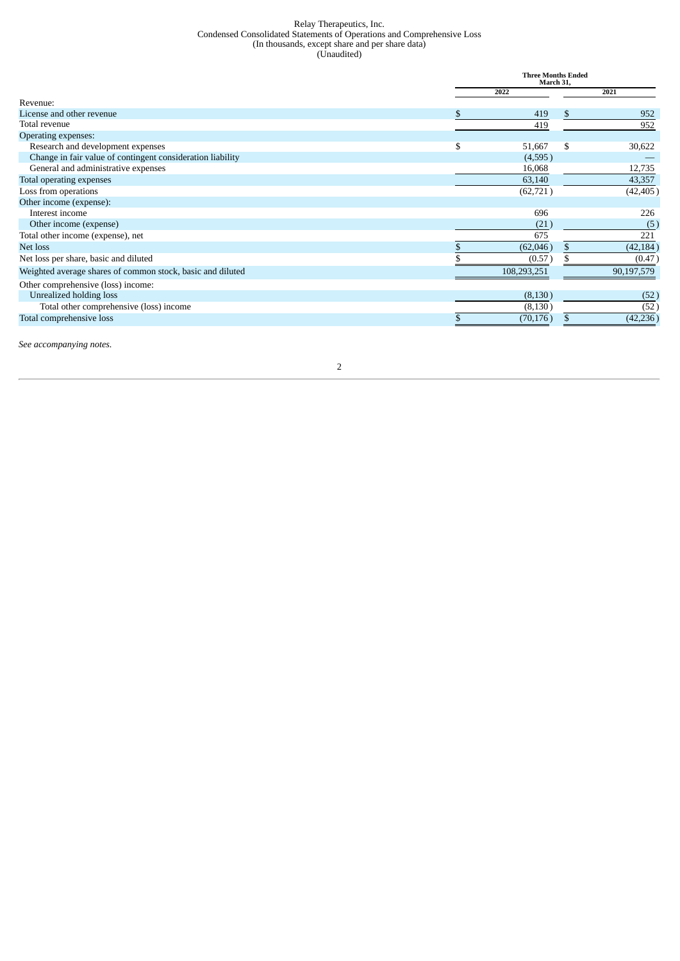#### Relay Therapeutics, Inc. Condensed Consolidated Statements of Operations and Comprehensive Loss (In thousands, except share and per share data) (Unaudited)

<span id="page-7-0"></span>

|                                                            | <b>Three Months Ended</b><br>March 31, |    |            |
|------------------------------------------------------------|----------------------------------------|----|------------|
|                                                            | 2022                                   |    | 2021       |
| Revenue:                                                   |                                        |    |            |
| License and other revenue                                  | 419                                    | \$ | 952        |
| Total revenue                                              | 419                                    |    | 952        |
| Operating expenses:                                        |                                        |    |            |
| Research and development expenses                          | \$<br>51,667                           | \$ | 30,622     |
| Change in fair value of contingent consideration liability | (4,595)                                |    |            |
| General and administrative expenses                        | 16,068                                 |    | 12,735     |
| Total operating expenses                                   | 63,140                                 |    | 43,357     |
| Loss from operations                                       | (62, 721)                              |    | (42, 405)  |
| Other income (expense):                                    |                                        |    |            |
| Interest income                                            | 696                                    |    | 226        |
| Other income (expense)                                     | (21)                                   |    | (5)        |
| Total other income (expense), net                          | 675                                    |    | 221        |
| Net loss                                                   | (62,046)                               | S. | (42, 184)  |
| Net loss per share, basic and diluted                      | (0.57)                                 |    | (0.47)     |
| Weighted average shares of common stock, basic and diluted | 108,293,251                            |    | 90,197,579 |
| Other comprehensive (loss) income:                         |                                        |    |            |
| <b>Unrealized holding loss</b>                             | (8,130)                                |    | (52)       |
| Total other comprehensive (loss) income                    | (8,130)                                |    | (52)       |
| Total comprehensive loss                                   | (70, 176)                              |    | (42, 236)  |

*See accompanying notes.*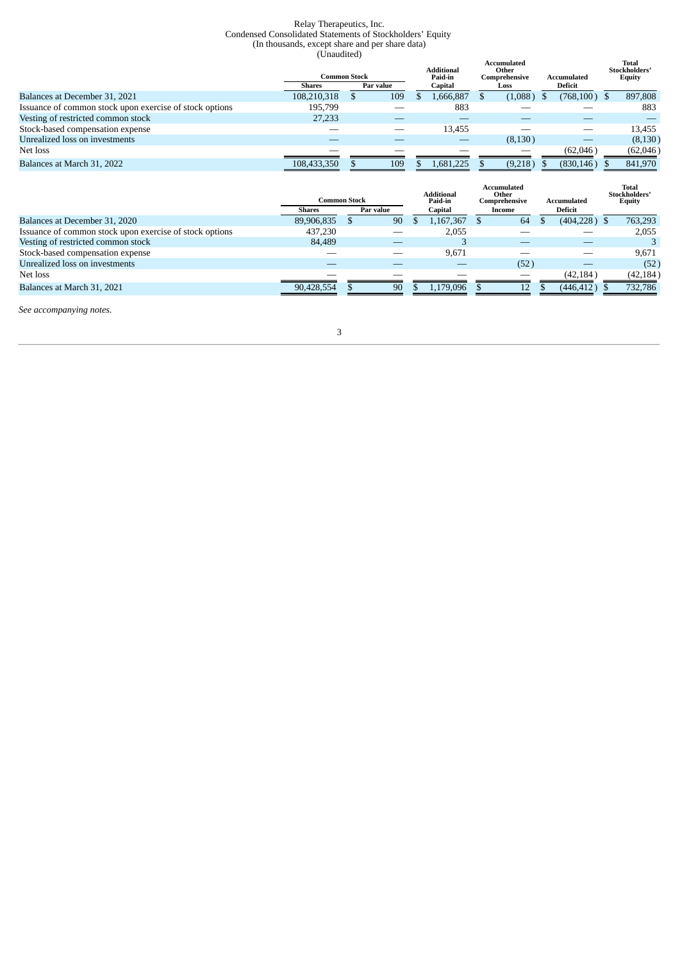#### Relay Therapeutics, Inc. Condensed Consolidated Statements of Stockholders' Equity (In thousands, except share and per share data) (Unaudited)

<span id="page-8-0"></span>

|                                                         | Unduulteu)                    |           |                                         |                                               |                        |                                         |
|---------------------------------------------------------|-------------------------------|-----------|-----------------------------------------|-----------------------------------------------|------------------------|-----------------------------------------|
|                                                         | <b>Common Stock</b><br>Shares | Par value | <b>Additional</b><br>Paid-in<br>Capital | Accumulated<br>Other<br>Comprehensive<br>Loss | Accumulated<br>Deficit | Total<br>Stockholders'<br><b>Equity</b> |
| Balances at December 31, 2021                           | 108,210,318                   | 109       | 1,666,887                               | (1,088)                                       | (768, 100)             | 897,808                                 |
| Issuance of common stock upon exercise of stock options | 195,799                       |           | 883                                     |                                               |                        | 883                                     |
| Vesting of restricted common stock                      | 27,233                        |           |                                         |                                               |                        |                                         |
| Stock-based compensation expense                        | __                            |           | 13,455                                  |                                               |                        | 13,455                                  |
| Unrealized loss on investments                          |                               |           |                                         | (8,130)                                       | —                      | (8,130)                                 |
| Net loss                                                | __                            |           |                                         |                                               | (62,046)               | (62,046)                                |
| Balances at March 31, 2022                              | 108,433,350                   | 109       | .681,225                                | (9,218)                                       | (830, 146)             | 841,970                                 |

|                                                         | <b>Common Stock</b> |           | <b>Additional</b><br>Paid-in | Accumulated<br>Other<br>Comprehensive | <b>Accumulated</b> |      | Total<br>Stockholders'<br>Equity |
|---------------------------------------------------------|---------------------|-----------|------------------------------|---------------------------------------|--------------------|------|----------------------------------|
|                                                         | <b>Shares</b>       | Par value | Capital                      | Income                                | Deficit            |      |                                  |
| Balances at December 31, 2020                           | 89,906,835          | 90        | 1,167,367                    | 64                                    | (404, 228)         | - 56 | 763,293                          |
| Issuance of common stock upon exercise of stock options | 437,230             |           | 2.055                        |                                       |                    |      | 2,055                            |
| Vesting of restricted common stock                      | 84,489              |           |                              |                                       |                    |      |                                  |
| Stock-based compensation expense                        |                     |           | 9,671                        |                                       |                    |      | 9,671                            |
| Unrealized loss on investments                          |                     |           |                              | (52)                                  |                    |      | (52)                             |
| Net loss                                                |                     |           |                              |                                       | (42, 184)          |      | (42, 184)                        |
| Balances at March 31, 2021                              | 90.428.554          | 90        | 1,179,096                    | 12                                    | (446, 412)         |      | 732,786                          |

*See accompanying notes.*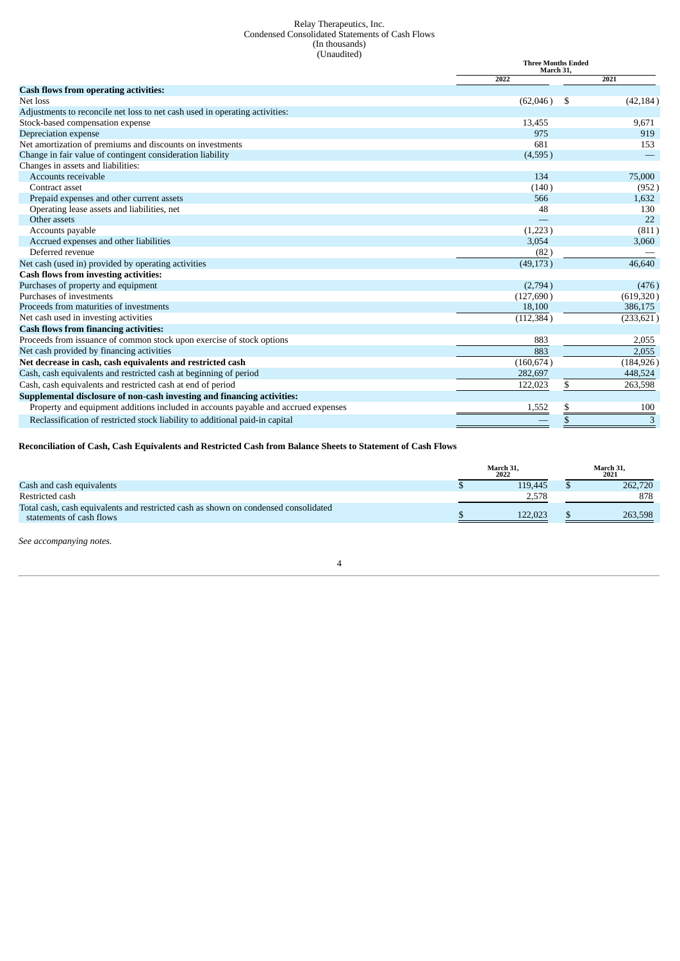#### Relay Therapeutics, Inc. Condensed Consolidated Statements of Cash Flows (In thousands) (Unaudited)

<span id="page-9-0"></span>

|                                                                                    |            | <b>Three Months Ended</b><br>March 31, |                |  |
|------------------------------------------------------------------------------------|------------|----------------------------------------|----------------|--|
|                                                                                    | 2022       |                                        | 2021           |  |
| <b>Cash flows from operating activities:</b>                                       |            |                                        |                |  |
| Net loss                                                                           | (62,046)   | \$                                     | (42, 184)      |  |
| Adjustments to reconcile net loss to net cash used in operating activities:        |            |                                        |                |  |
| Stock-based compensation expense                                                   | 13,455     |                                        | 9,671          |  |
| Depreciation expense                                                               | 975        |                                        | 919            |  |
| Net amortization of premiums and discounts on investments                          | 681        |                                        | 153            |  |
| Change in fair value of contingent consideration liability                         | (4,595)    |                                        |                |  |
| Changes in assets and liabilities:                                                 |            |                                        |                |  |
| Accounts receivable                                                                | 134        |                                        | 75,000         |  |
| Contract asset                                                                     | (140)      |                                        | (952)          |  |
| Prepaid expenses and other current assets                                          | 566        |                                        | 1,632          |  |
| Operating lease assets and liabilities, net                                        | 48         |                                        | 130            |  |
| Other assets                                                                       |            |                                        | 22             |  |
| Accounts payable                                                                   | (1,223)    |                                        | (811)          |  |
| Accrued expenses and other liabilities                                             | 3,054      |                                        | 3,060          |  |
| Deferred revenue                                                                   | (82)       |                                        |                |  |
| Net cash (used in) provided by operating activities                                | (49, 173)  |                                        | 46,640         |  |
| <b>Cash flows from investing activities:</b>                                       |            |                                        |                |  |
| Purchases of property and equipment                                                | (2,794)    |                                        | (476)          |  |
| Purchases of investments                                                           | (127,690)  |                                        | (619,320)      |  |
| Proceeds from maturities of investments                                            | 18,100     |                                        | 386,175        |  |
| Net cash used in investing activities                                              | (112, 384) |                                        | (233, 621)     |  |
| <b>Cash flows from financing activities:</b>                                       |            |                                        |                |  |
| Proceeds from issuance of common stock upon exercise of stock options              | 883        |                                        | 2,055          |  |
| Net cash provided by financing activities                                          | 883        |                                        | 2,055          |  |
| Net decrease in cash, cash equivalents and restricted cash                         | (160, 674) |                                        | (184, 926)     |  |
| Cash, cash equivalents and restricted cash at beginning of period                  | 282,697    |                                        | 448,524        |  |
| Cash, cash equivalents and restricted cash at end of period                        | 122,023    | \$                                     | 263,598        |  |
| Supplemental disclosure of non-cash investing and financing activities:            |            |                                        |                |  |
| Property and equipment additions included in accounts payable and accrued expenses | 1,552      | \$                                     | 100            |  |
| Reclassification of restricted stock liability to additional paid-in capital       |            | \$                                     | $\overline{3}$ |  |

## **Reconciliation of Cash, Cash Equivalents and Restricted Cash from Balance Sheets to Statement of Cash Flows**

|                                                                                                                 | March 31, | March 31,<br>2021 |         |  |
|-----------------------------------------------------------------------------------------------------------------|-----------|-------------------|---------|--|
| Cash and cash equivalents                                                                                       |           | 119,445           | 262,720 |  |
| Restricted cash                                                                                                 |           | 2.578             | 878     |  |
| Total cash, cash equivalents and restricted cash as shown on condensed consolidated<br>statements of cash flows |           | 122.023           | 263,598 |  |

*See accompanying notes.*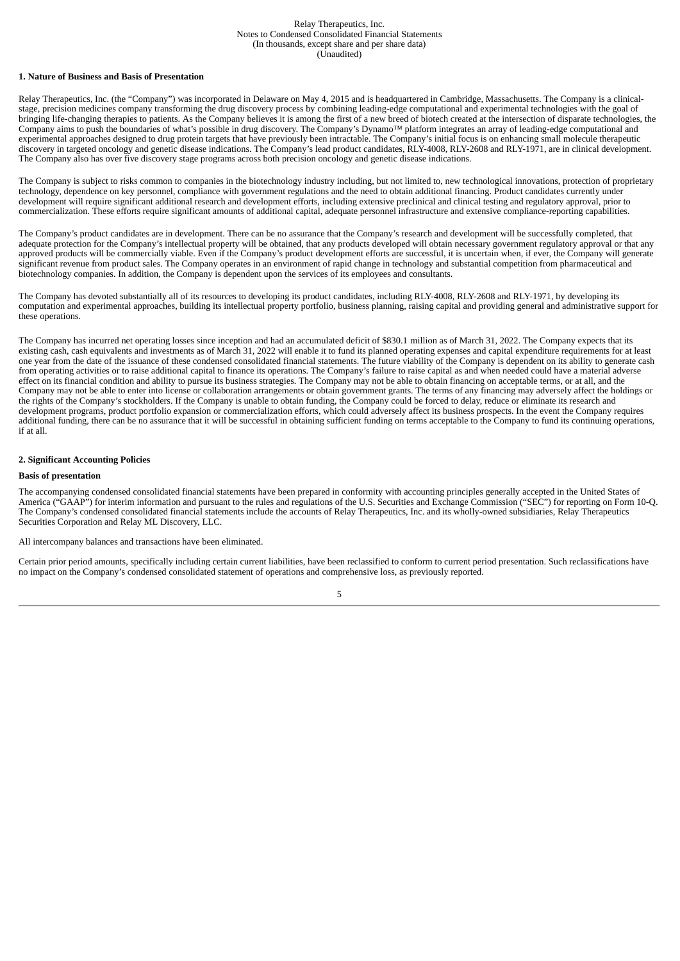#### Relay Therapeutics, Inc. Notes to Condensed Consolidated Financial Statements (In thousands, except share and per share data) (Unaudited)

#### <span id="page-10-0"></span>**1. Nature of Business and Basis of Presentation**

Relay Therapeutics, Inc. (the "Company") was incorporated in Delaware on May 4, 2015 and is headquartered in Cambridge, Massachusetts. The Company is a clinicalstage, precision medicines company transforming the drug discovery process by combining leading-edge computational and experimental technologies with the goal of bringing life-changing therapies to patients. As the Company believes it is among the first of a new breed of biotech created at the intersection of disparate technologies, the Company aims to push the boundaries of what's possible in drug discovery. The Company's Dynamo™ platform integrates an array of leading-edge computational and experimental approaches designed to drug protein targets that have previously been intractable. The Company's initial focus is on enhancing small molecule therapeutic experimental approaches designed to drug protein target discovery in targeted oncology and genetic disease indications. The Company's lead product candidates, RLY-4008, RLY-2608 and RLY-1971, are in clinical development. The Company also has over five discovery stage programs across both precision oncology and genetic disease indications.

The Company is subject to risks common to companies in the biotechnology industry including, but not limited to, new technological innovations, protection of proprietary technology, dependence on key personnel, compliance with government regulations and the need to obtain additional financing. Product candidates currently under development will require significant additional research and development efforts, including extensive preclinical and clinical testing and regulatory approval, prior to commercialization. These efforts require significant amounts of additional capital, adequate personnel infrastructure and extensive compliance-reporting capabilities.

The Company's product candidates are in development. There can be no assurance that the Company's research and development will be successfully completed, that adequate protection for the Company's intellectual property will be obtained, that any products developed will obtain necessary government regulatory approval or that any approved products will be commercially viable. Even if the Company's product development efforts are successful, it is uncertain when, if ever, the Company will generate significant revenue from product sales. The Company operates in an environment of rapid change in technology and substantial competition from pharmaceutical and biotechnology companies. In addition, the Company is dependent upon the services of its employees and consultants.

The Company has devoted substantially all of its resources to developing its product candidates, including RLY-4008, RLY-2608 and RLY-1971, by developing its computation and experimental approaches, building its intellectual property portfolio, business planning, raising capital and providing general and administrative support for these operations.

The Company has incurred net operating losses since inception and had an accumulated deficit of \$830.1 million as of March 31, 2022. The Company expects that its existing cash, cash equivalents and investments as of March 31, 2022 will enable it to fund its planned operating expenses and capital expenditure requirements for at least one year from the date of the issuance of these condensed consolidated financial statements. The future viability of the Company is dependent on its ability to generate cash from operating activities or to raise additional capital to finance its operations. The Company's failure to raise capital as and when needed could have a material adverse effect on its financial condition and ability to pursue its business strategies. The Company may not be able to obtain financing on acceptable terms, or at all, and the Company may not be able to enter into license or collaboration arrangements or obtain government grants. The terms of any financing may adversely affect the holdings or the rights of the Company's stockholders. If the Company is unable to obtain funding, the Company could be forced to delay, reduce or eliminate its research and development programs, product portfolio expansion or commercialization efforts, which could adversely affect its business prospects. In the event the Company requires additional funding, there can be no assurance that it will be successful in obtaining sufficient funding on terms acceptable to the Company to fund its continuing operations, if at all.

#### **2. Significant Accounting Policies**

#### **Basis of presentation**

The accompanying condensed consolidated financial statements have been prepared in conformity with accounting principles generally accepted in the United States of America ("GAAP") for interim information and pursuant to the rules and regulations of the U.S. Securities and Exchange Commission ("SEC") for reporting on Form 10-Q. The Company's condensed consolidated financial statements include the accounts of Relay Therapeutics, Inc. and its wholly-owned subsidiaries, Relay Therapeutics Securities Corporation and Relay ML Discovery, LLC.

All intercompany balances and transactions have been eliminated.

Certain prior period amounts, specifically including certain current liabilities, have been reclassified to conform to current period presentation. Such reclassifications have no impact on the Company's condensed consolidated statement of operations and comprehensive loss, as previously reported.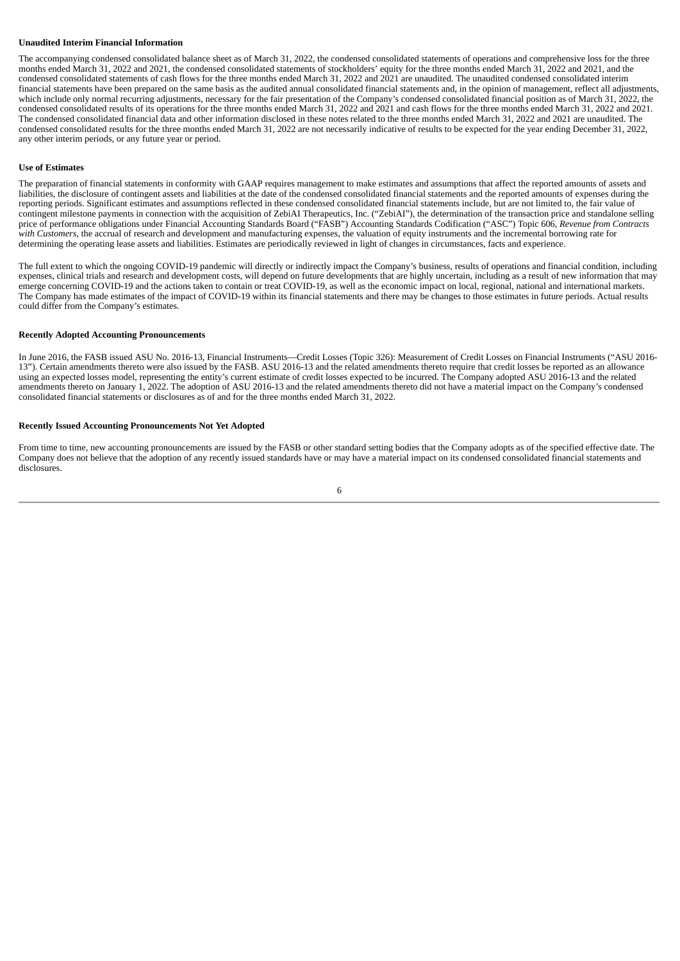#### **Unaudited Interim Financial Information**

The accompanying condensed consolidated balance sheet as of March 31, 2022, the condensed consolidated statements of operations and comprehensive loss for the three months ended March 31, 2022 and 2021, the condensed consolidated statements of stockholders' equity for the three months ended March 31, 2022 and 2021, and the condensed consolidated statements of cash flows for the three months ended March 31, 2022 and 2021 are unaudited. The unaudited condensed consolidated interim financial statements have been prepared on the same basis as the audited annual consolidated financial statements and, in the opinion of management, reflect all adjustments, which include only normal recurring adjustments, necessary for the fair presentation of the Company's condensed consolidated financial position as of March 31, 2022, the condensed consolidated results of its operations for the three months ended March 31, 2022 and 2021 and cash flows for the three months ended March 31, 2022 and 2021. The condensed consolidated financial data and other information disclosed in these notes related to the three months ended March 31, 2022 and 2021 are unaudited. The condensed consolidated results for the three months ended March 31, 2022 are not necessarily indicative of results to be expected for the year ending December 31, 2022, any other interim periods, or any future year or period.

#### **Use of Estimates**

The preparation of financial statements in conformity with GAAP requires management to make estimates and assumptions that affect the reported amounts of assets and liabilities, the disclosure of contingent assets and liabilities at the date of the condensed consolidated financial statements and the reported amounts of expenses during the reporting periods. Significant estimates and assumptions reflected in these condensed consolidated financial statements include, but are not limited to, the fair value of contingent milestone payments in connection with the acquisition of ZebiAI Therapeutics, Inc. ("ZebiAI"), the determination of the transaction price and standalone selling price of performance obligations under Financial Accounting Standards Board ("FASB") Accounting Standards Codification ("ASC") Topic 606, *Revenue from Contracts with Customers*, the accrual of research and development and manufacturing expenses, the valuation of equity instruments and the incremental borrowing rate for determining the operating lease assets and liabilities. Estimates are periodically reviewed in light of changes in circumstances, facts and experience.

The full extent to which the ongoing COVID-19 pandemic will directly or indirectly impact the Company's business, results of operations and financial condition, including expenses, clinical trials and research and development costs, will depend on future developments that are highly uncertain, including as a result of new information that may emerge concerning COVID-19 and the actions taken to contain or treat COVID-19, as well as the economic impact on local, regional, national and international markets. The Company has made estimates of the impact of COVID-19 within its financial statements and there may be changes to those estimates in future periods. Actual results could differ from the Company's estimates.

#### **Recently Adopted Accounting Pronouncements**

In June 2016, the FASB issued ASU No. 2016-13, Financial Instruments—Credit Losses (Topic 326): Measurement of Credit Losses on Financial Instruments ("ASU 2016- 13"). Certain amendments thereto were also issued by the FASB. ASU 2016-13 and the related amendments thereto require that credit losses be reported as an allowance using an expected losses model, representing the entity's current estimate of credit losses expected to be incurred. The Company adopted ASU 2016-13 and the related amendments thereto on January 1, 2022. The adoption of ASU 2016-13 and the related amendments thereto did not have a material impact on the Company's condensed consolidated financial statements or disclosures as of and for the three months ended March 31, 2022.

#### **Recently Issued Accounting Pronouncements Not Yet Adopted**

From time to time, new accounting pronouncements are issued by the FASB or other standard setting bodies that the Company adopts as of the specified effective date. The Company does not believe that the adoption of any recently issued standards have or may have a material impact on its condensed consolidated financial statements and disclosures.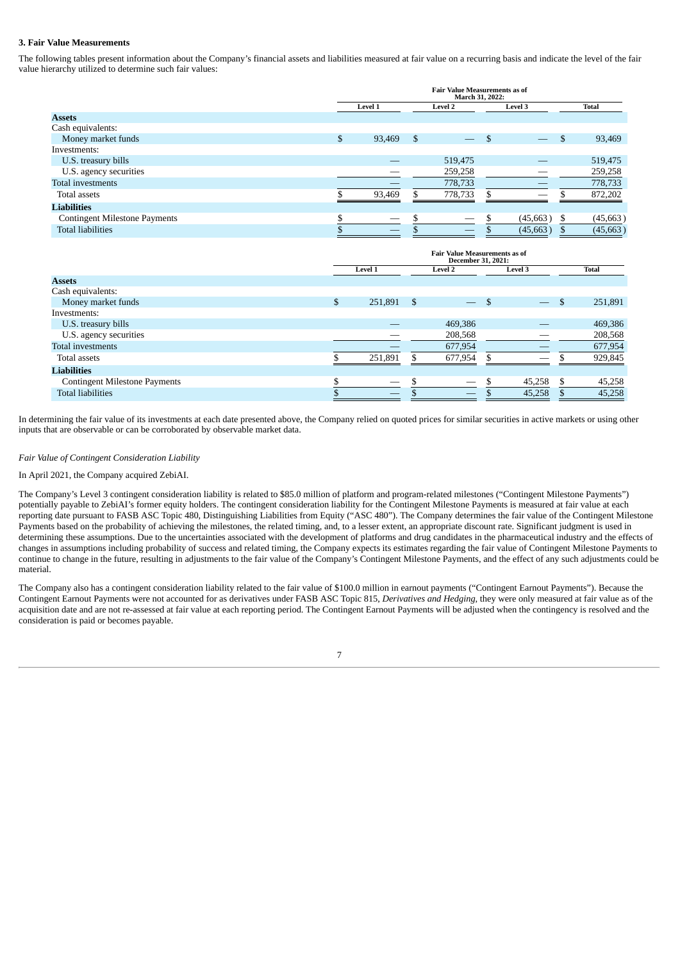## **3. Fair Value Measurements**

The following tables present information about the Company's financial assets and liabilities measured at fair value on a recurring basis and indicate the level of the fair value hierarchy utilized to determine such fair values:

|                                      | <b>Fair Value Measurements as of</b><br>March 31, 2022: |         |     |                          |    |           |    |              |  |  |  |
|--------------------------------------|---------------------------------------------------------|---------|-----|--------------------------|----|-----------|----|--------------|--|--|--|
|                                      |                                                         | Level 1 |     | Level 2                  |    | Level 3   |    | <b>Total</b> |  |  |  |
| <b>Assets</b>                        |                                                         |         |     |                          |    |           |    |              |  |  |  |
| Cash equivalents:                    |                                                         |         |     |                          |    |           |    |              |  |  |  |
| Money market funds                   | \$                                                      | 93,469  | -\$ |                          | -S |           | \$ | 93,469       |  |  |  |
| Investments:                         |                                                         |         |     |                          |    |           |    |              |  |  |  |
| U.S. treasury bills                  |                                                         |         |     | 519,475                  |    |           |    | 519,475      |  |  |  |
| U.S. agency securities               |                                                         |         |     | 259,258                  |    |           |    | 259,258      |  |  |  |
| Total investments                    |                                                         |         |     | 778,733                  |    |           |    | 778,733      |  |  |  |
| <b>Total assets</b>                  |                                                         | 93,469  |     | 778,733                  |    |           |    | 872,202      |  |  |  |
| <b>Liabilities</b>                   |                                                         |         |     |                          |    |           |    |              |  |  |  |
| <b>Contingent Milestone Payments</b> |                                                         |         |     | $\overline{\phantom{0}}$ |    | (45,663)  | \$ | (45, 663)    |  |  |  |
| <b>Total liabilities</b>             |                                                         | __      |     |                          |    | (45, 663) |    | (45, 663)    |  |  |  |

|                                      | <b>Fair Value Measurements as of</b><br>December 31, 2021: |                                 |     |                          |  |                          |              |         |  |
|--------------------------------------|------------------------------------------------------------|---------------------------------|-----|--------------------------|--|--------------------------|--------------|---------|--|
|                                      |                                                            | Level 1                         |     | Level 2                  |  | Level 3                  | <b>Total</b> |         |  |
| <b>Assets</b>                        |                                                            |                                 |     |                          |  |                          |              |         |  |
| Cash equivalents:                    |                                                            |                                 |     |                          |  |                          |              |         |  |
| Money market funds                   | \$                                                         | 251,891                         | -\$ | $-$ \$                   |  | $\overline{\phantom{0}}$ | \$           | 251,891 |  |
| Investments:                         |                                                            |                                 |     |                          |  |                          |              |         |  |
| U.S. treasury bills                  |                                                            |                                 |     | 469,386                  |  |                          |              | 469,386 |  |
| U.S. agency securities               |                                                            |                                 |     | 208,568                  |  |                          |              | 208,568 |  |
| Total investments                    |                                                            |                                 |     | 677,954                  |  |                          |              | 677,954 |  |
| Total assets                         |                                                            | 251,891                         |     | 677,954                  |  |                          |              | 929,845 |  |
| <b>Liabilities</b>                   |                                                            |                                 |     |                          |  |                          |              |         |  |
| <b>Contingent Milestone Payments</b> |                                                            | $\hspace{0.1mm}-\hspace{0.1mm}$ |     | $\overline{\phantom{m}}$ |  | 45,258                   | \$           | 45,258  |  |
| <b>Total liabilities</b>             |                                                            |                                 |     |                          |  | 45,258                   |              | 45,258  |  |

In determining the fair value of its investments at each date presented above, the Company relied on quoted prices for similar securities in active markets or using other inputs that are observable or can be corroborated by observable market data.

## *Fair Value of Contingent Consideration Liability*

In April 2021, the Company acquired ZebiAI.

The Company's Level 3 contingent consideration liability is related to \$85.0 million of platform and program-related milestones ("Contingent Milestone Payments") potentially payable to ZebiAI's former equity holders. The contingent consideration liability for the Contingent Milestone Payments is measured at fair value at each reporting date pursuant to FASB ASC Topic 480, Distinguishing Liabilities from Equity ("ASC 480"). The Company determines the fair value of the Contingent Milestone Payments based on the probability of achieving the milestones, the related timing, and, to a lesser extent, an appropriate discount rate. Significant judgment is used in determining these assumptions. Due to the uncertainties associated with the development of platforms and drug candidates in the pharmaceutical industry and the effects of changes in assumptions including probability of success and related timing, the Company expects its estimates regarding the fair value of Contingent Milestone Payments to continue to change in the future, resulting in adjustments to the fair value of the Company's Contingent Milestone Payments, and the effect of any such adjustments could be material.

The Company also has a contingent consideration liability related to the fair value of \$100.0 million in earnout payments ("Contingent Earnout Payments"). Because the Contingent Earnout Payments were not accounted for as derivatives under FASB ASC Topic 815, *Derivatives and Hedging,* they were only measured at fair value as of the acquisition date and are not re-assessed at fair value at each reporting period. The Contingent Earnout Payments will be adjusted when the contingency is resolved and the consideration is paid or becomes payable.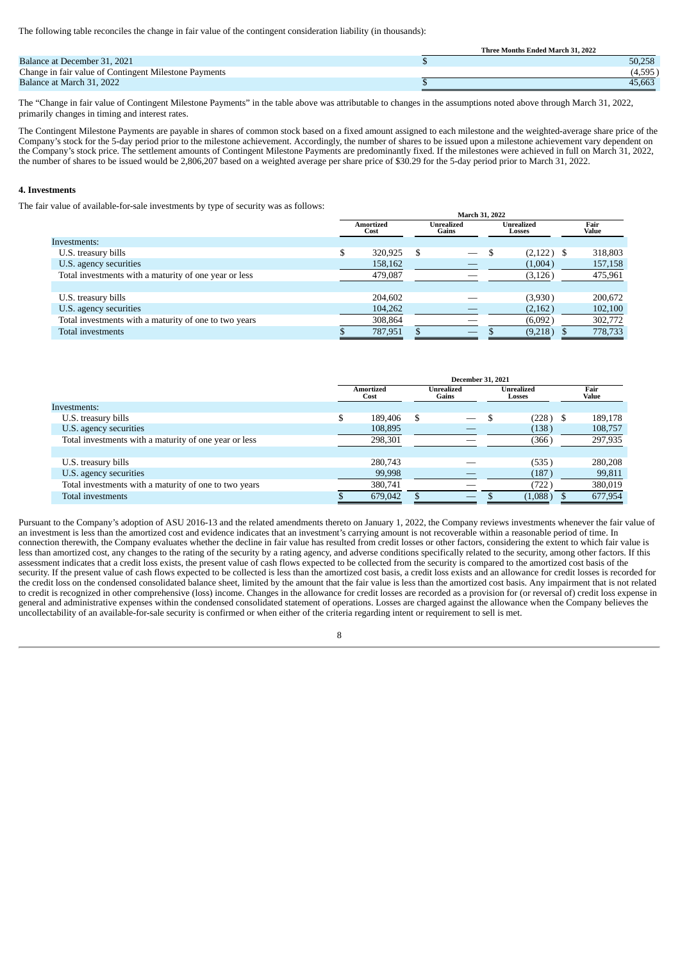The following table reconciles the change in fair value of the contingent consideration liability (in thousands):

|                                                       | Three Months Ended March 31, 2022 |         |
|-------------------------------------------------------|-----------------------------------|---------|
| Balance at December 31, 2021                          | 50.258                            |         |
| Change in fair value of Contingent Milestone Payments |                                   | (4,595) |
| Balance at March 31, 2022                             | 45.663                            |         |

The "Change in fair value of Contingent Milestone Payments" in the table above was attributable to changes in the assumptions noted above through March 31, 2022, primarily changes in timing and interest rates.

The Contingent Milestone Payments are payable in shares of common stock based on a fixed amount assigned to each milestone and the weighted-average share price of the Company's stock for the 5-day period prior to the milestone achievement. Accordingly, the number of shares to be issued upon a milestone achievement vary dependent on the Company's stock price. The settlement amounts of Contingent Milestone Payments are predominantly fixed. If the milestones were achieved in full on March 31, 2022, the number of shares to be issued would be 2,806,207 based on a weighted average per share price of \$30.29 for the 5-day period prior to March 31, 2022.

#### **4. Investments**

The fair value of available-for-sale investments by type of security was as follows:

| <b>Amortized</b><br>Cost |         |  | Unrealized<br>Gains |  | <b>Unrealized</b><br>Losses |                | Fair<br>Value |  |
|--------------------------|---------|--|---------------------|--|-----------------------------|----------------|---------------|--|
|                          |         |  |                     |  |                             |                |               |  |
| \$                       | 320,925 |  |                     |  |                             |                | 318,803       |  |
|                          | 158,162 |  |                     |  | (1,004)                     |                | 157,158       |  |
|                          | 479,087 |  |                     |  | (3, 126)                    |                | 475,961       |  |
|                          |         |  |                     |  |                             |                |               |  |
|                          | 204,602 |  |                     |  | (3,930)                     |                | 200,672       |  |
|                          | 104,262 |  |                     |  | (2,162)                     |                | 102,100       |  |
|                          | 308,864 |  |                     |  | (6,092)                     |                | 302,772       |  |
|                          | 787,951 |  |                     |  | (9,218)                     |                | 778,733       |  |
|                          |         |  |                     |  |                             | March 31, 2022 | $(2,122)$ \$  |  |

|                                                       |          | <b>December 31, 2021</b> |                     |                          |  |                             |     |               |  |  |
|-------------------------------------------------------|----------|--------------------------|---------------------|--------------------------|--|-----------------------------|-----|---------------|--|--|
|                                                       |          | <b>Amortized</b><br>Cost | Unrealized<br>Gains |                          |  | <b>Unrealized</b><br>Losses |     | Fair<br>Value |  |  |
| Investments:                                          |          |                          |                     |                          |  |                             |     |               |  |  |
| U.S. treasury bills                                   | ¢<br>ъĐ. | 189,406                  | \$                  | $\overline{\phantom{0}}$ |  | (228)                       | - 5 | 189,178       |  |  |
| U.S. agency securities                                |          | 108,895                  |                     |                          |  | (138)                       |     | 108,757       |  |  |
| Total investments with a maturity of one year or less |          | 298,301                  |                     |                          |  | (366)                       |     | 297,935       |  |  |
|                                                       |          |                          |                     |                          |  |                             |     |               |  |  |
| U.S. treasury bills                                   |          | 280,743                  |                     |                          |  | (535)                       |     | 280,208       |  |  |
| U.S. agency securities                                |          | 99,998                   |                     |                          |  | (187)                       |     | 99,811        |  |  |
| Total investments with a maturity of one to two years |          | 380,741                  |                     |                          |  | (722)                       |     | 380,019       |  |  |
| Total investments                                     |          | 679.042                  |                     | $\overline{\phantom{a}}$ |  | (1,088)                     |     | 677,954       |  |  |

Pursuant to the Company's adoption of ASU 2016-13 and the related amendments thereto on January 1, 2022, the Company reviews investments whenever the fair value of an investment is less than the amortized cost and evidence indicates that an investment's carrying amount is not recoverable within a reasonable period of time. In connection therewith, the Company evaluates whether the decline in fair value has resulted from credit losses or other factors, considering the extent to which fair value is less than amortized cost, any changes to the rating of the security by a rating agency, and adverse conditions specifically related to the security, among other factors. If this assessment indicates that a credit loss exists, the present value of cash flows expected to be collected from the security is compared to the amortized cost basis of the security. If the present value of cash flows expected to be collected is less than the amortized cost basis, a credit loss exists and an allowance for credit losses is recorded for the credit loss on the condensed consolidated balance sheet, limited by the amount that the fair value is less than the amortized cost basis. Any impairment that is not related to credit is recognized in other comprehensive (loss) income. Changes in the allowance for credit losses are recorded as a provision for (or reversal of) credit loss expense in general and administrative expenses within the condensed consolidated statement of operations. Losses are charged against the allowance when the Company believes the uncollectability of an available-for-sale security is confirmed or when either of the criteria regarding intent or requirement to sell is met.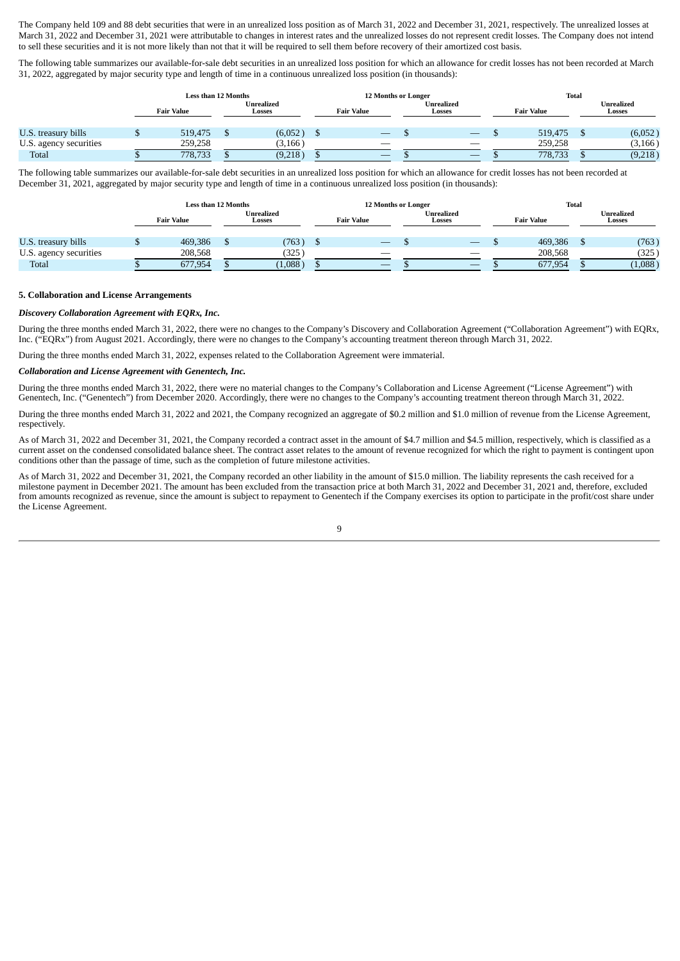The Company held 109 and 88 debt securities that were in an unrealized loss position as of March 31, 2022 and December 31, 2021, respectively. The unrealized losses at March 31, 2022 and December 31, 2021 were attributable to changes in interest rates and the unrealized losses do not represent credit losses. The Company does not intend to sell these securities and it is not more likely than not that it will be required to sell them before recovery of their amortized cost basis.

The following table summarizes our available-for-sale debt securities in an unrealized loss position for which an allowance for credit losses has not been recorded at March 31, 2022, aggregated by major security type and length of time in a continuous unrealized loss position (in thousands):

|                        | <b>Less than 12 Months</b> |  |                      | 12 Months or Longer |                   |  |                      | <b>Total</b> |                   |                      |          |  |
|------------------------|----------------------------|--|----------------------|---------------------|-------------------|--|----------------------|--------------|-------------------|----------------------|----------|--|
|                        | <b>Fair Value</b>          |  | Unrealized<br>Losses |                     | <b>Fair Value</b> |  | Unrealized<br>Losses |              | <b>Fair Value</b> | Unrealized<br>Losses |          |  |
|                        |                            |  |                      |                     |                   |  |                      |              |                   |                      |          |  |
| U.S. treasury bills    | 519,475                    |  | (6,052)              |                     |                   |  |                      |              | 519,475           |                      | (6,052)  |  |
| U.S. agency securities | 259,258                    |  | (3, 166)             |                     |                   |  |                      |              | 259,258           |                      | (3, 166) |  |
| Total                  | 778,733                    |  | (9,218)              |                     |                   |  |                      |              | 778.733           |                      | (9,218)  |  |

The following table summarizes our available-for-sale debt securities in an unrealized loss position for which an allowance for credit losses has not been recorded at December 31, 2021, aggregated by major security type and length of time in a continuous unrealized loss position (in thousands):

|                        | <b>Less than 12 Months</b> |  |                      | 12 Months or Longer |                   |  |                      | Total |                   |  |                      |  |
|------------------------|----------------------------|--|----------------------|---------------------|-------------------|--|----------------------|-------|-------------------|--|----------------------|--|
|                        | Fair Value                 |  | Unrealized<br>Losses |                     | <b>Fair Value</b> |  | Unrealized<br>Losses |       | <b>Fair Value</b> |  | Unrealized<br>Losses |  |
|                        |                            |  |                      |                     |                   |  |                      |       |                   |  |                      |  |
| U.S. treasury bills    | 469,386                    |  | (763)                |                     |                   |  |                      |       | 469,386           |  | (763)                |  |
| U.S. agency securities | 208,568                    |  | (325)                |                     | __                |  |                      |       | 208,568           |  | (325)                |  |
| Total                  | 677,954                    |  | (1,088)              |                     |                   |  |                      |       | 677,954           |  | (1,088)              |  |

#### **5. Collaboration and License Arrangements**

#### *Discovery Collaboration Agreement with EQRx, Inc.*

During the three months ended March 31, 2022, there were no changes to the Company's Discovery and Collaboration Agreement ("Collaboration Agreement") with EQRx, Inc. ("EQRx") from August 2021. Accordingly, there were no changes to the Company's accounting treatment thereon through March 31, 2022.

During the three months ended March 31, 2022, expenses related to the Collaboration Agreement were immaterial.

#### *Collaboration and License Agreement with Genentech, Inc.*

During the three months ended March 31, 2022, there were no material changes to the Company's Collaboration and License Agreement ("License Agreement") with Genentech, Inc. ("Genentech") from December 2020. Accordingly, there were no changes to the Company's accounting treatment thereon through March 31, 2022.

During the three months ended March 31, 2022 and 2021, the Company recognized an aggregate of \$0.2 million and \$1.0 million of revenue from the License Agreement, respectively.

As of March 31, 2022 and December 31, 2021, the Company recorded a contract asset in the amount of \$4.7 million and \$4.5 million, respectively, which is classified as a current asset on the condensed consolidated balance sheet. The contract asset relates to the amount of revenue recognized for which the right to payment is contingent upon conditions other than the passage of time, such as the completion of future milestone activities.

As of March 31, 2022 and December 31, 2021, the Company recorded an other liability in the amount of \$15.0 million. The liability represents the cash received for a milestone payment in December 2021. The amount has been excluded from the transaction price at both March 31, 2022 and December 31, 2021 and, therefore, excluded from amounts recognized as revenue, since the amount is subject to repayment to Genentech if the Company exercises its option to participate in the profit/cost share under the License Agreement.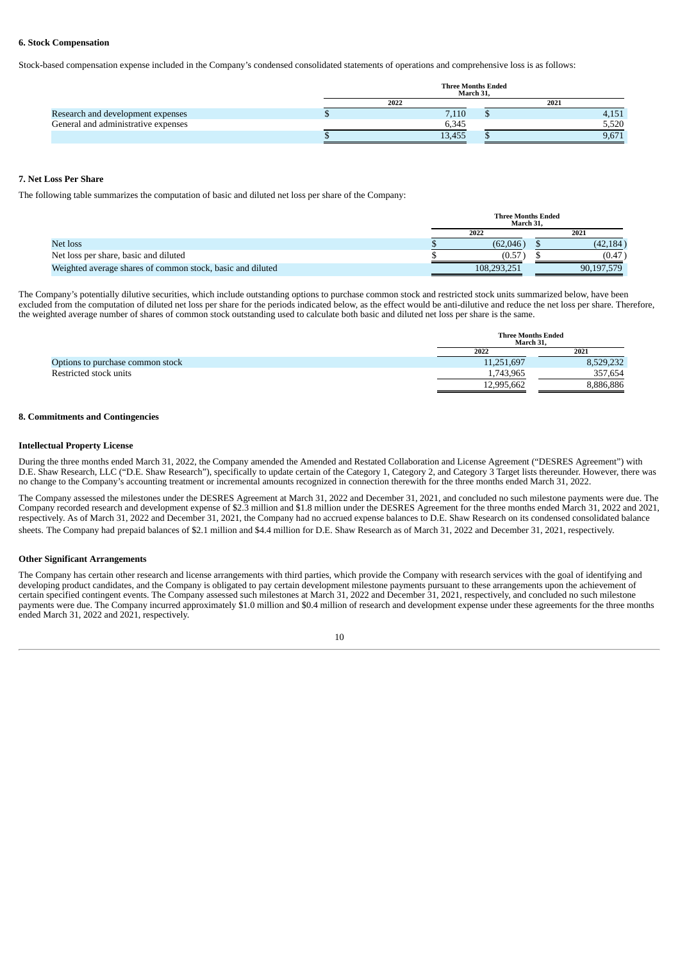## **6. Stock Compensation**

Stock-based compensation expense included in the Company's condensed consolidated statements of operations and comprehensive loss is as follows:

|                                     | <b>Three Months Ended</b><br>March 31. |  |       |  |  |  |  |
|-------------------------------------|----------------------------------------|--|-------|--|--|--|--|
|                                     | 2022                                   |  | 2021  |  |  |  |  |
| Research and development expenses   | 7,110                                  |  | 4,151 |  |  |  |  |
| General and administrative expenses | 6,345                                  |  | 5,520 |  |  |  |  |
|                                     | 13,455                                 |  | 9,671 |  |  |  |  |

#### **7. Net Loss Per Share**

The following table summarizes the computation of basic and diluted net loss per share of the Company:

|                                                            | Three Months Ended<br>March 31, |  |            |  |  |  |
|------------------------------------------------------------|---------------------------------|--|------------|--|--|--|
|                                                            | 2022                            |  | 2021       |  |  |  |
| Net loss                                                   | (62.046)                        |  | (42, 184)  |  |  |  |
| Net loss per share, basic and diluted                      | (0.57)                          |  | (0.47)     |  |  |  |
| Weighted average shares of common stock, basic and diluted | 108,293,251                     |  | 90,197,579 |  |  |  |

The Company's potentially dilutive securities, which include outstanding options to purchase common stock and restricted stock units summarized below, have been excluded from the computation of diluted net loss per share for the periods indicated below, as the effect would be anti-dilutive and reduce the net loss per share. Therefore, the weighted average number of shares of common stock outstanding used to calculate both basic and diluted net loss per share is the same.

|                                  |            | <b>Three Months Ended</b><br>March 31. |  |  |  |  |
|----------------------------------|------------|----------------------------------------|--|--|--|--|
|                                  | 2022       | 2021                                   |  |  |  |  |
| Options to purchase common stock | 11,251,697 | 8,529,232                              |  |  |  |  |
| Restricted stock units           | 1.743.965  | 357,654                                |  |  |  |  |
|                                  | 12.995.662 | 8.886.886                              |  |  |  |  |

## **8. Commitments and Contingencies**

#### **Intellectual Property License**

During the three months ended March 31, 2022, the Company amended the Amended and Restated Collaboration and License Agreement ("DESRES Agreement") with D.E. Shaw Research, LLC ("D.E. Shaw Research"), specifically to update certain of the Category 1, Category 2, and Category 3 Target lists thereunder. However, there was no change to the Company's accounting treatment or incremental amounts recognized in connection therewith for the three months ended March 31, 2022.

The Company assessed the milestones under the DESRES Agreement at March 31, 2022 and December 31, 2021, and concluded no such milestone payments were due. The Company recorded research and development expense of \$2.3 million and \$1.8 million under the DESRES Agreement for the three months ended March 31, 2022 and 2021, respectively. As of March 31, 2022 and December 31, 2021, the Company had no accrued expense balances to D.E. Shaw Research on its condensed consolidated balance sheets. The Company had prepaid balances of \$2.1 million and \$4.4 million for D.E. Shaw Research as of March 31, 2022 and December 31, 2021, respectively.

#### **Other Significant Arrangements**

The Company has certain other research and license arrangements with third parties, which provide the Company with research services with the goal of identifying and developing product candidates, and the Company is obligated to pay certain development milestone payments pursuant to these arrangements upon the achievement of certain specified contingent events. The Company assessed such milestones at March 31, 2022 and December 31, 2021, respectively, and concluded no such milestone payments were due. The Company incurred approximately \$1.0 million and \$0.4 million of research and development expense under these agreements for the three months ended March 31, 2022 and 2021, respectively.

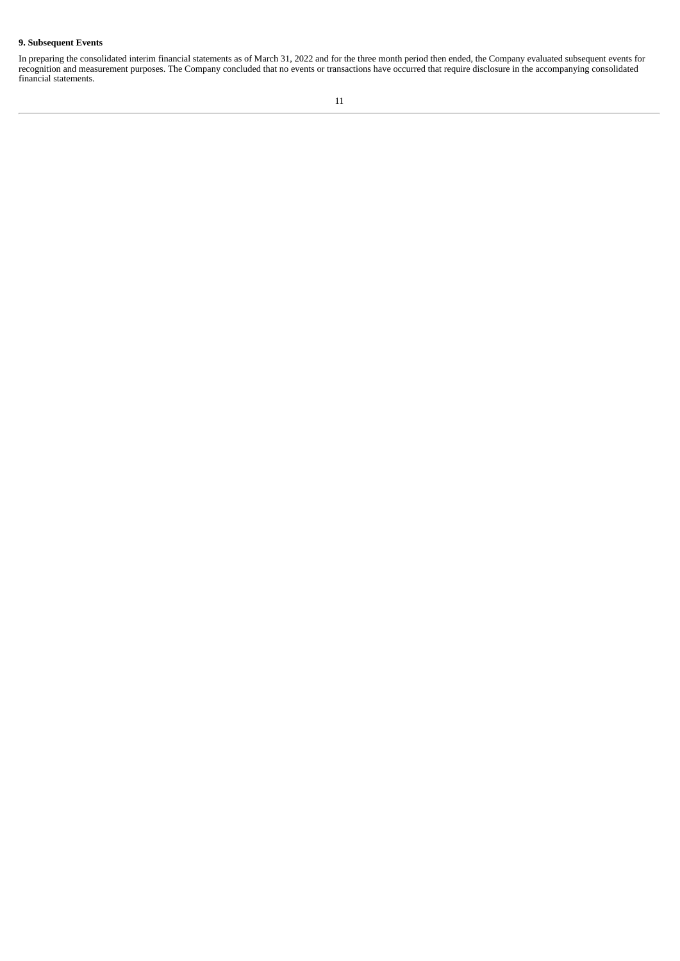## **9. Subsequent Events**

In preparing the consolidated interim financial statements as of March 31, 2022 and for the three month period then ended, the Company evaluated subsequent events for recognition and measurement purposes. The Company concluded that no events or transactions have occurred that require disclosure in the accompanying consolidated financial statements.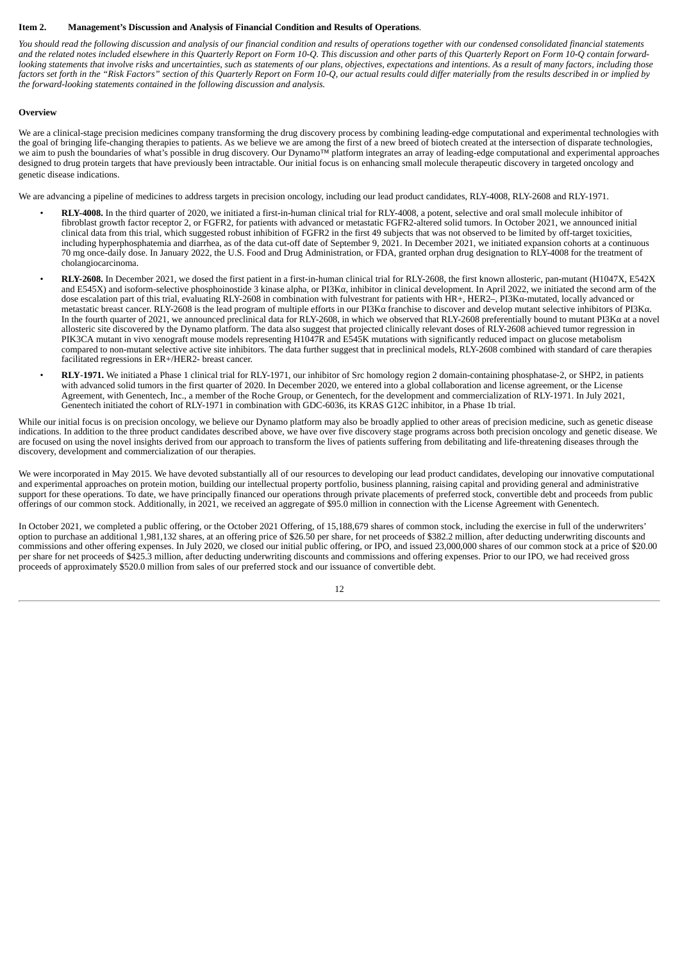#### <span id="page-17-0"></span>**Item 2. Management's Discussion and Analysis of Financial Condition and Results of Operations***.*

*You should read the following discussion and analysis of our financial condition and results of operations together with our condensed consolidated financial statements and the related notes included elsewhere in this Quarterly Report on Form 10-Q. This discussion and other parts of this Quarterly Report on Form 10-Q contain forwardlooking statements that involve risks and uncertainties, such as statements of our plans, objectives, expectations and intentions. As a result of many factors, including those factors set forth in the "Risk Factors" section of this Quarterly Report on Form 10-Q, our actual results could differ materially from the results described in or implied by the forward-looking statements contained in the following discussion and analysis.*

#### **Overview**

We are a clinical-stage precision medicines company transforming the drug discovery process by combining leading-edge computational and experimental technologies with the goal of bringing life-changing therapies to patients. As we believe we are among the first of a new breed of biotech created at the intersection of disparate technologies, we aim to push the boundaries of what's possible in drug discovery. Our Dynamo™ platform integrates an array of leading-edge computational and experimental approaches designed to drug protein targets that have previously been intractable. Our initial focus is on enhancing small molecule therapeutic discovery in targeted oncology and genetic disease indications.

We are advancing a pipeline of medicines to address targets in precision oncology, including our lead product candidates, RLY-4008, RLY-2608 and RLY-1971.

- **RLY-4008.** In the third quarter of 2020, we initiated a first-in-human clinical trial for RLY-4008, a potent, selective and oral small molecule inhibitor of fibroblast growth factor receptor 2, or FGFR2, for patients with advanced or metastatic FGFR2-altered solid tumors. In October 2021, we announced initial clinical data from this trial, which suggested robust inhibition of FGFR2 in the first 49 subjects that was not observed to be limited by off-target toxicities, including hyperphosphatemia and diarrhea, as of the data cut-off date of September 9, 2021. In December 2021, we initiated expansion cohorts at a continuous 70 mg once-daily dose. In January 2022, the U.S. Food and Drug Administration, or FDA, granted orphan drug designation to RLY-4008 for the treatment of cholangiocarcinoma.
- **RLY-2608.** In December 2021, we dosed the first patient in a first-in-human clinical trial for RLY-2608, the first known allosteric, pan-mutant (H1047X, E542X and E545X) and isoform-selective phosphoinostide 3 kinase alpha, or PI3Kα, inhibitor in clinical development. In April 2022, we initiated the second arm of the dose escalation part of this trial, evaluating RLY-2608 in combination with fulvestrant for patients with HR+, HER2–, PI3Kα-mutated, locally advanced or metastatic breast cancer. RLY-2608 is the lead program of multiple efforts in our PI3Kα franchise to discover and develop mutant selective inhibitors of PI3Kα. In the fourth quarter of 2021, we announced preclinical data for RLY-2608, in which we observed that RLY-2608 preferentially bound to mutant PI3Kα at a novel allosteric site discovered by the Dynamo platform. The data also suggest that projected clinically relevant doses of RLY-2608 achieved tumor regression in PIK3CA mutant in vivo xenograft mouse models representing H1047R and E545K mutations with significantly reduced impact on glucose metabolism compared to non-mutant selective active site inhibitors. The data further suggest that in preclinical models, RLY-2608 combined with standard of care therapies facilitated regressions in ER+/HER2- breast cancer.
- **RLY**-**1971.** We initiated a Phase 1 clinical trial for RLY-1971, our inhibitor of Src homology region 2 domain-containing phosphatase-2, or SHP2, in patients with advanced solid tumors in the first quarter of 2020. In December 2020, we entered into a global collaboration and license agreement, or the License Agreement, with Genentech, Inc., a member of the Roche Group, or Genentech, for the development and commercialization of RLY-1971. In July 2021, Genentech initiated the cohort of RLY-1971 in combination with GDC-6036, its KRAS G12C inhibitor, in a Phase 1b trial.

While our initial focus is on precision oncology, we believe our Dynamo platform may also be broadly applied to other areas of precision medicine, such as genetic disease indications. In addition to the three product candidates described above, we have over five discovery stage programs across both precision oncology and genetic disease. We are focused on using the novel insights derived from our approach to transform the lives of patients suffering from debilitating and life-threatening diseases through the discovery, development and commercialization of our therapies.

We were incorporated in May 2015. We have devoted substantially all of our resources to developing our lead product candidates, developing our innovative computational and experimental approaches on protein motion, building our intellectual property portfolio, business planning, raising capital and providing general and administrative support for these operations. To date, we have principally financed our operations through private placements of preferred stock, convertible debt and proceeds from public offerings of our common stock. Additionally, in 2021, we received an aggregate of \$95.0 million in connection with the License Agreement with Genentech.

In October 2021, we completed a public offering, or the October 2021 Offering, of 15,188,679 shares of common stock, including the exercise in full of the underwriters' option to purchase an additional 1,981,132 shares, at an offering price of \$26.50 per share, for net proceeds of \$382.2 million, after deducting underwriting discounts and commissions and other offering expenses. In July 2020, we closed our initial public offering, or IPO, and issued 23,000,000 shares of our common stock at a price of \$20.00 per share for net proceeds of \$425.3 million, after deducting underwriting discounts and commissions and offering expenses. Prior to our IPO, we had received gross proceeds of approximately \$520.0 million from sales of our preferred stock and our issuance of convertible debt.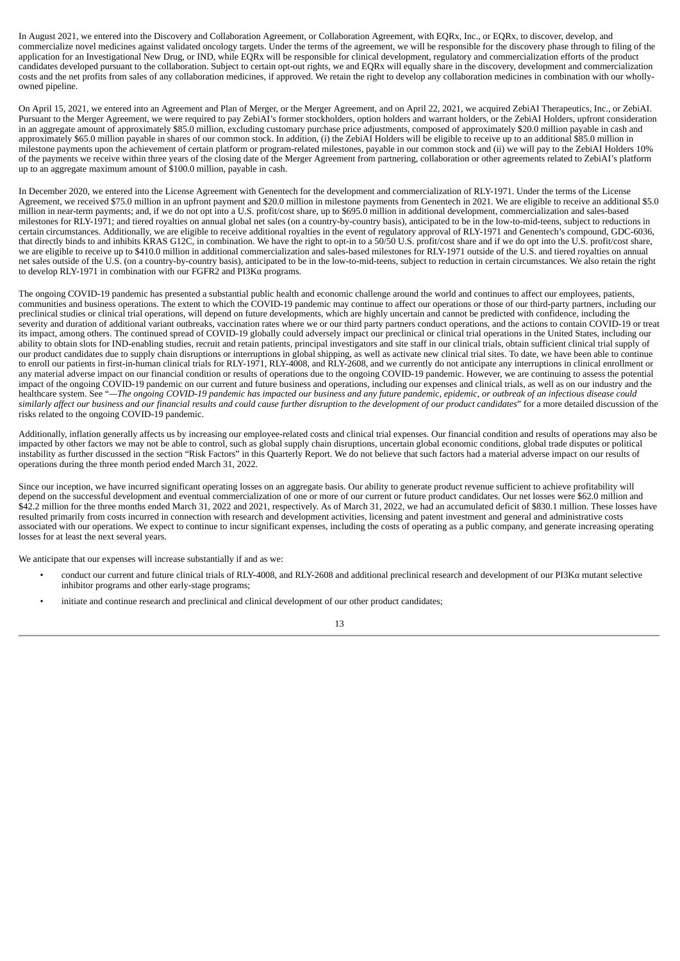In August 2021, we entered into the Discovery and Collaboration Agreement, or Collaboration Agreement, with EQRx, Inc., or EQRx, to discover, develop, and commercialize novel medicines against validated oncology targets. Under the terms of the agreement, we will be responsible for the discovery phase through to filing of the application for an Investigational New Drug, or IND, while EQRx will be responsible for clinical development, regulatory and commercialization efforts of the product candidates developed pursuant to the collaboration. Subject to certain opt-out rights, we and EQRx will equally share in the discovery, development and commercialization costs and the net profits from sales of any collaboration medicines, if approved. We retain the right to develop any collaboration medicines in combination with our whollyowned pipeline.

On April 15, 2021, we entered into an Agreement and Plan of Merger, or the Merger Agreement, and on April 22, 2021, we acquired ZebiAI Therapeutics, Inc., or ZebiAI. Pursuant to the Merger Agreement, we were required to pay ZebiAI's former stockholders, option holders and warrant holders, or the ZebiAI Holders, upfront consideration in an aggregate amount of approximately \$85.0 million, excluding customary purchase price adjustments, composed of approximately \$20.0 million payable in cash and approximately \$65.0 million payable in shares of our common stock. In addition, (i) the ZebiAI Holders will be eligible to receive up to an additional \$85.0 million in milestone payments upon the achievement of certain platform or program-related milestones, payable in our common stock and (ii) we will pay to the ZebiAI Holders 10% of the payments we receive within three years of the closing date of the Merger Agreement from partnering, collaboration or other agreements related to ZebiAI's platform up to an aggregate maximum amount of \$100.0 million, payable in cash.

In December 2020, we entered into the License Agreement with Genentech for the development and commercialization of RLY-1971. Under the terms of the License Agreement, we received \$75.0 million in an upfront payment and \$20.0 million in milestone payments from Genentech in 2021. We are eligible to receive an additional \$5.0 million in near-term payments; and, if we do not opt into a U.S. profit/cost share, up to \$695.0 million in additional development, commercialization and sales-based milestones for RLY-1971; and tiered royalties on annual global net sales (on a country-by-country basis), anticipated to be in the low-to-mid-teens, subject to reductions in certain circumstances. Additionally, we are eligible to receive additional royalties in the event of regulatory approval of RLY-1971 and Genentech's compound, GDC-6036, that directly binds to and inhibits KRAS G12C, in combination. We have the right to opt-in to a 50/50 U.S. profit/cost share and if we do opt into the U.S. profit/cost share, we are eligible to receive up to \$410.0 million in additional commercialization and sales-based milestones for RLY-1971 outside of the U.S. and tiered royalties on annual net sales outside of the U.S. (on a country-by-country basis), anticipated to be in the low-to-mid-teens, subject to reduction in certain circumstances. We also retain the right to develop RLY-1971 in combination with our FGFR2 and PI3Kα programs.

The ongoing COVID-19 pandemic has presented a substantial public health and economic challenge around the world and continues to affect our employees, patients, communities and business operations. The extent to which the COVID-19 pandemic may continue to affect our operations or those of our third-party partners, including our preclinical studies or clinical trial operations, will depend on future developments, which are highly uncertain and cannot be predicted with confidence, including the severity and duration of additional variant outbreaks, vaccination rates where we or our third party partners conduct operations, and the actions to contain COVID-19 or treat its impact, among others. The continued spread of COVID-19 globally could adversely impact our preclinical or clinical trial operations in the United States, including our ability to obtain slots for IND-enabling studies, recruit and retain patients, principal investigators and site staff in our clinical trials, obtain sufficient clinical trial supply of our product candidates due to supply chain disruptions or interruptions in global shipping, as well as activate new clinical trial sites. To date, we have been able to continue to enroll our patients in first-in-human clinical trials for RLY-1971, RLY-4008, and RLY-2608, and we currently do not anticipate any interruptions in clinical enrollment or any material adverse impact on our financial condition or results of operations due to the ongoing COVID-19 pandemic. However, we are continuing to assess the potential impact of the ongoing COVID-19 pandemic on our current and future business and operations, including our expenses and clinical trials, as well as on our industry and the healthcare system. See "*—The ongoing COVID-19 pandemic has impacted our business and any future pandemic, epidemic, or outbreak of an infectious disease could similarly affect our business and our financial results and could cause further disruption to the development of our product candidates*" for a more detailed discussion of the risks related to the ongoing COVID-19 pandemic.

Additionally, inflation generally affects us by increasing our employee-related costs and clinical trial expenses. Our financial condition and results of operations may also be impacted by other factors we may not be able to control, such as global supply chain disruptions, uncertain global economic conditions, global trade disputes or political instability as further discussed in the section "Risk Factors" in this Quarterly Report. We do not believe that such factors had a material adverse impact on our results of operations during the three month period ended March 31, 2022.

Since our inception, we have incurred significant operating losses on an aggregate basis. Our ability to generate product revenue sufficient to achieve profitability will depend on the successful development and eventual commercialization of one or more of our current or future product candidates. Our net losses were \$62.0 million and \$42.2 million for the three months ended March 31, 2022 and 2021, respectively. As of March 31, 2022, we had an accumulated deficit of \$830.1 million. These losses have resulted primarily from costs incurred in connection with research and development activities, licensing and patent investment and general and administrative costs associated with our operations. We expect to continue to incur significant expenses, including the costs of operating as a public company, and generate increasing operating losses for at least the next several years.

We anticipate that our expenses will increase substantially if and as we:

- conduct our current and future clinical trials of RLY-4008, and RLY-2608 and additional preclinical research and development of our PI3Kα mutant selective inhibitor programs and other early-stage programs;
- initiate and continue research and preclinical and clinical development of our other product candidates;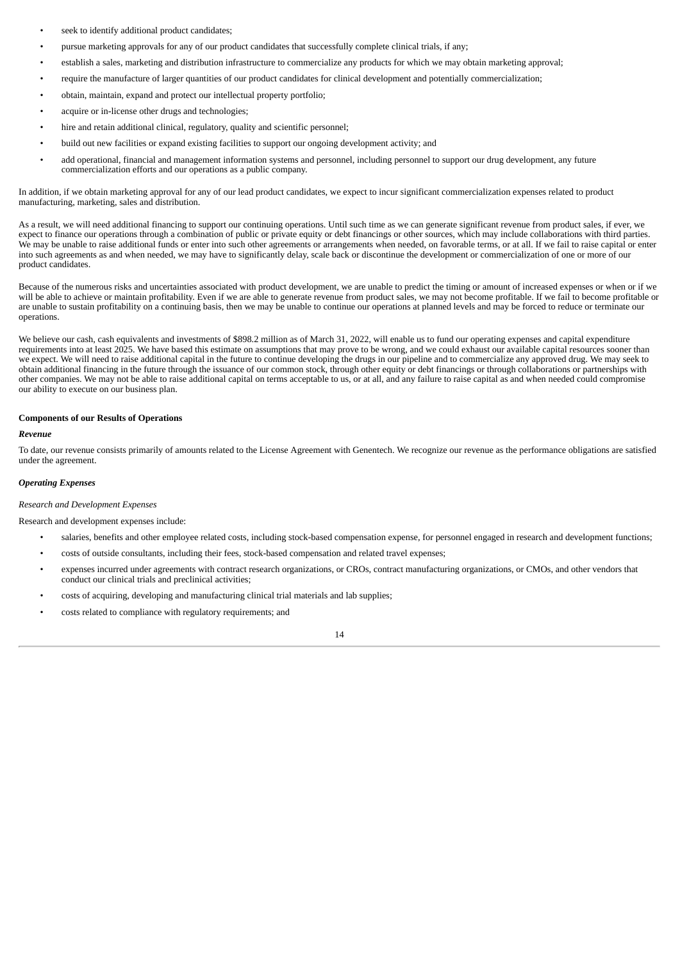- seek to identify additional product candidates;
- pursue marketing approvals for any of our product candidates that successfully complete clinical trials, if any;
- establish a sales, marketing and distribution infrastructure to commercialize any products for which we may obtain marketing approval;
- require the manufacture of larger quantities of our product candidates for clinical development and potentially commercialization;
- obtain, maintain, expand and protect our intellectual property portfolio;
- acquire or in-license other drugs and technologies;
- hire and retain additional clinical, regulatory, quality and scientific personnel;
- build out new facilities or expand existing facilities to support our ongoing development activity; and
- add operational, financial and management information systems and personnel, including personnel to support our drug development, any future commercialization efforts and our operations as a public company.

In addition, if we obtain marketing approval for any of our lead product candidates, we expect to incur significant commercialization expenses related to product manufacturing, marketing, sales and distribution.

As a result, we will need additional financing to support our continuing operations. Until such time as we can generate significant revenue from product sales, if ever, we expect to finance our operations through a combination of public or private equity or debt financings or other sources, which may include collaborations with third parties. We may be unable to raise additional funds or enter into such other agreements or arrangements when needed, on favorable terms, or at all. If we fail to raise capital or enter into such agreements as and when needed, we may have to significantly delay, scale back or discontinue the development or commercialization of one or more of our product candidates.

Because of the numerous risks and uncertainties associated with product development, we are unable to predict the timing or amount of increased expenses or when or if we will be able to achieve or maintain profitability. Even if we are able to generate revenue from product sales, we may not become profitable. If we fail to become profitable or are unable to sustain profitability on a continuing basis, then we may be unable to continue our operations at planned levels and may be forced to reduce or terminate our operations.

We believe our cash, cash equivalents and investments of \$898.2 million as of March 31, 2022, will enable us to fund our operating expenses and capital expenditure requirements into at least 2025. We have based this estimate on assumptions that may prove to be wrong, and we could exhaust our available capital resources sooner than we expect. We will need to raise additional capital in the future to continue developing the drugs in our pipeline and to commercialize any approved drug. We may seek to obtain additional financing in the future through the issuance of our common stock, through other equity or debt financings or through collaborations or partnerships with other companies. We may not be able to raise additional capital on terms acceptable to us, or at all, and any failure to raise capital as and when needed could compromise our ability to execute on our business plan.

#### **Components of our Results of Operations**

#### *Revenue*

To date, our revenue consists primarily of amounts related to the License Agreement with Genentech. We recognize our revenue as the performance obligations are satisfied under the agreement.

## *Operating Expenses*

#### *Research and Development Expenses*

Research and development expenses include:

- salaries, benefits and other employee related costs, including stock-based compensation expense, for personnel engaged in research and development functions;
- costs of outside consultants, including their fees, stock-based compensation and related travel expenses;
- expenses incurred under agreements with contract research organizations, or CROs, contract manufacturing organizations, or CMOs, and other vendors that conduct our clinical trials and preclinical activities;
- costs of acquiring, developing and manufacturing clinical trial materials and lab supplies;
- costs related to compliance with regulatory requirements; and

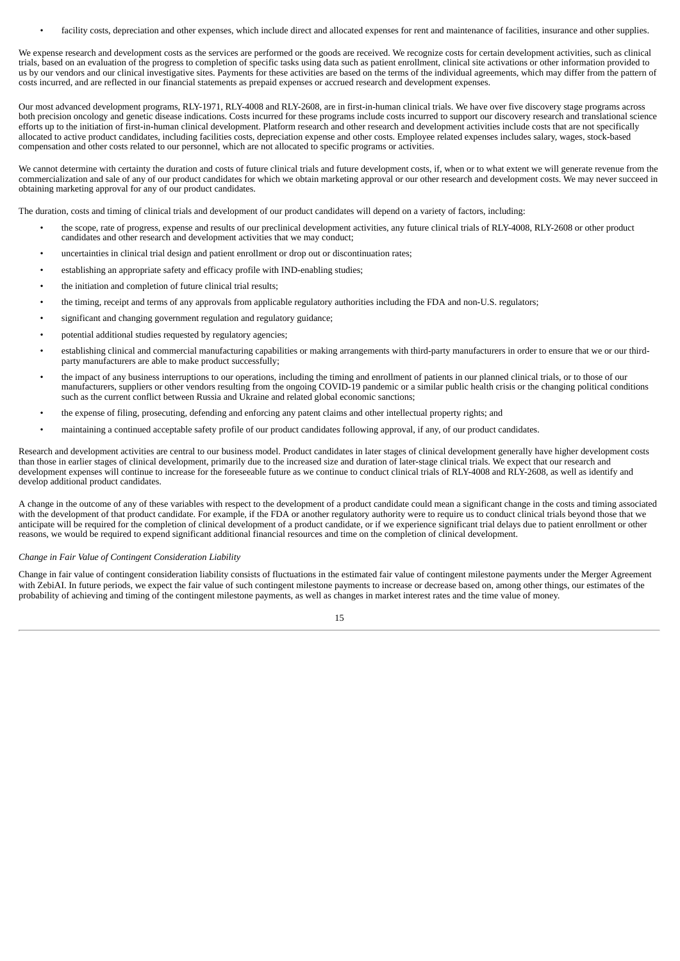• facility costs, depreciation and other expenses, which include direct and allocated expenses for rent and maintenance of facilities, insurance and other supplies.

We expense research and development costs as the services are performed or the goods are received. We recognize costs for certain development activities, such as clinical trials, based on an evaluation of the progress to completion of specific tasks using data such as patient enrollment, clinical site activations or other information provided to us by our vendors and our clinical investigative sites. Payments for these activities are based on the terms of the individual agreements, which may differ from the pattern of costs incurred, and are reflected in our financial statements as prepaid expenses or accrued research and development expenses.

Our most advanced development programs, RLY-1971, RLY-4008 and RLY-2608, are in first-in-human clinical trials. We have over five discovery stage programs across both precision oncology and genetic disease indications. Costs incurred for these programs include costs incurred to support our discovery research and translational science efforts up to the initiation of first-in-human clinical development. Platform research and other research and development activities include costs that are not specifically allocated to active product candidates, including facilities costs, depreciation expense and other costs. Employee related expenses includes salary, wages, stock-based compensation and other costs related to our personnel, which are not allocated to specific programs or activities.

We cannot determine with certainty the duration and costs of future clinical trials and future development costs, if, when or to what extent we will generate revenue from the commercialization and sale of any of our product candidates for which we obtain marketing approval or our other research and development costs. We may never succeed in obtaining marketing approval for any of our product candidates.

The duration, costs and timing of clinical trials and development of our product candidates will depend on a variety of factors, including:

- the scope, rate of progress, expense and results of our preclinical development activities, any future clinical trials of RLY-4008, RLY-2608 or other product candidates and other research and development activities that we may conduct;
- uncertainties in clinical trial design and patient enrollment or drop out or discontinuation rates;
- establishing an appropriate safety and efficacy profile with IND-enabling studies;
- the initiation and completion of future clinical trial results;
- the timing, receipt and terms of any approvals from applicable regulatory authorities including the FDA and non-U.S. regulators;
- significant and changing government regulation and regulatory guidance;
- potential additional studies requested by regulatory agencies;
- establishing clinical and commercial manufacturing capabilities or making arrangements with third-party manufacturers in order to ensure that we or our thirdparty manufacturers are able to make product successfully;
- the impact of any business interruptions to our operations, including the timing and enrollment of patients in our planned clinical trials, or to those of our manufacturers, suppliers or other vendors resulting from the ongoing COVID-19 pandemic or a similar public health crisis or the changing political conditions such as the current conflict between Russia and Ukraine and related global economic sanctions;
- the expense of filing, prosecuting, defending and enforcing any patent claims and other intellectual property rights; and
- maintaining a continued acceptable safety profile of our product candidates following approval, if any, of our product candidates.

Research and development activities are central to our business model. Product candidates in later stages of clinical development generally have higher development costs than those in earlier stages of clinical development, primarily due to the increased size and duration of later-stage clinical trials. We expect that our research and development expenses will continue to increase for the foreseeable future as we continue to conduct clinical trials of RLY-4008 and RLY-2608, as well as identify and develop additional product candidates.

A change in the outcome of any of these variables with respect to the development of a product candidate could mean a significant change in the costs and timing associated with the development of that product candidate. For example, if the FDA or another regulatory authority were to require us to conduct clinical trials beyond those that we anticipate will be required for the completion of clinical development of a product candidate, or if we experience significant trial delays due to patient enrollment or other reasons, we would be required to expend significant additional financial resources and time on the completion of clinical development.

#### *Change in Fair Value of Contingent Consideration Liability*

Change in fair value of contingent consideration liability consists of fluctuations in the estimated fair value of contingent milestone payments under the Merger Agreement with ZebiAI. In future periods, we expect the fair value of such contingent milestone payments to increase or decrease based on, among other things, our estimates of the probability of achieving and timing of the contingent milestone payments, as well as changes in market interest rates and the time value of money.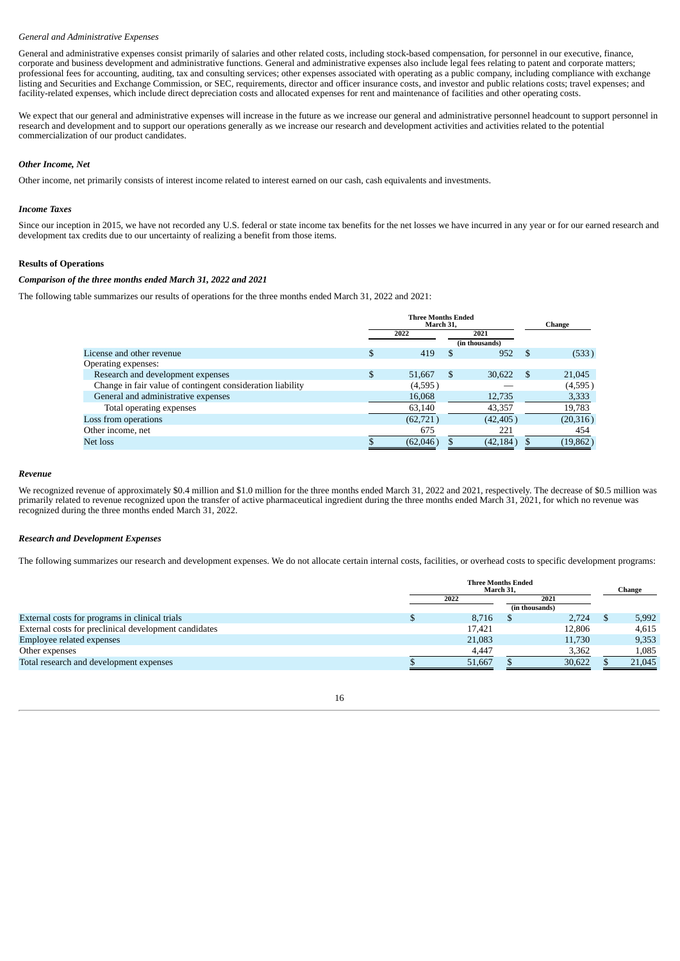#### *General and Administrative Expenses*

General and administrative expenses consist primarily of salaries and other related costs, including stock-based compensation, for personnel in our executive, finance, corporate and business development and administrative functions. General and administrative expenses also include legal fees relating to patent and corporate matters; professional fees for accounting, auditing, tax and consulting services; other expenses associated with operating as a public company, including compliance with exchange listing and Securities and Exchange Commission, or SEC, requirements, director and officer insurance costs, and investor and public relations costs; travel expenses; and facility-related expenses, which include direct depreciation costs and allocated expenses for rent and maintenance of facilities and other operating costs.

We expect that our general and administrative expenses will increase in the future as we increase our general and administrative personnel headcount to support personnel in research and development and to support our operations generally as we increase our research and development activities and activities related to the potential commercialization of our product candidates.

#### *Other Income, Net*

Other income, net primarily consists of interest income related to interest earned on our cash, cash equivalents and investments.

#### *Income Taxes*

Since our inception in 2015, we have not recorded any U.S. federal or state income tax benefits for the net losses we have incurred in any year or for our earned research and development tax credits due to our uncertainty of realizing a benefit from those items.

#### **Results of Operations**

#### *Comparison of the three months ended March 31, 2022 and 2021*

The following table summarizes our results of operations for the three months ended March 31, 2022 and 2021:

|                                                            |    | <b>Three Months Ended</b> |    | Change                 |     |           |
|------------------------------------------------------------|----|---------------------------|----|------------------------|-----|-----------|
|                                                            |    | 2022                      |    | 2021<br>(in thousands) |     |           |
| License and other revenue                                  | S  | 419                       | \$ | 952                    | \$. | (533)     |
| Operating expenses:                                        |    |                           |    |                        |     |           |
| Research and development expenses                          | \$ | 51,667                    | S  | 30,622                 | - S | 21,045    |
| Change in fair value of contingent consideration liability |    | (4,595)                   |    |                        |     | (4,595)   |
| General and administrative expenses                        |    | 16,068                    |    | 12,735                 |     | 3,333     |
| Total operating expenses                                   |    | 63,140                    |    | 43,357                 |     | 19,783    |
| Loss from operations                                       |    | (62, 721)                 |    | (42, 405)              |     | (20, 316) |
| Other income, net                                          |    | 675                       |    | 221                    |     | 454       |
| Net loss                                                   |    | (62,046)                  |    | (42, 184)              |     | (19, 862) |

#### *Revenue*

We recognized revenue of approximately \$0.4 million and \$1.0 million for the three months ended March 31, 2022 and 2021, respectively. The decrease of \$0.5 million was primarily related to revenue recognized upon the transfer of active pharmaceutical ingredient during the three months ended March 31, 2021, for which no revenue was recognized during the three months ended March 31, 2022.

#### *Research and Development Expenses*

The following summarizes our research and development expenses. We do not allocate certain internal costs, facilities, or overhead costs to specific development programs:

|                                                       | <b>Three Months Ended</b><br>March 31. |        |                |        |  | Change |  |  |
|-------------------------------------------------------|----------------------------------------|--------|----------------|--------|--|--------|--|--|
|                                                       |                                        | 2022   |                | 2021   |  |        |  |  |
|                                                       |                                        |        | (in thousands) |        |  |        |  |  |
| External costs for programs in clinical trials        |                                        | 8,716  |                | 2,724  |  | 5,992  |  |  |
| External costs for preclinical development candidates |                                        | 17.421 |                | 12,806 |  | 4,615  |  |  |
| Employee related expenses                             |                                        | 21,083 |                | 11,730 |  | 9,353  |  |  |
| Other expenses                                        |                                        | 4,447  |                | 3,362  |  | 1,085  |  |  |
| Total research and development expenses               |                                        | 51,667 |                | 30,622 |  | 21,045 |  |  |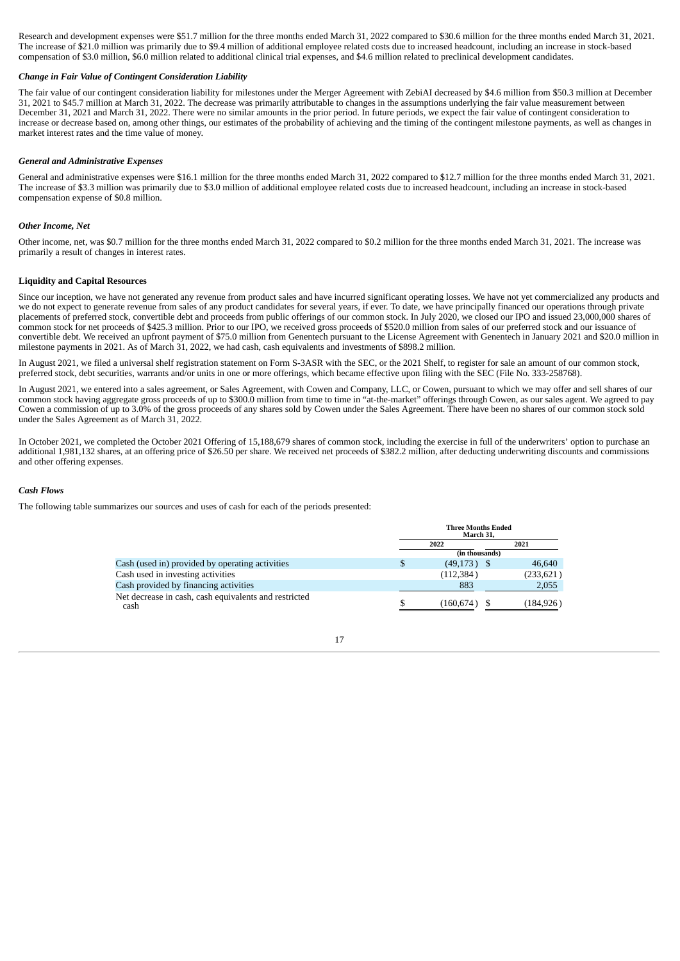Research and development expenses were \$51.7 million for the three months ended March 31, 2022 compared to \$30.6 million for the three months ended March 31, 2021. The increase of \$21.0 million was primarily due to \$9.4 million of additional employee related costs due to increased headcount, including an increase in stock-based compensation of \$3.0 million, \$6.0 million related to additional clinical trial expenses, and \$4.6 million related to preclinical development candidates.

#### *Change in Fair Value of Contingent Consideration Liability*

The fair value of our contingent consideration liability for milestones under the Merger Agreement with ZebiAI decreased by \$4.6 million from \$50.3 million at December 31, 2021 to \$45.7 million at March 31, 2022. The decrease was primarily attributable to changes in the assumptions underlying the fair value measurement between December 31, 2021 and March 31, 2022. There were no similar amounts in the prior period. In future periods, we expect the fair value of contingent consideration to increase or decrease based on, among other things, our estimates of the probability of achieving and the timing of the contingent milestone payments, as well as changes in market interest rates and the time value of money.

#### *General and Administrative Expenses*

General and administrative expenses were \$16.1 million for the three months ended March 31, 2022 compared to \$12.7 million for the three months ended March 31, 2021. The increase of \$3.3 million was primarily due to \$3.0 million of additional employee related costs due to increased headcount, including an increase in stock-based compensation expense of \$0.8 million.

#### *Other Income, Net*

Other income, net, was \$0.7 million for the three months ended March 31, 2022 compared to \$0.2 million for the three months ended March 31, 2021. The increase was primarily a result of changes in interest rates.

#### **Liquidity and Capital Resources**

Since our inception, we have not generated any revenue from product sales and have incurred significant operating losses. We have not yet commercialized any products and we do not expect to generate revenue from sales of any product candidates for several years, if ever. To date, we have principally financed our operations through private placements of preferred stock, convertible debt and proceeds from public offerings of our common stock. In July 2020, we closed our IPO and issued 23,000,000 shares of common stock for net proceeds of \$425.3 million. Prior to our IPO, we received gross proceeds of \$520.0 million from sales of our preferred stock and our issuance of convertible debt. We received an upfront payment of \$75.0 million from Genentech pursuant to the License Agreement with Genentech in January 2021 and \$20.0 million in milestone payments in 2021. As of March 31, 2022, we had cash, cash equivalents and investments of \$898.2 million.

In August 2021, we filed a universal shelf registration statement on Form S-3ASR with the SEC, or the 2021 Shelf, to register for sale an amount of our common stock, preferred stock, debt securities, warrants and/or units in one or more offerings, which became effective upon filing with the SEC (File No. 333-258768).

In August 2021, we entered into a sales agreement, or Sales Agreement, with Cowen and Company, LLC, or Cowen, pursuant to which we may offer and sell shares of our common stock having aggregate gross proceeds of up to \$300.0 million from time to time in "at-the-market" offerings through Cowen, as our sales agent. We agreed to pay Cowen a commission of up to 3.0% of the gross proceeds of any shares sold by Cowen under the Sales Agreement. There have been no shares of our common stock sold under the Sales Agreement as of March 31, 2022.

In October 2021, we completed the October 2021 Offering of 15,188,679 shares of common stock, including the exercise in full of the underwriters' option to purchase an additional 1,981,132 shares, at an offering price of \$26.50 per share. We received net proceeds of \$382.2 million, after deducting underwriting discounts and commissions and other offering expenses.

#### *Cash Flows*

The following table summarizes our sources and uses of cash for each of the periods presented:

|                                                               |                | <b>Three Months Ended</b><br>March 31. |            |  |  |  |  |  |
|---------------------------------------------------------------|----------------|----------------------------------------|------------|--|--|--|--|--|
|                                                               |                | 2022                                   | 2021       |  |  |  |  |  |
|                                                               | (in thousands) |                                        |            |  |  |  |  |  |
| Cash (used in) provided by operating activities               | S              | (49, 173)                              | 46,640     |  |  |  |  |  |
| Cash used in investing activities                             |                | (112, 384)                             | (233, 621) |  |  |  |  |  |
| Cash provided by financing activities                         |                | 883                                    | 2,055      |  |  |  |  |  |
| Net decrease in cash, cash equivalents and restricted<br>cash | S              | (160.674)                              | (184, 926) |  |  |  |  |  |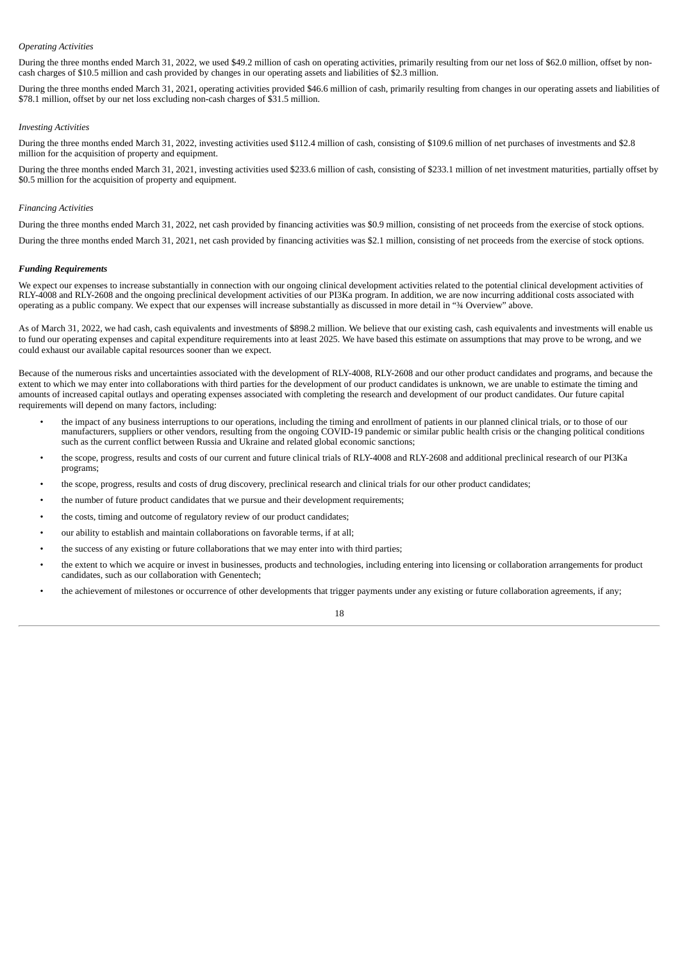#### *Operating Activities*

During the three months ended March 31, 2022, we used \$49.2 million of cash on operating activities, primarily resulting from our net loss of \$62.0 million, offset by noncash charges of \$10.5 million and cash provided by changes in our operating assets and liabilities of \$2.3 million.

During the three months ended March 31, 2021, operating activities provided \$46.6 million of cash, primarily resulting from changes in our operating assets and liabilities of \$78.1 million, offset by our net loss excluding non-cash charges of \$31.5 million.

#### *Investing Activities*

During the three months ended March 31, 2022, investing activities used \$112.4 million of cash, consisting of \$109.6 million of net purchases of investments and \$2.8 million for the acquisition of property and equipment.

During the three months ended March 31, 2021, investing activities used \$233.6 million of cash, consisting of \$233.1 million of net investment maturities, partially offset by \$0.5 million for the acquisition of property and equipment.

#### *Financing Activities*

During the three months ended March 31, 2022, net cash provided by financing activities was \$0.9 million, consisting of net proceeds from the exercise of stock options.

During the three months ended March 31, 2021, net cash provided by financing activities was \$2.1 million, consisting of net proceeds from the exercise of stock options.

#### *Funding Requirements*

We expect our expenses to increase substantially in connection with our ongoing clinical development activities related to the potential clinical development activities of RLY-4008 and RLY-2608 and the ongoing preclinical development activities of our PI3Ka program. In addition, we are now incurring additional costs associated with operating as a public company. We expect that our expenses will increase substantially as discussed in more detail in "¾ Overview" above.

As of March 31, 2022, we had cash, cash equivalents and investments of \$898.2 million. We believe that our existing cash, cash equivalents and investments will enable us to fund our operating expenses and capital expenditure requirements into at least 2025. We have based this estimate on assumptions that may prove to be wrong, and we could exhaust our available capital resources sooner than we expect.

Because of the numerous risks and uncertainties associated with the development of RLY-4008, RLY-2608 and our other product candidates and programs, and because the extent to which we may enter into collaborations with third parties for the development of our product candidates is unknown, we are unable to estimate the timing and amounts of increased capital outlays and operating expenses associated with completing the research and development of our product candidates. Our future capital requirements will depend on many factors, including:

- the impact of any business interruptions to our operations, including the timing and enrollment of patients in our planned clinical trials, or to those of our manufacturers, suppliers or other vendors, resulting from the ongoing COVID-19 pandemic or similar public health crisis or the changing political conditions such as the current conflict between Russia and Ukraine and related global economic sanctions;
- the scope, progress, results and costs of our current and future clinical trials of RLY-4008 and RLY-2608 and additional preclinical research of our PI3Ka programs;
- the scope, progress, results and costs of drug discovery, preclinical research and clinical trials for our other product candidates;
- the number of future product candidates that we pursue and their development requirements;
- the costs, timing and outcome of regulatory review of our product candidates;
- our ability to establish and maintain collaborations on favorable terms, if at all;
- the success of any existing or future collaborations that we may enter into with third parties;
- the extent to which we acquire or invest in businesses, products and technologies, including entering into licensing or collaboration arrangements for product candidates, such as our collaboration with Genentech;
- the achievement of milestones or occurrence of other developments that trigger payments under any existing or future collaboration agreements, if any;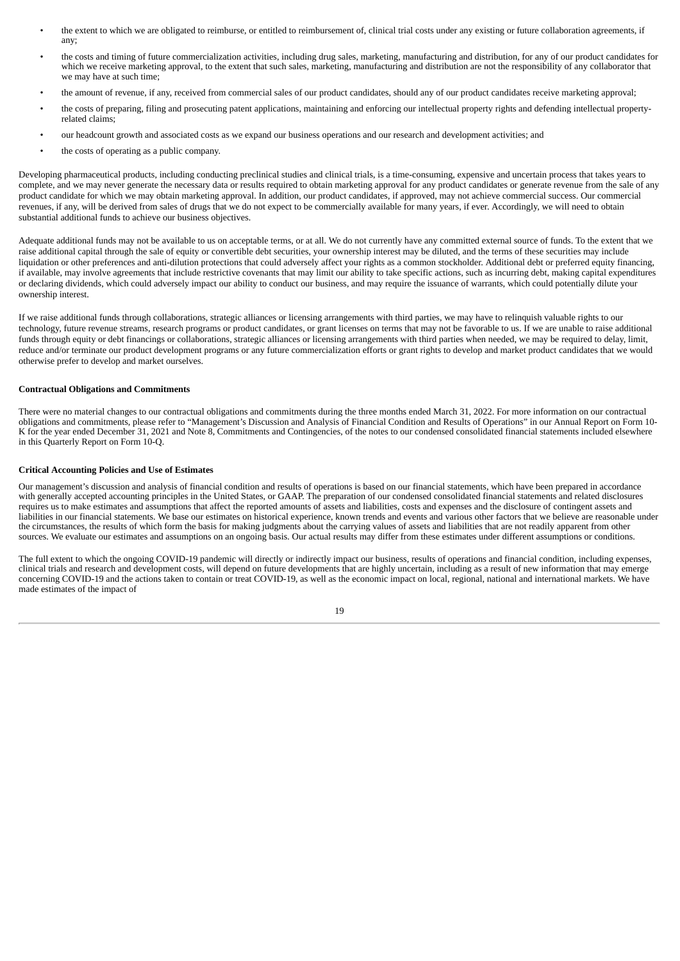- the extent to which we are obligated to reimburse, or entitled to reimbursement of, clinical trial costs under any existing or future collaboration agreements, if any;
- the costs and timing of future commercialization activities, including drug sales, marketing, manufacturing and distribution, for any of our product candidates for which we receive marketing approval, to the extent that such sales, marketing, manufacturing and distribution are not the responsibility of any collaborator that we may have at such time;
- the amount of revenue, if any, received from commercial sales of our product candidates, should any of our product candidates receive marketing approval;
- the costs of preparing, filing and prosecuting patent applications, maintaining and enforcing our intellectual property rights and defending intellectual propertyrelated claims;
- our headcount growth and associated costs as we expand our business operations and our research and development activities; and
- the costs of operating as a public company.

Developing pharmaceutical products, including conducting preclinical studies and clinical trials, is a time-consuming, expensive and uncertain process that takes years to complete, and we may never generate the necessary data or results required to obtain marketing approval for any product candidates or generate revenue from the sale of any product candidate for which we may obtain marketing approval. In addition, our product candidates, if approved, may not achieve commercial success. Our commercial revenues, if any, will be derived from sales of drugs that we do not expect to be commercially available for many years, if ever. Accordingly, we will need to obtain substantial additional funds to achieve our business objectives.

Adequate additional funds may not be available to us on acceptable terms, or at all. We do not currently have any committed external source of funds. To the extent that we raise additional capital through the sale of equity or convertible debt securities, your ownership interest may be diluted, and the terms of these securities may include liquidation or other preferences and anti-dilution protections that could adversely affect your rights as a common stockholder. Additional debt or preferred equity financing, if available, may involve agreements that include restrictive covenants that may limit our ability to take specific actions, such as incurring debt, making capital expenditures or declaring dividends, which could adversely impact our ability to conduct our business, and may require the issuance of warrants, which could potentially dilute your ownership interest.

If we raise additional funds through collaborations, strategic alliances or licensing arrangements with third parties, we may have to relinquish valuable rights to our technology, future revenue streams, research programs or product candidates, or grant licenses on terms that may not be favorable to us. If we are unable to raise additional funds through equity or debt financings or collaborations, strategic alliances or licensing arrangements with third parties when needed, we may be required to delay, limit, reduce and/or terminate our product development programs or any future commercialization efforts or grant rights to develop and market product candidates that we would otherwise prefer to develop and market ourselves.

#### **Contractual Obligations and Commitments**

There were no material changes to our contractual obligations and commitments during the three months ended March 31, 2022. For more information on our contractual obligations and commitments, please refer to "Management's Discussion and Analysis of Financial Condition and Results of Operations" in our Annual Report on Form 10- K for the year ended December 31, 2021 and Note 8, Commitments and Contingencies, of the notes to our condensed consolidated financial statements included elsewhere in this Quarterly Report on Form 10-Q.

#### **Critical Accounting Policies and Use of Estimates**

Our management's discussion and analysis of financial condition and results of operations is based on our financial statements, which have been prepared in accordance with generally accepted accounting principles in the United States, or GAAP. The preparation of our condensed consolidated financial statements and related disclosures requires us to make estimates and assumptions that affect the reported amounts of assets and liabilities, costs and expenses and the disclosure of contingent assets and liabilities in our financial statements. We base our estimates on historical experience, known trends and events and various other factors that we believe are reasonable under the circumstances, the results of which form the basis for making judgments about the carrying values of assets and liabilities that are not readily apparent from other sources. We evaluate our estimates and assumptions on an ongoing basis. Our actual results may differ from these estimates under different assumptions or conditions.

The full extent to which the ongoing COVID-19 pandemic will directly or indirectly impact our business, results of operations and financial condition, including expenses, clinical trials and research and development costs, will depend on future developments that are highly uncertain, including as a result of new information that may emerge concerning COVID-19 and the actions taken to contain or treat COVID-19, as well as the economic impact on local, regional, national and international markets. We have made estimates of the impact of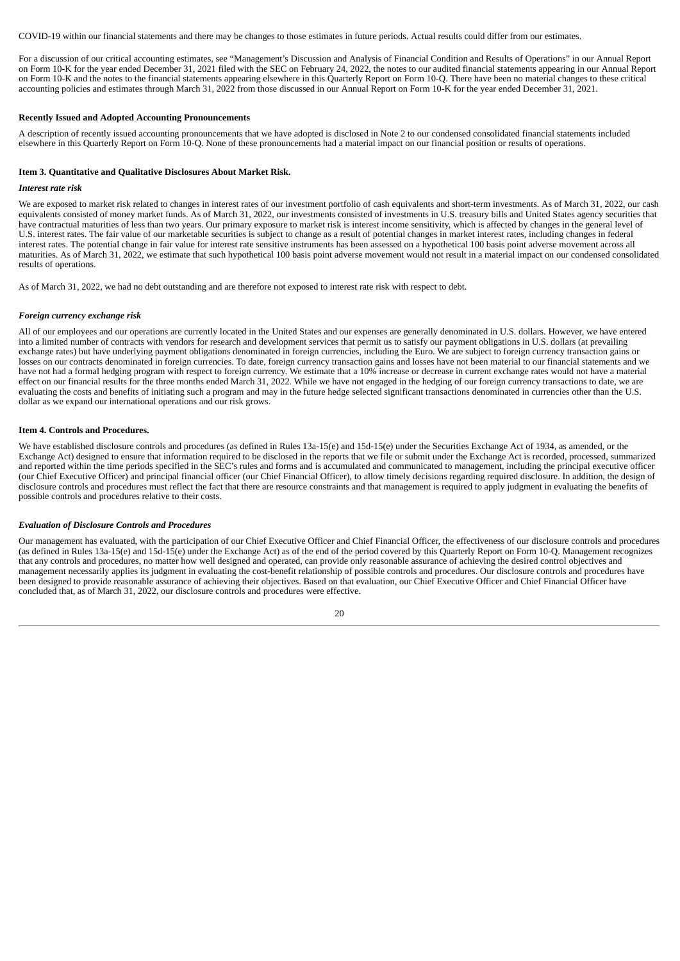COVID-19 within our financial statements and there may be changes to those estimates in future periods. Actual results could differ from our estimates.

For a discussion of our critical accounting estimates, see "Management's Discussion and Analysis of Financial Condition and Results of Operations" in our Annual Report on Form 10-K for the year ended December 31, 2021 filed with the SEC on February 24, 2022, the notes to our audited financial statements appearing in our Annual Report on Form 10-K and the notes to the financial statements appearing elsewhere in this Quarterly Report on Form 10-Q. There have been no material changes to these critical accounting policies and estimates through March 31, 2022 from those discussed in our Annual Report on Form 10-K for the year ended December 31, 2021.

#### **Recently Issued and Adopted Accounting Pronouncements**

A description of recently issued accounting pronouncements that we have adopted is disclosed in Note 2 to our condensed consolidated financial statements included elsewhere in this Quarterly Report on Form 10-Q. None of these pronouncements had a material impact on our financial position or results of operations.

#### <span id="page-25-0"></span>**Item 3. Quantitative and Qualitative Disclosures About Market Risk.**

#### *Interest rate risk*

We are exposed to market risk related to changes in interest rates of our investment portfolio of cash equivalents and short-term investments. As of March 31, 2022, our cash equivalents consisted of money market funds. As of March 31, 2022, our investments consisted of investments in U.S. treasury bills and United States agency securities that have contractual maturities of less than two years. Our primary exposure to market risk is interest income sensitivity, which is affected by changes in the general level of U.S. interest rates. The fair value of our marketable securities is subject to change as a result of potential changes in market interest rates, including changes in federal interest rates. The potential change in fair value for interest rate sensitive instruments has been assessed on a hypothetical 100 basis point adverse movement across all maturities. As of March 31, 2022, we estimate that such hypothetical 100 basis point adverse movement would not result in a material impact on our condensed consolidated results of operations.

As of March 31, 2022, we had no debt outstanding and are therefore not exposed to interest rate risk with respect to debt.

#### *Foreign currency exchange risk*

All of our employees and our operations are currently located in the United States and our expenses are generally denominated in U.S. dollars. However, we have entered into a limited number of contracts with vendors for research and development services that permit us to satisfy our payment obligations in U.S. dollars (at prevailing exchange rates) but have underlying payment obligations denominated in foreign currencies, including the Euro. We are subject to foreign currency transaction gains or losses on our contracts denominated in foreign currencies. To date, foreign currency transaction gains and losses have not been material to our financial statements and we have not had a formal hedging program with respect to foreign currency. We estimate that a 10% increase or decrease in current exchange rates would not have a material effect on our financial results for the three months ended March 31, 2022. While we have not engaged in the hedging of our foreign currency transactions to date, we are evaluating the costs and benefits of initiating such a program and may in the future hedge selected significant transactions denominated in currencies other than the U.S. dollar as we expand our international operations and our risk grows.

#### <span id="page-25-1"></span>**Item 4. Controls and Procedures.**

We have established disclosure controls and procedures (as defined in Rules 13a-15(e) and 15d-15(e) under the Securities Exchange Act of 1934, as amended, or the Exchange Act) designed to ensure that information required to be disclosed in the reports that we file or submit under the Exchange Act is recorded, processed, summarized and reported within the time periods specified in the SEC's rules and forms and is accumulated and communicated to management, including the principal executive officer (our Chief Executive Officer) and principal financial officer (our Chief Financial Officer), to allow timely decisions regarding required disclosure. In addition, the design of disclosure controls and procedures must reflect the fact that there are resource constraints and that management is required to apply judgment in evaluating the benefits of possible controls and procedures relative to their costs.

#### *Evaluation of Disclosure Controls and Procedures*

Our management has evaluated, with the participation of our Chief Executive Officer and Chief Financial Officer, the effectiveness of our disclosure controls and procedures (as defined in Rules 13a-15(e) and 15d-15(e) under the Exchange Act) as of the end of the period covered by this Quarterly Report on Form 10-Q. Management recognizes that any controls and procedures, no matter how well designed and operated, can provide only reasonable assurance of achieving the desired control objectives and management necessarily applies its judgment in evaluating the cost-benefit relationship of possible controls and procedures. Our disclosure controls and procedures have been designed to provide reasonable assurance of achieving their objectives. Based on that evaluation, our Chief Executive Officer and Chief Financial Officer have concluded that, as of March 31, 2022, our disclosure controls and procedures were effective.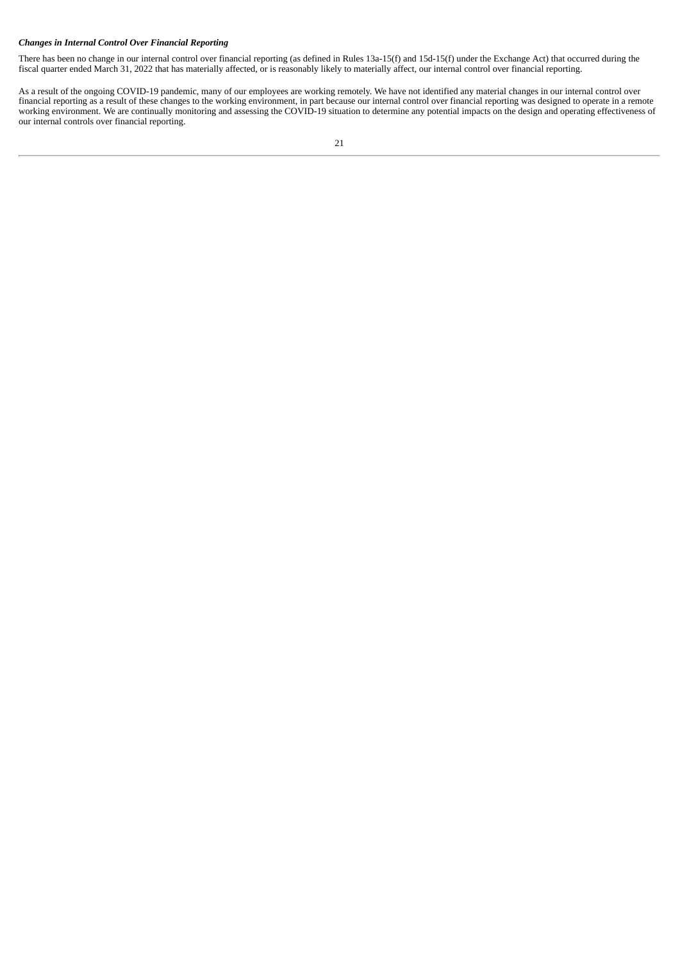#### *Changes in Internal Control Over Financial Reporting*

There has been no change in our internal control over financial reporting (as defined in Rules 13a-15(f) and 15d-15(f) under the Exchange Act) that occurred during the fiscal quarter ended March 31, 2022 that has materially affected, or is reasonably likely to materially affect, our internal control over financial reporting.

As a result of the ongoing COVID-19 pandemic, many of our employees are working remotely. We have not identified any material changes in our internal control over financial reporting as a result of these changes to the working environment, in part because our internal control over financial reporting was designed to operate in a remote working environment. We are continually monitoring and assessing the COVID-19 situation to determine any potential impacts on the design and operating effectiveness of our internal controls over financial reporting.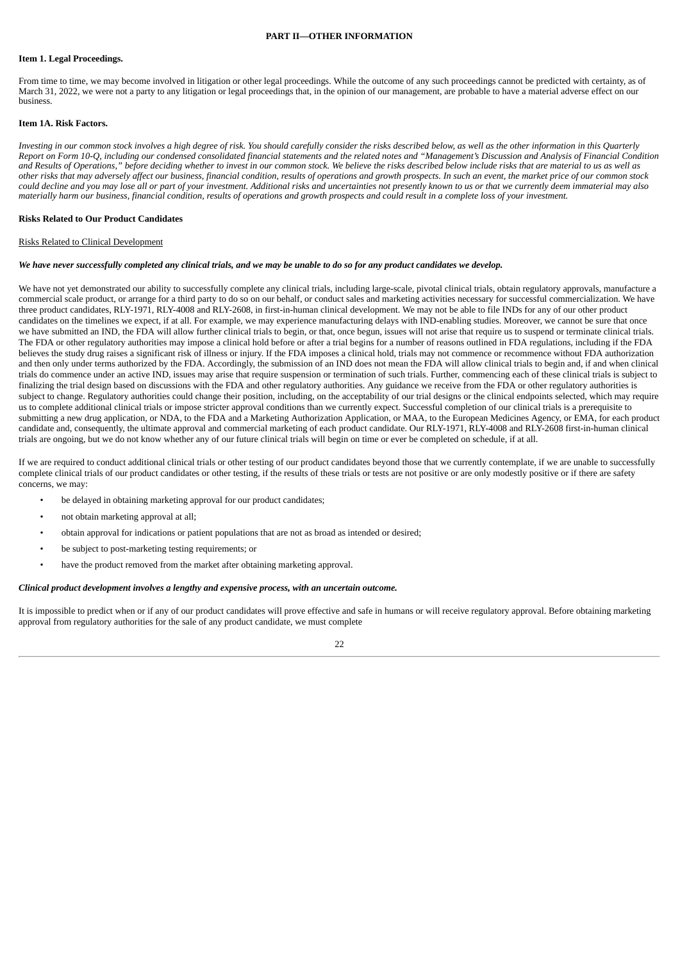#### **PART II—OTHER INFORMATION**

#### <span id="page-27-1"></span><span id="page-27-0"></span>**Item 1. Legal Proceedings.**

From time to time, we may become involved in litigation or other legal proceedings. While the outcome of any such proceedings cannot be predicted with certainty, as of March 31, 2022, we were not a party to any litigation or legal proceedings that, in the opinion of our management, are probable to have a material adverse effect on our business.

#### <span id="page-27-2"></span>**Item 1A. Risk Factors.**

*Investing in our common stock involves a high degree of risk. You should carefully consider the risks described below, as well as the other information in this Quarterly Report on Form 10-Q, including our condensed consolidated financial statements and the related notes and "Management's Discussion and Analysis of Financial Condition and Results of Operations," before deciding whether to invest in our common stock. We believe the risks described below include risks that are material to us as well as other risks that may adversely affect our business, financial condition, results of operations and growth prospects. In such an event, the market price of our common stock could decline and you may lose all or part of your investment. Additional risks and uncertainties not presently known to us or that we currently deem immaterial may also materially harm our business, financial condition, results of operations and growth prospects and could result in a complete loss of your investment.*

#### **Risks Related to Our Product Candidates**

#### Risks Related to Clinical Development

#### *We have never successfully completed any clinical trials, and we may be unable to do so for any product candidates we develop.*

We have not yet demonstrated our ability to successfully complete any clinical trials, including large-scale, pivotal clinical trials, obtain regulatory approvals, manufacture a commercial scale product, or arrange for a third party to do so on our behalf, or conduct sales and marketing activities necessary for successful commercialization. We have three product candidates, RLY-1971, RLY-4008 and RLY-2608, in first-in-human clinical development. We may not be able to file INDs for any of our other product candidates on the timelines we expect, if at all. For example, we may experience manufacturing delays with IND-enabling studies. Moreover, we cannot be sure that once we have submitted an IND, the FDA will allow further clinical trials to begin, or that, once begun, issues will not arise that require us to suspend or terminate clinical trials. The FDA or other regulatory authorities may impose a clinical hold before or after a trial begins for a number of reasons outlined in FDA regulations, including if the FDA believes the study drug raises a significant risk of illness or injury. If the FDA imposes a clinical hold, trials may not commence or recommence without FDA authorization and then only under terms authorized by the FDA. Accordingly, the submission of an IND does not mean the FDA will allow clinical trials to begin and, if and when clinical trials do commence under an active IND, issues may arise that require suspension or termination of such trials. Further, commencing each of these clinical trials is subject to finalizing the trial design based on discussions with the FDA and other regulatory authorities. Any guidance we receive from the FDA or other regulatory authorities is subject to change. Regulatory authorities could change their position, including, on the acceptability of our trial designs or the clinical endpoints selected, which may require us to complete additional clinical trials or impose stricter approval conditions than we currently expect. Successful completion of our clinical trials is a prerequisite to submitting a new drug application, or NDA, to the FDA and a Marketing Authorization Application, or MAA, to the European Medicines Agency, or EMA, for each product candidate and, consequently, the ultimate approval and commercial marketing of each product candidate. Our RLY-1971, RLY-4008 and RLY-2608 first-in-human clinical trials are ongoing, but we do not know whether any of our future clinical trials will begin on time or ever be completed on schedule, if at all.

If we are required to conduct additional clinical trials or other testing of our product candidates beyond those that we currently contemplate, if we are unable to successfully complete clinical trials of our product candidates or other testing, if the results of these trials or tests are not positive or are only modestly positive or if there are safety concerns, we may:

- be delayed in obtaining marketing approval for our product candidates:
- not obtain marketing approval at all;
- obtain approval for indications or patient populations that are not as broad as intended or desired;
- be subject to post-marketing testing requirements; or
- have the product removed from the market after obtaining marketing approval.

#### *Clinical product development involves a lengthy and expensive process, with an uncertain outcome.*

It is impossible to predict when or if any of our product candidates will prove effective and safe in humans or will receive regulatory approval. Before obtaining marketing approval from regulatory authorities for the sale of any product candidate, we must complete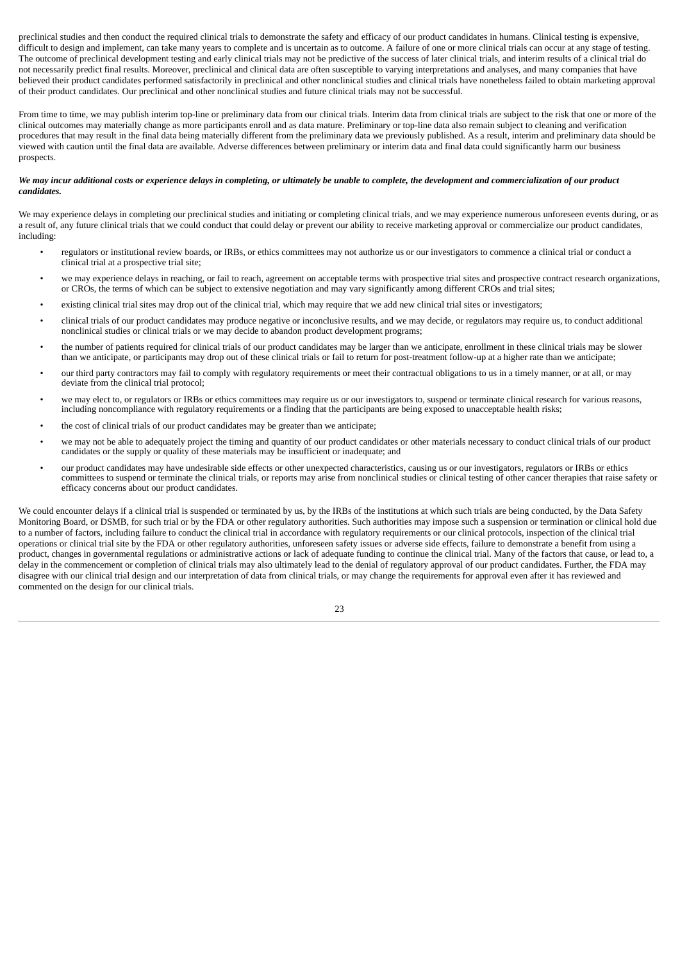preclinical studies and then conduct the required clinical trials to demonstrate the safety and efficacy of our product candidates in humans. Clinical testing is expensive, difficult to design and implement, can take many years to complete and is uncertain as to outcome. A failure of one or more clinical trials can occur at any stage of testing. The outcome of preclinical development testing and early clinical trials may not be predictive of the success of later clinical trials, and interim results of a clinical trial do not necessarily predict final results. Moreover, preclinical and clinical data are often susceptible to varying interpretations and analyses, and many companies that have believed their product candidates performed satisfactorily in preclinical and other nonclinical studies and clinical trials have nonetheless failed to obtain marketing approval of their product candidates. Our preclinical and other nonclinical studies and future clinical trials may not be successful.

From time to time, we may publish interim top-line or preliminary data from our clinical trials. Interim data from clinical trials are subject to the risk that one or more of the clinical outcomes may materially change as more participants enroll and as data mature. Preliminary or top-line data also remain subject to cleaning and verification procedures that may result in the final data being materially different from the preliminary data we previously published. As a result, interim and preliminary data should be viewed with caution until the final data are available. Adverse differences between preliminary or interim data and final data could significantly harm our business prospects.

#### *We may incur additional costs or experience delays in completing, or ultimately be unable to complete, the development and commercialization of our product candidates.*

We may experience delays in completing our preclinical studies and initiating or completing clinical trials, and we may experience numerous unforeseen events during, or as a result of, any future clinical trials that we could conduct that could delay or prevent our ability to receive marketing approval or commercialize our product candidates, including:

- regulators or institutional review boards, or IRBs, or ethics committees may not authorize us or our investigators to commence a clinical trial or conduct a clinical trial at a prospective trial site;
- we may experience delays in reaching, or fail to reach, agreement on acceptable terms with prospective trial sites and prospective contract research organizations, or CROs, the terms of which can be subject to extensive negotiation and may vary significantly among different CROs and trial sites;
- existing clinical trial sites may drop out of the clinical trial, which may require that we add new clinical trial sites or investigators;
- clinical trials of our product candidates may produce negative or inconclusive results, and we may decide, or regulators may require us, to conduct additional nonclinical studies or clinical trials or we may decide to abandon product development programs;
- the number of patients required for clinical trials of our product candidates may be larger than we anticipate, enrollment in these clinical trials may be slower than we anticipate, or participants may drop out of these clinical trials or fail to return for post-treatment follow-up at a higher rate than we anticipate;
- our third party contractors may fail to comply with regulatory requirements or meet their contractual obligations to us in a timely manner, or at all, or may deviate from the clinical trial protocol;
- we may elect to, or regulators or IRBs or ethics committees may require us or our investigators to, suspend or terminate clinical research for various reasons, including noncompliance with regulatory requirements or a finding that the participants are being exposed to unacceptable health risks;
- the cost of clinical trials of our product candidates may be greater than we anticipate;
- we may not be able to adequately project the timing and quantity of our product candidates or other materials necessary to conduct clinical trials of our product candidates or the supply or quality of these materials may be insufficient or inadequate; and
- our product candidates may have undesirable side effects or other unexpected characteristics, causing us or our investigators, regulators or IRBs or ethics committees to suspend or terminate the clinical trials, or reports may arise from nonclinical studies or clinical testing of other cancer therapies that raise safety or efficacy concerns about our product candidates.

We could encounter delays if a clinical trial is suspended or terminated by us, by the IRBs of the institutions at which such trials are being conducted, by the Data Safety Monitoring Board, or DSMB, for such trial or by the FDA or other regulatory authorities. Such authorities may impose such a suspension or termination or clinical hold due to a number of factors, including failure to conduct the clinical trial in accordance with regulatory requirements or our clinical protocols, inspection of the clinical trial operations or clinical trial site by the FDA or other regulatory authorities, unforeseen safety issues or adverse side effects, failure to demonstrate a benefit from using a product, changes in governmental regulations or administrative actions or lack of adequate funding to continue the clinical trial. Many of the factors that cause, or lead to, a delay in the commencement or completion of clinical trials may also ultimately lead to the denial of regulatory approval of our product candidates. Further, the FDA may disagree with our clinical trial design and our interpretation of data from clinical trials, or may change the requirements for approval even after it has reviewed and commented on the design for our clinical trials.

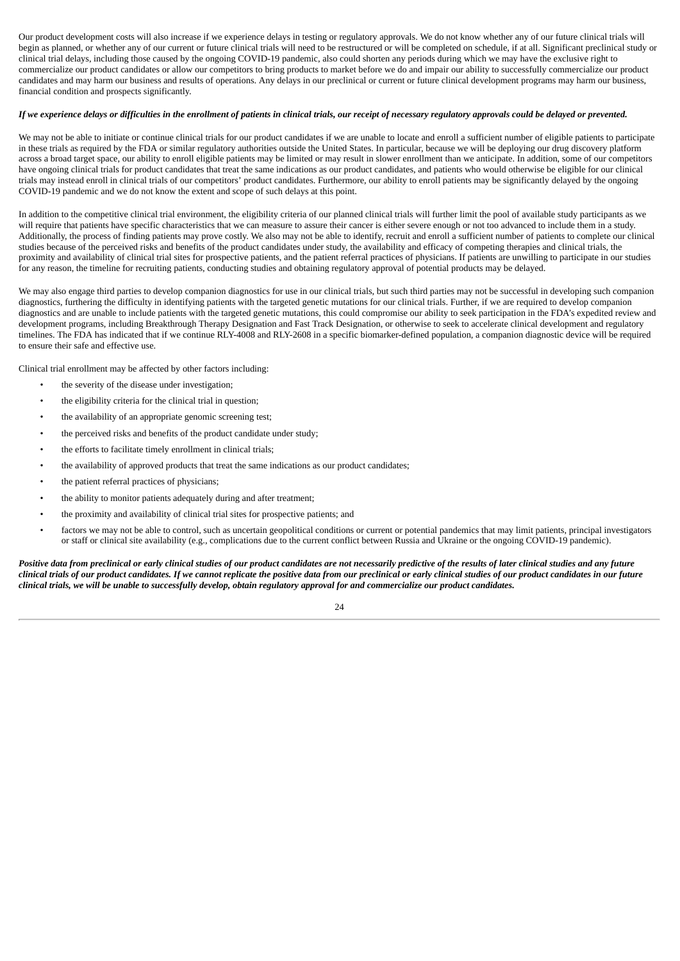Our product development costs will also increase if we experience delays in testing or regulatory approvals. We do not know whether any of our future clinical trials will begin as planned, or whether any of our current or future clinical trials will need to be restructured or will be completed on schedule, if at all. Significant preclinical study or clinical trial delays, including those caused by the ongoing COVID-19 pandemic, also could shorten any periods during which we may have the exclusive right to commercialize our product candidates or allow our competitors to bring products to market before we do and impair our ability to successfully commercialize our product candidates and may harm our business and results of operations. Any delays in our preclinical or current or future clinical development programs may harm our business, financial condition and prospects significantly.

#### *If we experience delays or difficulties in the enrollment of patients in clinical trials, our receipt of necessary regulatory approvals could be delayed or prevented.*

We may not be able to initiate or continue clinical trials for our product candidates if we are unable to locate and enroll a sufficient number of eligible patients to participate in these trials as required by the FDA or similar regulatory authorities outside the United States. In particular, because we will be deploying our drug discovery platform across a broad target space, our ability to enroll eligible patients may be limited or may result in slower enrollment than we anticipate. In addition, some of our competitors have ongoing clinical trials for product candidates that treat the same indications as our product candidates, and patients who would otherwise be eligible for our clinical trials may instead enroll in clinical trials of our competitors' product candidates. Furthermore, our ability to enroll patients may be significantly delayed by the ongoing COVID-19 pandemic and we do not know the extent and scope of such delays at this point.

In addition to the competitive clinical trial environment, the eligibility criteria of our planned clinical trials will further limit the pool of available study participants as we will require that patients have specific characteristics that we can measure to assure their cancer is either severe enough or not too advanced to include them in a study. Additionally, the process of finding patients may prove costly. We also may not be able to identify, recruit and enroll a sufficient number of patients to complete our clinical studies because of the perceived risks and benefits of the product candidates under study, the availability and efficacy of competing therapies and clinical trials, the proximity and availability of clinical trial sites for prospective patients, and the patient referral practices of physicians. If patients are unwilling to participate in our studies for any reason, the timeline for recruiting patients, conducting studies and obtaining regulatory approval of potential products may be delayed.

We may also engage third parties to develop companion diagnostics for use in our clinical trials, but such third parties may not be successful in developing such companion diagnostics, furthering the difficulty in identifying patients with the targeted genetic mutations for our clinical trials. Further, if we are required to develop companion diagnostics and are unable to include patients with the targeted genetic mutations, this could compromise our ability to seek participation in the FDA's expedited review and development programs, including Breakthrough Therapy Designation and Fast Track Designation, or otherwise to seek to accelerate clinical development and regulatory timelines. The FDA has indicated that if we continue RLY-4008 and RLY-2608 in a specific biomarker-defined population, a companion diagnostic device will be required to ensure their safe and effective use.

Clinical trial enrollment may be affected by other factors including:

- the severity of the disease under investigation;
- the eligibility criteria for the clinical trial in question;
- the availability of an appropriate genomic screening test;
- the perceived risks and benefits of the product candidate under study;
- the efforts to facilitate timely enrollment in clinical trials;
- the availability of approved products that treat the same indications as our product candidates;
- the patient referral practices of physicians;
- the ability to monitor patients adequately during and after treatment;
- the proximity and availability of clinical trial sites for prospective patients; and
- factors we may not be able to control, such as uncertain geopolitical conditions or current or potential pandemics that may limit patients, principal investigators or staff or clinical site availability (e.g., complications due to the current conflict between Russia and Ukraine or the ongoing COVID-19 pandemic).

*Positive data from preclinical or early clinical studies of our product candidates are not necessarily predictive of the results of later clinical studies and any future clinical trials of our product candidates. If we cannot replicate the positive data from our preclinical or early clinical studies of our product candidates in our future clinical trials, we will be unable to successfully develop, obtain regulatory approval for and commercialize our product candidates.*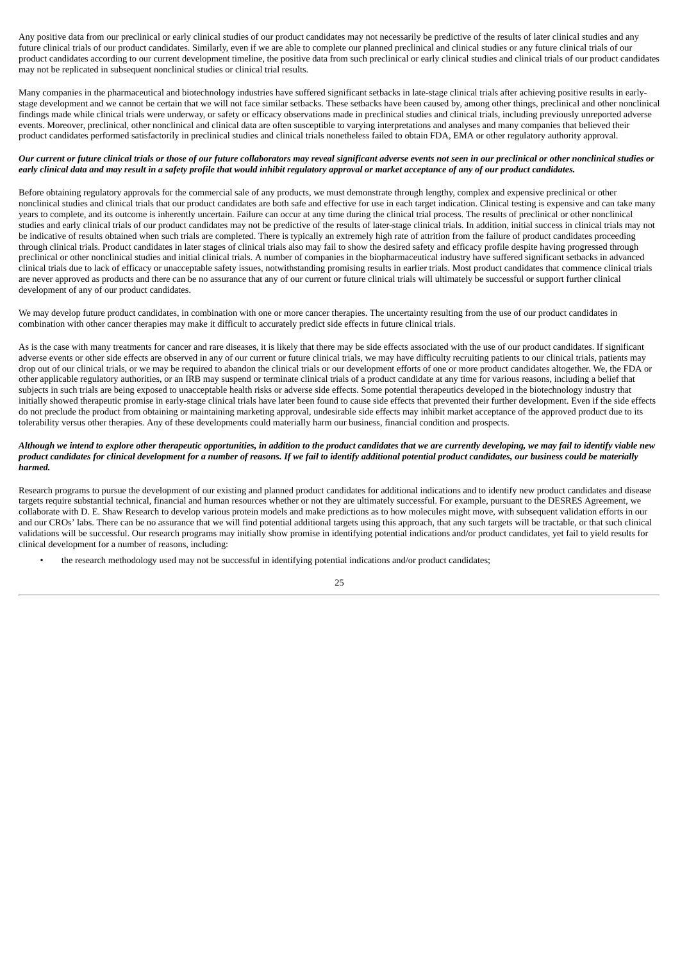Any positive data from our preclinical or early clinical studies of our product candidates may not necessarily be predictive of the results of later clinical studies and any future clinical trials of our product candidates. Similarly, even if we are able to complete our planned preclinical and clinical studies or any future clinical trials of our product candidates according to our current development timeline, the positive data from such preclinical or early clinical studies and clinical trials of our product candidates may not be replicated in subsequent nonclinical studies or clinical trial results.

Many companies in the pharmaceutical and biotechnology industries have suffered significant setbacks in late-stage clinical trials after achieving positive results in earlystage development and we cannot be certain that we will not face similar setbacks. These setbacks have been caused by, among other things, preclinical and other nonclinical findings made while clinical trials were underway, or safety or efficacy observations made in preclinical studies and clinical trials, including previously unreported adverse events. Moreover, preclinical, other nonclinical and clinical data are often susceptible to varying interpretations and analyses and many companies that believed their product candidates performed satisfactorily in preclinical studies and clinical trials nonetheless failed to obtain FDA, EMA or other regulatory authority approval.

#### *Our current or future clinical trials or those of our future collaborators may reveal significant adverse events not seen in our preclinical or other nonclinical studies or early clinical data and may result in a safety profile that would inhibit regulatory approval or market acceptance of any of our product candidates.*

Before obtaining regulatory approvals for the commercial sale of any products, we must demonstrate through lengthy, complex and expensive preclinical or other nonclinical studies and clinical trials that our product candidates are both safe and effective for use in each target indication. Clinical testing is expensive and can take many years to complete, and its outcome is inherently uncertain. Failure can occur at any time during the clinical trial process. The results of preclinical or other nonclinical studies and early clinical trials of our product candidates may not be predictive of the results of later-stage clinical trials. In addition, initial success in clinical trials may not be indicative of results obtained when such trials are completed. There is typically an extremely high rate of attrition from the failure of product candidates proceeding through clinical trials. Product candidates in later stages of clinical trials also may fail to show the desired safety and efficacy profile despite having progressed through preclinical or other nonclinical studies and initial clinical trials. A number of companies in the biopharmaceutical industry have suffered significant setbacks in advanced clinical trials due to lack of efficacy or unacceptable safety issues, notwithstanding promising results in earlier trials. Most product candidates that commence clinical trials are never approved as products and there can be no assurance that any of our current or future clinical trials will ultimately be successful or support further clinical development of any of our product candidates.

We may develop future product candidates, in combination with one or more cancer therapies. The uncertainty resulting from the use of our product candidates in combination with other cancer therapies may make it difficult to accurately predict side effects in future clinical trials.

As is the case with many treatments for cancer and rare diseases, it is likely that there may be side effects associated with the use of our product candidates. If significant adverse events or other side effects are observed in any of our current or future clinical trials, we may have difficulty recruiting patients to our clinical trials, patients may drop out of our clinical trials, or we may be required to abandon the clinical trials or our development efforts of one or more product candidates altogether. We, the FDA or other applicable regulatory authorities, or an IRB may suspend or terminate clinical trials of a product candidate at any time for various reasons, including a belief that subjects in such trials are being exposed to unacceptable health risks or adverse side effects. Some potential therapeutics developed in the biotechnology industry that initially showed therapeutic promise in early-stage clinical trials have later been found to cause side effects that prevented their further development. Even if the side effects do not preclude the product from obtaining or maintaining marketing approval, undesirable side effects may inhibit market acceptance of the approved product due to its tolerability versus other therapies. Any of these developments could materially harm our business, financial condition and prospects.

#### *Although we intend to explore other therapeutic opportunities, in addition to the product candidates that we are currently developing, we may fail to identify viable new product candidates for clinical development for a number of reasons. If we fail to identify additional potential product candidates, our business could be materially harmed.*

Research programs to pursue the development of our existing and planned product candidates for additional indications and to identify new product candidates and disease targets require substantial technical, financial and human resources whether or not they are ultimately successful. For example, pursuant to the DESRES Agreement, we collaborate with D. E. Shaw Research to develop various protein models and make predictions as to how molecules might move, with subsequent validation efforts in our and our CROs' labs. There can be no assurance that we will find potential additional targets using this approach, that any such targets will be tractable, or that such clinical validations will be successful. Our research programs may initially show promise in identifying potential indications and/or product candidates, yet fail to yield results for clinical development for a number of reasons, including:

• the research methodology used may not be successful in identifying potential indications and/or product candidates;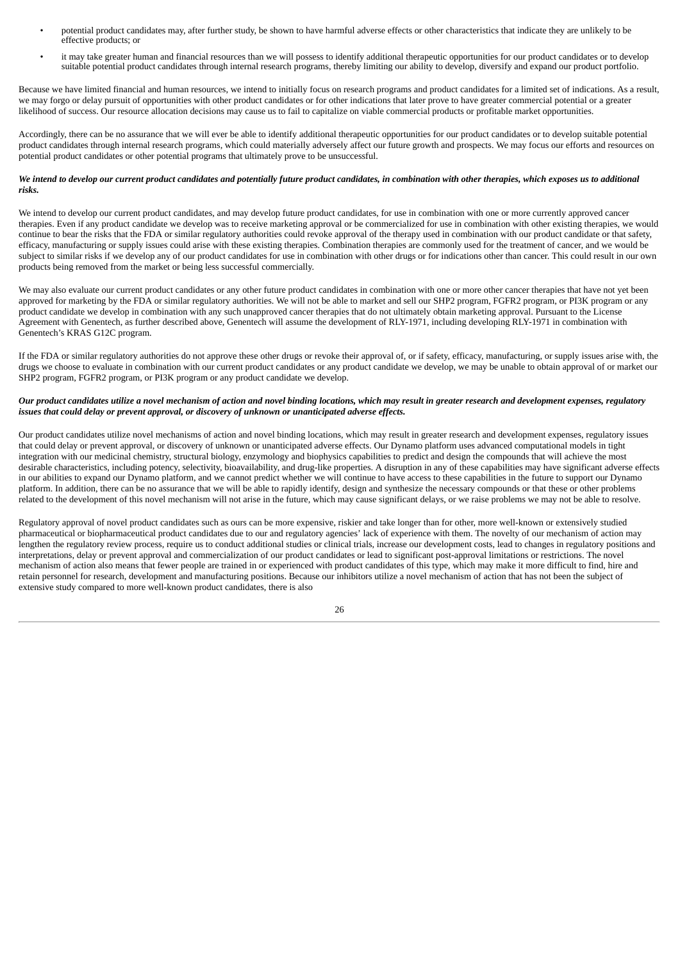- potential product candidates may, after further study, be shown to have harmful adverse effects or other characteristics that indicate they are unlikely to be effective products; or
- it may take greater human and financial resources than we will possess to identify additional therapeutic opportunities for our product candidates or to develop suitable potential product candidates through internal research programs, thereby limiting our ability to develop, diversify and expand our product portfolio.

Because we have limited financial and human resources, we intend to initially focus on research programs and product candidates for a limited set of indications. As a result, we may forgo or delay pursuit of opportunities with other product candidates or for other indications that later prove to have greater commercial potential or a greater likelihood of success. Our resource allocation decisions may cause us to fail to capitalize on viable commercial products or profitable market opportunities.

Accordingly, there can be no assurance that we will ever be able to identify additional therapeutic opportunities for our product candidates or to develop suitable potential product candidates through internal research programs, which could materially adversely affect our future growth and prospects. We may focus our efforts and resources on potential product candidates or other potential programs that ultimately prove to be unsuccessful.

#### *We intend to develop our current product candidates and potentially future product candidates, in combination with other therapies, which exposes us to additional risks.*

We intend to develop our current product candidates, and may develop future product candidates, for use in combination with one or more currently approved cancer therapies. Even if any product candidate we develop was to receive marketing approval or be commercialized for use in combination with other existing therapies, we would continue to bear the risks that the FDA or similar regulatory authorities could revoke approval of the therapy used in combination with our product candidate or that safety, efficacy, manufacturing or supply issues could arise with these existing therapies. Combination therapies are commonly used for the treatment of cancer, and we would be subject to similar risks if we develop any of our product candidates for use in combination with other drugs or for indications other than cancer. This could result in our own products being removed from the market or being less successful commercially.

We may also evaluate our current product candidates or any other future product candidates in combination with one or more other cancer therapies that have not yet been approved for marketing by the FDA or similar regulatory authorities. We will not be able to market and sell our SHP2 program, FGFR2 program, or PI3K program or any product candidate we develop in combination with any such unapproved cancer therapies that do not ultimately obtain marketing approval. Pursuant to the License Agreement with Genentech, as further described above, Genentech will assume the development of RLY-1971, including developing RLY-1971 in combination with Genentech's KRAS G12C program.

If the FDA or similar regulatory authorities do not approve these other drugs or revoke their approval of, or if safety, efficacy, manufacturing, or supply issues arise with, the drugs we choose to evaluate in combination with our current product candidates or any product candidate we develop, we may be unable to obtain approval of or market our SHP2 program, FGFR2 program, or PI3K program or any product candidate we develop.

#### *Our product candidates utilize a novel mechanism of action and novel binding locations, which may result in greater research and development expenses, regulatory issues that could delay or prevent approval, or discovery of unknown or unanticipated adverse effects.*

Our product candidates utilize novel mechanisms of action and novel binding locations, which may result in greater research and development expenses, regulatory issues that could delay or prevent approval, or discovery of unknown or unanticipated adverse effects. Our Dynamo platform uses advanced computational models in tight integration with our medicinal chemistry, structural biology, enzymology and biophysics capabilities to predict and design the compounds that will achieve the most desirable characteristics, including potency, selectivity, bioavailability, and drug-like properties. A disruption in any of these capabilities may have significant adverse effects in our abilities to expand our Dynamo platform, and we cannot predict whether we will continue to have access to these capabilities in the future to support our Dynamo platform. In addition, there can be no assurance that we will be able to rapidly identify, design and synthesize the necessary compounds or that these or other problems related to the development of this novel mechanism will not arise in the future, which may cause significant delays, or we raise problems we may not be able to resolve.

Regulatory approval of novel product candidates such as ours can be more expensive, riskier and take longer than for other, more well-known or extensively studied pharmaceutical or biopharmaceutical product candidates due to our and regulatory agencies' lack of experience with them. The novelty of our mechanism of action may lengthen the regulatory review process, require us to conduct additional studies or clinical trials, increase our development costs, lead to changes in regulatory positions and interpretations, delay or prevent approval and commercialization of our product candidates or lead to significant post-approval limitations or restrictions. The novel mechanism of action also means that fewer people are trained in or experienced with product candidates of this type, which may make it more difficult to find, hire and retain personnel for research, development and manufacturing positions. Because our inhibitors utilize a novel mechanism of action that has not been the subject of extensive study compared to more well-known product candidates, there is also

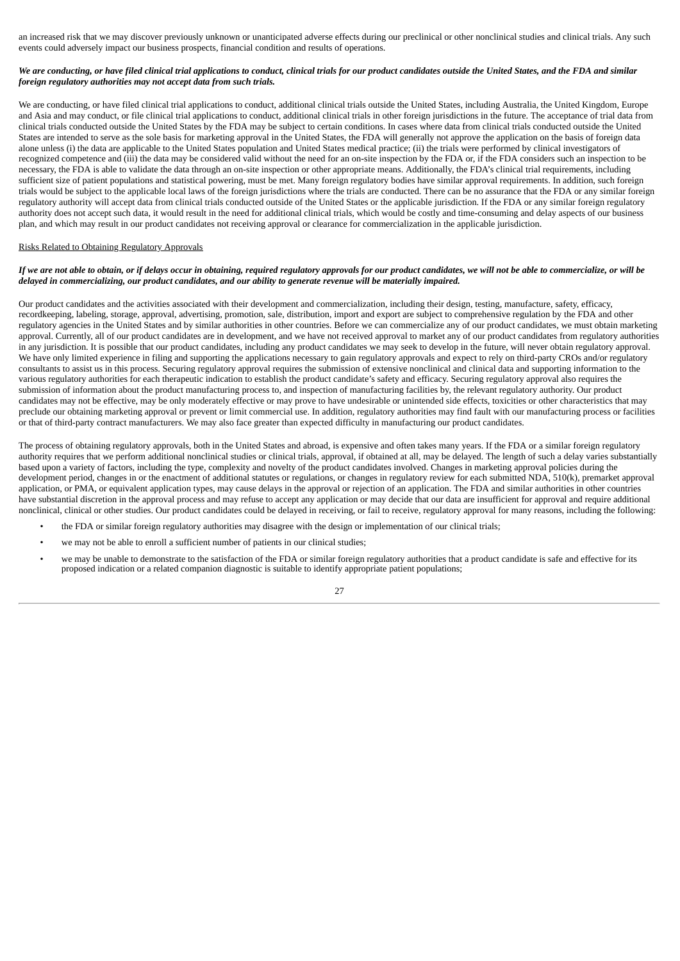an increased risk that we may discover previously unknown or unanticipated adverse effects during our preclinical or other nonclinical studies and clinical trials. Any such events could adversely impact our business prospects, financial condition and results of operations.

#### *We are conducting, or have filed clinical trial applications to conduct, clinical trials for our product candidates outside the United States, and the FDA and similar foreign regulatory authorities may not accept data from such trials.*

We are conducting, or have filed clinical trial applications to conduct, additional clinical trials outside the United States, including Australia, the United Kingdom, Europe and Asia and may conduct, or file clinical trial applications to conduct, additional clinical trials in other foreign jurisdictions in the future. The acceptance of trial data from clinical trials conducted outside the United States by the FDA may be subject to certain conditions. In cases where data from clinical trials conducted outside the United States are intended to serve as the sole basis for marketing approval in the United States, the FDA will generally not approve the application on the basis of foreign data alone unless (i) the data are applicable to the United States population and United States medical practice; (ii) the trials were performed by clinical investigators of recognized competence and (iii) the data may be considered valid without the need for an on-site inspection by the FDA or, if the FDA considers such an inspection to be necessary, the FDA is able to validate the data through an on-site inspection or other appropriate means. Additionally, the FDA's clinical trial requirements, including sufficient size of patient populations and statistical powering, must be met. Many foreign regulatory bodies have similar approval requirements. In addition, such foreign trials would be subject to the applicable local laws of the foreign jurisdictions where the trials are conducted. There can be no assurance that the FDA or any similar foreign regulatory authority will accept data from clinical trials conducted outside of the United States or the applicable jurisdiction. If the FDA or any similar foreign regulatory authority does not accept such data, it would result in the need for additional clinical trials, which would be costly and time-consuming and delay aspects of our business plan, and which may result in our product candidates not receiving approval or clearance for commercialization in the applicable jurisdiction.

#### Risks Related to Obtaining Regulatory Approvals

#### *If we are not able to obtain, or if delays occur in obtaining, required regulatory approvals for our product candidates, we will not be able to commercialize, or will be delayed in commercializing, our product candidates, and our ability to generate revenue will be materially impaired.*

Our product candidates and the activities associated with their development and commercialization, including their design, testing, manufacture, safety, efficacy, recordkeeping, labeling, storage, approval, advertising, promotion, sale, distribution, import and export are subject to comprehensive regulation by the FDA and other regulatory agencies in the United States and by similar authorities in other countries. Before we can commercialize any of our product candidates, we must obtain marketing approval. Currently, all of our product candidates are in development, and we have not received approval to market any of our product candidates from regulatory authorities in any jurisdiction. It is possible that our product candidates, including any product candidates we may seek to develop in the future, will never obtain regulatory approval. We have only limited experience in filing and supporting the applications necessary to gain regulatory approvals and expect to rely on third-party CROs and/or regulatory consultants to assist us in this process. Securing regulatory approval requires the submission of extensive nonclinical and clinical data and supporting information to the various regulatory authorities for each therapeutic indication to establish the product candidate's safety and efficacy. Securing regulatory approval also requires the submission of information about the product manufacturing process to, and inspection of manufacturing facilities by, the relevant regulatory authority. Our product candidates may not be effective, may be only moderately effective or may prove to have undesirable or unintended side effects, toxicities or other characteristics that may preclude our obtaining marketing approval or prevent or limit commercial use. In addition, regulatory authorities may find fault with our manufacturing process or facilities or that of third-party contract manufacturers. We may also face greater than expected difficulty in manufacturing our product candidates.

The process of obtaining regulatory approvals, both in the United States and abroad, is expensive and often takes many years. If the FDA or a similar foreign regulatory authority requires that we perform additional nonclinical studies or clinical trials, approval, if obtained at all, may be delayed. The length of such a delay varies substantially based upon a variety of factors, including the type, complexity and novelty of the product candidates involved. Changes in marketing approval policies during the development period, changes in or the enactment of additional statutes or regulations, or changes in regulatory review for each submitted NDA, 510(k), premarket approval application, or PMA, or equivalent application types, may cause delays in the approval or rejection of an application. The FDA and similar authorities in other countries have substantial discretion in the approval process and may refuse to accept any application or may decide that our data are insufficient for approval and require additional nonclinical, clinical or other studies. Our product candidates could be delayed in receiving, or fail to receive, regulatory approval for many reasons, including the following:

- the FDA or similar foreign regulatory authorities may disagree with the design or implementation of our clinical trials;
- we may not be able to enroll a sufficient number of patients in our clinical studies;
- we may be unable to demonstrate to the satisfaction of the FDA or similar foreign regulatory authorities that a product candidate is safe and effective for its proposed indication or a related companion diagnostic is suitable to identify appropriate patient populations;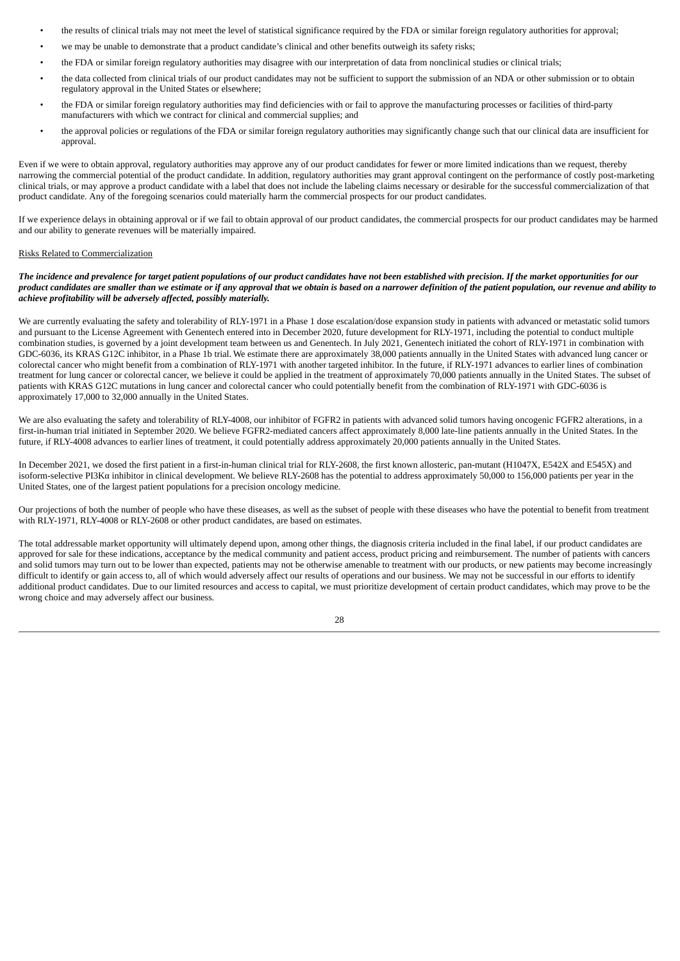- the results of clinical trials may not meet the level of statistical significance required by the FDA or similar foreign regulatory authorities for approval;
- we may be unable to demonstrate that a product candidate's clinical and other benefits outweigh its safety risks;
- the FDA or similar foreign regulatory authorities may disagree with our interpretation of data from nonclinical studies or clinical trials;
- the data collected from clinical trials of our product candidates may not be sufficient to support the submission of an NDA or other submission or to obtain regulatory approval in the United States or elsewhere;
- the FDA or similar foreign regulatory authorities may find deficiencies with or fail to approve the manufacturing processes or facilities of third-party manufacturers with which we contract for clinical and commercial supplies; and
- the approval policies or regulations of the FDA or similar foreign regulatory authorities may significantly change such that our clinical data are insufficient for approval.

Even if we were to obtain approval, regulatory authorities may approve any of our product candidates for fewer or more limited indications than we request, thereby narrowing the commercial potential of the product candidate. In addition, regulatory authorities may grant approval contingent on the performance of costly post-marketing clinical trials, or may approve a product candidate with a label that does not include the labeling claims necessary or desirable for the successful commercialization of that product candidate. Any of the foregoing scenarios could materially harm the commercial prospects for our product candidates.

If we experience delays in obtaining approval or if we fail to obtain approval of our product candidates, the commercial prospects for our product candidates may be harmed and our ability to generate revenues will be materially impaired.

#### Risks Related to Commercialization

*The incidence and prevalence for target patient populations of our product candidates have not been established with precision. If the market opportunities for our product candidates are smaller than we estimate or if any approval that we obtain is based on a narrower definition of the patient population, our revenue and ability to achieve profitability will be adversely affected, possibly materially.*

We are currently evaluating the safety and tolerability of RLY-1971 in a Phase 1 dose escalation/dose expansion study in patients with advanced or metastatic solid tumors and pursuant to the License Agreement with Genentech entered into in December 2020, future development for RLY-1971, including the potential to conduct multiple combination studies, is governed by a joint development team between us and Genentech. In July 2021, Genentech initiated the cohort of RLY-1971 in combination with GDC-6036, its KRAS G12C inhibitor, in a Phase 1b trial. We estimate there are approximately 38,000 patients annually in the United States with advanced lung cancer or colorectal cancer who might benefit from a combination of RLY-1971 with another targeted inhibitor. In the future, if RLY-1971 advances to earlier lines of combination treatment for lung cancer or colorectal cancer, we believe it could be applied in the treatment of approximately 70,000 patients annually in the United States. The subset of patients with KRAS G12C mutations in lung cancer and colorectal cancer who could potentially benefit from the combination of RLY-1971 with GDC-6036 is approximately 17,000 to 32,000 annually in the United States.

We are also evaluating the safety and tolerability of RLY-4008, our inhibitor of FGFR2 in patients with advanced solid tumors having oncogenic FGFR2 alterations, in a first-in-human trial initiated in September 2020. We believe FGFR2-mediated cancers affect approximately 8,000 late-line patients annually in the United States. In the future, if RLY-4008 advances to earlier lines of treatment, it could potentially address approximately 20,000 patients annually in the United States.

In December 2021, we dosed the first patient in a first-in-human clinical trial for RLY-2608, the first known allosteric, pan-mutant (H1047X, E542X and E545X) and isoform-selective PI3Kα inhibitor in clinical development. We believe RLY-2608 has the potential to address approximately 50,000 to 156,000 patients per vear in the United States, one of the largest patient populations for a precision oncology medicine.

Our projections of both the number of people who have these diseases, as well as the subset of people with these diseases who have the potential to benefit from treatment with RLY-1971, RLY-4008 or RLY-2608 or other product candidates, are based on estimates.

The total addressable market opportunity will ultimately depend upon, among other things, the diagnosis criteria included in the final label, if our product candidates are approved for sale for these indications, acceptance by the medical community and patient access, product pricing and reimbursement. The number of patients with cancers and solid tumors may turn out to be lower than expected, patients may not be otherwise amenable to treatment with our products, or new patients may become increasingly difficult to identify or gain access to, all of which would adversely affect our results of operations and our business. We may not be successful in our efforts to identify additional product candidates. Due to our limited resources and access to capital, we must prioritize development of certain product candidates, which may prove to be the wrong choice and may adversely affect our business.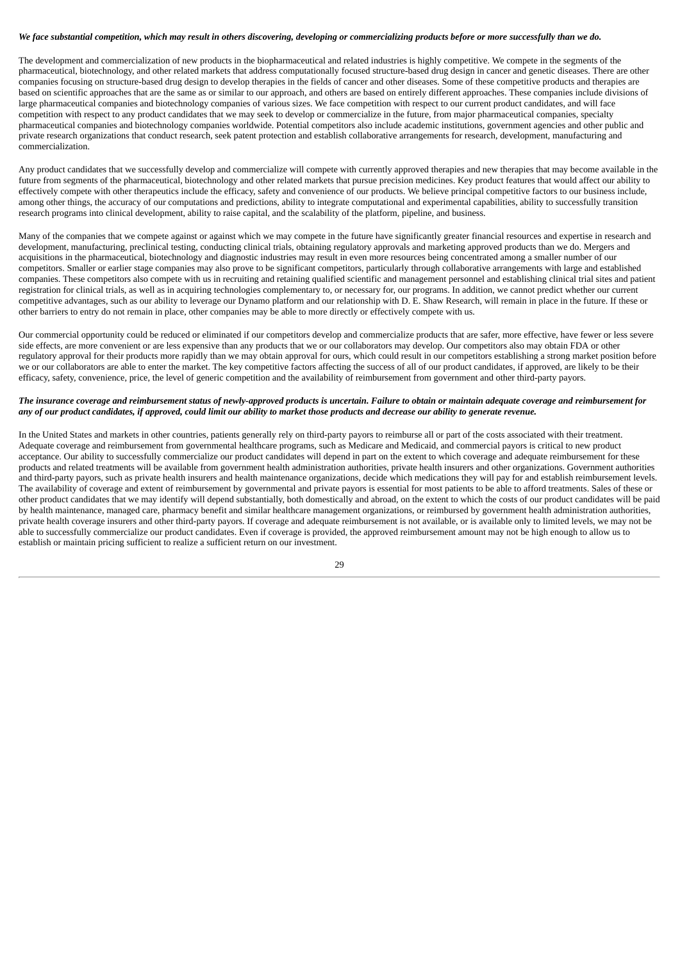#### *We face substantial competition, which may result in others discovering, developing or commercializing products before or more successfully than we do.*

The development and commercialization of new products in the biopharmaceutical and related industries is highly competitive. We compete in the segments of the pharmaceutical, biotechnology, and other related markets that address computationally focused structure-based drug design in cancer and genetic diseases. There are other companies focusing on structure-based drug design to develop therapies in the fields of cancer and other diseases. Some of these competitive products and therapies are based on scientific approaches that are the same as or similar to our approach, and others are based on entirely different approaches. These companies include divisions of large pharmaceutical companies and biotechnology companies of various sizes. We face competition with respect to our current product candidates, and will face competition with respect to any product candidates that we may seek to develop or commercialize in the future, from major pharmaceutical companies, specialty pharmaceutical companies and biotechnology companies worldwide. Potential competitors also include academic institutions, government agencies and other public and private research organizations that conduct research, seek patent protection and establish collaborative arrangements for research, development, manufacturing and commercialization.

Any product candidates that we successfully develop and commercialize will compete with currently approved therapies and new therapies that may become available in the future from segments of the pharmaceutical, biotechnology and other related markets that pursue precision medicines. Key product features that would affect our ability to effectively compete with other therapeutics include the efficacy, safety and convenience of our products. We believe principal competitive factors to our business include, among other things, the accuracy of our computations and predictions, ability to integrate computational and experimental capabilities, ability to successfully transition research programs into clinical development, ability to raise capital, and the scalability of the platform, pipeline, and business.

Many of the companies that we compete against or against which we may compete in the future have significantly greater financial resources and expertise in research and development, manufacturing, preclinical testing, conducting clinical trials, obtaining regulatory approvals and marketing approved products than we do. Mergers and acquisitions in the pharmaceutical, biotechnology and diagnostic industries may result in even more resources being concentrated among a smaller number of our competitors. Smaller or earlier stage companies may also prove to be significant competitors, particularly through collaborative arrangements with large and established companies. These competitors also compete with us in recruiting and retaining qualified scientific and management personnel and establishing clinical trial sites and patient registration for clinical trials, as well as in acquiring technologies complementary to, or necessary for, our programs. In addition, we cannot predict whether our current competitive advantages, such as our ability to leverage our Dynamo platform and our relationship with D. E. Shaw Research, will remain in place in the future. If these or other barriers to entry do not remain in place, other companies may be able to more directly or effectively compete with us.

Our commercial opportunity could be reduced or eliminated if our competitors develop and commercialize products that are safer, more effective, have fewer or less severe side effects, are more convenient or are less expensive than any products that we or our collaborators may develop. Our competitors also may obtain FDA or other regulatory approval for their products more rapidly than we may obtain approval for ours, which could result in our competitors establishing a strong market position before we or our collaborators are able to enter the market. The key competitive factors affecting the success of all of our product candidates, if approved, are likely to be their efficacy, safety, convenience, price, the level of generic competition and the availability of reimbursement from government and other third-party payors.

#### *The insurance coverage and reimbursement status of newly-approved products is uncertain. Failure to obtain or maintain adequate coverage and reimbursement for any of our product candidates, if approved, could limit our ability to market those products and decrease our ability to generate revenue.*

In the United States and markets in other countries, patients generally rely on third-party payors to reimburse all or part of the costs associated with their treatment. Adequate coverage and reimbursement from governmental healthcare programs, such as Medicare and Medicaid, and commercial payors is critical to new product acceptance. Our ability to successfully commercialize our product candidates will depend in part on the extent to which coverage and adequate reimbursement for these products and related treatments will be available from government health administration authorities, private health insurers and other organizations. Government authorities and third-party payors, such as private health insurers and health maintenance organizations, decide which medications they will pay for and establish reimbursement levels. The availability of coverage and extent of reimbursement by governmental and private payors is essential for most patients to be able to afford treatments. Sales of these or other product candidates that we may identify will depend substantially, both domestically and abroad, on the extent to which the costs of our product candidates will be paid by health maintenance, managed care, pharmacy benefit and similar healthcare management organizations, or reimbursed by government health administration authorities, private health coverage insurers and other third-party payors. If coverage and adequate reimbursement is not available, or is available only to limited levels, we may not be able to successfully commercialize our product candidates. Even if coverage is provided, the approved reimbursement amount may not be high enough to allow us to establish or maintain pricing sufficient to realize a sufficient return on our investment.

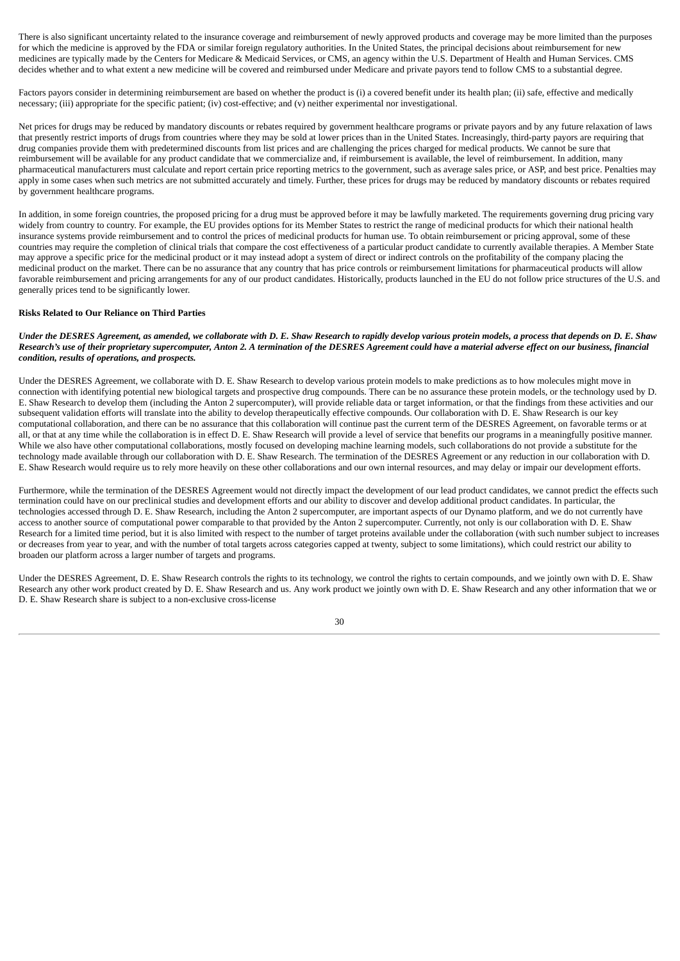There is also significant uncertainty related to the insurance coverage and reimbursement of newly approved products and coverage may be more limited than the purposes for which the medicine is approved by the FDA or similar foreign regulatory authorities. In the United States, the principal decisions about reimbursement for new medicines are typically made by the Centers for Medicare & Medicaid Services, or CMS, an agency within the U.S. Department of Health and Human Services. CMS decides whether and to what extent a new medicine will be covered and reimbursed under Medicare and private payors tend to follow CMS to a substantial degree.

Factors payors consider in determining reimbursement are based on whether the product is (i) a covered benefit under its health plan; (ii) safe, effective and medically necessary; (iii) appropriate for the specific patient; (iv) cost-effective; and (v) neither experimental nor investigational.

Net prices for drugs may be reduced by mandatory discounts or rebates required by government healthcare programs or private payors and by any future relaxation of laws that presently restrict imports of drugs from countries where they may be sold at lower prices than in the United States. Increasingly, third-party payors are requiring that drug companies provide them with predetermined discounts from list prices and are challenging the prices charged for medical products. We cannot be sure that reimbursement will be available for any product candidate that we commercialize and, if reimbursement is available, the level of reimbursement. In addition, many pharmaceutical manufacturers must calculate and report certain price reporting metrics to the government, such as average sales price, or ASP, and best price. Penalties may apply in some cases when such metrics are not submitted accurately and timely. Further, these prices for drugs may be reduced by mandatory discounts or rebates required by government healthcare programs.

In addition, in some foreign countries, the proposed pricing for a drug must be approved before it may be lawfully marketed. The requirements governing drug pricing vary widely from country to country. For example, the EU provides options for its Member States to restrict the range of medicinal products for which their national health insurance systems provide reimbursement and to control the prices of medicinal products for human use. To obtain reimbursement or pricing approval, some of these countries may require the completion of clinical trials that compare the cost effectiveness of a particular product candidate to currently available therapies. A Member State may approve a specific price for the medicinal product or it may instead adopt a system of direct or indirect controls on the profitability of the company placing the medicinal product on the market. There can be no assurance that any country that has price controls or reimbursement limitations for pharmaceutical products will allow favorable reimbursement and pricing arrangements for any of our product candidates. Historically, products launched in the EU do not follow price structures of the U.S. and generally prices tend to be significantly lower.

#### **Risks Related to Our Reliance on Third Parties**

*Under the DESRES Agreement, as amended, we collaborate with D. E. Shaw Research to rapidly develop various protein models, a process that depends on D. E. Shaw Research's use of their proprietary supercomputer, Anton 2. A termination of the DESRES Agreement could have a material adverse effect on our business, financial condition, results of operations, and prospects.*

Under the DESRES Agreement, we collaborate with D. E. Shaw Research to develop various protein models to make predictions as to how molecules might move in connection with identifying potential new biological targets and prospective drug compounds. There can be no assurance these protein models, or the technology used by D. E. Shaw Research to develop them (including the Anton 2 supercomputer), will provide reliable data or target information, or that the findings from these activities and our subsequent validation efforts will translate into the ability to develop therapeutically effective compounds. Our collaboration with D. E. Shaw Research is our key computational collaboration, and there can be no assurance that this collaboration will continue past the current term of the DESRES Agreement, on favorable terms or at all, or that at any time while the collaboration is in effect D. E. Shaw Research will provide a level of service that benefits our programs in a meaningfully positive manner. While we also have other computational collaborations, mostly focused on developing machine learning models, such collaborations do not provide a substitute for the technology made available through our collaboration with D. E. Shaw Research. The termination of the DESRES Agreement or any reduction in our collaboration with D. E. Shaw Research would require us to rely more heavily on these other collaborations and our own internal resources, and may delay or impair our development efforts.

Furthermore, while the termination of the DESRES Agreement would not directly impact the development of our lead product candidates, we cannot predict the effects such termination could have on our preclinical studies and development efforts and our ability to discover and develop additional product candidates. In particular, the technologies accessed through D. E. Shaw Research, including the Anton 2 supercomputer, are important aspects of our Dynamo platform, and we do not currently have access to another source of computational power comparable to that provided by the Anton 2 supercomputer. Currently, not only is our collaboration with D. E. Shaw Research for a limited time period, but it is also limited with respect to the number of target proteins available under the collaboration (with such number subject to increases or decreases from year to year, and with the number of total targets across categories capped at twenty, subject to some limitations), which could restrict our ability to broaden our platform across a larger number of targets and programs.

Under the DESRES Agreement, D. E. Shaw Research controls the rights to its technology, we control the rights to certain compounds, and we jointly own with D. E. Shaw Research any other work product created by D. E. Shaw Research and us. Any work product we jointly own with D. E. Shaw Research and any other information that we or D. E. Shaw Research share is subject to a non-exclusive cross-license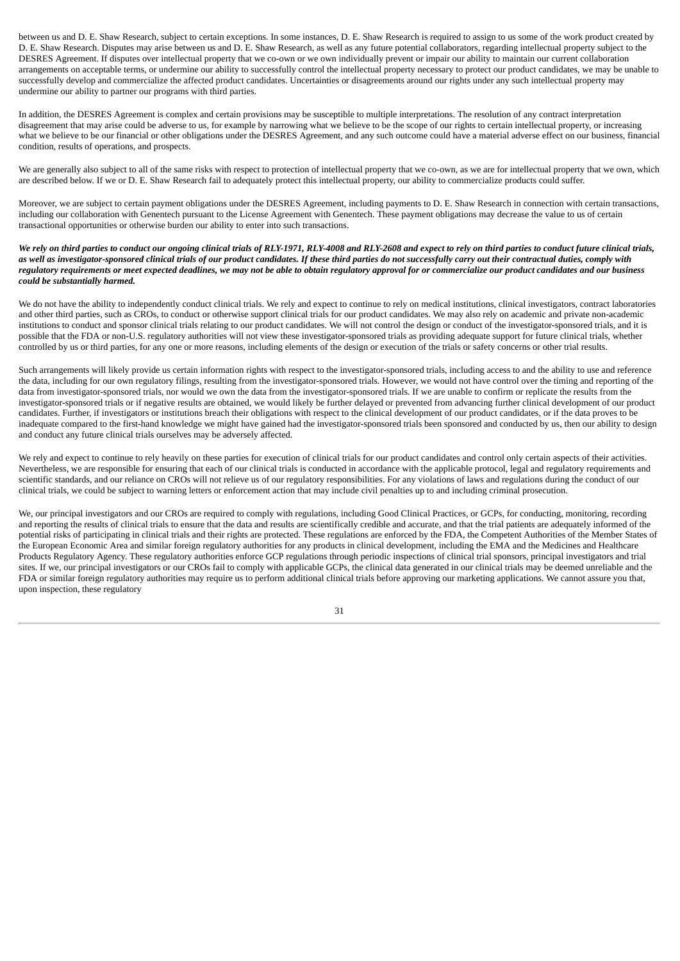between us and D. E. Shaw Research, subject to certain exceptions. In some instances, D. E. Shaw Research is required to assign to us some of the work product created by D. E. Shaw Research. Disputes may arise between us and D. E. Shaw Research, as well as any future potential collaborators, regarding intellectual property subject to the DESRES Agreement. If disputes over intellectual property that we co-own or we own individually prevent or impair our ability to maintain our current collaboration arrangements on acceptable terms, or undermine our ability to successfully control the intellectual property necessary to protect our product candidates, we may be unable to successfully develop and commercialize the affected product candidates. Uncertainties or disagreements around our rights under any such intellectual property may undermine our ability to partner our programs with third parties.

In addition, the DESRES Agreement is complex and certain provisions may be susceptible to multiple interpretations. The resolution of any contract interpretation disagreement that may arise could be adverse to us, for example by narrowing what we believe to be the scope of our rights to certain intellectual property, or increasing what we believe to be our financial or other obligations under the DESRES Agreement, and any such outcome could have a material adverse effect on our business, financial condition, results of operations, and prospects.

We are generally also subject to all of the same risks with respect to protection of intellectual property that we co-own, as we are for intellectual property that we own, which are described below. If we or D. E. Shaw Research fail to adequately protect this intellectual property, our ability to commercialize products could suffer.

Moreover, we are subject to certain payment obligations under the DESRES Agreement, including payments to D. E. Shaw Research in connection with certain transactions, including our collaboration with Genentech pursuant to the License Agreement with Genentech. These payment obligations may decrease the value to us of certain transactional opportunities or otherwise burden our ability to enter into such transactions.

*We rely on third parties to conduct our ongoing clinical trials of RLY-1971, RLY-4008 and RLY-2608 and expect to rely on third parties to conduct future clinical trials, as well as investigator-sponsored clinical trials of our product candidates. If these third parties do not successfully carry out their contractual duties, comply with regulatory requirements or meet expected deadlines, we may not be able to obtain regulatory approval for or commercialize our product candidates and our business could be substantially harmed.*

We do not have the ability to independently conduct clinical trials. We rely and expect to continue to rely on medical institutions, clinical investigators, contract laboratories and other third parties, such as CROs, to conduct or otherwise support clinical trials for our product candidates. We may also rely on academic and private non-academic institutions to conduct and sponsor clinical trials relating to our product candidates. We will not control the design or conduct of the investigator-sponsored trials, and it is possible that the FDA or non-U.S. regulatory authorities will not view these investigator-sponsored trials as providing adequate support for future clinical trials, whether controlled by us or third parties, for any one or more reasons, including elements of the design or execution of the trials or safety concerns or other trial results.

Such arrangements will likely provide us certain information rights with respect to the investigator-sponsored trials, including access to and the ability to use and reference the data, including for our own regulatory filings, resulting from the investigator-sponsored trials. However, we would not have control over the timing and reporting of the data from investigator-sponsored trials, nor would we own the data from the investigator-sponsored trials. If we are unable to confirm or replicate the results from the investigator-sponsored trials or if negative results are obtained, we would likely be further delayed or prevented from advancing further clinical development of our product candidates. Further, if investigators or institutions breach their obligations with respect to the clinical development of our product candidates, or if the data proves to be inadequate compared to the first-hand knowledge we might have gained had the investigator-sponsored trials been sponsored and conducted by us, then our ability to design and conduct any future clinical trials ourselves may be adversely affected.

We rely and expect to continue to rely heavily on these parties for execution of clinical trials for our product candidates and control only certain aspects of their activities. Nevertheless, we are responsible for ensuring that each of our clinical trials is conducted in accordance with the applicable protocol, legal and regulatory requirements and scientific standards, and our reliance on CROs will not relieve us of our regulatory responsibilities. For any violations of laws and regulations during the conduct of our clinical trials, we could be subject to warning letters or enforcement action that may include civil penalties up to and including criminal prosecution.

We, our principal investigators and our CROs are required to comply with regulations, including Good Clinical Practices, or GCPs, for conducting, monitoring, recording and reporting the results of clinical trials to ensure that the data and results are scientifically credible and accurate, and that the trial patients are adequately informed of the potential risks of participating in clinical trials and their rights are protected. These regulations are enforced by the FDA, the Competent Authorities of the Member States of the European Economic Area and similar foreign regulatory authorities for any products in clinical development, including the EMA and the Medicines and Healthcare Products Regulatory Agency. These regulatory authorities enforce GCP regulations through periodic inspections of clinical trial sponsors, principal investigators and trial sites. If we, our principal investigators or our CROs fail to comply with applicable GCPs, the clinical data generated in our clinical trials may be deemed unreliable and the FDA or similar foreign regulatory authorities may require us to perform additional clinical trials before approving our marketing applications. We cannot assure you that, upon inspection, these regulatory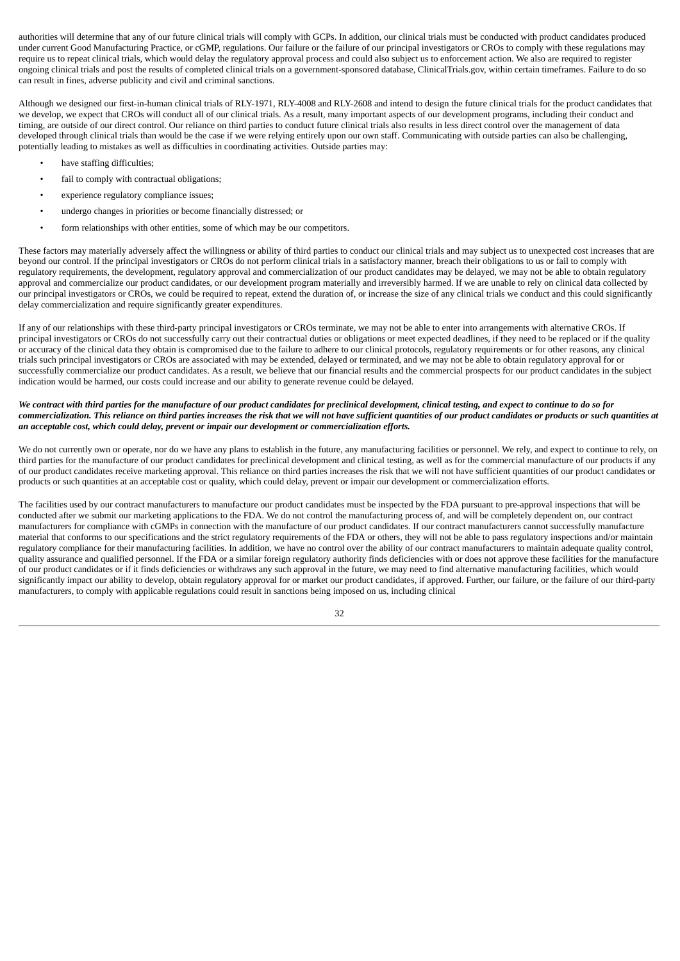authorities will determine that any of our future clinical trials will comply with GCPs. In addition, our clinical trials must be conducted with product candidates produced under current Good Manufacturing Practice, or cGMP, regulations. Our failure or the failure of our principal investigators or CROs to comply with these regulations may require us to repeat clinical trials, which would delay the regulatory approval process and could also subject us to enforcement action. We also are required to register ongoing clinical trials and post the results of completed clinical trials on a government-sponsored database, ClinicalTrials.gov, within certain timeframes. Failure to do so can result in fines, adverse publicity and civil and criminal sanctions.

Although we designed our first-in-human clinical trials of RLY-1971, RLY-4008 and RLY-2608 and intend to design the future clinical trials for the product candidates that we develop, we expect that CROs will conduct all of our clinical trials. As a result, many important aspects of our development programs, including their conduct and timing, are outside of our direct control. Our reliance on third parties to conduct future clinical trials also results in less direct control over the management of data developed through clinical trials than would be the case if we were relying entirely upon our own staff. Communicating with outside parties can also be challenging, potentially leading to mistakes as well as difficulties in coordinating activities. Outside parties may:

- have staffing difficulties;
- fail to comply with contractual obligations;
- experience regulatory compliance issues;
- undergo changes in priorities or become financially distressed; or
- form relationships with other entities, some of which may be our competitors.

These factors may materially adversely affect the willingness or ability of third parties to conduct our clinical trials and may subject us to unexpected cost increases that are beyond our control. If the principal investigators or CROs do not perform clinical trials in a satisfactory manner, breach their obligations to us or fail to comply with regulatory requirements, the development, regulatory approval and commercialization of our product candidates may be delayed, we may not be able to obtain regulatory approval and commercialize our product candidates, or our development program materially and irreversibly harmed. If we are unable to rely on clinical data collected by our principal investigators or CROs, we could be required to repeat, extend the duration of, or increase the size of any clinical trials we conduct and this could significantly delay commercialization and require significantly greater expenditures.

If any of our relationships with these third-party principal investigators or CROs terminate, we may not be able to enter into arrangements with alternative CROs. If principal investigators or CROs do not successfully carry out their contractual duties or obligations or meet expected deadlines, if they need to be replaced or if the quality or accuracy of the clinical data they obtain is compromised due to the failure to adhere to our clinical protocols, regulatory requirements or for other reasons, any clinical trials such principal investigators or CROs are associated with may be extended, delayed or terminated, and we may not be able to obtain regulatory approval for or successfully commercialize our product candidates. As a result, we believe that our financial results and the commercial prospects for our product candidates in the subject indication would be harmed, our costs could increase and our ability to generate revenue could be delayed.

*We contract with third parties for the manufacture of our product candidates for preclinical development, clinical testing, and expect to continue to do so for commercialization. This reliance on third parties increases the risk that we will not have sufficient quantities of our product candidates or products or such quantities at an acceptable cost, which could delay, prevent or impair our development or commercialization efforts.*

We do not currently own or operate, nor do we have any plans to establish in the future, any manufacturing facilities or personnel. We rely, and expect to continue to rely, on third parties for the manufacture of our product candidates for preclinical development and clinical testing, as well as for the commercial manufacture of our products if any of our product candidates receive marketing approval. This reliance on third parties increases the risk that we will not have sufficient quantities of our product candidates or products or such quantities at an acceptable cost or quality, which could delay, prevent or impair our development or commercialization efforts.

The facilities used by our contract manufacturers to manufacture our product candidates must be inspected by the FDA pursuant to pre-approval inspections that will be conducted after we submit our marketing applications to the FDA. We do not control the manufacturing process of, and will be completely dependent on, our contract manufacturers for compliance with cGMPs in connection with the manufacture of our product candidates. If our contract manufacturers cannot successfully manufacture material that conforms to our specifications and the strict regulatory requirements of the FDA or others, they will not be able to pass regulatory inspections and/or maintain regulatory compliance for their manufacturing facilities. In addition, we have no control over the ability of our contract manufacturers to maintain adequate quality control, quality assurance and qualified personnel. If the FDA or a similar foreign regulatory authority finds deficiencies with or does not approve these facilities for the manufacture of our product candidates or if it finds deficiencies or withdraws any such approval in the future, we may need to find alternative manufacturing facilities, which would significantly impact our ability to develop, obtain regulatory approval for or market our product candidates, if approved. Further, our failure, or the failure of our third-party manufacturers, to comply with applicable regulations could result in sanctions being imposed on us, including clinical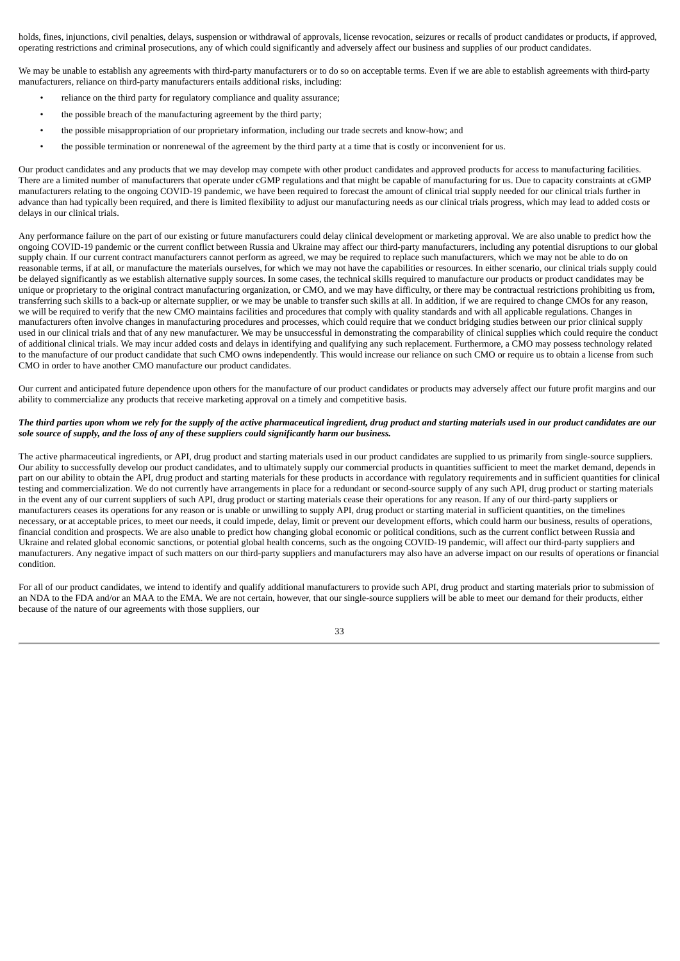holds, fines, injunctions, civil penalties, delays, suspension or withdrawal of approvals, license revocation, seizures or recalls of product candidates or products, if approved, operating restrictions and criminal prosecutions, any of which could significantly and adversely affect our business and supplies of our product candidates.

We may be unable to establish any agreements with third-party manufacturers or to do so on acceptable terms. Even if we are able to establish agreements with third-party manufacturers, reliance on third-party manufacturers entails additional risks, including:

- reliance on the third party for regulatory compliance and quality assurance;
- the possible breach of the manufacturing agreement by the third party;
- the possible misappropriation of our proprietary information, including our trade secrets and know-how; and
- the possible termination or nonrenewal of the agreement by the third party at a time that is costly or inconvenient for us.

Our product candidates and any products that we may develop may compete with other product candidates and approved products for access to manufacturing facilities. There are a limited number of manufacturers that operate under cGMP regulations and that might be capable of manufacturing for us. Due to capacity constraints at cGMP manufacturers relating to the ongoing COVID-19 pandemic, we have been required to forecast the amount of clinical trial supply needed for our clinical trials further in advance than had typically been required, and there is limited flexibility to adjust our manufacturing needs as our clinical trials progress, which may lead to added costs or delays in our clinical trials.

Any performance failure on the part of our existing or future manufacturers could delay clinical development or marketing approval. We are also unable to predict how the ongoing COVID-19 pandemic or the current conflict between Russia and Ukraine may affect our third-party manufacturers, including any potential disruptions to our global supply chain. If our current contract manufacturers cannot perform as agreed, we may be required to replace such manufacturers, which we may not be able to do on reasonable terms, if at all, or manufacture the materials ourselves, for which we may not have the capabilities or resources. In either scenario, our clinical trials supply could be delayed significantly as we establish alternative supply sources. In some cases, the technical skills required to manufacture our products or product candidates may be unique or proprietary to the original contract manufacturing organization, or CMO, and we may have difficulty, or there may be contractual restrictions prohibiting us from, transferring such skills to a back-up or alternate supplier, or we may be unable to transfer such skills at all. In addition, if we are required to change CMOs for any reason, we will be required to verify that the new CMO maintains facilities and procedures that comply with quality standards and with all applicable regulations. Changes in manufacturers often involve changes in manufacturing procedures and processes, which could require that we conduct bridging studies between our prior clinical supply used in our clinical trials and that of any new manufacturer. We may be unsuccessful in demonstrating the comparability of clinical supplies which could require the conduct of additional clinical trials. We may incur added costs and delays in identifying and qualifying any such replacement. Furthermore, a CMO may possess technology related to the manufacture of our product candidate that such CMO owns independently. This would increase our reliance on such CMO or require us to obtain a license from such CMO in order to have another CMO manufacture our product candidates.

Our current and anticipated future dependence upon others for the manufacture of our product candidates or products may adversely affect our future profit margins and our ability to commercialize any products that receive marketing approval on a timely and competitive basis.

## *The third parties upon whom we rely for the supply of the active pharmaceutical ingredient, drug product and starting materials used in our product candidates are our sole source of supply, and the loss of any of these suppliers could significantly harm our business.*

The active pharmaceutical ingredients, or API, drug product and starting materials used in our product candidates are supplied to us primarily from single-source suppliers. Our ability to successfully develop our product candidates, and to ultimately supply our commercial products in quantities sufficient to meet the market demand, depends in part on our ability to obtain the API, drug product and starting materials for these products in accordance with regulatory requirements and in sufficient quantities for clinical testing and commercialization. We do not currently have arrangements in place for a redundant or second-source supply of any such API, drug product or starting materials in the event any of our current suppliers of such API, drug product or starting materials cease their operations for any reason. If any of our third-party suppliers or manufacturers ceases its operations for any reason or is unable or unwilling to supply API, drug product or starting material in sufficient quantities, on the timelines necessary, or at acceptable prices, to meet our needs, it could impede, delay, limit or prevent our development efforts, which could harm our business, results of operations, financial condition and prospects. We are also unable to predict how changing global economic or political conditions, such as the current conflict between Russia and Ukraine and related global economic sanctions, or potential global health concerns, such as the ongoing COVID-19 pandemic, will affect our third-party suppliers and manufacturers. Any negative impact of such matters on our third-party suppliers and manufacturers may also have an adverse impact on our results of operations or financial condition.

For all of our product candidates, we intend to identify and qualify additional manufacturers to provide such API, drug product and starting materials prior to submission of an NDA to the FDA and/or an MAA to the EMA. We are not certain, however, that our single-source suppliers will be able to meet our demand for their products, either because of the nature of our agreements with those suppliers, our

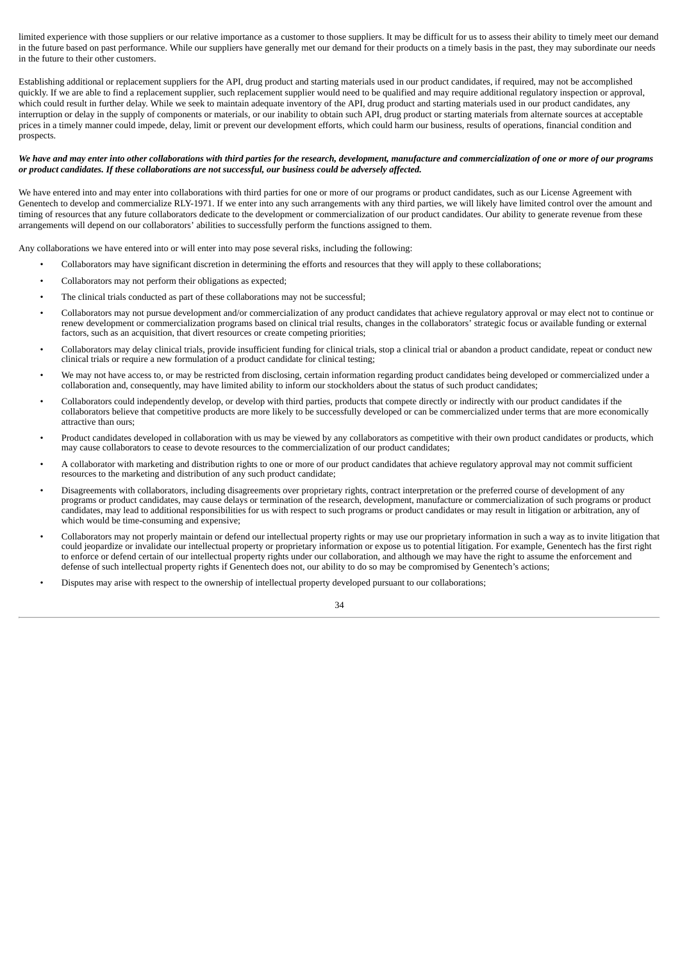limited experience with those suppliers or our relative importance as a customer to those suppliers. It may be difficult for us to assess their ability to timely meet our demand in the future based on past performance. While our suppliers have generally met our demand for their products on a timely basis in the past, they may subordinate our needs in the future to their other customers.

Establishing additional or replacement suppliers for the API, drug product and starting materials used in our product candidates, if required, may not be accomplished quickly. If we are able to find a replacement supplier, such replacement supplier would need to be qualified and may require additional regulatory inspection or approval, which could result in further delay. While we seek to maintain adequate inventory of the API, drug product and starting materials used in our product candidates, any interruption or delay in the supply of components or materials, or our inability to obtain such API, drug product or starting materials from alternate sources at acceptable prices in a timely manner could impede, delay, limit or prevent our development efforts, which could harm our business, results of operations, financial condition and prospects.

#### *We have and may enter into other collaborations with third parties for the research, development, manufacture and commercialization of one or more of our programs or product candidates. If these collaborations are not successful, our business could be adversely affected.*

We have entered into and may enter into collaborations with third parties for one or more of our programs or product candidates, such as our License Agreement with Genentech to develop and commercialize RLY-1971. If we enter into any such arrangements with any third parties, we will likely have limited control over the amount and timing of resources that any future collaborators dedicate to the development or commercialization of our product candidates. Our ability to generate revenue from these arrangements will depend on our collaborators' abilities to successfully perform the functions assigned to them.

Any collaborations we have entered into or will enter into may pose several risks, including the following:

- Collaborators may have significant discretion in determining the efforts and resources that they will apply to these collaborations;
- Collaborators may not perform their obligations as expected;
- The clinical trials conducted as part of these collaborations may not be successful;
- Collaborators may not pursue development and/or commercialization of any product candidates that achieve regulatory approval or may elect not to continue or renew development or commercialization programs based on clinical trial results, changes in the collaborators' strategic focus or available funding or external factors, such as an acquisition, that divert resources or create competing priorities;
- Collaborators may delay clinical trials, provide insufficient funding for clinical trials, stop a clinical trial or abandon a product candidate, repeat or conduct new clinical trials or require a new formulation of a product candidate for clinical testing;
- We may not have access to, or may be restricted from disclosing, certain information regarding product candidates being developed or commercialized under a collaboration and, consequently, may have limited ability to inform our stockholders about the status of such product candidates;
- Collaborators could independently develop, or develop with third parties, products that compete directly or indirectly with our product candidates if the collaborators believe that competitive products are more likely to be successfully developed or can be commercialized under terms that are more economically attractive than ours;
- Product candidates developed in collaboration with us may be viewed by any collaborators as competitive with their own product candidates or products, which may cause collaborators to cease to devote resources to the commercialization of our product candidates;
- A collaborator with marketing and distribution rights to one or more of our product candidates that achieve regulatory approval may not commit sufficient resources to the marketing and distribution of any such product candidate;
- Disagreements with collaborators, including disagreements over proprietary rights, contract interpretation or the preferred course of development of any programs or product candidates, may cause delays or termination of the research, development, manufacture or commercialization of such programs or product candidates, may lead to additional responsibilities for us with respect to such programs or product candidates or may result in litigation or arbitration, any of which would be time-consuming and expensive;
- Collaborators may not properly maintain or defend our intellectual property rights or may use our proprietary information in such a way as to invite litigation that could jeopardize or invalidate our intellectual property or proprietary information or expose us to potential litigation. For example, Genentech has the first right to enforce or defend certain of our intellectual property rights under our collaboration, and although we may have the right to assume the enforcement and defense of such intellectual property rights if Genentech does not, our ability to do so may be compromised by Genentech's actions;
- Disputes may arise with respect to the ownership of intellectual property developed pursuant to our collaborations;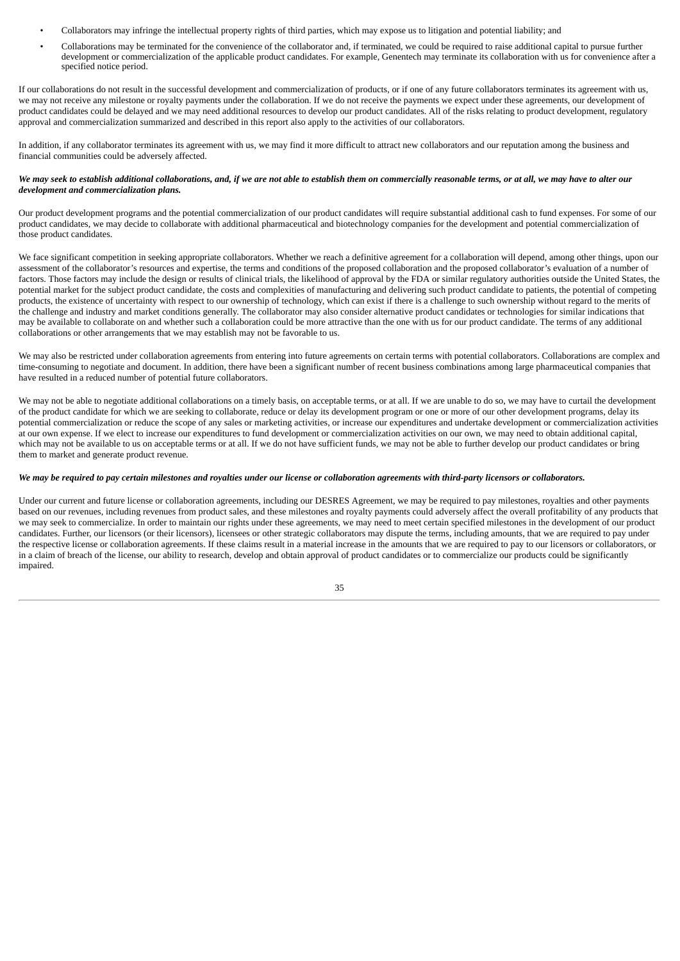- Collaborators may infringe the intellectual property rights of third parties, which may expose us to litigation and potential liability; and
- Collaborations may be terminated for the convenience of the collaborator and, if terminated, we could be required to raise additional capital to pursue further development or commercialization of the applicable product candidates. For example, Genentech may terminate its collaboration with us for convenience after a specified notice period.

If our collaborations do not result in the successful development and commercialization of products, or if one of any future collaborators terminates its agreement with us, we may not receive any milestone or royalty payments under the collaboration. If we do not receive the payments we expect under these agreements, our development of product candidates could be delayed and we may need additional resources to develop our product candidates. All of the risks relating to product development, regulatory approval and commercialization summarized and described in this report also apply to the activities of our collaborators.

In addition, if any collaborator terminates its agreement with us, we may find it more difficult to attract new collaborators and our reputation among the business and financial communities could be adversely affected.

## *We may seek to establish additional collaborations, and, if we are not able to establish them on commercially reasonable terms, or at all, we may have to alter our development and commercialization plans.*

Our product development programs and the potential commercialization of our product candidates will require substantial additional cash to fund expenses. For some of our product candidates, we may decide to collaborate with additional pharmaceutical and biotechnology companies for the development and potential commercialization of those product candidates.

We face significant competition in seeking appropriate collaborators. Whether we reach a definitive agreement for a collaboration will depend, among other things, upon our assessment of the collaborator's resources and expertise, the terms and conditions of the proposed collaboration and the proposed collaborator's evaluation of a number of factors. Those factors may include the design or results of clinical trials, the likelihood of approval by the FDA or similar regulatory authorities outside the United States, the potential market for the subject product candidate, the costs and complexities of manufacturing and delivering such product candidate to patients, the potential of competing products, the existence of uncertainty with respect to our ownership of technology, which can exist if there is a challenge to such ownership without regard to the merits of the challenge and industry and market conditions generally. The collaborator may also consider alternative product candidates or technologies for similar indications that may be available to collaborate on and whether such a collaboration could be more attractive than the one with us for our product candidate. The terms of any additional collaborations or other arrangements that we may establish may not be favorable to us.

We may also be restricted under collaboration agreements from entering into future agreements on certain terms with potential collaborators. Collaborations are complex and time-consuming to negotiate and document. In addition, there have been a significant number of recent business combinations among large pharmaceutical companies that have resulted in a reduced number of potential future collaborators.

We may not be able to negotiate additional collaborations on a timely basis, on acceptable terms, or at all. If we are unable to do so, we may have to curtail the development of the product candidate for which we are seeking to collaborate, reduce or delay its development program or one or more of our other development programs, delay its potential commercialization or reduce the scope of any sales or marketing activities, or increase our expenditures and undertake development or commercialization activities at our own expense. If we elect to increase our expenditures to fund development or commercialization activities on our own, we may need to obtain additional capital, which may not be available to us on acceptable terms or at all. If we do not have sufficient funds, we may not be able to further develop our product candidates or bring them to market and generate product revenue.

## *We may be required to pay certain milestones and royalties under our license or collaboration agreements with third-party licensors or collaborators.*

Under our current and future license or collaboration agreements, including our DESRES Agreement, we may be required to pay milestones, royalties and other payments based on our revenues, including revenues from product sales, and these milestones and royalty payments could adversely affect the overall profitability of any products that we may seek to commercialize. In order to maintain our rights under these agreements, we may need to meet certain specified milestones in the development of our product candidates. Further, our licensors (or their licensors), licensees or other strategic collaborators may dispute the terms, including amounts, that we are required to pay under the respective license or collaboration agreements. If these claims result in a material increase in the amounts that we are required to pay to our licensors or collaborators, or in a claim of breach of the license, our ability to research, develop and obtain approval of product candidates or to commercialize our products could be significantly impaired.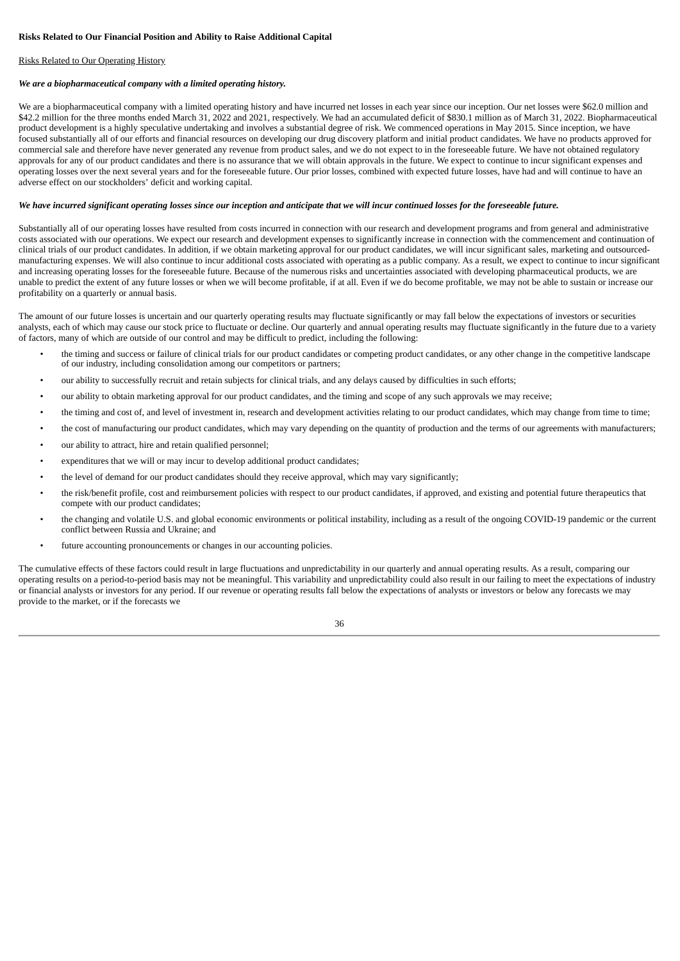## **Risks Related to Our Financial Position and Ability to Raise Additional Capital**

### Risks Related to Our Operating History

## *We are a biopharmaceutical company with a limited operating history.*

We are a biopharmaceutical company with a limited operating history and have incurred net losses in each year since our inception. Our net losses were \$62.0 million and \$42.2 million for the three months ended March 31, 2022 and 2021, respectively. We had an accumulated deficit of \$830.1 million as of March 31, 2022. Biopharmaceutical product development is a highly speculative undertaking and involves a substantial degree of risk. We commenced operations in May 2015. Since inception, we have focused substantially all of our efforts and financial resources on developing our drug discovery platform and initial product candidates. We have no products approved for commercial sale and therefore have never generated any revenue from product sales, and we do not expect to in the foreseeable future. We have not obtained regulatory approvals for any of our product candidates and there is no assurance that we will obtain approvals in the future. We expect to continue to incur significant expenses and operating losses over the next several years and for the foreseeable future. Our prior losses, combined with expected future losses, have had and will continue to have an adverse effect on our stockholders' deficit and working capital.

## *We have incurred significant operating losses since our inception and anticipate that we will incur continued losses for the foreseeable future.*

Substantially all of our operating losses have resulted from costs incurred in connection with our research and development programs and from general and administrative costs associated with our operations. We expect our research and development expenses to significantly increase in connection with the commencement and continuation of clinical trials of our product candidates. In addition, if we obtain marketing approval for our product candidates, we will incur significant sales, marketing and outsourcedmanufacturing expenses. We will also continue to incur additional costs associated with operating as a public company. As a result, we expect to continue to incur significant and increasing operating losses for the foreseeable future. Because of the numerous risks and uncertainties associated with developing pharmaceutical products, we are unable to predict the extent of any future losses or when we will become profitable, if at all. Even if we do become profitable, we may not be able to sustain or increase our profitability on a quarterly or annual basis.

The amount of our future losses is uncertain and our quarterly operating results may fluctuate significantly or may fall below the expectations of investors or securities analysts, each of which may cause our stock price to fluctuate or decline. Our quarterly and annual operating results may fluctuate significantly in the future due to a variety of factors, many of which are outside of our control and may be difficult to predict, including the following:

- the timing and success or failure of clinical trials for our product candidates or competing product candidates, or any other change in the competitive landscape of our industry, including consolidation among our competitors or partners;
- our ability to successfully recruit and retain subjects for clinical trials, and any delays caused by difficulties in such efforts;
- our ability to obtain marketing approval for our product candidates, and the timing and scope of any such approvals we may receive;
- the timing and cost of, and level of investment in, research and development activities relating to our product candidates, which may change from time to time;
- the cost of manufacturing our product candidates, which may vary depending on the quantity of production and the terms of our agreements with manufacturers;
- our ability to attract, hire and retain qualified personnel;
- expenditures that we will or may incur to develop additional product candidates;
- the level of demand for our product candidates should they receive approval, which may vary significantly;
- the risk/benefit profile, cost and reimbursement policies with respect to our product candidates, if approved, and existing and potential future therapeutics that compete with our product candidates;
- the changing and volatile U.S. and global economic environments or political instability, including as a result of the ongoing COVID-19 pandemic or the current conflict between Russia and Ukraine; and
- future accounting pronouncements or changes in our accounting policies.

The cumulative effects of these factors could result in large fluctuations and unpredictability in our quarterly and annual operating results. As a result, comparing our operating results on a period-to-period basis may not be meaningful. This variability and unpredictability could also result in our failing to meet the expectations of industry or financial analysts or investors for any period. If our revenue or operating results fall below the expectations of analysts or investors or below any forecasts we may provide to the market, or if the forecasts we

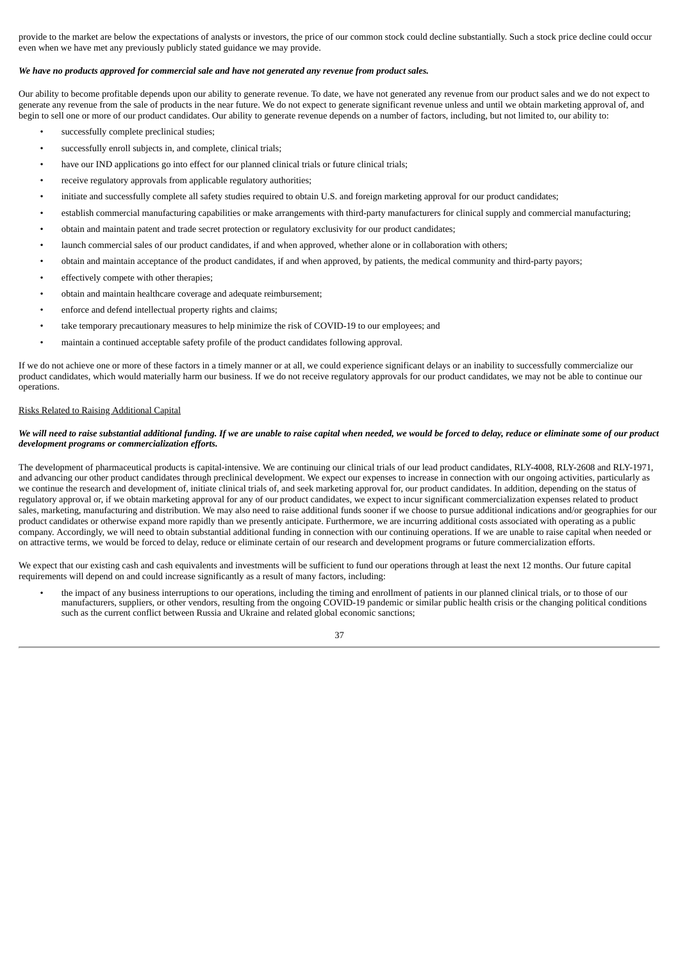provide to the market are below the expectations of analysts or investors, the price of our common stock could decline substantially. Such a stock price decline could occur even when we have met any previously publicly stated guidance we may provide.

## *We have no products approved for commercial sale and have not generated any revenue from product sales.*

Our ability to become profitable depends upon our ability to generate revenue. To date, we have not generated any revenue from our product sales and we do not expect to generate any revenue from the sale of products in the near future. We do not expect to generate significant revenue unless and until we obtain marketing approval of, and begin to sell one or more of our product candidates. Our ability to generate revenue depends on a number of factors, including, but not limited to, our ability to:

- successfully complete preclinical studies;
- successfully enroll subjects in, and complete, clinical trials;
- have our IND applications go into effect for our planned clinical trials or future clinical trials;
- receive regulatory approvals from applicable regulatory authorities;
- initiate and successfully complete all safety studies required to obtain U.S. and foreign marketing approval for our product candidates;
- establish commercial manufacturing capabilities or make arrangements with third-party manufacturers for clinical supply and commercial manufacturing;
- obtain and maintain patent and trade secret protection or regulatory exclusivity for our product candidates;
- launch commercial sales of our product candidates, if and when approved, whether alone or in collaboration with others;
- obtain and maintain acceptance of the product candidates, if and when approved, by patients, the medical community and third-party payors;
- effectively compete with other therapies;
- obtain and maintain healthcare coverage and adequate reimbursement;
- enforce and defend intellectual property rights and claims;
- take temporary precautionary measures to help minimize the risk of COVID-19 to our employees; and
- maintain a continued acceptable safety profile of the product candidates following approval.

If we do not achieve one or more of these factors in a timely manner or at all, we could experience significant delays or an inability to successfully commercialize our product candidates, which would materially harm our business. If we do not receive regulatory approvals for our product candidates, we may not be able to continue our operations.

#### Risks Related to Raising Additional Capital

#### *We will need to raise substantial additional funding. If we are unable to raise capital when needed, we would be forced to delay, reduce or eliminate some of our product development programs or commercialization efforts.*

The development of pharmaceutical products is capital-intensive. We are continuing our clinical trials of our lead product candidates, RLY-4008, RLY-2608 and RLY-1971, and advancing our other product candidates through preclinical development. We expect our expenses to increase in connection with our ongoing activities, particularly as we continue the research and development of, initiate clinical trials of, and seek marketing approval for, our product candidates. In addition, depending on the status of regulatory approval or, if we obtain marketing approval for any of our product candidates, we expect to incur significant commercialization expenses related to product sales, marketing, manufacturing and distribution. We may also need to raise additional funds sooner if we choose to pursue additional indications and/or geographies for our product candidates or otherwise expand more rapidly than we presently anticipate. Furthermore, we are incurring additional costs associated with operating as a public company. Accordingly, we will need to obtain substantial additional funding in connection with our continuing operations. If we are unable to raise capital when needed or on attractive terms, we would be forced to delay, reduce or eliminate certain of our research and development programs or future commercialization efforts.

We expect that our existing cash and cash equivalents and investments will be sufficient to fund our operations through at least the next 12 months. Our future capital requirements will depend on and could increase significantly as a result of many factors, including:

• the impact of any business interruptions to our operations, including the timing and enrollment of patients in our planned clinical trials, or to those of our manufacturers, suppliers, or other vendors, resulting from the ongoing COVID-19 pandemic or similar public health crisis or the changing political conditions such as the current conflict between Russia and Ukraine and related global economic sanctions;

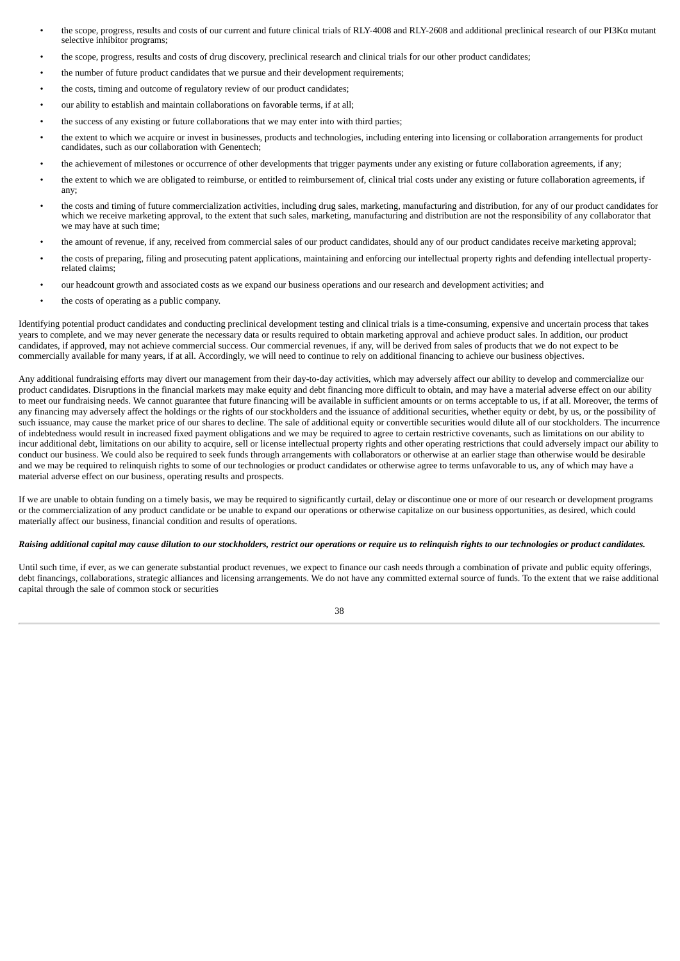- the scope, progress, results and costs of our current and future clinical trials of RLY-4008 and RLY-2608 and additional preclinical research of our PI3Kα mutant selective inhibitor programs;
- the scope, progress, results and costs of drug discovery, preclinical research and clinical trials for our other product candidates;
- the number of future product candidates that we pursue and their development requirements;
- the costs, timing and outcome of regulatory review of our product candidates;
- our ability to establish and maintain collaborations on favorable terms, if at all;
- the success of any existing or future collaborations that we may enter into with third parties;
- the extent to which we acquire or invest in businesses, products and technologies, including entering into licensing or collaboration arrangements for product candidates, such as our collaboration with Genentech;
- the achievement of milestones or occurrence of other developments that trigger payments under any existing or future collaboration agreements, if any;
- the extent to which we are obligated to reimburse, or entitled to reimbursement of, clinical trial costs under any existing or future collaboration agreements, if any;
- the costs and timing of future commercialization activities, including drug sales, marketing, manufacturing and distribution, for any of our product candidates for which we receive marketing approval, to the extent that such sales, marketing, manufacturing and distribution are not the responsibility of any collaborator that we may have at such time;
- the amount of revenue, if any, received from commercial sales of our product candidates, should any of our product candidates receive marketing approval;
- the costs of preparing, filing and prosecuting patent applications, maintaining and enforcing our intellectual property rights and defending intellectual propertyrelated claims;
- our headcount growth and associated costs as we expand our business operations and our research and development activities; and
- the costs of operating as a public company.

Identifying potential product candidates and conducting preclinical development testing and clinical trials is a time-consuming, expensive and uncertain process that takes years to complete, and we may never generate the necessary data or results required to obtain marketing approval and achieve product sales. In addition, our product candidates, if approved, may not achieve commercial success. Our commercial revenues, if any, will be derived from sales of products that we do not expect to be commercially available for many years, if at all. Accordingly, we will need to continue to rely on additional financing to achieve our business objectives.

Any additional fundraising efforts may divert our management from their day-to-day activities, which may adversely affect our ability to develop and commercialize our product candidates. Disruptions in the financial markets may make equity and debt financing more difficult to obtain, and may have a material adverse effect on our ability to meet our fundraising needs. We cannot guarantee that future financing will be available in sufficient amounts or on terms acceptable to us, if at all. Moreover, the terms of any financing may adversely affect the holdings or the rights of our stockholders and the issuance of additional securities, whether equity or debt, by us, or the possibility of such issuance, may cause the market price of our shares to decline. The sale of additional equity or convertible securities would dilute all of our stockholders. The incurrence of indebtedness would result in increased fixed payment obligations and we may be required to agree to certain restrictive covenants, such as limitations on our ability to incur additional debt, limitations on our ability to acquire, sell or license intellectual property rights and other operating restrictions that could adversely impact our ability to conduct our business. We could also be required to seek funds through arrangements with collaborators or otherwise at an earlier stage than otherwise would be desirable and we may be required to relinquish rights to some of our technologies or product candidates or otherwise agree to terms unfavorable to us, any of which may have a material adverse effect on our business, operating results and prospects.

If we are unable to obtain funding on a timely basis, we may be required to significantly curtail, delay or discontinue one or more of our research or development programs or the commercialization of any product candidate or be unable to expand our operations or otherwise capitalize on our business opportunities, as desired, which could materially affect our business, financial condition and results of operations.

### *Raising additional capital may cause dilution to our stockholders, restrict our operations or require us to relinquish rights to our technologies or product candidates.*

Until such time, if ever, as we can generate substantial product revenues, we expect to finance our cash needs through a combination of private and public equity offerings, debt financings, collaborations, strategic alliances and licensing arrangements. We do not have any committed external source of funds. To the extent that we raise additional capital through the sale of common stock or securities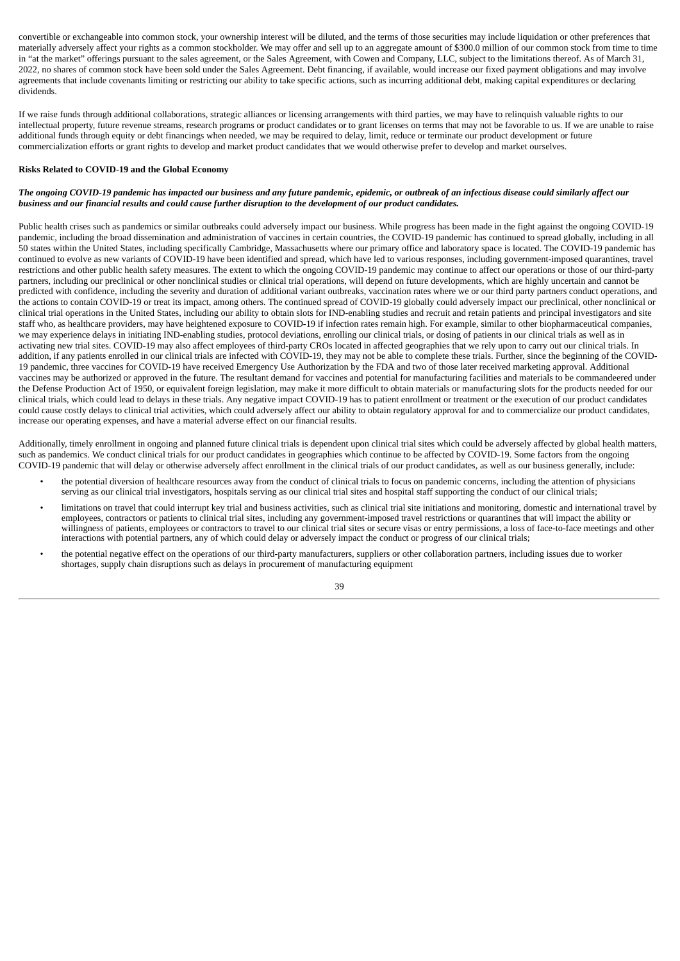convertible or exchangeable into common stock, your ownership interest will be diluted, and the terms of those securities may include liquidation or other preferences that materially adversely affect your rights as a common stockholder. We may offer and sell up to an aggregate amount of \$300.0 million of our common stock from time to time in "at the market" offerings pursuant to the sales agreement, or the Sales Agreement, with Cowen and Company, LLC, subject to the limitations thereof. As of March 31, 2022, no shares of common stock have been sold under the Sales Agreement. Debt financing, if available, would increase our fixed payment obligations and may involve agreements that include covenants limiting or restricting our ability to take specific actions, such as incurring additional debt, making capital expenditures or declaring dividends.

If we raise funds through additional collaborations, strategic alliances or licensing arrangements with third parties, we may have to relinquish valuable rights to our intellectual property, future revenue streams, research programs or product candidates or to grant licenses on terms that may not be favorable to us. If we are unable to raise additional funds through equity or debt financings when needed, we may be required to delay, limit, reduce or terminate our product development or future commercialization efforts or grant rights to develop and market product candidates that we would otherwise prefer to develop and market ourselves.

#### **Risks Related to COVID-19 and the Global Economy**

## *The ongoing COVID-19 pandemic has impacted our business and any future pandemic, epidemic, or outbreak of an infectious disease could similarly affect our business and our financial results and could cause further disruption to the development of our product candidates.*

Public health crises such as pandemics or similar outbreaks could adversely impact our business. While progress has been made in the fight against the ongoing COVID-19 pandemic, including the broad dissemination and administration of vaccines in certain countries, the COVID-19 pandemic has continued to spread globally, including in all 50 states within the United States, including specifically Cambridge, Massachusetts where our primary office and laboratory space is located. The COVID-19 pandemic has continued to evolve as new variants of COVID-19 have been identified and spread, which have led to various responses, including government-imposed quarantines, travel restrictions and other public health safety measures. The extent to which the ongoing COVID-19 pandemic may continue to affect our operations or those of our third-party partners, including our preclinical or other nonclinical studies or clinical trial operations, will depend on future developments, which are highly uncertain and cannot be predicted with confidence, including the severity and duration of additional variant outbreaks, vaccination rates where we or our third party partners conduct operations, and the actions to contain COVID-19 or treat its impact, among others. The continued spread of COVID-19 globally could adversely impact our preclinical, other nonclinical or clinical trial operations in the United States, including our ability to obtain slots for IND-enabling studies and recruit and retain patients and principal investigators and site staff who, as healthcare providers, may have heightened exposure to COVID-19 if infection rates remain high. For example, similar to other biopharmaceutical companies, we may experience delays in initiating IND-enabling studies, protocol deviations, enrolling our clinical trials, or dosing of patients in our clinical trials as well as in activating new trial sites. COVID-19 may also affect employees of third-party CROs located in affected geographies that we rely upon to carry out our clinical trials. In addition, if any patients enrolled in our clinical trials are infected with COVID-19, they may not be able to complete these trials. Further, since the beginning of the COVID-19 pandemic, three vaccines for COVID-19 have received Emergency Use Authorization by the FDA and two of those later received marketing approval. Additional vaccines may be authorized or approved in the future. The resultant demand for vaccines and potential for manufacturing facilities and materials to be commandeered under the Defense Production Act of 1950, or equivalent foreign legislation, may make it more difficult to obtain materials or manufacturing slots for the products needed for our clinical trials, which could lead to delays in these trials. Any negative impact COVID-19 has to patient enrollment or treatment or the execution of our product candidates could cause costly delays to clinical trial activities, which could adversely affect our ability to obtain regulatory approval for and to commercialize our product candidates, increase our operating expenses, and have a material adverse effect on our financial results.

Additionally, timely enrollment in ongoing and planned future clinical trials is dependent upon clinical trial sites which could be adversely affected by global health matters, such as pandemics. We conduct clinical trials for our product candidates in geographies which continue to be affected by COVID-19. Some factors from the ongoing COVID-19 pandemic that will delay or otherwise adversely affect enrollment in the clinical trials of our product candidates, as well as our business generally, include:

- the potential diversion of healthcare resources away from the conduct of clinical trials to focus on pandemic concerns, including the attention of physicians serving as our clinical trial investigators, hospitals serving as our clinical trial sites and hospital staff supporting the conduct of our clinical trials;
- limitations on travel that could interrupt key trial and business activities, such as clinical trial site initiations and monitoring, domestic and international travel by employees, contractors or patients to clinical trial sites, including any government-imposed travel restrictions or quarantines that will impact the ability or willingness of patients, employees or contractors to travel to our clinical trial sites or secure visas or entry permissions, a loss of face-to-face meetings and other interactions with potential partners, any of which could delay or adversely impact the conduct or progress of our clinical trials;
- the potential negative effect on the operations of our third-party manufacturers, suppliers or other collaboration partners, including issues due to worker shortages, supply chain disruptions such as delays in procurement of manufacturing equipment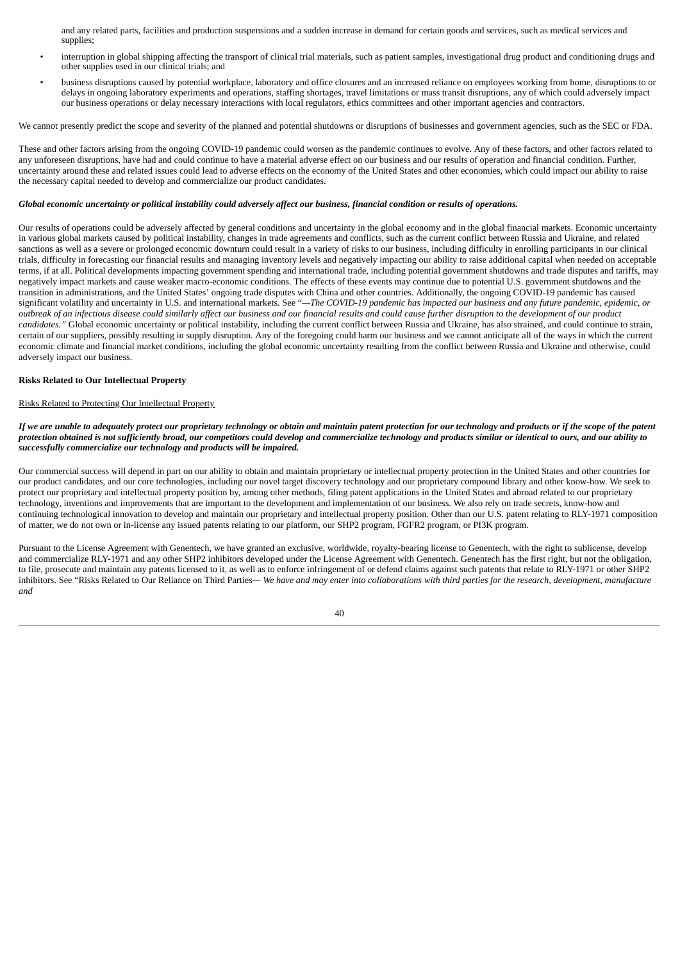and any related parts, facilities and production suspensions and a sudden increase in demand for certain goods and services, such as medical services and supplies;

- interruption in global shipping affecting the transport of clinical trial materials, such as patient samples, investigational drug product and conditioning drugs and other supplies used in our clinical trials; and
- business disruptions caused by potential workplace, laboratory and office closures and an increased reliance on employees working from home, disruptions to or delays in ongoing laboratory experiments and operations, staffing shortages, travel limitations or mass transit disruptions, any of which could adversely impact our business operations or delay necessary interactions with local regulators, ethics committees and other important agencies and contractors.

We cannot presently predict the scope and severity of the planned and potential shutdowns or disruptions of businesses and government agencies, such as the SEC or FDA.

These and other factors arising from the ongoing COVID-19 pandemic could worsen as the pandemic continues to evolve. Any of these factors, and other factors related to any unforeseen disruptions, have had and could continue to have a material adverse effect on our business and our results of operation and financial condition. Further, uncertainty around these and related issues could lead to adverse effects on the economy of the United States and other economies, which could impact our ability to raise the necessary capital needed to develop and commercialize our product candidates.

## *Global economic uncertainty or political instability could adversely affect our business, financial condition or results of operations.*

Our results of operations could be adversely affected by general conditions and uncertainty in the global economy and in the global financial markets. Economic uncertainty in various global markets caused by political instability, changes in trade agreements and conflicts, such as the current conflict between Russia and Ukraine, and related sanctions as well as a severe or prolonged economic downturn could result in a variety of risks to our business, including difficulty in enrolling participants in our clinical trials, difficulty in forecasting our financial results and managing inventory levels and negatively impacting our ability to raise additional capital when needed on acceptable terms, if at all. Political developments impacting government spending and international trade, including potential government shutdowns and trade disputes and tariffs, may negatively impact markets and cause weaker macro-economic conditions. The effects of these events may continue due to potential U.S. government shutdowns and the transition in administrations, and the United States' ongoing trade disputes with China and other countries. Additionally, the ongoing COVID-19 pandemic has caused significant volatility and uncertainty in U.S. and international markets. See "*—The COVID-19 pandemic has impacted our business and any future pandemic, epidemic, or outbreak of an infectious disease could similarly affect our business and our financial results and could cause further disruption to the development of our product candidates."* Global economic uncertainty or political instability, including the current conflict between Russia and Ukraine, has also strained, and could continue to strain, certain of our suppliers, possibly resulting in supply disruption. Any of the foregoing could harm our business and we cannot anticipate all of the ways in which the current economic climate and financial market conditions, including the global economic uncertainty resulting from the conflict between Russia and Ukraine and otherwise, could adversely impact our business.

#### **Risks Related to Our Intellectual Property**

## Risks Related to Protecting Our Intellectual Property

*If we are unable to adequately protect our proprietary technology or obtain and maintain patent protection for our technology and products or if the scope of the patent protection obtained is not sufficiently broad, our competitors could develop and commercialize technology and products similar or identical to ours, and our ability to successfully commercialize our technology and products will be impaired.*

Our commercial success will depend in part on our ability to obtain and maintain proprietary or intellectual property protection in the United States and other countries for our product candidates, and our core technologies, including our novel target discovery technology and our proprietary compound library and other know-how. We seek to protect our proprietary and intellectual property position by, among other methods, filing patent applications in the United States and abroad related to our proprietary technology, inventions and improvements that are important to the development and implementation of our business. We also rely on trade secrets, know-how and continuing technological innovation to develop and maintain our proprietary and intellectual property position. Other than our U.S. patent relating to RLY-1971 composition of matter, we do not own or in-license any issued patents relating to our platform, our SHP2 program, FGFR2 program, or PI3K program.

Pursuant to the License Agreement with Genentech, we have granted an exclusive, worldwide, royalty-bearing license to Genentech, with the right to sublicense, develop and commercialize RLY-1971 and any other SHP2 inhibitors developed under the License Agreement with Genentech. Genentech has the first right, but not the obligation, to file, prosecute and maintain any patents licensed to it, as well as to enforce infringement of or defend claims against such patents that relate to RLY-1971 or other SHP2 inhibitors. See "Risks Related to Our Reliance on Third Parties*— We have and may enter into collaborations with third parties for the research, development, manufacture and*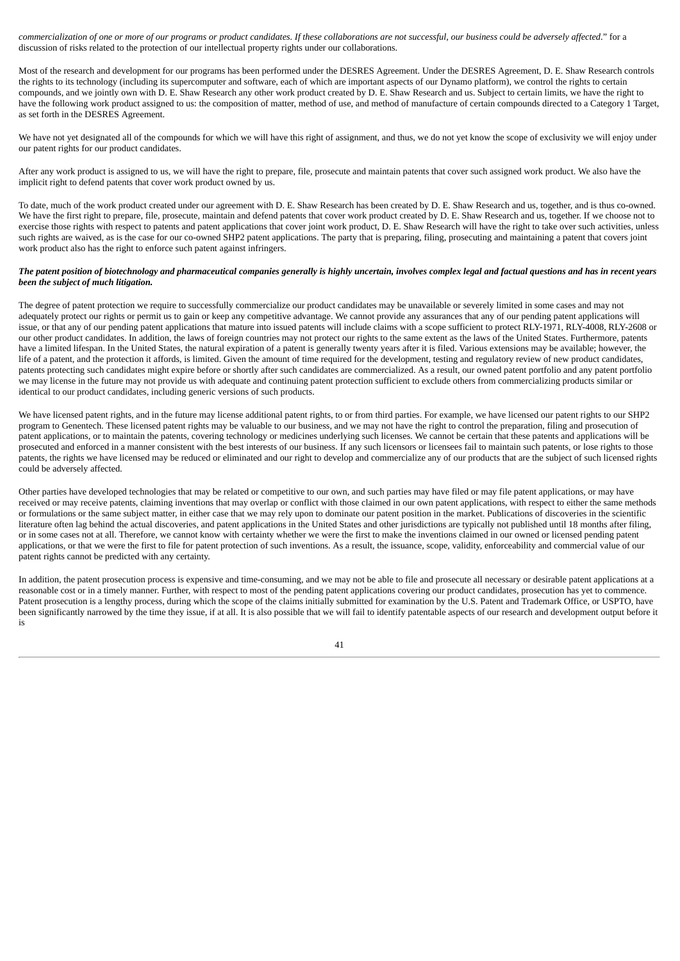*commercialization of one or more of our programs or product candidates. If these collaborations are not successful, our business could be adversely affected*." for a discussion of risks related to the protection of our intellectual property rights under our collaborations.

Most of the research and development for our programs has been performed under the DESRES Agreement. Under the DESRES Agreement, D. E. Shaw Research controls the rights to its technology (including its supercomputer and software, each of which are important aspects of our Dynamo platform), we control the rights to certain compounds, and we jointly own with D. E. Shaw Research any other work product created by D. E. Shaw Research and us. Subject to certain limits, we have the right to have the following work product assigned to us: the composition of matter, method of use, and method of manufacture of certain compounds directed to a Category 1 Target, as set forth in the DESRES Agreement.

We have not yet designated all of the compounds for which we will have this right of assignment, and thus, we do not yet know the scope of exclusivity we will enjoy under our patent rights for our product candidates.

After any work product is assigned to us, we will have the right to prepare, file, prosecute and maintain patents that cover such assigned work product. We also have the implicit right to defend patents that cover work product owned by us.

To date, much of the work product created under our agreement with D. E. Shaw Research has been created by D. E. Shaw Research and us, together, and is thus co-owned. We have the first right to prepare, file, prosecute, maintain and defend patents that cover work product created by D. E. Shaw Research and us, together. If we choose not to exercise those rights with respect to patents and patent applications that cover joint work product, D. E. Shaw Research will have the right to take over such activities, unless such rights are waived, as is the case for our co-owned SHP2 patent applications. The party that is preparing, filing, prosecuting and maintaining a patent that covers joint work product also has the right to enforce such patent against infringers.

#### *The patent position of biotechnology and pharmaceutical companies generally is highly uncertain, involves complex legal and factual questions and has in recent years been the subject of much litigation.*

The degree of patent protection we require to successfully commercialize our product candidates may be unavailable or severely limited in some cases and may not adequately protect our rights or permit us to gain or keep any competitive advantage. We cannot provide any assurances that any of our pending patent applications will issue, or that any of our pending patent applications that mature into issued patents will include claims with a scope sufficient to protect RLY-1971, RLY-4008, RLY-2608 or our other product candidates. In addition, the laws of foreign countries may not protect our rights to the same extent as the laws of the United States. Furthermore, patents have a limited lifespan. In the United States, the natural expiration of a patent is generally twenty years after it is filed. Various extensions may be available; however, the life of a patent, and the protection it affords, is limited. Given the amount of time required for the development, testing and regulatory review of new product candidates, patents protecting such candidates might expire before or shortly after such candidates are commercialized. As a result, our owned patent portfolio and any patent portfolio we may license in the future may not provide us with adequate and continuing patent protection sufficient to exclude others from commercializing products similar or identical to our product candidates, including generic versions of such products.

We have licensed patent rights, and in the future may license additional patent rights, to or from third parties. For example, we have licensed our patent rights to our SHP2 program to Genentech. These licensed patent rights may be valuable to our business, and we may not have the right to control the preparation, filing and prosecution of patent applications, or to maintain the patents, covering technology or medicines underlying such licenses. We cannot be certain that these patents and applications will be prosecuted and enforced in a manner consistent with the best interests of our business. If any such licensors or licensees fail to maintain such patents, or lose rights to those patents, the rights we have licensed may be reduced or eliminated and our right to develop and commercialize any of our products that are the subject of such licensed rights could be adversely affected.

Other parties have developed technologies that may be related or competitive to our own, and such parties may have filed or may file patent applications, or may have received or may receive patents, claiming inventions that may overlap or conflict with those claimed in our own patent applications, with respect to either the same methods or formulations or the same subject matter, in either case that we may rely upon to dominate our patent position in the market. Publications of discoveries in the scientific literature often lag behind the actual discoveries, and patent applications in the United States and other jurisdictions are typically not published until 18 months after filing, or in some cases not at all. Therefore, we cannot know with certainty whether we were the first to make the inventions claimed in our owned or licensed pending patent applications, or that we were the first to file for patent protection of such inventions. As a result, the issuance, scope, validity, enforceability and commercial value of our patent rights cannot be predicted with any certainty.

In addition, the patent prosecution process is expensive and time-consuming, and we may not be able to file and prosecute all necessary or desirable patent applications at a reasonable cost or in a timely manner. Further, with respect to most of the pending patent applications covering our product candidates, prosecution has yet to commence. Patent prosecution is a lengthy process, during which the scope of the claims initially submitted for examination by the U.S. Patent and Trademark Office, or USPTO, have been significantly narrowed by the time they issue, if at all. It is also possible that we will fail to identify patentable aspects of our research and development output before it is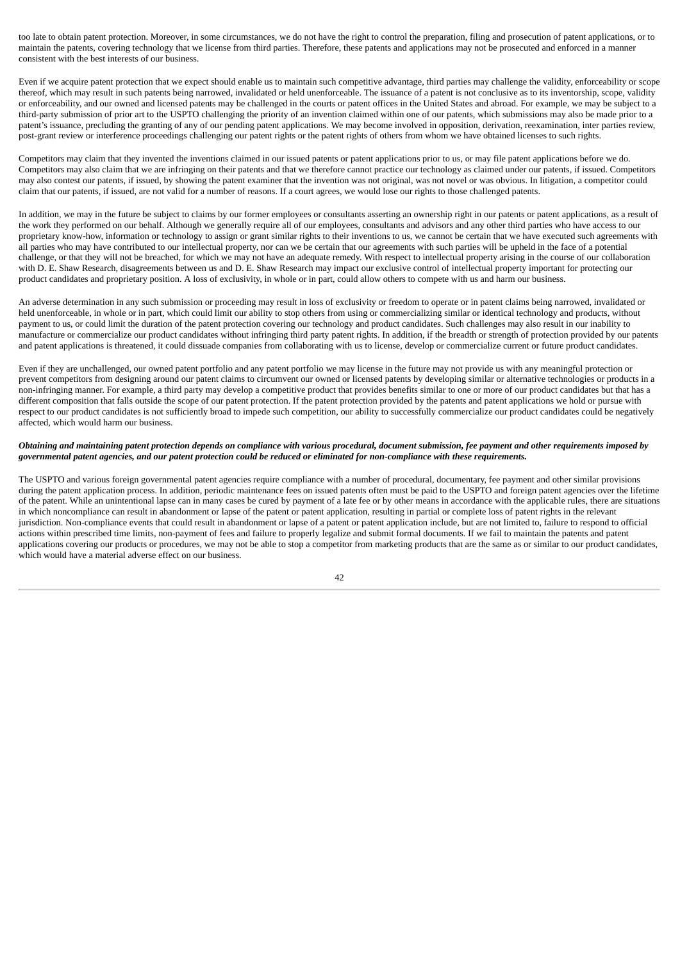too late to obtain patent protection. Moreover, in some circumstances, we do not have the right to control the preparation, filing and prosecution of patent applications, or to maintain the patents, covering technology that we license from third parties. Therefore, these patents and applications may not be prosecuted and enforced in a manner consistent with the best interests of our business.

Even if we acquire patent protection that we expect should enable us to maintain such competitive advantage, third parties may challenge the validity, enforceability or scope thereof, which may result in such patents being narrowed, invalidated or held unenforceable. The issuance of a patent is not conclusive as to its inventorship, scope, validity or enforceability, and our owned and licensed patents may be challenged in the courts or patent offices in the United States and abroad. For example, we may be subject to a third-party submission of prior art to the USPTO challenging the priority of an invention claimed within one of our patents, which submissions may also be made prior to a patent's issuance, precluding the granting of any of our pending patent applications. We may become involved in opposition, derivation, reexamination, inter parties review, post-grant review or interference proceedings challenging our patent rights or the patent rights of others from whom we have obtained licenses to such rights.

Competitors may claim that they invented the inventions claimed in our issued patents or patent applications prior to us, or may file patent applications before we do. Competitors may also claim that we are infringing on their patents and that we therefore cannot practice our technology as claimed under our patents, if issued. Competitors may also contest our patents, if issued, by showing the patent examiner that the invention was not original, was not novel or was obvious. In litigation, a competitor could claim that our patents, if issued, are not valid for a number of reasons. If a court agrees, we would lose our rights to those challenged patents.

In addition, we may in the future be subject to claims by our former employees or consultants asserting an ownership right in our patents or patent applications, as a result of the work they performed on our behalf. Although we generally require all of our employees, consultants and advisors and any other third parties who have access to our proprietary know-how, information or technology to assign or grant similar rights to their inventions to us, we cannot be certain that we have executed such agreements with all parties who may have contributed to our intellectual property, nor can we be certain that our agreements with such parties will be upheld in the face of a potential challenge, or that they will not be breached, for which we may not have an adequate remedy. With respect to intellectual property arising in the course of our collaboration with D. E. Shaw Research, disagreements between us and D. E. Shaw Research may impact our exclusive control of intellectual property important for protecting our product candidates and proprietary position. A loss of exclusivity, in whole or in part, could allow others to compete with us and harm our business.

An adverse determination in any such submission or proceeding may result in loss of exclusivity or freedom to operate or in patent claims being narrowed, invalidated or held unenforceable, in whole or in part, which could limit our ability to stop others from using or commercializing similar or identical technology and products, without payment to us, or could limit the duration of the patent protection covering our technology and product candidates. Such challenges may also result in our inability to manufacture or commercialize our product candidates without infringing third party patent rights. In addition, if the breadth or strength of protection provided by our patents and patent applications is threatened, it could dissuade companies from collaborating with us to license, develop or commercialize current or future product candidates.

Even if they are unchallenged, our owned patent portfolio and any patent portfolio we may license in the future may not provide us with any meaningful protection or prevent competitors from designing around our patent claims to circumvent our owned or licensed patents by developing similar or alternative technologies or products in a non-infringing manner. For example, a third party may develop a competitive product that provides benefits similar to one or more of our product candidates but that has a different composition that falls outside the scope of our patent protection. If the patent protection provided by the patents and patent applications we hold or pursue with respect to our product candidates is not sufficiently broad to impede such competition, our ability to successfully commercialize our product candidates could be negatively affected, which would harm our business.

## *Obtaining and maintaining patent protection depends on compliance with various procedural, document submission, fee payment and other requirements imposed by governmental patent agencies, and our patent protection could be reduced or eliminated for non-compliance with these requirements.*

The USPTO and various foreign governmental patent agencies require compliance with a number of procedural, documentary, fee payment and other similar provisions during the patent application process. In addition, periodic maintenance fees on issued patents often must be paid to the USPTO and foreign patent agencies over the lifetime of the patent. While an unintentional lapse can in many cases be cured by payment of a late fee or by other means in accordance with the applicable rules, there are situations in which noncompliance can result in abandonment or lapse of the patent or patent application, resulting in partial or complete loss of patent rights in the relevant jurisdiction. Non-compliance events that could result in abandonment or lapse of a patent or patent application include, but are not limited to, failure to respond to official actions within prescribed time limits, non-payment of fees and failure to properly legalize and submit formal documents. If we fail to maintain the patents and patent applications covering our products or procedures, we may not be able to stop a competitor from marketing products that are the same as or similar to our product candidates, which would have a material adverse effect on our business.

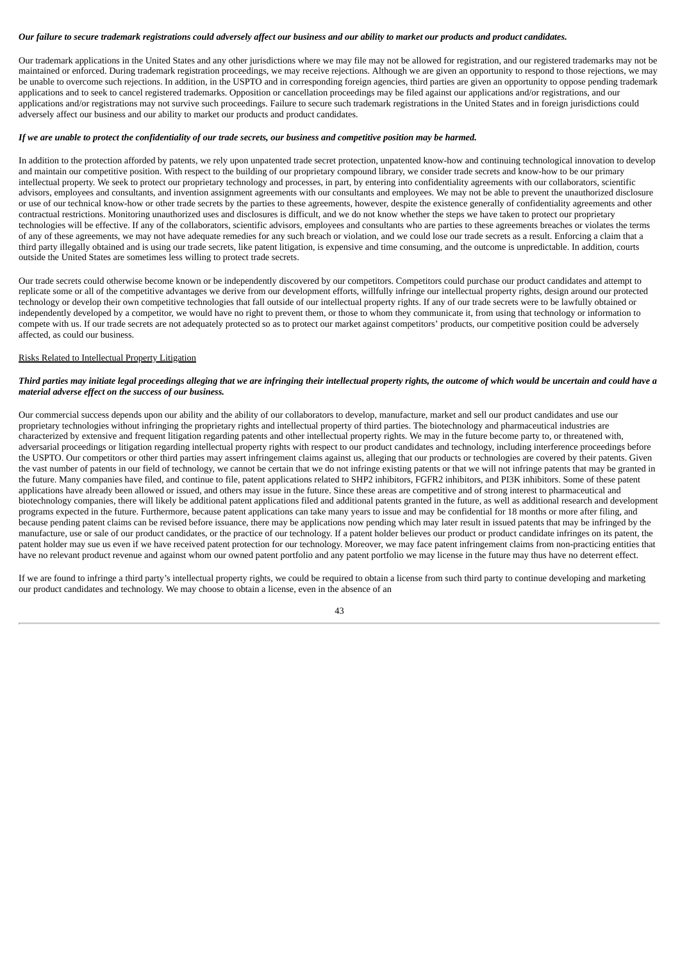#### *Our failure to secure trademark registrations could adversely affect our business and our ability to market our products and product candidates.*

Our trademark applications in the United States and any other jurisdictions where we may file may not be allowed for registration, and our registered trademarks may not be maintained or enforced. During trademark registration proceedings, we may receive rejections. Although we are given an opportunity to respond to those rejections, we may be unable to overcome such rejections. In addition, in the USPTO and in corresponding foreign agencies, third parties are given an opportunity to oppose pending trademark applications and to seek to cancel registered trademarks. Opposition or cancellation proceedings may be filed against our applications and/or registrations, and our applications and/or registrations may not survive such proceedings. Failure to secure such trademark registrations in the United States and in foreign jurisdictions could adversely affect our business and our ability to market our products and product candidates.

#### *If we are unable to protect the confidentiality of our trade secrets, our business and competitive position may be harmed.*

In addition to the protection afforded by patents, we rely upon unpatented trade secret protection, unpatented know-how and continuing technological innovation to develop and maintain our competitive position. With respect to the building of our proprietary compound library, we consider trade secrets and know-how to be our primary intellectual property. We seek to protect our proprietary technology and processes, in part, by entering into confidentiality agreements with our collaborators, scientific advisors, employees and consultants, and invention assignment agreements with our consultants and employees. We may not be able to prevent the unauthorized disclosure or use of our technical know-how or other trade secrets by the parties to these agreements, however, despite the existence generally of confidentiality agreements and other contractual restrictions. Monitoring unauthorized uses and disclosures is difficult, and we do not know whether the steps we have taken to protect our proprietary technologies will be effective. If any of the collaborators, scientific advisors, employees and consultants who are parties to these agreements breaches or violates the terms of any of these agreements, we may not have adequate remedies for any such breach or violation, and we could lose our trade secrets as a result. Enforcing a claim that a third party illegally obtained and is using our trade secrets, like patent litigation, is expensive and time consuming, and the outcome is unpredictable. In addition, courts outside the United States are sometimes less willing to protect trade secrets.

Our trade secrets could otherwise become known or be independently discovered by our competitors. Competitors could purchase our product candidates and attempt to replicate some or all of the competitive advantages we derive from our development efforts, willfully infringe our intellectual property rights, design around our protected technology or develop their own competitive technologies that fall outside of our intellectual property rights. If any of our trade secrets were to be lawfully obtained or independently developed by a competitor, we would have no right to prevent them, or those to whom they communicate it, from using that technology or information to compete with us. If our trade secrets are not adequately protected so as to protect our market against competitors' products, our competitive position could be adversely affected, as could our business.

## Risks Related to Intellectual Property Litigation

### *Third parties may initiate legal proceedings alleging that we are infringing their intellectual property rights, the outcome of which would be uncertain and could have a material adverse effect on the success of our business.*

Our commercial success depends upon our ability and the ability of our collaborators to develop, manufacture, market and sell our product candidates and use our proprietary technologies without infringing the proprietary rights and intellectual property of third parties. The biotechnology and pharmaceutical industries are characterized by extensive and frequent litigation regarding patents and other intellectual property rights. We may in the future become party to, or threatened with, adversarial proceedings or litigation regarding intellectual property rights with respect to our product candidates and technology, including interference proceedings before the USPTO. Our competitors or other third parties may assert infringement claims against us, alleging that our products or technologies are covered by their patents. Given the vast number of patents in our field of technology, we cannot be certain that we do not infringe existing patents or that we will not infringe patents that may be granted in the future. Many companies have filed, and continue to file, patent applications related to SHP2 inhibitors, FGFR2 inhibitors, and PI3K inhibitors. Some of these patent applications have already been allowed or issued, and others may issue in the future. Since these areas are competitive and of strong interest to pharmaceutical and biotechnology companies, there will likely be additional patent applications filed and additional patents granted in the future, as well as additional research and development programs expected in the future. Furthermore, because patent applications can take many years to issue and may be confidential for 18 months or more after filing, and because pending patent claims can be revised before issuance, there may be applications now pending which may later result in issued patents that may be infringed by the manufacture, use or sale of our product candidates, or the practice of our technology. If a patent holder believes our product or product candidate infringes on its patent, the patent holder may sue us even if we have received patent protection for our technology. Moreover, we may face patent infringement claims from non-practicing entities that have no relevant product revenue and against whom our owned patent portfolio and any patent portfolio we may license in the future may thus have no deterrent effect.

If we are found to infringe a third party's intellectual property rights, we could be required to obtain a license from such third party to continue developing and marketing our product candidates and technology. We may choose to obtain a license, even in the absence of an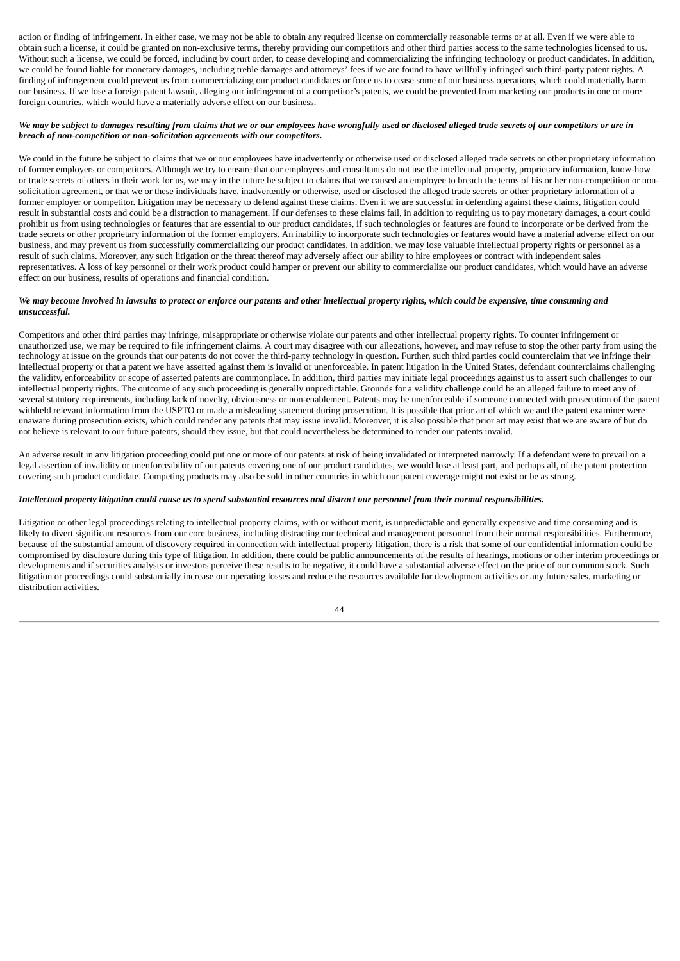action or finding of infringement. In either case, we may not be able to obtain any required license on commercially reasonable terms or at all. Even if we were able to obtain such a license, it could be granted on non-exclusive terms, thereby providing our competitors and other third parties access to the same technologies licensed to us. Without such a license, we could be forced, including by court order, to cease developing and commercializing the infringing technology or product candidates. In addition, we could be found liable for monetary damages, including treble damages and attorneys' fees if we are found to have willfully infringed such third-party patent rights. A finding of infringement could prevent us from commercializing our product candidates or force us to cease some of our business operations, which could materially harm our business. If we lose a foreign patent lawsuit, alleging our infringement of a competitor's patents, we could be prevented from marketing our products in one or more foreign countries, which would have a materially adverse effect on our business.

### *We may be subject to damages resulting from claims that we or our employees have wrongfully used or disclosed alleged trade secrets of our competitors or are in breach of non-competition or non-solicitation agreements with our competitors.*

We could in the future be subject to claims that we or our employees have inadvertently or otherwise used or disclosed alleged trade secrets or other proprietary information of former employers or competitors. Although we try to ensure that our employees and consultants do not use the intellectual property, proprietary information, know-how or trade secrets of others in their work for us, we may in the future be subject to claims that we caused an employee to breach the terms of his or her non-competition or nonsolicitation agreement, or that we or these individuals have, inadvertently or otherwise, used or disclosed the alleged trade secrets or other proprietary information of a former employer or competitor. Litigation may be necessary to defend against these claims. Even if we are successful in defending against these claims, litigation could result in substantial costs and could be a distraction to management. If our defenses to these claims fail, in addition to requiring us to pay monetary damages, a court could prohibit us from using technologies or features that are essential to our product candidates, if such technologies or features are found to incorporate or be derived from the trade secrets or other proprietary information of the former employers. An inability to incorporate such technologies or features would have a material adverse effect on our business, and may prevent us from successfully commercializing our product candidates. In addition, we may lose valuable intellectual property rights or personnel as a result of such claims. Moreover, any such litigation or the threat thereof may adversely affect our ability to hire employees or contract with independent sales representatives. A loss of key personnel or their work product could hamper or prevent our ability to commercialize our product candidates, which would have an adverse effect on our business, results of operations and financial condition.

## *We may become involved in lawsuits to protect or enforce our patents and other intellectual property rights, which could be expensive, time consuming and unsuccessful.*

Competitors and other third parties may infringe, misappropriate or otherwise violate our patents and other intellectual property rights. To counter infringement or unauthorized use, we may be required to file infringement claims. A court may disagree with our allegations, however, and may refuse to stop the other party from using the technology at issue on the grounds that our patents do not cover the third-party technology in question. Further, such third parties could counterclaim that we infringe their intellectual property or that a patent we have asserted against them is invalid or unenforceable. In patent litigation in the United States, defendant counterclaims challenging the validity, enforceability or scope of asserted patents are commonplace. In addition, third parties may initiate legal proceedings against us to assert such challenges to our intellectual property rights. The outcome of any such proceeding is generally unpredictable. Grounds for a validity challenge could be an alleged failure to meet any of several statutory requirements, including lack of novelty, obviousness or non-enablement. Patents may be unenforceable if someone connected with prosecution of the patent withheld relevant information from the USPTO or made a misleading statement during prosecution. It is possible that prior art of which we and the patent examiner were unaware during prosecution exists, which could render any patents that may issue invalid. Moreover, it is also possible that prior art may exist that we are aware of but do not believe is relevant to our future patents, should they issue, but that could nevertheless be determined to render our patents invalid.

An adverse result in any litigation proceeding could put one or more of our patents at risk of being invalidated or interpreted narrowly. If a defendant were to prevail on a legal assertion of invalidity or unenforceability of our patents covering one of our product candidates, we would lose at least part, and perhaps all, of the patent protection covering such product candidate. Competing products may also be sold in other countries in which our patent coverage might not exist or be as strong.

## *Intellectual property litigation could cause us to spend substantial resources and distract our personnel from their normal responsibilities.*

Litigation or other legal proceedings relating to intellectual property claims, with or without merit, is unpredictable and generally expensive and time consuming and is likely to divert significant resources from our core business, including distracting our technical and management personnel from their normal responsibilities. Furthermore, because of the substantial amount of discovery required in connection with intellectual property litigation, there is a risk that some of our confidential information could be compromised by disclosure during this type of litigation. In addition, there could be public announcements of the results of hearings, motions or other interim proceedings or developments and if securities analysts or investors perceive these results to be negative, it could have a substantial adverse effect on the price of our common stock. Such litigation or proceedings could substantially increase our operating losses and reduce the resources available for development activities or any future sales, marketing or distribution activities.

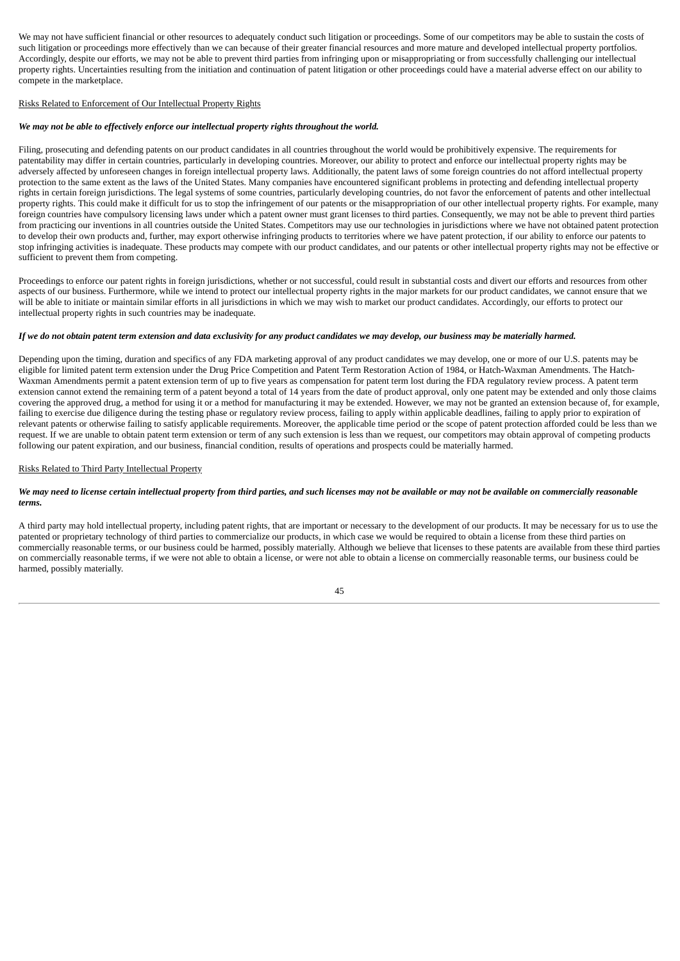We may not have sufficient financial or other resources to adequately conduct such litigation or proceedings. Some of our competitors may be able to sustain the costs of such litigation or proceedings more effectively than we can because of their greater financial resources and more mature and developed intellectual property portfolios. Accordingly, despite our efforts, we may not be able to prevent third parties from infringing upon or misappropriating or from successfully challenging our intellectual property rights. Uncertainties resulting from the initiation and continuation of patent litigation or other proceedings could have a material adverse effect on our ability to compete in the marketplace.

## Risks Related to Enforcement of Our Intellectual Property Rights

#### *We may not be able to effectively enforce our intellectual property rights throughout the world.*

Filing, prosecuting and defending patents on our product candidates in all countries throughout the world would be prohibitively expensive. The requirements for patentability may differ in certain countries, particularly in developing countries. Moreover, our ability to protect and enforce our intellectual property rights may be adversely affected by unforeseen changes in foreign intellectual property laws. Additionally, the patent laws of some foreign countries do not afford intellectual property protection to the same extent as the laws of the United States. Many companies have encountered significant problems in protecting and defending intellectual property rights in certain foreign jurisdictions. The legal systems of some countries, particularly developing countries, do not favor the enforcement of patents and other intellectual property rights. This could make it difficult for us to stop the infringement of our patents or the misappropriation of our other intellectual property rights. For example, many foreign countries have compulsory licensing laws under which a patent owner must grant licenses to third parties. Consequently, we may not be able to prevent third parties from practicing our inventions in all countries outside the United States. Competitors may use our technologies in jurisdictions where we have not obtained patent protection to develop their own products and, further, may export otherwise infringing products to territories where we have patent protection, if our ability to enforce our patents to stop infringing activities is inadequate. These products may compete with our product candidates, and our patents or other intellectual property rights may not be effective or sufficient to prevent them from competing.

Proceedings to enforce our patent rights in foreign jurisdictions, whether or not successful, could result in substantial costs and divert our efforts and resources from other aspects of our business. Furthermore, while we intend to protect our intellectual property rights in the major markets for our product candidates, we cannot ensure that we will be able to initiate or maintain similar efforts in all jurisdictions in which we may wish to market our product candidates. Accordingly, our efforts to protect our intellectual property rights in such countries may be inadequate.

### *If we do not obtain patent term extension and data exclusivity for any product candidates we may develop, our business may be materially harmed.*

Depending upon the timing, duration and specifics of any FDA marketing approval of any product candidates we may develop, one or more of our U.S. patents may be eligible for limited patent term extension under the Drug Price Competition and Patent Term Restoration Action of 1984, or Hatch-Waxman Amendments. The Hatch-Waxman Amendments permit a patent extension term of up to five years as compensation for patent term lost during the FDA regulatory review process. A patent term extension cannot extend the remaining term of a patent beyond a total of 14 years from the date of product approval, only one patent may be extended and only those claims covering the approved drug, a method for using it or a method for manufacturing it may be extended. However, we may not be granted an extension because of, for example, failing to exercise due diligence during the testing phase or regulatory review process, failing to apply within applicable deadlines, failing to apply prior to expiration of relevant patents or otherwise failing to satisfy applicable requirements. Moreover, the applicable time period or the scope of patent protection afforded could be less than we request. If we are unable to obtain patent term extension or term of any such extension is less than we request, our competitors may obtain approval of competing products following our patent expiration, and our business, financial condition, results of operations and prospects could be materially harmed.

## Risks Related to Third Party Intellectual Property

#### *We may need to license certain intellectual property from third parties, and such licenses may not be available or may not be available on commercially reasonable terms.*

A third party may hold intellectual property, including patent rights, that are important or necessary to the development of our products. It may be necessary for us to use the patented or proprietary technology of third parties to commercialize our products, in which case we would be required to obtain a license from these third parties on commercially reasonable terms, or our business could be harmed, possibly materially. Although we believe that licenses to these patents are available from these third parties on commercially reasonable terms, if we were not able to obtain a license, or were not able to obtain a license on commercially reasonable terms, our business could be harmed, possibly materially.

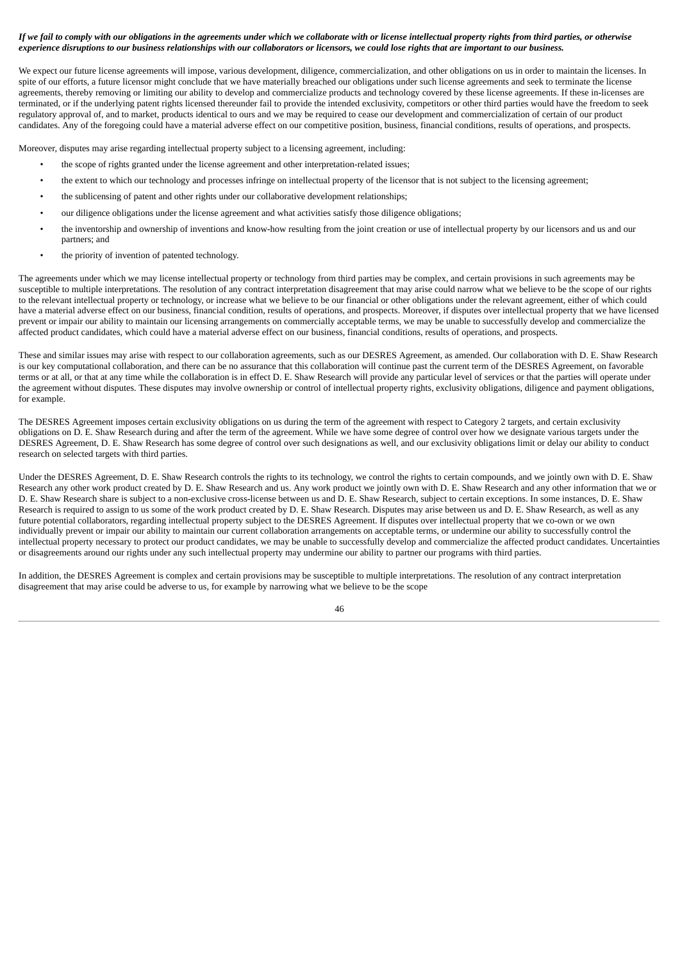## *If we fail to comply with our obligations in the agreements under which we collaborate with or license intellectual property rights from third parties, or otherwise experience disruptions to our business relationships with our collaborators or licensors, we could lose rights that are important to our business.*

We expect our future license agreements will impose, various development, diligence, commercialization, and other obligations on us in order to maintain the licenses. In spite of our efforts, a future licensor might conclude that we have materially breached our obligations under such license agreements and seek to terminate the license agreements, thereby removing or limiting our ability to develop and commercialize products and technology covered by these license agreements. If these in-licenses are terminated, or if the underlying patent rights licensed thereunder fail to provide the intended exclusivity, competitors or other third parties would have the freedom to seek regulatory approval of, and to market, products identical to ours and we may be required to cease our development and commercialization of certain of our product candidates. Any of the foregoing could have a material adverse effect on our competitive position, business, financial conditions, results of operations, and prospects.

Moreover, disputes may arise regarding intellectual property subject to a licensing agreement, including:

- the scope of rights granted under the license agreement and other interpretation-related issues;
- the extent to which our technology and processes infringe on intellectual property of the licensor that is not subject to the licensing agreement;
- the sublicensing of patent and other rights under our collaborative development relationships;
- our diligence obligations under the license agreement and what activities satisfy those diligence obligations;
- the inventorship and ownership of inventions and know-how resulting from the joint creation or use of intellectual property by our licensors and us and our partners; and
- the priority of invention of patented technology.

The agreements under which we may license intellectual property or technology from third parties may be complex, and certain provisions in such agreements may be susceptible to multiple interpretations. The resolution of any contract interpretation disagreement that may arise could narrow what we believe to be the scope of our rights to the relevant intellectual property or technology, or increase what we believe to be our financial or other obligations under the relevant agreement, either of which could have a material adverse effect on our business, financial condition, results of operations, and prospects. Moreover, if disputes over intellectual property that we have licensed prevent or impair our ability to maintain our licensing arrangements on commercially acceptable terms, we may be unable to successfully develop and commercialize the affected product candidates, which could have a material adverse effect on our business, financial conditions, results of operations, and prospects.

These and similar issues may arise with respect to our collaboration agreements, such as our DESRES Agreement, as amended. Our collaboration with D. E. Shaw Research is our key computational collaboration, and there can be no assurance that this collaboration will continue past the current term of the DESRES Agreement, on favorable terms or at all, or that at any time while the collaboration is in effect D. E. Shaw Research will provide any particular level of services or that the parties will operate under the agreement without disputes. These disputes may involve ownership or control of intellectual property rights, exclusivity obligations, diligence and payment obligations, for example.

The DESRES Agreement imposes certain exclusivity obligations on us during the term of the agreement with respect to Category 2 targets, and certain exclusivity obligations on D. E. Shaw Research during and after the term of the agreement. While we have some degree of control over how we designate various targets under the DESRES Agreement, D. E. Shaw Research has some degree of control over such designations as well, and our exclusivity obligations limit or delay our ability to conduct research on selected targets with third parties.

Under the DESRES Agreement, D. E. Shaw Research controls the rights to its technology, we control the rights to certain compounds, and we jointly own with D. E. Shaw Research any other work product created by D. E. Shaw Research and us. Any work product we jointly own with D. E. Shaw Research and any other information that we or D. E. Shaw Research share is subject to a non-exclusive cross-license between us and D. E. Shaw Research, subject to certain exceptions. In some instances, D. E. Shaw Research is required to assign to us some of the work product created by D. E. Shaw Research. Disputes may arise between us and D. E. Shaw Research, as well as any future potential collaborators, regarding intellectual property subject to the DESRES Agreement. If disputes over intellectual property that we co-own or we own individually prevent or impair our ability to maintain our current collaboration arrangements on acceptable terms, or undermine our ability to successfully control the intellectual property necessary to protect our product candidates, we may be unable to successfully develop and commercialize the affected product candidates. Uncertainties or disagreements around our rights under any such intellectual property may undermine our ability to partner our programs with third parties.

In addition, the DESRES Agreement is complex and certain provisions may be susceptible to multiple interpretations. The resolution of any contract interpretation disagreement that may arise could be adverse to us, for example by narrowing what we believe to be the scope

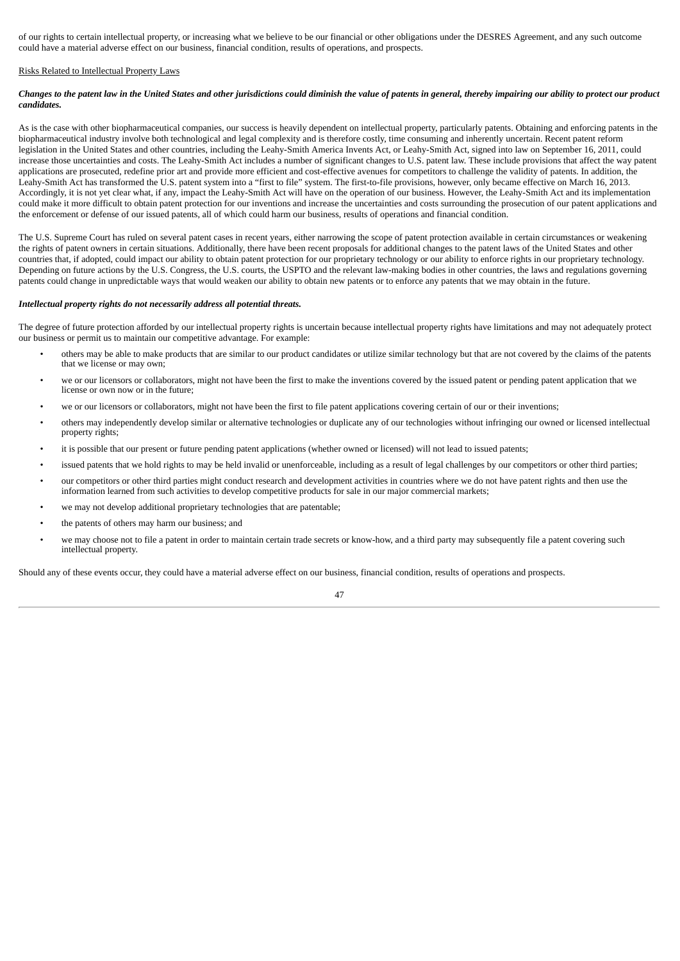of our rights to certain intellectual property, or increasing what we believe to be our financial or other obligations under the DESRES Agreement, and any such outcome could have a material adverse effect on our business, financial condition, results of operations, and prospects.

#### Risks Related to Intellectual Property Laws

### *Changes to the patent law in the United States and other jurisdictions could diminish the value of patents in general, thereby impairing our ability to protect our product candidates.*

As is the case with other biopharmaceutical companies, our success is heavily dependent on intellectual property, particularly patents. Obtaining and enforcing patents in the biopharmaceutical industry involve both technological and legal complexity and is therefore costly, time consuming and inherently uncertain. Recent patent reform legislation in the United States and other countries, including the Leahy-Smith America Invents Act, or Leahy-Smith Act, signed into law on September 16, 2011, could increase those uncertainties and costs. The Leahy-Smith Act includes a number of significant changes to U.S. patent law. These include provisions that affect the way patent applications are prosecuted, redefine prior art and provide more efficient and cost-effective avenues for competitors to challenge the validity of patents. In addition, the Leahy-Smith Act has transformed the U.S. patent system into a "first to file" system. The first-to-file provisions, however, only became effective on March 16, 2013. Accordingly, it is not yet clear what, if any, impact the Leahy-Smith Act will have on the operation of our business. However, the Leahy-Smith Act and its implementation could make it more difficult to obtain patent protection for our inventions and increase the uncertainties and costs surrounding the prosecution of our patent applications and the enforcement or defense of our issued patents, all of which could harm our business, results of operations and financial condition.

The U.S. Supreme Court has ruled on several patent cases in recent years, either narrowing the scope of patent protection available in certain circumstances or weakening the rights of patent owners in certain situations. Additionally, there have been recent proposals for additional changes to the patent laws of the United States and other countries that, if adopted, could impact our ability to obtain patent protection for our proprietary technology or our ability to enforce rights in our proprietary technology. Depending on future actions by the U.S. Congress, the U.S. courts, the USPTO and the relevant law-making bodies in other countries, the laws and regulations governing patents could change in unpredictable ways that would weaken our ability to obtain new patents or to enforce any patents that we may obtain in the future.

#### *Intellectual property rights do not necessarily address all potential threats.*

The degree of future protection afforded by our intellectual property rights is uncertain because intellectual property rights have limitations and may not adequately protect our business or permit us to maintain our competitive advantage. For example:

- others may be able to make products that are similar to our product candidates or utilize similar technology but that are not covered by the claims of the patents that we license or may own;
- we or our licensors or collaborators, might not have been the first to make the inventions covered by the issued patent or pending patent application that we license or own now or in the future;
- we or our licensors or collaborators, might not have been the first to file patent applications covering certain of our or their inventions;
- others may independently develop similar or alternative technologies or duplicate any of our technologies without infringing our owned or licensed intellectual property rights;
- it is possible that our present or future pending patent applications (whether owned or licensed) will not lead to issued patents;
- issued patents that we hold rights to may be held invalid or unenforceable, including as a result of legal challenges by our competitors or other third parties;
- our competitors or other third parties might conduct research and development activities in countries where we do not have patent rights and then use the information learned from such activities to develop competitive products for sale in our major commercial markets;
- we may not develop additional proprietary technologies that are patentable;
- the patents of others may harm our business; and
- we may choose not to file a patent in order to maintain certain trade secrets or know-how, and a third party may subsequently file a patent covering such intellectual property.

Should any of these events occur, they could have a material adverse effect on our business, financial condition, results of operations and prospects.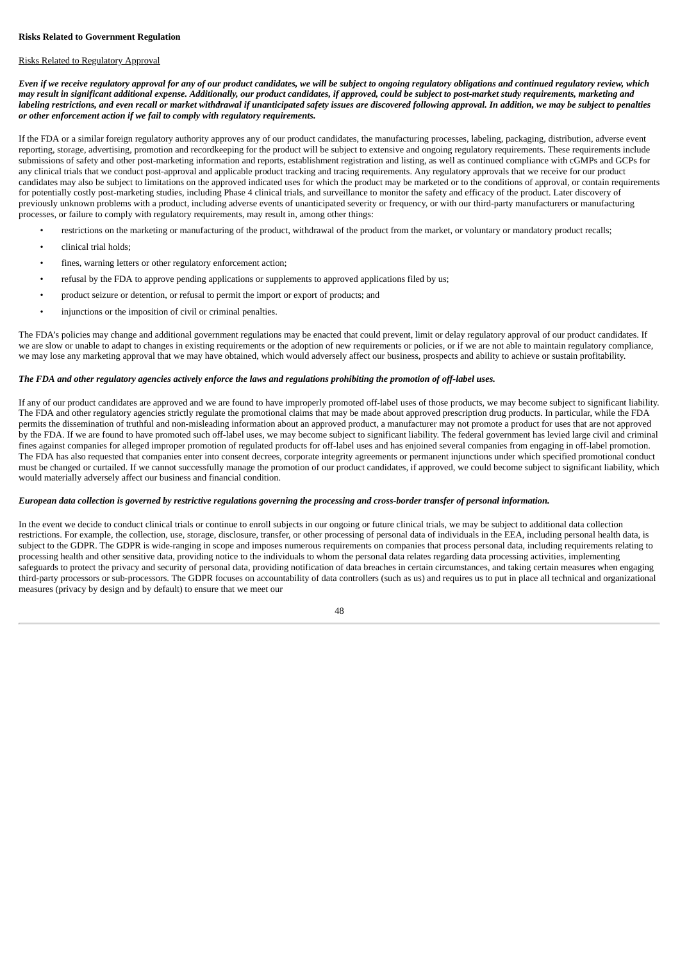## **Risks Related to Government Regulation**

#### Risks Related to Regulatory Approval

*Even if we receive regulatory approval for any of our product candidates, we will be subject to ongoing regulatory obligations and continued regulatory review, which may result in significant additional expense. Additionally, our product candidates, if approved, could be subject to post-market study requirements, marketing and labeling restrictions, and even recall or market withdrawal if unanticipated safety issues are discovered following approval. In addition, we may be subject to penalties or other enforcement action if we fail to comply with regulatory requirements.*

If the FDA or a similar foreign regulatory authority approves any of our product candidates, the manufacturing processes, labeling, packaging, distribution, adverse event reporting, storage, advertising, promotion and recordkeeping for the product will be subject to extensive and ongoing regulatory requirements. These requirements include submissions of safety and other post-marketing information and reports, establishment registration and listing, as well as continued compliance with cGMPs and GCPs for any clinical trials that we conduct post-approval and applicable product tracking and tracing requirements. Any regulatory approvals that we receive for our product candidates may also be subject to limitations on the approved indicated uses for which the product may be marketed or to the conditions of approval, or contain requirements for potentially costly post-marketing studies, including Phase 4 clinical trials, and surveillance to monitor the safety and efficacy of the product. Later discovery of previously unknown problems with a product, including adverse events of unanticipated severity or frequency, or with our third-party manufacturers or manufacturing processes, or failure to comply with regulatory requirements, may result in, among other things:

- restrictions on the marketing or manufacturing of the product, withdrawal of the product from the market, or voluntary or mandatory product recalls;
- clinical trial holds;
- fines, warning letters or other regulatory enforcement action;
- refusal by the FDA to approve pending applications or supplements to approved applications filed by us;
- product seizure or detention, or refusal to permit the import or export of products; and
- injunctions or the imposition of civil or criminal penalties.

The FDA's policies may change and additional government regulations may be enacted that could prevent, limit or delay regulatory approval of our product candidates. If we are slow or unable to adapt to changes in existing requirements or the adoption of new requirements or policies, or if we are not able to maintain regulatory compliance, we may lose any marketing approval that we may have obtained, which would adversely affect our business, prospects and ability to achieve or sustain profitability.

## *The FDA and other regulatory agencies actively enforce the laws and regulations prohibiting the promotion of off-label uses.*

If any of our product candidates are approved and we are found to have improperly promoted off-label uses of those products, we may become subject to significant liability. The FDA and other regulatory agencies strictly regulate the promotional claims that may be made about approved prescription drug products. In particular, while the FDA permits the dissemination of truthful and non-misleading information about an approved product, a manufacturer may not promote a product for uses that are not approved by the FDA. If we are found to have promoted such off-label uses, we may become subject to significant liability. The federal government has levied large civil and criminal fines against companies for alleged improper promotion of regulated products for off-label uses and has enjoined several companies from engaging in off-label promotion. The FDA has also requested that companies enter into consent decrees, corporate integrity agreements or permanent injunctions under which specified promotional conduct must be changed or curtailed. If we cannot successfully manage the promotion of our product candidates, if approved, we could become subject to significant liability, which would materially adversely affect our business and financial condition.

#### *European data collection is governed by restrictive regulations governing the processing and cross-border transfer of personal information.*

In the event we decide to conduct clinical trials or continue to enroll subjects in our ongoing or future clinical trials, we may be subject to additional data collection restrictions. For example, the collection, use, storage, disclosure, transfer, or other processing of personal data of individuals in the EEA, including personal health data, is subject to the GDPR. The GDPR is wide-ranging in scope and imposes numerous requirements on companies that process personal data, including requirements relating to processing health and other sensitive data, providing notice to the individuals to whom the personal data relates regarding data processing activities, implementing safeguards to protect the privacy and security of personal data, providing notification of data breaches in certain circumstances, and taking certain measures when engaging third-party processors or sub-processors. The GDPR focuses on accountability of data controllers (such as us) and requires us to put in place all technical and organizational measures (privacy by design and by default) to ensure that we meet our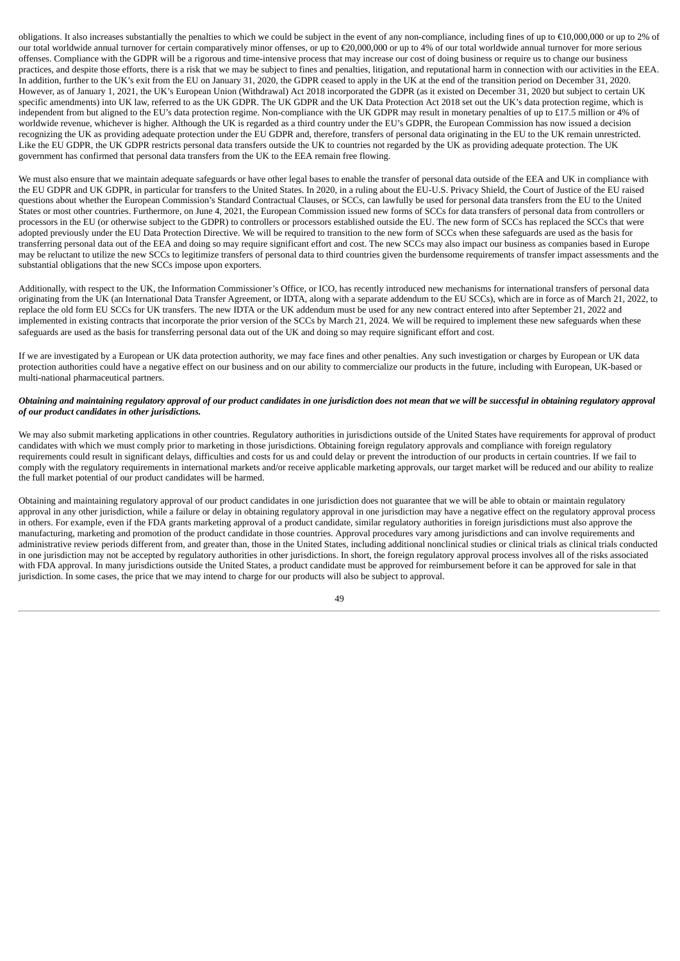obligations. It also increases substantially the penalties to which we could be subject in the event of any non-compliance, including fines of up to €10,000,000 or up to 2% of our total worldwide annual turnover for certain comparatively minor offenses, or up to €20,000,000 or up to 4% of our total worldwide annual turnover for more serious offenses. Compliance with the GDPR will be a rigorous and time-intensive process that may increase our cost of doing business or require us to change our business practices, and despite those efforts, there is a risk that we may be subject to fines and penalties, litigation, and reputational harm in connection with our activities in the EEA. In addition, further to the UK's exit from the EU on January 31, 2020, the GDPR ceased to apply in the UK at the end of the transition period on December 31, 2020. However, as of January 1, 2021, the UK's European Union (Withdrawal) Act 2018 incorporated the GDPR (as it existed on December 31, 2020 but subject to certain UK specific amendments) into UK law, referred to as the UK GDPR. The UK GDPR and the UK Data Protection Act 2018 set out the UK's data protection regime, which is independent from but aligned to the EU's data protection regime. Non-compliance with the UK GDPR may result in monetary penalties of up to £17.5 million or 4% of worldwide revenue, whichever is higher. Although the UK is regarded as a third country under the EU's GDPR, the European Commission has now issued a decision recognizing the UK as providing adequate protection under the EU GDPR and, therefore, transfers of personal data originating in the EU to the UK remain unrestricted. Like the EU GDPR, the UK GDPR restricts personal data transfers outside the UK to countries not regarded by the UK as providing adequate protection. The UK government has confirmed that personal data transfers from the UK to the EEA remain free flowing.

We must also ensure that we maintain adequate safeguards or have other legal bases to enable the transfer of personal data outside of the EEA and UK in compliance with the EU GDPR and UK GDPR, in particular for transfers to the United States. In 2020, in a ruling about the EU-U.S. Privacy Shield, the Court of Justice of the EU raised questions about whether the European Commission's Standard Contractual Clauses, or SCCs, can lawfully be used for personal data transfers from the EU to the United States or most other countries. Furthermore, on June 4, 2021, the European Commission issued new forms of SCCs for data transfers of personal data from controllers or processors in the EU (or otherwise subject to the GDPR) to controllers or processors established outside the EU. The new form of SCCs has replaced the SCCs that were adopted previously under the EU Data Protection Directive. We will be required to transition to the new form of SCCs when these safeguards are used as the basis for transferring personal data out of the EEA and doing so may require significant effort and cost. The new SCCs may also impact our business as companies based in Europe may be reluctant to utilize the new SCCs to legitimize transfers of personal data to third countries given the burdensome requirements of transfer impact assessments and the substantial obligations that the new SCCs impose upon exporters.

Additionally, with respect to the UK, the Information Commissioner's Office, or ICO, has recently introduced new mechanisms for international transfers of personal data originating from the UK (an International Data Transfer Agreement, or IDTA, along with a separate addendum to the EU SCCs), which are in force as of March 21, 2022, to replace the old form EU SCCs for UK transfers. The new IDTA or the UK addendum must be used for any new contract entered into after September 21, 2022 and implemented in existing contracts that incorporate the prior version of the SCCs by March 21, 2024. We will be required to implement these new safeguards when these safeguards are used as the basis for transferring personal data out of the UK and doing so may require significant effort and cost.

If we are investigated by a European or UK data protection authority, we may face fines and other penalties. Any such investigation or charges by European or UK data protection authorities could have a negative effect on our business and on our ability to commercialize our products in the future, including with European, UK-based or multi-national pharmaceutical partners.

## *Obtaining and maintaining regulatory approval of our product candidates in one jurisdiction does not mean that we will be successful in obtaining regulatory approval of our product candidates in other jurisdictions.*

We may also submit marketing applications in other countries. Regulatory authorities in jurisdictions outside of the United States have requirements for approval of product candidates with which we must comply prior to marketing in those jurisdictions. Obtaining foreign regulatory approvals and compliance with foreign regulatory requirements could result in significant delays, difficulties and costs for us and could delay or prevent the introduction of our products in certain countries. If we fail to comply with the regulatory requirements in international markets and/or receive applicable marketing approvals, our target market will be reduced and our ability to realize the full market potential of our product candidates will be harmed.

Obtaining and maintaining regulatory approval of our product candidates in one jurisdiction does not guarantee that we will be able to obtain or maintain regulatory approval in any other jurisdiction, while a failure or delay in obtaining regulatory approval in one jurisdiction may have a negative effect on the regulatory approval process in others. For example, even if the FDA grants marketing approval of a product candidate, similar regulatory authorities in foreign jurisdictions must also approve the manufacturing, marketing and promotion of the product candidate in those countries. Approval procedures vary among jurisdictions and can involve requirements and administrative review periods different from, and greater than, those in the United States, including additional nonclinical studies or clinical trials as clinical trials conducted in one jurisdiction may not be accepted by regulatory authorities in other jurisdictions. In short, the foreign regulatory approval process involves all of the risks associated with FDA approval. In many jurisdictions outside the United States, a product candidate must be approved for reimbursement before it can be approved for sale in that jurisdiction. In some cases, the price that we may intend to charge for our products will also be subject to approval.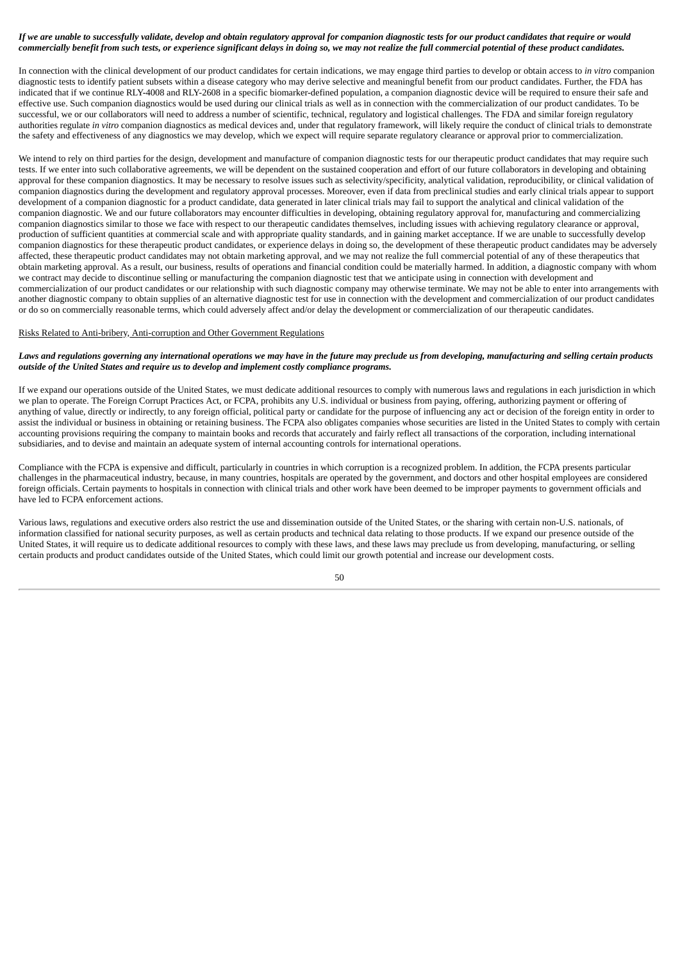## *If we are unable to successfully validate, develop and obtain regulatory approval for companion diagnostic tests for our product candidates that require or would commercially benefit from such tests, or experience significant delays in doing so, we may not realize the full commercial potential of these product candidates.*

In connection with the clinical development of our product candidates for certain indications, we may engage third parties to develop or obtain access to *in vitro* companion diagnostic tests to identify patient subsets within a disease category who may derive selective and meaningful benefit from our product candidates. Further, the FDA has indicated that if we continue RLY-4008 and RLY-2608 in a specific biomarker-defined population, a companion diagnostic device will be required to ensure their safe and effective use. Such companion diagnostics would be used during our clinical trials as well as in connection with the commercialization of our product candidates. To be successful, we or our collaborators will need to address a number of scientific, technical, regulatory and logistical challenges. The FDA and similar foreign regulatory authorities regulate *in vitro* companion diagnostics as medical devices and, under that regulatory framework, will likely require the conduct of clinical trials to demonstrate the safety and effectiveness of any diagnostics we may develop, which we expect will require separate regulatory clearance or approval prior to commercialization.

We intend to rely on third parties for the design, development and manufacture of companion diagnostic tests for our therapeutic product candidates that may require such tests. If we enter into such collaborative agreements, we will be dependent on the sustained cooperation and effort of our future collaborators in developing and obtaining approval for these companion diagnostics. It may be necessary to resolve issues such as selectivity/specificity, analytical validation, reproducibility, or clinical validation of companion diagnostics during the development and regulatory approval processes. Moreover, even if data from preclinical studies and early clinical trials appear to support development of a companion diagnostic for a product candidate, data generated in later clinical trials may fail to support the analytical and clinical validation of the companion diagnostic. We and our future collaborators may encounter difficulties in developing, obtaining regulatory approval for, manufacturing and commercializing companion diagnostics similar to those we face with respect to our therapeutic candidates themselves, including issues with achieving regulatory clearance or approval, production of sufficient quantities at commercial scale and with appropriate quality standards, and in gaining market acceptance. If we are unable to successfully develop companion diagnostics for these therapeutic product candidates, or experience delays in doing so, the development of these therapeutic product candidates may be adversely affected, these therapeutic product candidates may not obtain marketing approval, and we may not realize the full commercial potential of any of these therapeutics that obtain marketing approval. As a result, our business, results of operations and financial condition could be materially harmed. In addition, a diagnostic company with whom we contract may decide to discontinue selling or manufacturing the companion diagnostic test that we anticipate using in connection with development and commercialization of our product candidates or our relationship with such diagnostic company may otherwise terminate. We may not be able to enter into arrangements with another diagnostic company to obtain supplies of an alternative diagnostic test for use in connection with the development and commercialization of our product candidates or do so on commercially reasonable terms, which could adversely affect and/or delay the development or commercialization of our therapeutic candidates.

## Risks Related to Anti-bribery, Anti-corruption and Other Government Regulations

## *Laws and regulations governing any international operations we may have in the future may preclude us from developing, manufacturing and selling certain products outside of the United States and require us to develop and implement costly compliance programs.*

If we expand our operations outside of the United States, we must dedicate additional resources to comply with numerous laws and regulations in each jurisdiction in which we plan to operate. The Foreign Corrupt Practices Act, or FCPA, prohibits any U.S. individual or business from paying, offering, authorizing payment or offering of anything of value, directly or indirectly, to any foreign official, political party or candidate for the purpose of influencing any act or decision of the foreign entity in order to assist the individual or business in obtaining or retaining business. The FCPA also obligates companies whose securities are listed in the United States to comply with certain accounting provisions requiring the company to maintain books and records that accurately and fairly reflect all transactions of the corporation, including international subsidiaries, and to devise and maintain an adequate system of internal accounting controls for international operations.

Compliance with the FCPA is expensive and difficult, particularly in countries in which corruption is a recognized problem. In addition, the FCPA presents particular challenges in the pharmaceutical industry, because, in many countries, hospitals are operated by the government, and doctors and other hospital employees are considered foreign officials. Certain payments to hospitals in connection with clinical trials and other work have been deemed to be improper payments to government officials and have led to FCPA enforcement actions.

Various laws, regulations and executive orders also restrict the use and dissemination outside of the United States, or the sharing with certain non-U.S. nationals, of information classified for national security purposes, as well as certain products and technical data relating to those products. If we expand our presence outside of the United States, it will require us to dedicate additional resources to comply with these laws, and these laws may preclude us from developing, manufacturing, or selling certain products and product candidates outside of the United States, which could limit our growth potential and increase our development costs.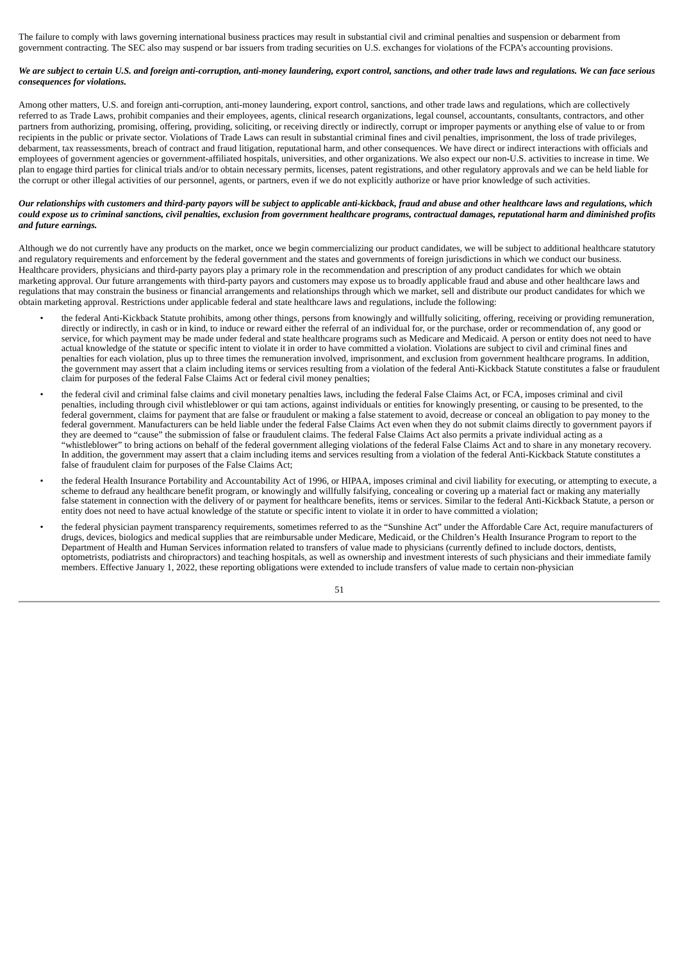The failure to comply with laws governing international business practices may result in substantial civil and criminal penalties and suspension or debarment from government contracting. The SEC also may suspend or bar issuers from trading securities on U.S. exchanges for violations of the FCPA's accounting provisions.

### *We are subject to certain U.S. and foreign anti-corruption, anti-money laundering, export control, sanctions, and other trade laws and regulations. We can face serious consequences for violations.*

Among other matters, U.S. and foreign anti-corruption, anti-money laundering, export control, sanctions, and other trade laws and regulations, which are collectively referred to as Trade Laws, prohibit companies and their employees, agents, clinical research organizations, legal counsel, accountants, consultants, contractors, and other partners from authorizing, promising, offering, providing, soliciting, or receiving directly or indirectly, corrupt or improper payments or anything else of value to or from recipients in the public or private sector. Violations of Trade Laws can result in substantial criminal fines and civil penalties, imprisonment, the loss of trade privileges, debarment, tax reassessments, breach of contract and fraud litigation, reputational harm, and other consequences. We have direct or indirect interactions with officials and employees of government agencies or government-affiliated hospitals, universities, and other organizations. We also expect our non-U.S. activities to increase in time. We plan to engage third parties for clinical trials and/or to obtain necessary permits, licenses, patent registrations, and other regulatory approvals and we can be held liable for the corrupt or other illegal activities of our personnel, agents, or partners, even if we do not explicitly authorize or have prior knowledge of such activities.

### *Our relationships with customers and third-party payors will be subject to applicable anti-kickback, fraud and abuse and other healthcare laws and regulations, which could expose us to criminal sanctions, civil penalties, exclusion from government healthcare programs, contractual damages, reputational harm and diminished profits and future earnings.*

Although we do not currently have any products on the market, once we begin commercializing our product candidates, we will be subject to additional healthcare statutory and regulatory requirements and enforcement by the federal government and the states and governments of foreign jurisdictions in which we conduct our business. Healthcare providers, physicians and third-party payors play a primary role in the recommendation and prescription of any product candidates for which we obtain marketing approval. Our future arrangements with third-party payors and customers may expose us to broadly applicable fraud and abuse and other healthcare laws and regulations that may constrain the business or financial arrangements and relationships through which we market, sell and distribute our product candidates for which we obtain marketing approval. Restrictions under applicable federal and state healthcare laws and regulations, include the following:

- the federal Anti-Kickback Statute prohibits, among other things, persons from knowingly and willfully soliciting, offering, receiving or providing remuneration, directly or indirectly, in cash or in kind, to induce or reward either the referral of an individual for, or the purchase, order or recommendation of, any good or service, for which payment may be made under federal and state healthcare programs such as Medicare and Medicaid. A person or entity does not need to have actual knowledge of the statute or specific intent to violate it in order to have committed a violation. Violations are subject to civil and criminal fines and penalties for each violation, plus up to three times the remuneration involved, imprisonment, and exclusion from government healthcare programs. In addition, the government may assert that a claim including items or services resulting from a violation of the federal Anti-Kickback Statute constitutes a false or fraudulent claim for purposes of the federal False Claims Act or federal civil money penalties;
- the federal civil and criminal false claims and civil monetary penalties laws, including the federal False Claims Act, or FCA, imposes criminal and civil penalties, including through civil whistleblower or qui tam actions, against individuals or entities for knowingly presenting, or causing to be presented, to the federal government, claims for payment that are false or fraudulent or making a false statement to avoid, decrease or conceal an obligation to pay money to the federal government. Manufacturers can be held liable under the federal False Claims Act even when they do not submit claims directly to government payors if they are deemed to "cause" the submission of false or fraudulent claims. The federal False Claims Act also permits a private individual acting as a "whistleblower" to bring actions on behalf of the federal government alleging violations of the federal False Claims Act and to share in any monetary recovery. In addition, the government may assert that a claim including items and services resulting from a violation of the federal Anti-Kickback Statute constitutes a false of fraudulent claim for purposes of the False Claims Act;
- the federal Health Insurance Portability and Accountability Act of 1996, or HIPAA, imposes criminal and civil liability for executing, or attempting to execute, a scheme to defraud any healthcare benefit program, or knowingly and willfully falsifying, concealing or covering up a material fact or making any materially false statement in connection with the delivery of or payment for healthcare benefits, items or services. Similar to the federal Anti-Kickback Statute, a person or entity does not need to have actual knowledge of the statute or specific intent to violate it in order to have committed a violation;
- the federal physician payment transparency requirements, sometimes referred to as the "Sunshine Act" under the Affordable Care Act, require manufacturers of drugs, devices, biologics and medical supplies that are reimbursable under Medicare, Medicaid, or the Children's Health Insurance Program to report to the Department of Health and Human Services information related to transfers of value made to physicians (currently defined to include doctors, dentists, optometrists, podiatrists and chiropractors) and teaching hospitals, as well as ownership and investment interests of such physicians and their immediate family members. Effective January 1, 2022, these reporting obligations were extended to include transfers of value made to certain non-physician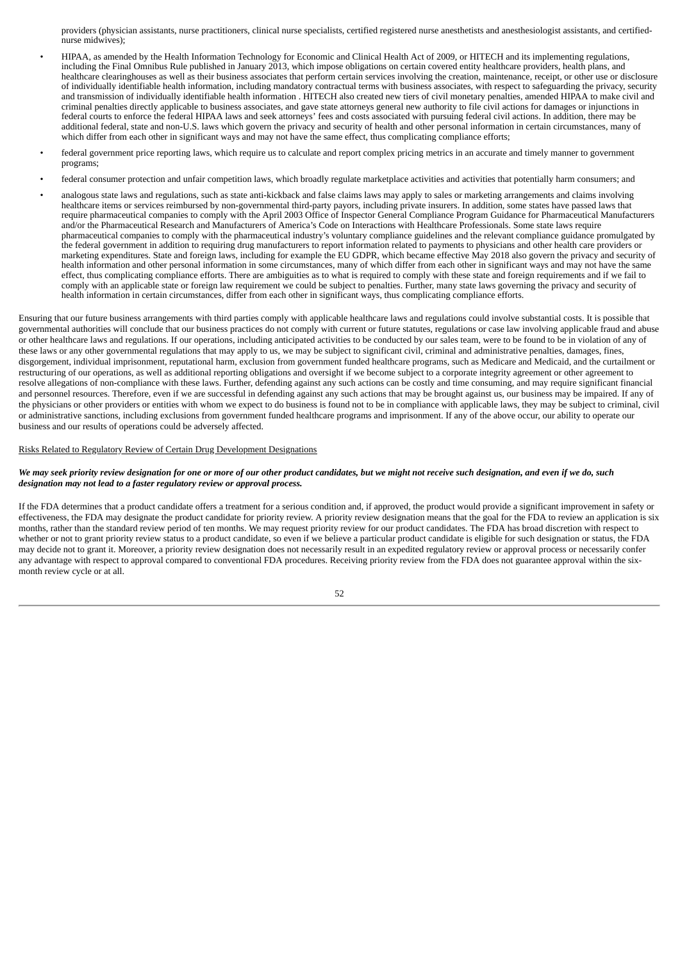providers (physician assistants, nurse practitioners, clinical nurse specialists, certified registered nurse anesthetists and anesthesiologist assistants, and certifiednurse midwives);

- HIPAA, as amended by the Health Information Technology for Economic and Clinical Health Act of 2009, or HITECH and its implementing regulations, including the Final Omnibus Rule published in January 2013, which impose obligations on certain covered entity healthcare providers, health plans, and healthcare clearinghouses as well as their business associates that perform certain services involving the creation, maintenance, receipt, or other use or disclosure of individually identifiable health information, including mandatory contractual terms with business associates, with respect to safeguarding the privacy, security and transmission of individually identifiable health information . HITECH also created new tiers of civil monetary penalties, amended HIPAA to make civil and criminal penalties directly applicable to business associates, and gave state attorneys general new authority to file civil actions for damages or injunctions in federal courts to enforce the federal HIPAA laws and seek attorneys' fees and costs associated with pursuing federal civil actions. In addition, there may be additional federal, state and non-U.S. laws which govern the privacy and security of health and other personal information in certain circumstances, many of which differ from each other in significant ways and may not have the same effect, thus complicating compliance efforts;
- federal government price reporting laws, which require us to calculate and report complex pricing metrics in an accurate and timely manner to government programs;
- federal consumer protection and unfair competition laws, which broadly regulate marketplace activities and activities that potentially harm consumers; and
- analogous state laws and regulations, such as state anti-kickback and false claims laws may apply to sales or marketing arrangements and claims involving healthcare items or services reimbursed by non-governmental third-party payors, including private insurers. In addition, some states have passed laws that require pharmaceutical companies to comply with the April 2003 Office of Inspector General Compliance Program Guidance for Pharmaceutical Manufacturers and/or the Pharmaceutical Research and Manufacturers of America's Code on Interactions with Healthcare Professionals. Some state laws require pharmaceutical companies to comply with the pharmaceutical industry's voluntary compliance guidelines and the relevant compliance guidance promulgated by the federal government in addition to requiring drug manufacturers to report information related to payments to physicians and other health care providers or marketing expenditures. State and foreign laws, including for example the EU GDPR, which became effective May 2018 also govern the privacy and security of health information and other personal information in some circumstances, many of which differ from each other in significant ways and may not have the same effect, thus complicating compliance efforts. There are ambiguities as to what is required to comply with these state and foreign requirements and if we fail to comply with an applicable state or foreign law requirement we could be subject to penalties. Further, many state laws governing the privacy and security of health information in certain circumstances, differ from each other in significant ways, thus complicating compliance efforts.

Ensuring that our future business arrangements with third parties comply with applicable healthcare laws and regulations could involve substantial costs. It is possible that governmental authorities will conclude that our business practices do not comply with current or future statutes, regulations or case law involving applicable fraud and abuse or other healthcare laws and regulations. If our operations, including anticipated activities to be conducted by our sales team, were to be found to be in violation of any of these laws or any other governmental regulations that may apply to us, we may be subject to significant civil, criminal and administrative penalties, damages, fines, disgorgement, individual imprisonment, reputational harm, exclusion from government funded healthcare programs, such as Medicare and Medicaid, and the curtailment or restructuring of our operations, as well as additional reporting obligations and oversight if we become subject to a corporate integrity agreement or other agreement to resolve allegations of non-compliance with these laws. Further, defending against any such actions can be costly and time consuming, and may require significant financial and personnel resources. Therefore, even if we are successful in defending against any such actions that may be brought against us, our business may be impaired. If any of the physicians or other providers or entities with whom we expect to do business is found not to be in compliance with applicable laws, they may be subject to criminal, civil or administrative sanctions, including exclusions from government funded healthcare programs and imprisonment. If any of the above occur, our ability to operate our business and our results of operations could be adversely affected.

#### Risks Related to Regulatory Review of Certain Drug Development Designations

### *We may seek priority review designation for one or more of our other product candidates, but we might not receive such designation, and even if we do, such designation may not lead to a faster regulatory review or approval process.*

If the FDA determines that a product candidate offers a treatment for a serious condition and, if approved, the product would provide a significant improvement in safety or effectiveness, the FDA may designate the product candidate for priority review. A priority review designation means that the goal for the FDA to review an application is six months, rather than the standard review period of ten months. We may request priority review for our product candidates. The FDA has broad discretion with respect to whether or not to grant priority review status to a product candidate, so even if we believe a particular product candidate is eligible for such designation or status, the FDA may decide not to grant it. Moreover, a priority review designation does not necessarily result in an expedited regulatory review or approval process or necessarily confer any advantage with respect to approval compared to conventional FDA procedures. Receiving priority review from the FDA does not guarantee approval within the sixmonth review cycle or at all.

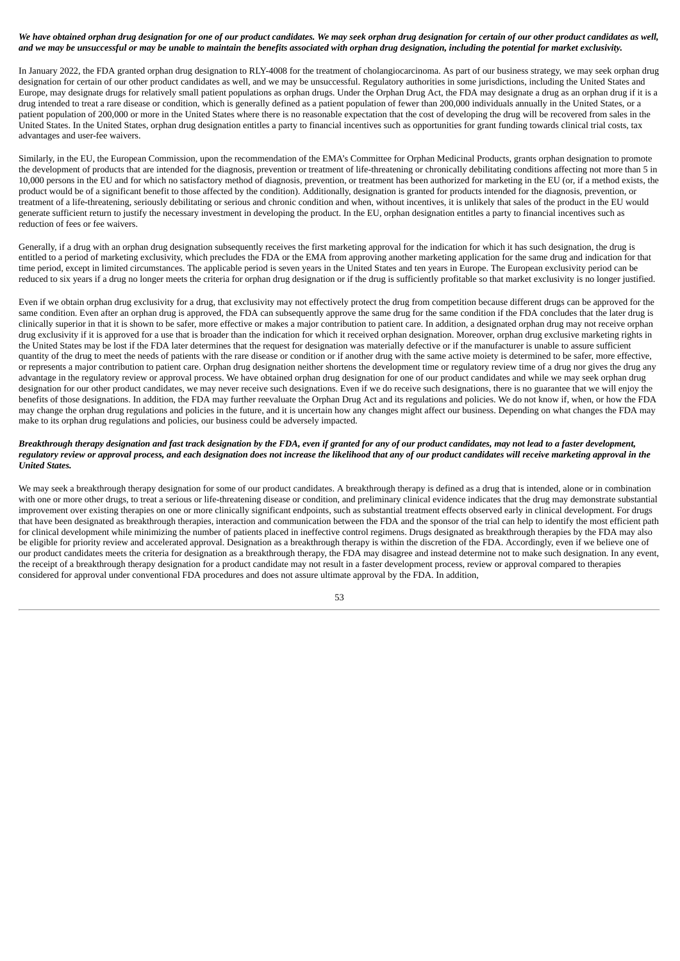## *We have obtained orphan drug designation for one of our product candidates. We may seek orphan drug designation for certain of our other product candidates as well, and we may be unsuccessful or may be unable to maintain the benefits associated with orphan drug designation, including the potential for market exclusivity.*

In January 2022, the FDA granted orphan drug designation to RLY-4008 for the treatment of cholangiocarcinoma. As part of our business strategy, we may seek orphan drug designation for certain of our other product candidates as well, and we may be unsuccessful. Regulatory authorities in some jurisdictions, including the United States and Europe, may designate drugs for relatively small patient populations as orphan drugs. Under the Orphan Drug Act, the FDA may designate a drug as an orphan drug if it is a drug intended to treat a rare disease or condition, which is generally defined as a patient population of fewer than 200,000 individuals annually in the United States, or a patient population of 200,000 or more in the United States where there is no reasonable expectation that the cost of developing the drug will be recovered from sales in the United States. In the United States, orphan drug designation entitles a party to financial incentives such as opportunities for grant funding towards clinical trial costs, tax advantages and user-fee waivers.

Similarly, in the EU, the European Commission, upon the recommendation of the EMA's Committee for Orphan Medicinal Products, grants orphan designation to promote the development of products that are intended for the diagnosis, prevention or treatment of life-threatening or chronically debilitating conditions affecting not more than 5 in 10,000 persons in the EU and for which no satisfactory method of diagnosis, prevention, or treatment has been authorized for marketing in the EU (or, if a method exists, the product would be of a significant benefit to those affected by the condition). Additionally, designation is granted for products intended for the diagnosis, prevention, or treatment of a life-threatening, seriously debilitating or serious and chronic condition and when, without incentives, it is unlikely that sales of the product in the EU would generate sufficient return to justify the necessary investment in developing the product. In the EU, orphan designation entitles a party to financial incentives such as reduction of fees or fee waivers.

Generally, if a drug with an orphan drug designation subsequently receives the first marketing approval for the indication for which it has such designation, the drug is entitled to a period of marketing exclusivity, which precludes the FDA or the EMA from approving another marketing application for the same drug and indication for that time period, except in limited circumstances. The applicable period is seven years in the United States and ten years in Europe. The European exclusivity period can be reduced to six years if a drug no longer meets the criteria for orphan drug designation or if the drug is sufficiently profitable so that market exclusivity is no longer justified.

Even if we obtain orphan drug exclusivity for a drug, that exclusivity may not effectively protect the drug from competition because different drugs can be approved for the same condition. Even after an orphan drug is approved, the FDA can subsequently approve the same drug for the same condition if the FDA concludes that the later drug is clinically superior in that it is shown to be safer, more effective or makes a major contribution to patient care. In addition, a designated orphan drug may not receive orphan drug exclusivity if it is approved for a use that is broader than the indication for which it received orphan designation. Moreover, orphan drug exclusive marketing rights in the United States may be lost if the FDA later determines that the request for designation was materially defective or if the manufacturer is unable to assure sufficient quantity of the drug to meet the needs of patients with the rare disease or condition or if another drug with the same active moiety is determined to be safer, more effective, or represents a major contribution to patient care. Orphan drug designation neither shortens the development time or regulatory review time of a drug nor gives the drug any advantage in the regulatory review or approval process. We have obtained orphan drug designation for one of our product candidates and while we may seek orphan drug designation for our other product candidates, we may never receive such designations. Even if we do receive such designations, there is no guarantee that we will enjoy the benefits of those designations. In addition, the FDA may further reevaluate the Orphan Drug Act and its regulations and policies. We do not know if, when, or how the FDA may change the orphan drug regulations and policies in the future, and it is uncertain how any changes might affect our business. Depending on what changes the FDA may make to its orphan drug regulations and policies, our business could be adversely impacted.

#### *Breakthrough therapy designation and fast track designation by the FDA, even if granted for any of our product candidates, may not lead to a faster development, regulatory review or approval process, and each designation does not increase the likelihood that any of our product candidates will receive marketing approval in the United States.*

We may seek a breakthrough therapy designation for some of our product candidates. A breakthrough therapy is defined as a drug that is intended, alone or in combination with one or more other drugs, to treat a serious or life-threatening disease or condition, and preliminary clinical evidence indicates that the drug may demonstrate substantial improvement over existing therapies on one or more clinically significant endpoints, such as substantial treatment effects observed early in clinical development. For drugs that have been designated as breakthrough therapies, interaction and communication between the FDA and the sponsor of the trial can help to identify the most efficient path for clinical development while minimizing the number of patients placed in ineffective control regimens. Drugs designated as breakthrough therapies by the FDA may also be eligible for priority review and accelerated approval. Designation as a breakthrough therapy is within the discretion of the FDA. Accordingly, even if we believe one of our product candidates meets the criteria for designation as a breakthrough therapy, the FDA may disagree and instead determine not to make such designation. In any event, the receipt of a breakthrough therapy designation for a product candidate may not result in a faster development process, review or approval compared to therapies considered for approval under conventional FDA procedures and does not assure ultimate approval by the FDA. In addition,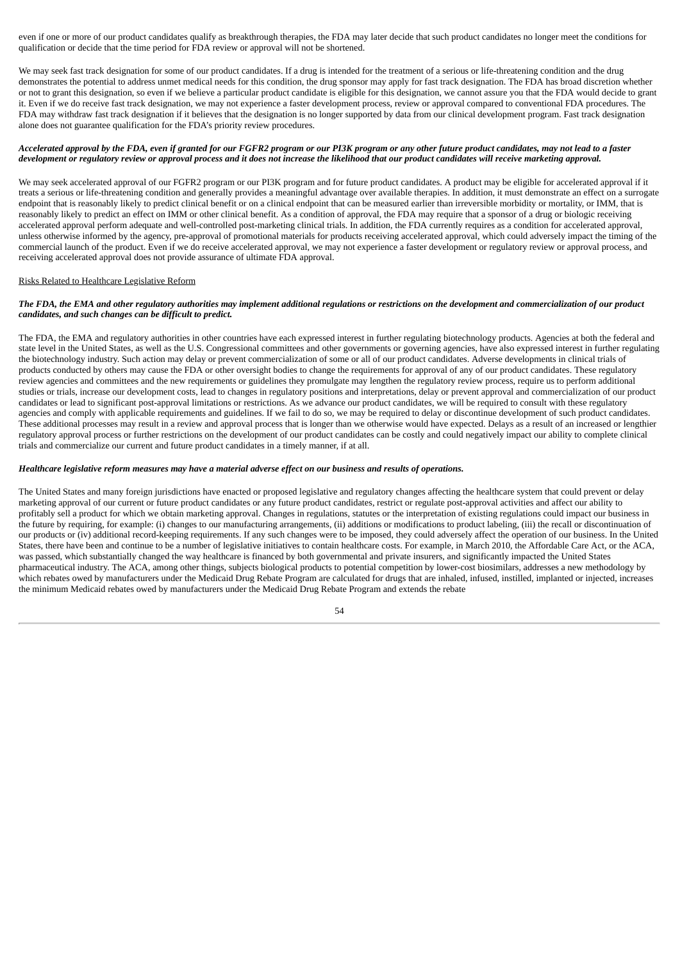even if one or more of our product candidates qualify as breakthrough therapies, the FDA may later decide that such product candidates no longer meet the conditions for qualification or decide that the time period for FDA review or approval will not be shortened.

We may seek fast track designation for some of our product candidates. If a drug is intended for the treatment of a serious or life-threatening condition and the drug demonstrates the potential to address unmet medical needs for this condition, the drug sponsor may apply for fast track designation. The FDA has broad discretion whether or not to grant this designation, so even if we believe a particular product candidate is eligible for this designation, we cannot assure you that the FDA would decide to grant it. Even if we do receive fast track designation, we may not experience a faster development process, review or approval compared to conventional FDA procedures. The FDA may withdraw fast track designation if it believes that the designation is no longer supported by data from our clinical development program. Fast track designation alone does not guarantee qualification for the FDA's priority review procedures.

## *Accelerated approval by the FDA, even if granted for our FGFR2 program or our PI3K program or any other future product candidates, may not lead to a faster development or regulatory review or approval process and it does not increase the likelihood that our product candidates will receive marketing approval.*

We may seek accelerated approval of our FGFR2 program or our PI3K program and for future product candidates. A product may be eligible for accelerated approval if it treats a serious or life-threatening condition and generally provides a meaningful advantage over available therapies. In addition, it must demonstrate an effect on a surrogate endpoint that is reasonably likely to predict clinical benefit or on a clinical endpoint that can be measured earlier than irreversible morbidity or mortality, or IMM, that is reasonably likely to predict an effect on IMM or other clinical benefit. As a condition of approval, the FDA may require that a sponsor of a drug or biologic receiving accelerated approval perform adequate and well-controlled post-marketing clinical trials. In addition, the FDA currently requires as a condition for accelerated approval, unless otherwise informed by the agency, pre-approval of promotional materials for products receiving accelerated approval, which could adversely impact the timing of the commercial launch of the product. Even if we do receive accelerated approval, we may not experience a faster development or regulatory review or approval process, and receiving accelerated approval does not provide assurance of ultimate FDA approval.

## Risks Related to Healthcare Legislative Reform

#### *The FDA, the EMA and other regulatory authorities may implement additional regulations or restrictions on the development and commercialization of our product candidates, and such changes can be difficult to predict.*

The FDA, the EMA and regulatory authorities in other countries have each expressed interest in further regulating biotechnology products. Agencies at both the federal and state level in the United States, as well as the U.S. Congressional committees and other governments or governing agencies, have also expressed interest in further regulating the biotechnology industry. Such action may delay or prevent commercialization of some or all of our product candidates. Adverse developments in clinical trials of products conducted by others may cause the FDA or other oversight bodies to change the requirements for approval of any of our product candidates. These regulatory review agencies and committees and the new requirements or guidelines they promulgate may lengthen the regulatory review process, require us to perform additional studies or trials, increase our development costs, lead to changes in regulatory positions and interpretations, delay or prevent approval and commercialization of our product candidates or lead to significant post-approval limitations or restrictions. As we advance our product candidates, we will be required to consult with these regulatory agencies and comply with applicable requirements and guidelines. If we fail to do so, we may be required to delay or discontinue development of such product candidates. These additional processes may result in a review and approval process that is longer than we otherwise would have expected. Delays as a result of an increased or lengthier regulatory approval process or further restrictions on the development of our product candidates can be costly and could negatively impact our ability to complete clinical trials and commercialize our current and future product candidates in a timely manner, if at all.

#### *Healthcare legislative reform measures may have a material adverse effect on our business and results of operations.*

The United States and many foreign jurisdictions have enacted or proposed legislative and regulatory changes affecting the healthcare system that could prevent or delay marketing approval of our current or future product candidates or any future product candidates, restrict or regulate post-approval activities and affect our ability to profitably sell a product for which we obtain marketing approval. Changes in regulations, statutes or the interpretation of existing regulations could impact our business in the future by requiring, for example: (i) changes to our manufacturing arrangements, (ii) additions or modifications to product labeling, (iii) the recall or discontinuation of our products or (iv) additional record-keeping requirements. If any such changes were to be imposed, they could adversely affect the operation of our business. In the United States, there have been and continue to be a number of legislative initiatives to contain healthcare costs. For example, in March 2010, the Affordable Care Act, or the ACA, was passed, which substantially changed the way healthcare is financed by both governmental and private insurers, and significantly impacted the United States pharmaceutical industry. The ACA, among other things, subjects biological products to potential competition by lower-cost biosimilars, addresses a new methodology by which rebates owed by manufacturers under the Medicaid Drug Rebate Program are calculated for drugs that are inhaled, infused, instilled, implanted or injected, increases the minimum Medicaid rebates owed by manufacturers under the Medicaid Drug Rebate Program and extends the rebate

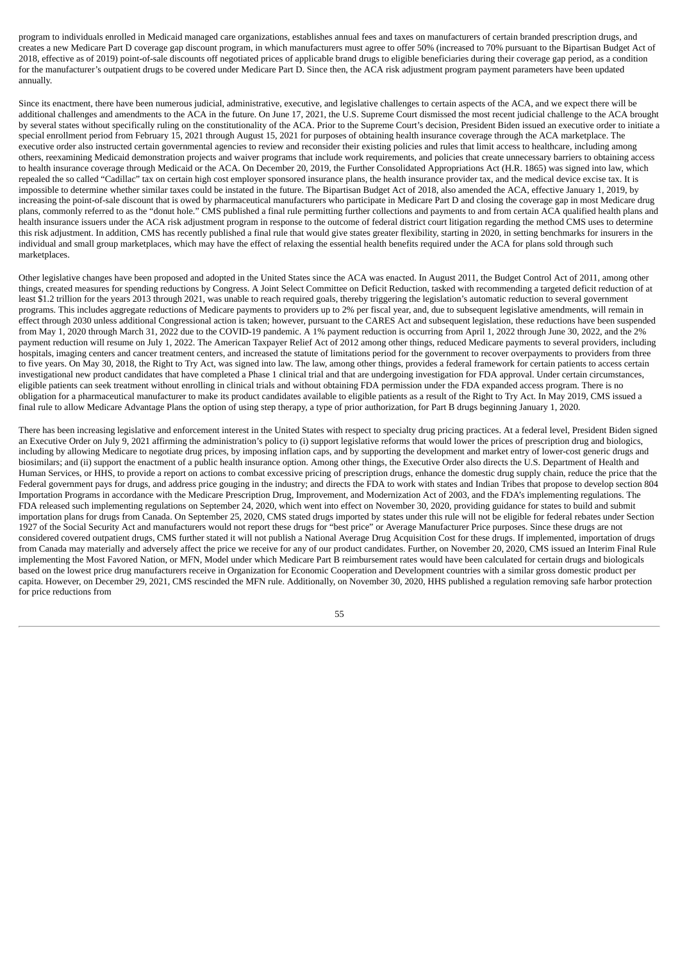program to individuals enrolled in Medicaid managed care organizations, establishes annual fees and taxes on manufacturers of certain branded prescription drugs, and creates a new Medicare Part D coverage gap discount program, in which manufacturers must agree to offer 50% (increased to 70% pursuant to the Bipartisan Budget Act of 2018, effective as of 2019) point-of-sale discounts off negotiated prices of applicable brand drugs to eligible beneficiaries during their coverage gap period, as a condition for the manufacturer's outpatient drugs to be covered under Medicare Part D. Since then, the ACA risk adjustment program payment parameters have been updated annually.

Since its enactment, there have been numerous judicial, administrative, executive, and legislative challenges to certain aspects of the ACA, and we expect there will be additional challenges and amendments to the ACA in the future. On June 17, 2021, the U.S. Supreme Court dismissed the most recent judicial challenge to the ACA brought by several states without specifically ruling on the constitutionality of the ACA. Prior to the Supreme Court's decision, President Biden issued an executive order to initiate a special enrollment period from February 15, 2021 through August 15, 2021 for purposes of obtaining health insurance coverage through the ACA marketplace. The executive order also instructed certain governmental agencies to review and reconsider their existing policies and rules that limit access to healthcare, including among others, reexamining Medicaid demonstration projects and waiver programs that include work requirements, and policies that create unnecessary barriers to obtaining access to health insurance coverage through Medicaid or the ACA. On December 20, 2019, the Further Consolidated Appropriations Act (H.R. 1865) was signed into law, which repealed the so called "Cadillac" tax on certain high cost employer sponsored insurance plans, the health insurance provider tax, and the medical device excise tax. It is impossible to determine whether similar taxes could be instated in the future. The Bipartisan Budget Act of 2018, also amended the ACA, effective January 1, 2019, by increasing the point-of-sale discount that is owed by pharmaceutical manufacturers who participate in Medicare Part D and closing the coverage gap in most Medicare drug plans, commonly referred to as the "donut hole." CMS published a final rule permitting further collections and payments to and from certain ACA qualified health plans and health insurance issuers under the ACA risk adjustment program in response to the outcome of federal district court litigation regarding the method CMS uses to determine this risk adjustment. In addition, CMS has recently published a final rule that would give states greater flexibility, starting in 2020, in setting benchmarks for insurers in the individual and small group marketplaces, which may have the effect of relaxing the essential health benefits required under the ACA for plans sold through such marketplaces.

Other legislative changes have been proposed and adopted in the United States since the ACA was enacted. In August 2011, the Budget Control Act of 2011, among other things, created measures for spending reductions by Congress. A Joint Select Committee on Deficit Reduction, tasked with recommending a targeted deficit reduction of at least \$1.2 trillion for the years 2013 through 2021, was unable to reach required goals, thereby triggering the legislation's automatic reduction to several government programs. This includes aggregate reductions of Medicare payments to providers up to 2% per fiscal year, and, due to subsequent legislative amendments, will remain in effect through 2030 unless additional Congressional action is taken; however, pursuant to the CARES Act and subsequent legislation, these reductions have been suspended from May 1, 2020 through March 31, 2022 due to the COVID-19 pandemic. A 1% payment reduction is occurring from April 1, 2022 through June 30, 2022, and the 2% payment reduction will resume on July 1, 2022. The American Taxpayer Relief Act of 2012 among other things, reduced Medicare payments to several providers, including hospitals, imaging centers and cancer treatment centers, and increased the statute of limitations period for the government to recover overpayments to providers from three to five years. On May 30, 2018, the Right to Try Act, was signed into law. The law, among other things, provides a federal framework for certain patients to access certain investigational new product candidates that have completed a Phase 1 clinical trial and that are undergoing investigation for FDA approval. Under certain circumstances, eligible patients can seek treatment without enrolling in clinical trials and without obtaining FDA permission under the FDA expanded access program. There is no obligation for a pharmaceutical manufacturer to make its product candidates available to eligible patients as a result of the Right to Try Act. In May 2019, CMS issued a final rule to allow Medicare Advantage Plans the option of using step therapy, a type of prior authorization, for Part B drugs beginning January 1, 2020.

There has been increasing legislative and enforcement interest in the United States with respect to specialty drug pricing practices. At a federal level, President Biden signed an Executive Order on July 9, 2021 affirming the administration's policy to (i) support legislative reforms that would lower the prices of prescription drug and biologics, including by allowing Medicare to negotiate drug prices, by imposing inflation caps, and by supporting the development and market entry of lower-cost generic drugs and biosimilars; and (ii) support the enactment of a public health insurance option. Among other things, the Executive Order also directs the U.S. Department of Health and Human Services, or HHS, to provide a report on actions to combat excessive pricing of prescription drugs, enhance the domestic drug supply chain, reduce the price that the Federal government pays for drugs, and address price gouging in the industry; and directs the FDA to work with states and Indian Tribes that propose to develop section 804 Importation Programs in accordance with the Medicare Prescription Drug, Improvement, and Modernization Act of 2003, and the FDA's implementing regulations. The FDA released such implementing regulations on September 24, 2020, which went into effect on November 30, 2020, providing guidance for states to build and submit importation plans for drugs from Canada. On September 25, 2020, CMS stated drugs imported by states under this rule will not be eligible for federal rebates under Section 1927 of the Social Security Act and manufacturers would not report these drugs for "best price" or Average Manufacturer Price purposes. Since these drugs are not considered covered outpatient drugs, CMS further stated it will not publish a National Average Drug Acquisition Cost for these drugs. If implemented, importation of drugs from Canada may materially and adversely affect the price we receive for any of our product candidates. Further, on November 20, 2020, CMS issued an Interim Final Rule implementing the Most Favored Nation, or MFN, Model under which Medicare Part B reimbursement rates would have been calculated for certain drugs and biologicals based on the lowest price drug manufacturers receive in Organization for Economic Cooperation and Development countries with a similar gross domestic product per capita. However, on December 29, 2021, CMS rescinded the MFN rule. Additionally, on November 30, 2020, HHS published a regulation removing safe harbor protection for price reductions from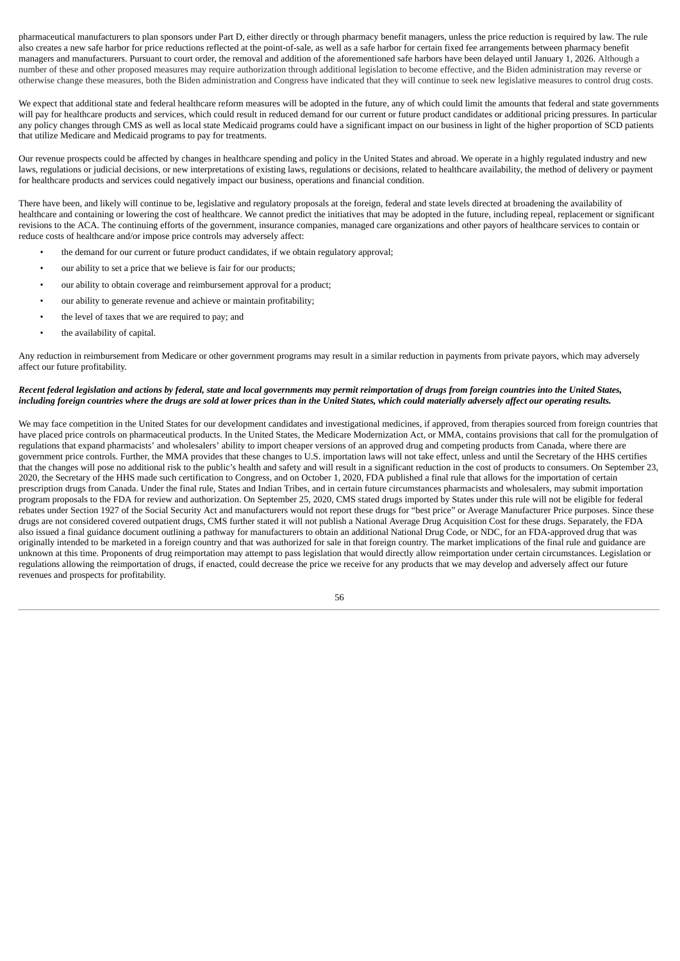pharmaceutical manufacturers to plan sponsors under Part D, either directly or through pharmacy benefit managers, unless the price reduction is required by law. The rule also creates a new safe harbor for price reductions reflected at the point-of-sale, as well as a safe harbor for certain fixed fee arrangements between pharmacy benefit managers and manufacturers. Pursuant to court order, the removal and addition of the aforementioned safe harbors have been delayed until January 1, 2026. Although a number of these and other proposed measures may require authorization through additional legislation to become effective, and the Biden administration may reverse or otherwise change these measures, both the Biden administration and Congress have indicated that they will continue to seek new legislative measures to control drug costs.

We expect that additional state and federal healthcare reform measures will be adopted in the future, any of which could limit the amounts that federal and state governments will pay for healthcare products and services, which could result in reduced demand for our current or future product candidates or additional pricing pressures. In particular any policy changes through CMS as well as local state Medicaid programs could have a significant impact on our business in light of the higher proportion of SCD patients that utilize Medicare and Medicaid programs to pay for treatments.

Our revenue prospects could be affected by changes in healthcare spending and policy in the United States and abroad. We operate in a highly regulated industry and new laws, regulations or judicial decisions, or new interpretations of existing laws, regulations or decisions, related to healthcare availability, the method of delivery or payment for healthcare products and services could negatively impact our business, operations and financial condition.

There have been, and likely will continue to be, legislative and regulatory proposals at the foreign, federal and state levels directed at broadening the availability of healthcare and containing or lowering the cost of healthcare. We cannot predict the initiatives that may be adopted in the future, including repeal, replacement or significant revisions to the ACA. The continuing efforts of the government, insurance companies, managed care organizations and other payors of healthcare services to contain or reduce costs of healthcare and/or impose price controls may adversely affect:

- the demand for our current or future product candidates, if we obtain regulatory approval;
- our ability to set a price that we believe is fair for our products;
- our ability to obtain coverage and reimbursement approval for a product;
- our ability to generate revenue and achieve or maintain profitability;
- the level of taxes that we are required to pay; and
- the availability of capital.

Any reduction in reimbursement from Medicare or other government programs may result in a similar reduction in payments from private payors, which may adversely affect our future profitability.

### *Recent federal legislation and actions by federal, state and local governments may permit reimportation of drugs from foreign countries into the United States, including foreign countries where the drugs are sold at lower prices than in the United States, which could materially adversely affect our operating results.*

We may face competition in the United States for our development candidates and investigational medicines, if approved, from therapies sourced from foreign countries that have placed price controls on pharmaceutical products. In the United States, the Medicare Modernization Act, or MMA, contains provisions that call for the promulgation of regulations that expand pharmacists' and wholesalers' ability to import cheaper versions of an approved drug and competing products from Canada, where there are government price controls. Further, the MMA provides that these changes to U.S. importation laws will not take effect, unless and until the Secretary of the HHS certifies that the changes will pose no additional risk to the public's health and safety and will result in a significant reduction in the cost of products to consumers. On September 23, 2020, the Secretary of the HHS made such certification to Congress, and on October 1, 2020, FDA published a final rule that allows for the importation of certain prescription drugs from Canada. Under the final rule, States and Indian Tribes, and in certain future circumstances pharmacists and wholesalers, may submit importation program proposals to the FDA for review and authorization. On September 25, 2020, CMS stated drugs imported by States under this rule will not be eligible for federal rebates under Section 1927 of the Social Security Act and manufacturers would not report these drugs for "best price" or Average Manufacturer Price purposes. Since these drugs are not considered covered outpatient drugs, CMS further stated it will not publish a National Average Drug Acquisition Cost for these drugs. Separately, the FDA also issued a final guidance document outlining a pathway for manufacturers to obtain an additional National Drug Code, or NDC, for an FDA-approved drug that was originally intended to be marketed in a foreign country and that was authorized for sale in that foreign country. The market implications of the final rule and guidance are unknown at this time. Proponents of drug reimportation may attempt to pass legislation that would directly allow reimportation under certain circumstances. Legislation or regulations allowing the reimportation of drugs, if enacted, could decrease the price we receive for any products that we may develop and adversely affect our future revenues and prospects for profitability.

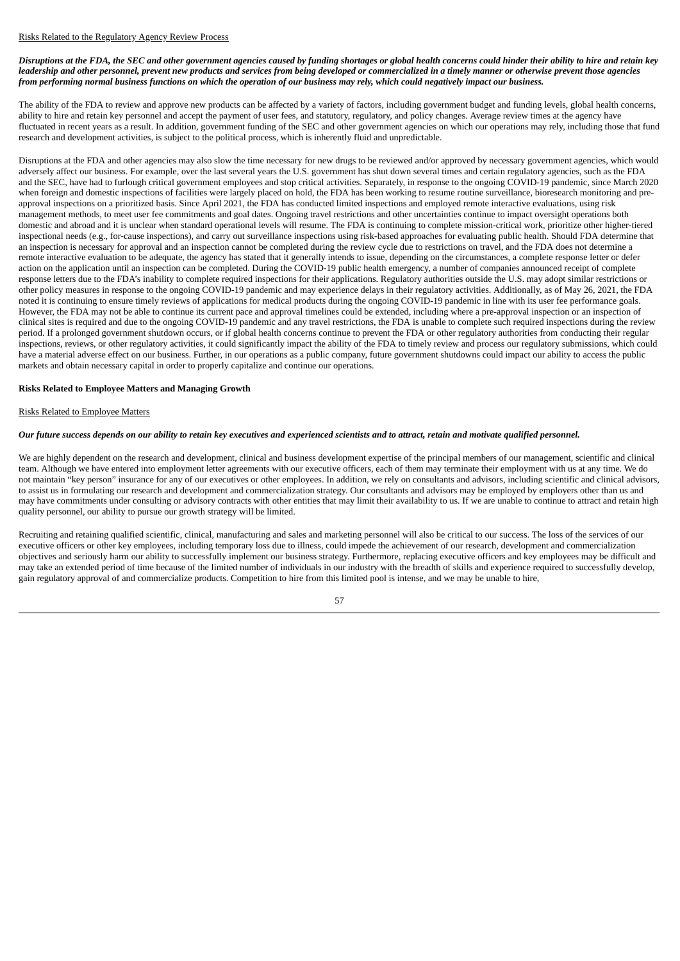### Risks Related to the Regulatory Agency Review Process

*Disruptions at the FDA, the SEC and other government agencies caused by funding shortages or global health concerns could hinder their ability to hire and retain key leadership and other personnel, prevent new products and services from being developed or commercialized in a timely manner or otherwise prevent those agencies from performing normal business functions on which the operation of our business may rely, which could negatively impact our business.*

The ability of the FDA to review and approve new products can be affected by a variety of factors, including government budget and funding levels, global health concerns, ability to hire and retain key personnel and accept the payment of user fees, and statutory, regulatory, and policy changes. Average review times at the agency have fluctuated in recent years as a result. In addition, government funding of the SEC and other government agencies on which our operations may rely, including those that fund research and development activities, is subject to the political process, which is inherently fluid and unpredictable.

Disruptions at the FDA and other agencies may also slow the time necessary for new drugs to be reviewed and/or approved by necessary government agencies, which would adversely affect our business. For example, over the last several years the U.S. government has shut down several times and certain regulatory agencies, such as the FDA and the SEC, have had to furlough critical government employees and stop critical activities. Separately, in response to the ongoing COVID-19 pandemic, since March 2020 when foreign and domestic inspections of facilities were largely placed on hold, the FDA has been working to resume routine surveillance, bioresearch monitoring and preapproval inspections on a prioritized basis. Since April 2021, the FDA has conducted limited inspections and employed remote interactive evaluations, using risk management methods, to meet user fee commitments and goal dates. Ongoing travel restrictions and other uncertainties continue to impact oversight operations both domestic and abroad and it is unclear when standard operational levels will resume. The FDA is continuing to complete mission-critical work, prioritize other higher-tiered inspectional needs (e.g., for-cause inspections), and carry out surveillance inspections using risk-based approaches for evaluating public health. Should FDA determine that an inspection is necessary for approval and an inspection cannot be completed during the review cycle due to restrictions on travel, and the FDA does not determine a remote interactive evaluation to be adequate, the agency has stated that it generally intends to issue, depending on the circumstances, a complete response letter or defer action on the application until an inspection can be completed. During the COVID-19 public health emergency, a number of companies announced receipt of complete response letters due to the FDA's inability to complete required inspections for their applications. Regulatory authorities outside the U.S. may adopt similar restrictions or other policy measures in response to the ongoing COVID-19 pandemic and may experience delays in their regulatory activities. Additionally, as of May 26, 2021, the FDA noted it is continuing to ensure timely reviews of applications for medical products during the ongoing COVID-19 pandemic in line with its user fee performance goals. However, the FDA may not be able to continue its current pace and approval timelines could be extended, including where a pre-approval inspection or an inspection of clinical sites is required and due to the ongoing COVID-19 pandemic and any travel restrictions, the FDA is unable to complete such required inspections during the review period. If a prolonged government shutdown occurs, or if global health concerns continue to prevent the FDA or other regulatory authorities from conducting their regular inspections, reviews, or other regulatory activities, it could significantly impact the ability of the FDA to timely review and process our regulatory submissions, which could have a material adverse effect on our business. Further, in our operations as a public company, future government shutdowns could impact our ability to access the public markets and obtain necessary capital in order to properly capitalize and continue our operations.

#### **Risks Related to Employee Matters and Managing Growth**

#### Risks Related to Employee Matters

#### *Our future success depends on our ability to retain key executives and experienced scientists and to attract, retain and motivate qualified personnel.*

We are highly dependent on the research and development, clinical and business development expertise of the principal members of our management, scientific and clinical team. Although we have entered into employment letter agreements with our executive officers, each of them may terminate their employment with us at any time. We do not maintain "key person" insurance for any of our executives or other employees. In addition, we rely on consultants and advisors, including scientific and clinical advisors, to assist us in formulating our research and development and commercialization strategy. Our consultants and advisors may be employed by employers other than us and may have commitments under consulting or advisory contracts with other entities that may limit their availability to us. If we are unable to continue to attract and retain high quality personnel, our ability to pursue our growth strategy will be limited.

Recruiting and retaining qualified scientific, clinical, manufacturing and sales and marketing personnel will also be critical to our success. The loss of the services of our executive officers or other key employees, including temporary loss due to illness, could impede the achievement of our research, development and commercialization objectives and seriously harm our ability to successfully implement our business strategy. Furthermore, replacing executive officers and key employees may be difficult and may take an extended period of time because of the limited number of individuals in our industry with the breadth of skills and experience required to successfully develop, gain regulatory approval of and commercialize products. Competition to hire from this limited pool is intense, and we may be unable to hire,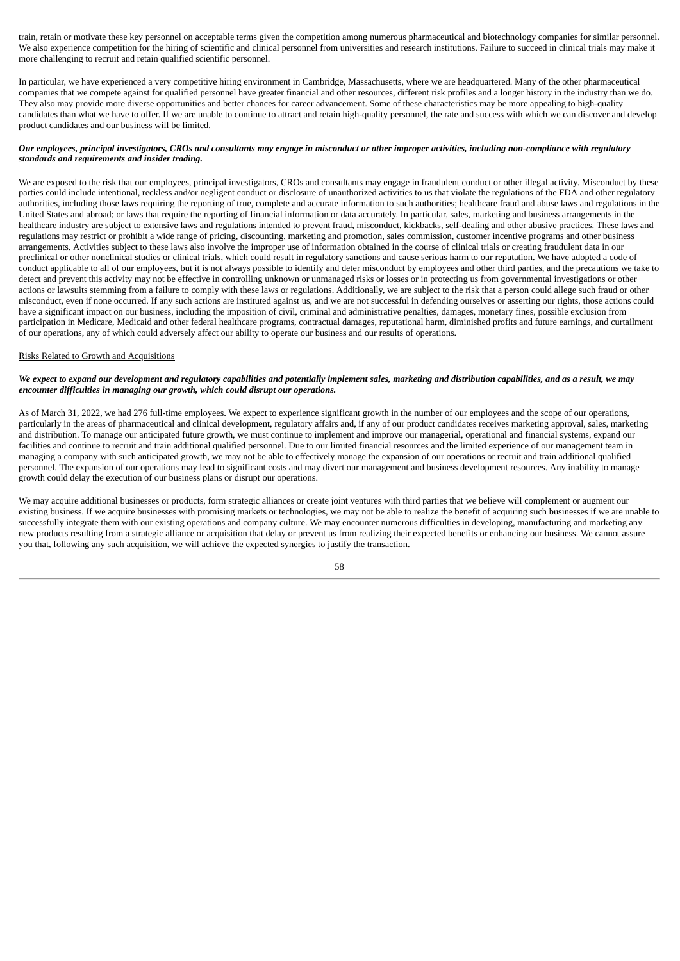train, retain or motivate these key personnel on acceptable terms given the competition among numerous pharmaceutical and biotechnology companies for similar personnel. We also experience competition for the hiring of scientific and clinical personnel from universities and research institutions. Failure to succeed in clinical trials may make it more challenging to recruit and retain qualified scientific personnel.

In particular, we have experienced a very competitive hiring environment in Cambridge, Massachusetts, where we are headquartered. Many of the other pharmaceutical companies that we compete against for qualified personnel have greater financial and other resources, different risk profiles and a longer history in the industry than we do. They also may provide more diverse opportunities and better chances for career advancement. Some of these characteristics may be more appealing to high-quality candidates than what we have to offer. If we are unable to continue to attract and retain high-quality personnel, the rate and success with which we can discover and develop product candidates and our business will be limited.

#### *Our employees, principal investigators, CROs and consultants may engage in misconduct or other improper activities, including non-compliance with regulatory standards and requirements and insider trading.*

We are exposed to the risk that our employees, principal investigators, CROs and consultants may engage in fraudulent conduct or other illegal activity. Misconduct by these parties could include intentional, reckless and/or negligent conduct or disclosure of unauthorized activities to us that violate the regulations of the FDA and other regulatory authorities, including those laws requiring the reporting of true, complete and accurate information to such authorities; healthcare fraud and abuse laws and regulations in the United States and abroad; or laws that require the reporting of financial information or data accurately. In particular, sales, marketing and business arrangements in the healthcare industry are subject to extensive laws and regulations intended to prevent fraud, misconduct, kickbacks, self-dealing and other abusive practices. These laws and regulations may restrict or prohibit a wide range of pricing, discounting, marketing and promotion, sales commission, customer incentive programs and other business arrangements. Activities subject to these laws also involve the improper use of information obtained in the course of clinical trials or creating fraudulent data in our preclinical or other nonclinical studies or clinical trials, which could result in regulatory sanctions and cause serious harm to our reputation. We have adopted a code of conduct applicable to all of our employees, but it is not always possible to identify and deter misconduct by employees and other third parties, and the precautions we take to detect and prevent this activity may not be effective in controlling unknown or unmanaged risks or losses or in protecting us from governmental investigations or other actions or lawsuits stemming from a failure to comply with these laws or regulations. Additionally, we are subject to the risk that a person could allege such fraud or other misconduct, even if none occurred. If any such actions are instituted against us, and we are not successful in defending ourselves or asserting our rights, those actions could have a significant impact on our business, including the imposition of civil, criminal and administrative penalties, damages, monetary fines, possible exclusion from participation in Medicare, Medicaid and other federal healthcare programs, contractual damages, reputational harm, diminished profits and future earnings, and curtailment of our operations, any of which could adversely affect our ability to operate our business and our results of operations.

### Risks Related to Growth and Acquisitions

### *We expect to expand our development and regulatory capabilities and potentially implement sales, marketing and distribution capabilities, and as a result, we may encounter difficulties in managing our growth, which could disrupt our operations.*

As of March 31, 2022, we had 276 full-time employees. We expect to experience significant growth in the number of our employees and the scope of our operations, particularly in the areas of pharmaceutical and clinical development, regulatory affairs and, if any of our product candidates receives marketing approval, sales, marketing and distribution. To manage our anticipated future growth, we must continue to implement and improve our managerial, operational and financial systems, expand our facilities and continue to recruit and train additional qualified personnel. Due to our limited financial resources and the limited experience of our management team in managing a company with such anticipated growth, we may not be able to effectively manage the expansion of our operations or recruit and train additional qualified personnel. The expansion of our operations may lead to significant costs and may divert our management and business development resources. Any inability to manage growth could delay the execution of our business plans or disrupt our operations.

We may acquire additional businesses or products, form strategic alliances or create joint ventures with third parties that we believe will complement or augment our existing business. If we acquire businesses with promising markets or technologies, we may not be able to realize the benefit of acquiring such businesses if we are unable to successfully integrate them with our existing operations and company culture. We may encounter numerous difficulties in developing, manufacturing and marketing any new products resulting from a strategic alliance or acquisition that delay or prevent us from realizing their expected benefits or enhancing our business. We cannot assure you that, following any such acquisition, we will achieve the expected synergies to justify the transaction.

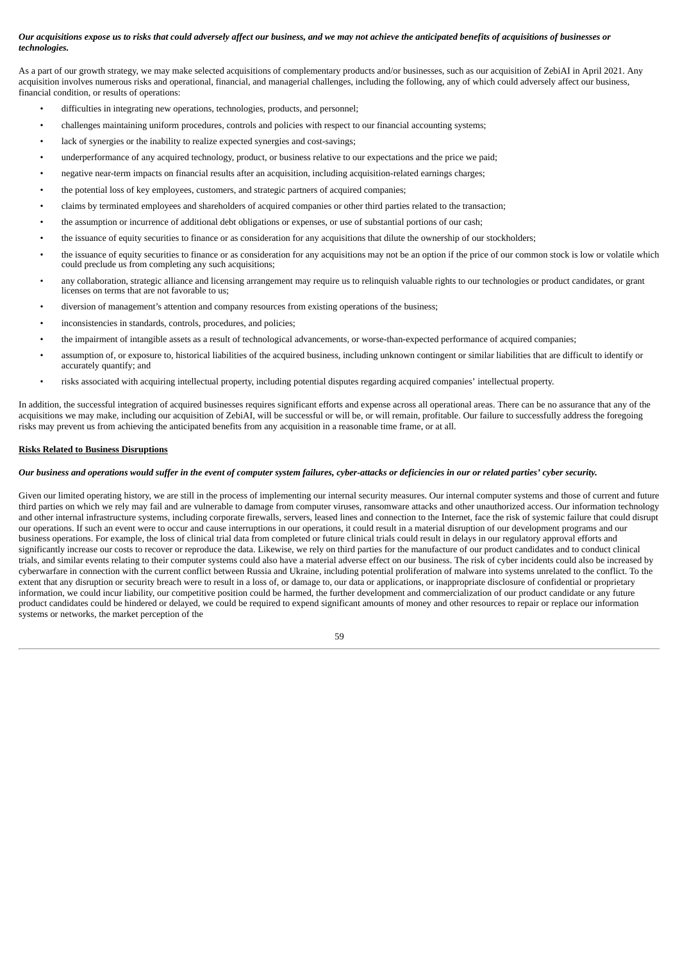## *Our acquisitions expose us to risks that could adversely affect our business, and we may not achieve the anticipated benefits of acquisitions of businesses or technologies.*

As a part of our growth strategy, we may make selected acquisitions of complementary products and/or businesses, such as our acquisition of ZebiAI in April 2021. Any acquisition involves numerous risks and operational, financial, and managerial challenges, including the following, any of which could adversely affect our business, financial condition, or results of operations:

- difficulties in integrating new operations, technologies, products, and personnel;
- challenges maintaining uniform procedures, controls and policies with respect to our financial accounting systems;
- lack of synergies or the inability to realize expected synergies and cost-savings;
- underperformance of any acquired technology, product, or business relative to our expectations and the price we paid;
- negative near-term impacts on financial results after an acquisition, including acquisition-related earnings charges;
- the potential loss of key employees, customers, and strategic partners of acquired companies;
- claims by terminated employees and shareholders of acquired companies or other third parties related to the transaction;
- the assumption or incurrence of additional debt obligations or expenses, or use of substantial portions of our cash;
- the issuance of equity securities to finance or as consideration for any acquisitions that dilute the ownership of our stockholders;
- the issuance of equity securities to finance or as consideration for any acquisitions may not be an option if the price of our common stock is low or volatile which could preclude us from completing any such acquisitions;
- any collaboration, strategic alliance and licensing arrangement may require us to relinquish valuable rights to our technologies or product candidates, or grant licenses on terms that are not favorable to us;
- diversion of management's attention and company resources from existing operations of the business;
- inconsistencies in standards, controls, procedures, and policies;
- the impairment of intangible assets as a result of technological advancements, or worse-than-expected performance of acquired companies;
- assumption of, or exposure to, historical liabilities of the acquired business, including unknown contingent or similar liabilities that are difficult to identify or accurately quantify; and
- risks associated with acquiring intellectual property, including potential disputes regarding acquired companies' intellectual property.

In addition, the successful integration of acquired businesses requires significant efforts and expense across all operational areas. There can be no assurance that any of the acquisitions we may make, including our acquisition of ZebiAI, will be successful or will be, or will remain, profitable. Our failure to successfully address the foregoing risks may prevent us from achieving the anticipated benefits from any acquisition in a reasonable time frame, or at all.

#### **Risks Related to Business Disruptions**

#### *Our business and operations would suffer in the event of computer system failures, cyber-attacks or deficiencies in our or related parties' cyber security.*

Given our limited operating history, we are still in the process of implementing our internal security measures. Our internal computer systems and those of current and future third parties on which we rely may fail and are vulnerable to damage from computer viruses, ransomware attacks and other unauthorized access. Our information technology and other internal infrastructure systems, including corporate firewalls, servers, leased lines and connection to the Internet, face the risk of systemic failure that could disrupt our operations. If such an event were to occur and cause interruptions in our operations, it could result in a material disruption of our development programs and our business operations. For example, the loss of clinical trial data from completed or future clinical trials could result in delays in our regulatory approval efforts and significantly increase our costs to recover or reproduce the data. Likewise, we rely on third parties for the manufacture of our product candidates and to conduct clinical trials, and similar events relating to their computer systems could also have a material adverse effect on our business. The risk of cyber incidents could also be increased by cyberwarfare in connection with the current conflict between Russia and Ukraine, including potential proliferation of malware into systems unrelated to the conflict. To the extent that any disruption or security breach were to result in a loss of, or damage to, our data or applications, or inappropriate disclosure of confidential or proprietary information, we could incur liability, our competitive position could be harmed, the further development and commercialization of our product candidate or any future product candidates could be hindered or delayed, we could be required to expend significant amounts of money and other resources to repair or replace our information systems or networks, the market perception of the

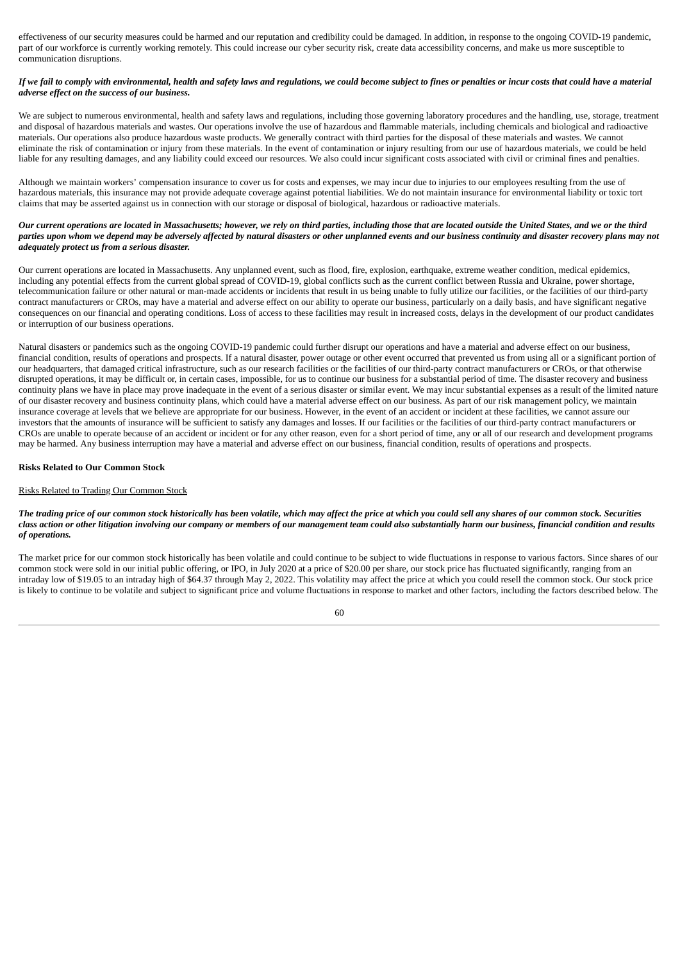effectiveness of our security measures could be harmed and our reputation and credibility could be damaged. In addition, in response to the ongoing COVID-19 pandemic, part of our workforce is currently working remotely. This could increase our cyber security risk, create data accessibility concerns, and make us more susceptible to communication disruptions.

## *If we fail to comply with environmental, health and safety laws and regulations, we could become subject to fines or penalties or incur costs that could have a material adverse effect on the success of our business.*

We are subject to numerous environmental, health and safety laws and regulations, including those governing laboratory procedures and the handling, use, storage, treatment and disposal of hazardous materials and wastes. Our operations involve the use of hazardous and flammable materials, including chemicals and biological and radioactive materials. Our operations also produce hazardous waste products. We generally contract with third parties for the disposal of these materials and wastes. We cannot eliminate the risk of contamination or injury from these materials. In the event of contamination or injury resulting from our use of hazardous materials, we could be held liable for any resulting damages, and any liability could exceed our resources. We also could incur significant costs associated with civil or criminal fines and penalties.

Although we maintain workers' compensation insurance to cover us for costs and expenses, we may incur due to injuries to our employees resulting from the use of hazardous materials, this insurance may not provide adequate coverage against potential liabilities. We do not maintain insurance for environmental liability or toxic tort claims that may be asserted against us in connection with our storage or disposal of biological, hazardous or radioactive materials.

### *Our current operations are located in Massachusetts; however, we rely on third parties, including those that are located outside the United States, and we or the third parties upon whom we depend may be adversely affected by natural disasters or other unplanned events and our business continuity and disaster recovery plans may not adequately protect us from a serious disaster.*

Our current operations are located in Massachusetts. Any unplanned event, such as flood, fire, explosion, earthquake, extreme weather condition, medical epidemics, including any potential effects from the current global spread of COVID-19, global conflicts such as the current conflict between Russia and Ukraine, power shortage, telecommunication failure or other natural or man-made accidents or incidents that result in us being unable to fully utilize our facilities, or the facilities of our third-party contract manufacturers or CROs, may have a material and adverse effect on our ability to operate our business, particularly on a daily basis, and have significant negative consequences on our financial and operating conditions. Loss of access to these facilities may result in increased costs, delays in the development of our product candidates or interruption of our business operations.

Natural disasters or pandemics such as the ongoing COVID-19 pandemic could further disrupt our operations and have a material and adverse effect on our business, financial condition, results of operations and prospects. If a natural disaster, power outage or other event occurred that prevented us from using all or a significant portion of our headquarters, that damaged critical infrastructure, such as our research facilities or the facilities of our third-party contract manufacturers or CROs, or that otherwise disrupted operations, it may be difficult or, in certain cases, impossible, for us to continue our business for a substantial period of time. The disaster recovery and business continuity plans we have in place may prove inadequate in the event of a serious disaster or similar event. We may incur substantial expenses as a result of the limited nature of our disaster recovery and business continuity plans, which could have a material adverse effect on our business. As part of our risk management policy, we maintain insurance coverage at levels that we believe are appropriate for our business. However, in the event of an accident or incident at these facilities, we cannot assure our investors that the amounts of insurance will be sufficient to satisfy any damages and losses. If our facilities or the facilities of our third-party contract manufacturers or CROs are unable to operate because of an accident or incident or for any other reason, even for a short period of time, any or all of our research and development programs may be harmed. Any business interruption may have a material and adverse effect on our business, financial condition, results of operations and prospects.

#### **Risks Related to Our Common Stock**

#### Risks Related to Trading Our Common Stock

### *The trading price of our common stock historically has been volatile, which may affect the price at which you could sell any shares of our common stock. Securities class action or other litigation involving our company or members of our management team could also substantially harm our business, financial condition and results of operations.*

The market price for our common stock historically has been volatile and could continue to be subject to wide fluctuations in response to various factors. Since shares of our common stock were sold in our initial public offering, or IPO, in July 2020 at a price of \$20.00 per share, our stock price has fluctuated significantly, ranging from an intraday low of \$19.05 to an intraday high of \$64.37 through May 2, 2022. This volatility may affect the price at which you could resell the common stock. Our stock price is likely to continue to be volatile and subject to significant price and volume fluctuations in response to market and other factors, including the factors described below. The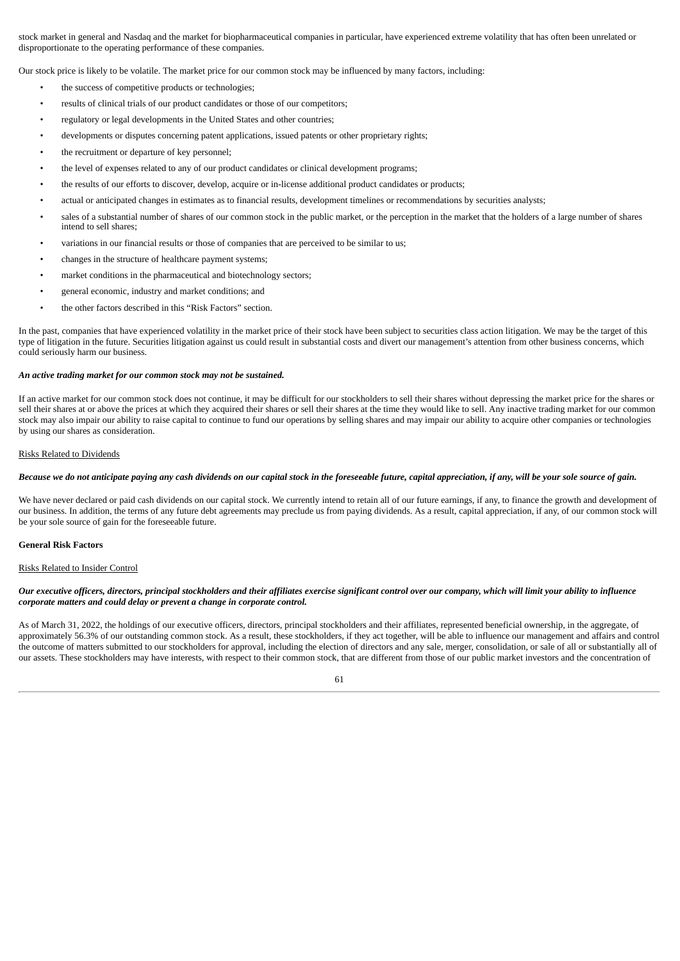stock market in general and Nasdaq and the market for biopharmaceutical companies in particular, have experienced extreme volatility that has often been unrelated or disproportionate to the operating performance of these companies.

Our stock price is likely to be volatile. The market price for our common stock may be influenced by many factors, including:

- the success of competitive products or technologies;
- results of clinical trials of our product candidates or those of our competitors;
- regulatory or legal developments in the United States and other countries;
- developments or disputes concerning patent applications, issued patents or other proprietary rights;
- the recruitment or departure of key personnel;
- the level of expenses related to any of our product candidates or clinical development programs;
- the results of our efforts to discover, develop, acquire or in-license additional product candidates or products;
- actual or anticipated changes in estimates as to financial results, development timelines or recommendations by securities analysts;
- sales of a substantial number of shares of our common stock in the public market, or the perception in the market that the holders of a large number of shares intend to sell shares;
- variations in our financial results or those of companies that are perceived to be similar to us;
- changes in the structure of healthcare payment systems;
- market conditions in the pharmaceutical and biotechnology sectors;
- general economic, industry and market conditions; and
- the other factors described in this "Risk Factors" section.

In the past, companies that have experienced volatility in the market price of their stock have been subject to securities class action litigation. We may be the target of this type of litigation in the future. Securities litigation against us could result in substantial costs and divert our management's attention from other business concerns, which could seriously harm our business.

#### *An active trading market for our common stock may not be sustained.*

If an active market for our common stock does not continue, it may be difficult for our stockholders to sell their shares without depressing the market price for the shares or sell their shares at or above the prices at which they acquired their shares or sell their shares at the time they would like to sell. Any inactive trading market for our common stock may also impair our ability to raise capital to continue to fund our operations by selling shares and may impair our ability to acquire other companies or technologies by using our shares as consideration.

#### Risks Related to Dividends

#### *Because we do not anticipate paying any cash dividends on our capital stock in the foreseeable future, capital appreciation, if any, will be your sole source of gain.*

We have never declared or paid cash dividends on our capital stock. We currently intend to retain all of our future earnings, if any, to finance the growth and development of our business. In addition, the terms of any future debt agreements may preclude us from paying dividends. As a result, capital appreciation, if any, of our common stock will be your sole source of gain for the foreseeable future.

## **General Risk Factors**

## Risks Related to Insider Control

#### *Our executive officers, directors, principal stockholders and their affiliates exercise significant control over our company, which will limit your ability to influence corporate matters and could delay or prevent a change in corporate control.*

As of March 31, 2022, the holdings of our executive officers, directors, principal stockholders and their affiliates, represented beneficial ownership, in the aggregate, of approximately 56.3% of our outstanding common stock. As a result, these stockholders, if they act together, will be able to influence our management and affairs and control the outcome of matters submitted to our stockholders for approval, including the election of directors and any sale, merger, consolidation, or sale of all or substantially all of our assets. These stockholders may have interests, with respect to their common stock, that are different from those of our public market investors and the concentration of

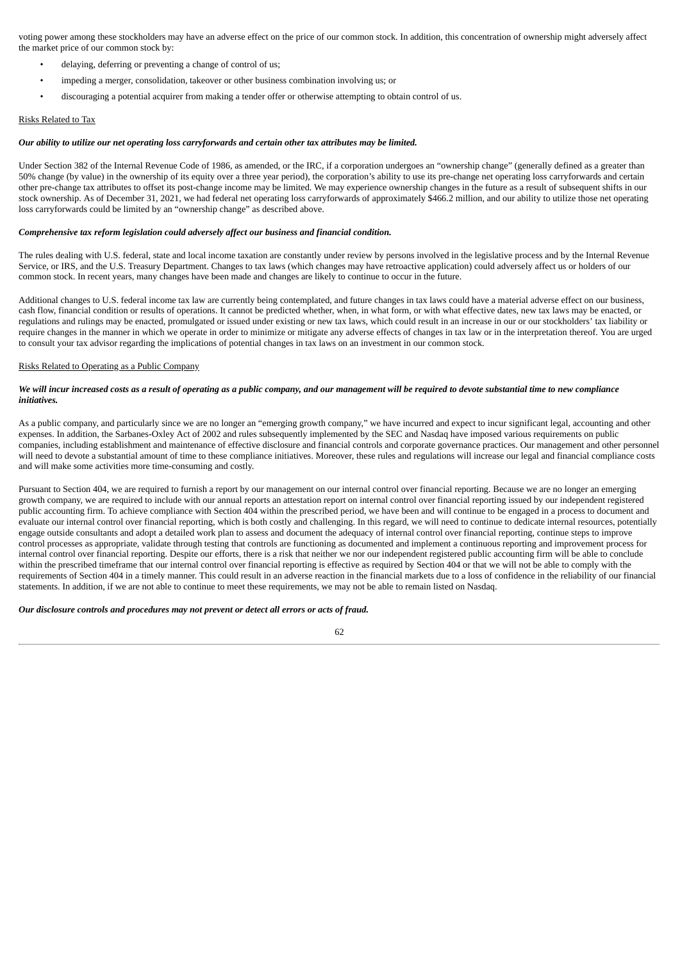voting power among these stockholders may have an adverse effect on the price of our common stock. In addition, this concentration of ownership might adversely affect the market price of our common stock by:

- delaying, deferring or preventing a change of control of us;
- impeding a merger, consolidation, takeover or other business combination involving us; or
- discouraging a potential acquirer from making a tender offer or otherwise attempting to obtain control of us.

### Risks Related to Tax

#### *Our ability to utilize our net operating loss carryforwards and certain other tax attributes may be limited.*

Under Section 382 of the Internal Revenue Code of 1986, as amended, or the IRC, if a corporation undergoes an "ownership change" (generally defined as a greater than 50% change (by value) in the ownership of its equity over a three year period), the corporation's ability to use its pre-change net operating loss carryforwards and certain other pre-change tax attributes to offset its post-change income may be limited. We may experience ownership changes in the future as a result of subsequent shifts in our stock ownership. As of December 31, 2021, we had federal net operating loss carryforwards of approximately \$466.2 million, and our ability to utilize those net operating loss carryforwards could be limited by an "ownership change" as described above.

#### *Comprehensive tax reform legislation could adversely affect our business and financial condition.*

The rules dealing with U.S. federal, state and local income taxation are constantly under review by persons involved in the legislative process and by the Internal Revenue Service, or IRS, and the U.S. Treasury Department. Changes to tax laws (which changes may have retroactive application) could adversely affect us or holders of our common stock. In recent years, many changes have been made and changes are likely to continue to occur in the future.

Additional changes to U.S. federal income tax law are currently being contemplated, and future changes in tax laws could have a material adverse effect on our business, cash flow, financial condition or results of operations. It cannot be predicted whether, when, in what form, or with what effective dates, new tax laws may be enacted, or regulations and rulings may be enacted, promulgated or issued under existing or new tax laws, which could result in an increase in our or our stockholders' tax liability or require changes in the manner in which we operate in order to minimize or mitigate any adverse effects of changes in tax law or in the interpretation thereof. You are urged to consult your tax advisor regarding the implications of potential changes in tax laws on an investment in our common stock.

## Risks Related to Operating as a Public Company

#### *We will incur increased costs as a result of operating as a public company, and our management will be required to devote substantial time to new compliance initiatives.*

As a public company, and particularly since we are no longer an "emerging growth company," we have incurred and expect to incur significant legal, accounting and other expenses. In addition, the Sarbanes-Oxley Act of 2002 and rules subsequently implemented by the SEC and Nasdaq have imposed various requirements on public companies, including establishment and maintenance of effective disclosure and financial controls and corporate governance practices. Our management and other personnel will need to devote a substantial amount of time to these compliance initiatives. Moreover, these rules and regulations will increase our legal and financial compliance costs and will make some activities more time-consuming and costly.

Pursuant to Section 404, we are required to furnish a report by our management on our internal control over financial reporting. Because we are no longer an emerging growth company, we are required to include with our annual reports an attestation report on internal control over financial reporting issued by our independent registered public accounting firm. To achieve compliance with Section 404 within the prescribed period, we have been and will continue to be engaged in a process to document and evaluate our internal control over financial reporting, which is both costly and challenging. In this regard, we will need to continue to dedicate internal resources, potentially engage outside consultants and adopt a detailed work plan to assess and document the adequacy of internal control over financial reporting, continue steps to improve control processes as appropriate, validate through testing that controls are functioning as documented and implement a continuous reporting and improvement process for internal control over financial reporting. Despite our efforts, there is a risk that neither we nor our independent registered public accounting firm will be able to conclude within the prescribed timeframe that our internal control over financial reporting is effective as required by Section 404 or that we will not be able to comply with the requirements of Section 404 in a timely manner. This could result in an adverse reaction in the financial markets due to a loss of confidence in the reliability of our financial statements. In addition, if we are not able to continue to meet these requirements, we may not be able to remain listed on Nasdaq.

62

## *Our disclosure controls and procedures may not prevent or detect all errors or acts of fraud.*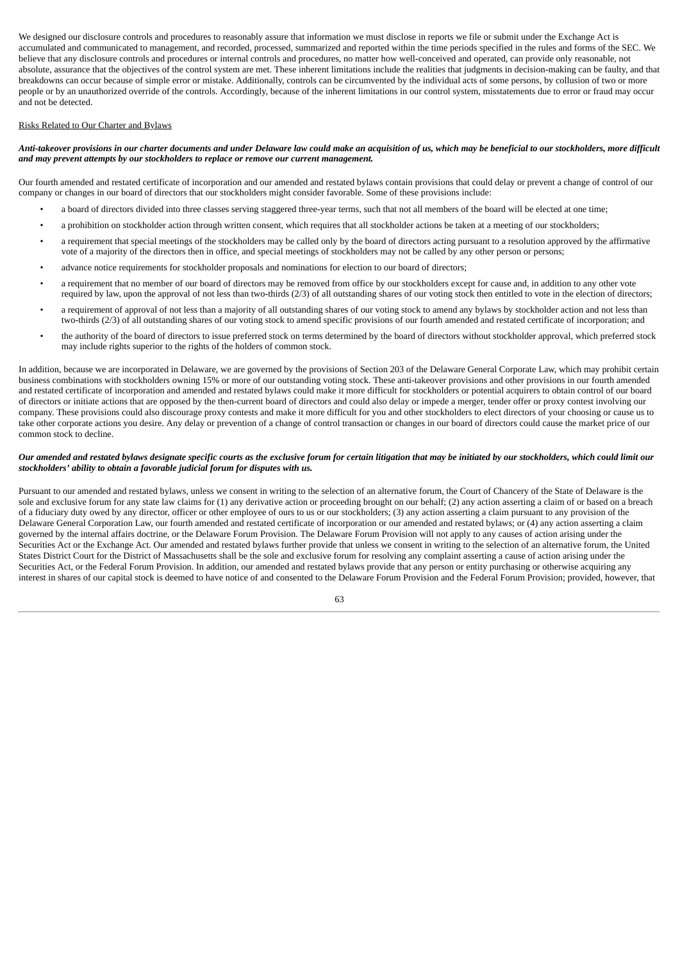We designed our disclosure controls and procedures to reasonably assure that information we must disclose in reports we file or submit under the Exchange Act is accumulated and communicated to management, and recorded, processed, summarized and reported within the time periods specified in the rules and forms of the SEC. We believe that any disclosure controls and procedures or internal controls and procedures, no matter how well-conceived and operated, can provide only reasonable, not absolute, assurance that the objectives of the control system are met. These inherent limitations include the realities that judgments in decision-making can be faulty, and that breakdowns can occur because of simple error or mistake. Additionally, controls can be circumvented by the individual acts of some persons, by collusion of two or more people or by an unauthorized override of the controls. Accordingly, because of the inherent limitations in our control system, misstatements due to error or fraud may occur and not be detected.

#### Risks Related to Our Charter and Bylaws

#### *Anti-takeover provisions in our charter documents and under Delaware law could make an acquisition of us, which may be beneficial to our stockholders, more difficult and may prevent attempts by our stockholders to replace or remove our current management.*

Our fourth amended and restated certificate of incorporation and our amended and restated bylaws contain provisions that could delay or prevent a change of control of our company or changes in our board of directors that our stockholders might consider favorable. Some of these provisions include:

- a board of directors divided into three classes serving staggered three-year terms, such that not all members of the board will be elected at one time;
- a prohibition on stockholder action through written consent, which requires that all stockholder actions be taken at a meeting of our stockholders;
- a requirement that special meetings of the stockholders may be called only by the board of directors acting pursuant to a resolution approved by the affirmative vote of a majority of the directors then in office, and special meetings of stockholders may not be called by any other person or persons;
- advance notice requirements for stockholder proposals and nominations for election to our board of directors;
- a requirement that no member of our board of directors may be removed from office by our stockholders except for cause and, in addition to any other vote required by law, upon the approval of not less than two-thirds (2/3) of all outstanding shares of our voting stock then entitled to vote in the election of directors;
- a requirement of approval of not less than a majority of all outstanding shares of our voting stock to amend any bylaws by stockholder action and not less than two-thirds (2/3) of all outstanding shares of our voting stock to amend specific provisions of our fourth amended and restated certificate of incorporation; and
- the authority of the board of directors to issue preferred stock on terms determined by the board of directors without stockholder approval, which preferred stock may include rights superior to the rights of the holders of common stock.

In addition, because we are incorporated in Delaware, we are governed by the provisions of Section 203 of the Delaware General Corporate Law, which may prohibit certain business combinations with stockholders owning 15% or more of our outstanding voting stock. These anti-takeover provisions and other provisions in our fourth amended and restated certificate of incorporation and amended and restated bylaws could make it more difficult for stockholders or potential acquirers to obtain control of our board of directors or initiate actions that are opposed by the then-current board of directors and could also delay or impede a merger, tender offer or proxy contest involving our company. These provisions could also discourage proxy contests and make it more difficult for you and other stockholders to elect directors of your choosing or cause us to take other corporate actions you desire. Any delay or prevention of a change of control transaction or changes in our board of directors could cause the market price of our common stock to decline.

#### *Our amended and restated bylaws designate specific courts as the exclusive forum for certain litigation that may be initiated by our stockholders, which could limit our stockholders' ability to obtain a favorable judicial forum for disputes with us.*

Pursuant to our amended and restated bylaws, unless we consent in writing to the selection of an alternative forum, the Court of Chancery of the State of Delaware is the sole and exclusive forum for any state law claims for (1) any derivative action or proceeding brought on our behalf; (2) any action asserting a claim of or based on a breach of a fiduciary duty owed by any director, officer or other employee of ours to us or our stockholders; (3) any action asserting a claim pursuant to any provision of the Delaware General Corporation Law, our fourth amended and restated certificate of incorporation or our amended and restated bylaws; or (4) any action asserting a claim governed by the internal affairs doctrine, or the Delaware Forum Provision. The Delaware Forum Provision will not apply to any causes of action arising under the Securities Act or the Exchange Act. Our amended and restated bylaws further provide that unless we consent in writing to the selection of an alternative forum, the United States District Court for the District of Massachusetts shall be the sole and exclusive forum for resolving any complaint asserting a cause of action arising under the Securities Act, or the Federal Forum Provision. In addition, our amended and restated bylaws provide that any person or entity purchasing or otherwise acquiring any interest in shares of our capital stock is deemed to have notice of and consented to the Delaware Forum Provision and the Federal Forum Provision; provided, however, that

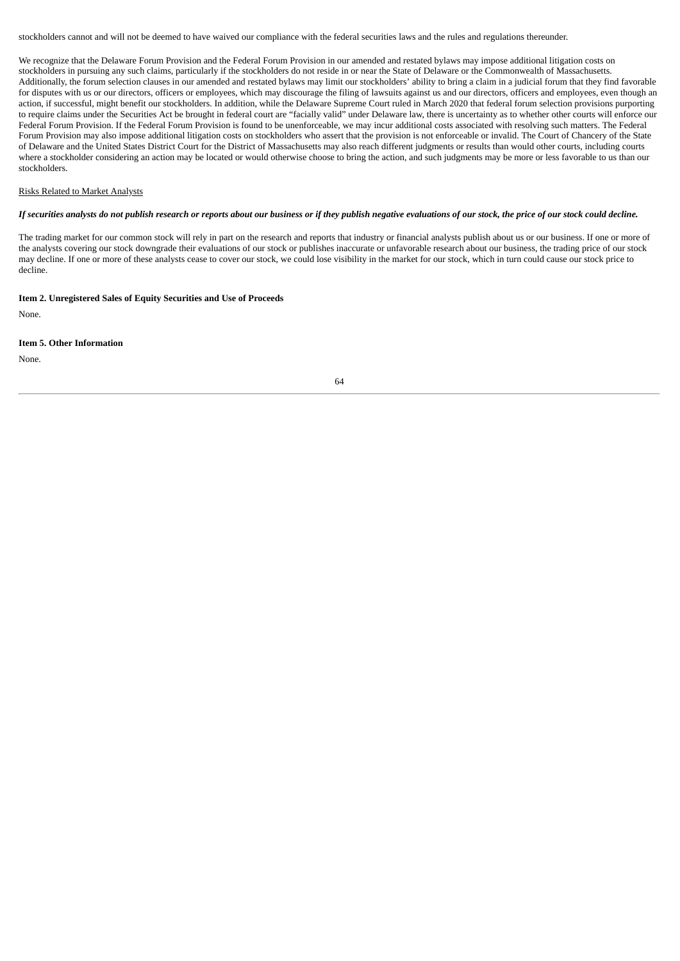stockholders cannot and will not be deemed to have waived our compliance with the federal securities laws and the rules and regulations thereunder.

We recognize that the Delaware Forum Provision and the Federal Forum Provision in our amended and restated bylaws may impose additional litigation costs on stockholders in pursuing any such claims, particularly if the stockholders do not reside in or near the State of Delaware or the Commonwealth of Massachusetts. Additionally, the forum selection clauses in our amended and restated bylaws may limit our stockholders' ability to bring a claim in a judicial forum that they find favorable for disputes with us or our directors, officers or employees, which may discourage the filing of lawsuits against us and our directors, officers and employees, even though an action, if successful, might benefit our stockholders. In addition, while the Delaware Supreme Court ruled in March 2020 that federal forum selection provisions purporting to require claims under the Securities Act be brought in federal court are "facially valid" under Delaware law, there is uncertainty as to whether other courts will enforce our Federal Forum Provision. If the Federal Forum Provision is found to be unenforceable, we may incur additional costs associated with resolving such matters. The Federal Forum Provision may also impose additional litigation costs on stockholders who assert that the provision is not enforceable or invalid. The Court of Chancery of the State of Delaware and the United States District Court for the District of Massachusetts may also reach different judgments or results than would other courts, including courts where a stockholder considering an action may be located or would otherwise choose to bring the action, and such judgments may be more or less favorable to us than our stockholders.

#### Risks Related to Market Analysts

#### *If securities analysts do not publish research or reports about our business or if they publish negative evaluations of our stock, the price of our stock could decline.*

The trading market for our common stock will rely in part on the research and reports that industry or financial analysts publish about us or our business. If one or more of the analysts covering our stock downgrade their evaluations of our stock or publishes inaccurate or unfavorable research about our business, the trading price of our stock may decline. If one or more of these analysts cease to cover our stock, we could lose visibility in the market for our stock, which in turn could cause our stock price to decline.

## **Item 2. Unregistered Sales of Equity Securities and Use of Proceeds**

None.

## **Item 5. Other Information**

None.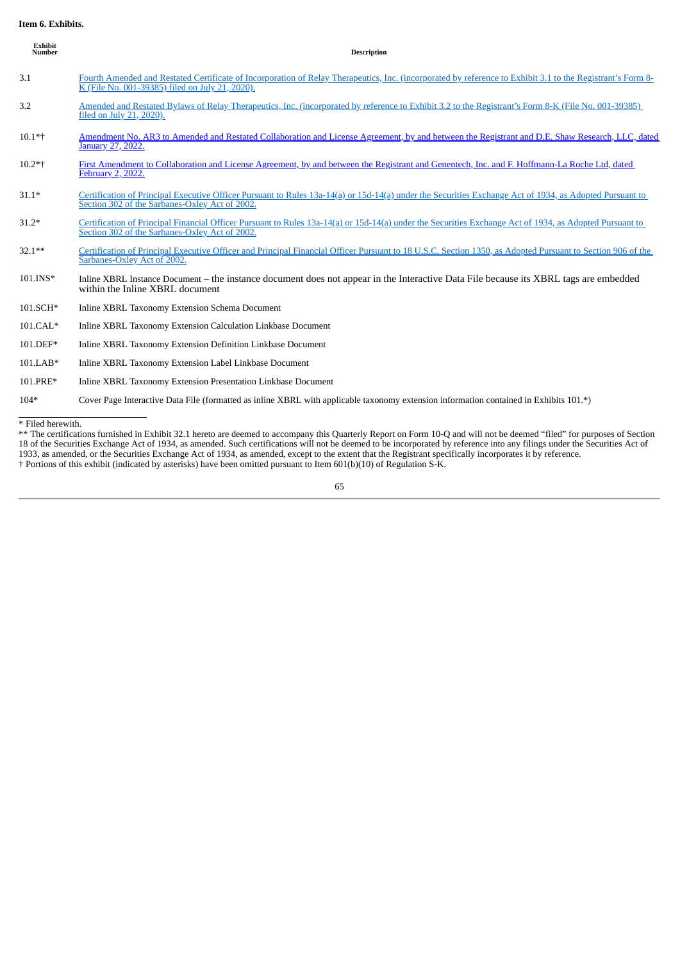**Item 6. Exhibits.**

**Exhibit**

| <b>Number</b> | <b>Description</b>                                                                                                                                                                                            |  |  |
|---------------|---------------------------------------------------------------------------------------------------------------------------------------------------------------------------------------------------------------|--|--|
| 3.1           | Fourth Amended and Restated Certificate of Incorporation of Relay Therapeutics, Inc. (incorporated by reference to Exhibit 3.1 to the Registrant's Form 8-<br>K (File No. 001-39385) filed on July 21, 2020). |  |  |
| 3.2           | Amended and Restated Bylaws of Relay Therapeutics, Inc. (incorporated by reference to Exhibit 3.2 to the Registrant's Form 8-K (File No. 001-39385)<br>filed on July 21, 2020).                               |  |  |
| $10.1*$       | Amendment No. AR3 to Amended and Restated Collaboration and License Agreement, by and between the Registrant and D.E. Shaw Research, LLC, dated<br>January 27, 2022.                                          |  |  |
| $10.2*$       | First Amendment to Collaboration and License Agreement, by and between the Registrant and Genentech, Inc. and F. Hoffmann-La Roche Ltd, dated<br>February 2, 2022.                                            |  |  |
| $31.1*$       | Certification of Principal Executive Officer Pursuant to Rules 13a-14(a) or 15d-14(a) under the Securities Exchange Act of 1934, as Adopted Pursuant to<br>Section 302 of the Sarbanes-Oxley Act of 2002.     |  |  |
| $31.2*$       | Certification of Principal Financial Officer Pursuant to Rules 13a-14(a) or 15d-14(a) under the Securities Exchange Act of 1934, as Adopted Pursuant to<br>Section 302 of the Sarbanes-Oxley Act of 2002.     |  |  |
| $32.1**$      | Certification of Principal Executive Officer and Principal Financial Officer Pursuant to 18 U.S.C. Section 1350, as Adopted Pursuant to Section 906 of the<br>Sarbanes-Oxley Act of 2002.                     |  |  |
| $101.INS*$    | Inline XBRL Instance Document – the instance document does not appear in the Interactive Data File because its XBRL tags are embedded<br>within the Inline XBRL document                                      |  |  |
| 101.SCH*      | Inline XBRL Taxonomy Extension Schema Document                                                                                                                                                                |  |  |
| $101.CAL*$    | Inline XBRL Taxonomy Extension Calculation Linkbase Document                                                                                                                                                  |  |  |
| 101.DEF*      | Inline XBRL Taxonomy Extension Definition Linkbase Document                                                                                                                                                   |  |  |
| $101.LAB*$    | Inline XBRL Taxonomy Extension Label Linkbase Document                                                                                                                                                        |  |  |
| 101.PRE*      | Inline XBRL Taxonomy Extension Presentation Linkbase Document                                                                                                                                                 |  |  |

104\* Cover Page Interactive Data File (formatted as inline XBRL with applicable taxonomy extension information contained in Exhibits 101.\*)

\* Filed herewith.

\*\* The certifications furnished in Exhibit 32.1 hereto are deemed to accompany this Quarterly Report on Form 10-Q and will not be deemed "filed" for purposes of Section 18 of the Securities Exchange Act of 1934, as amended. Such certifications will not be deemed to be incorporated by reference into any filings under the Securities Act of 1933, as amended, or the Securities Exchange Act of 1934, as amended, except to the extent that the Registrant specifically incorporates it by reference. † Portions of this exhibit (indicated by asterisks) have been omitted pursuant to Item 601(b)(10) of Regulation S-K.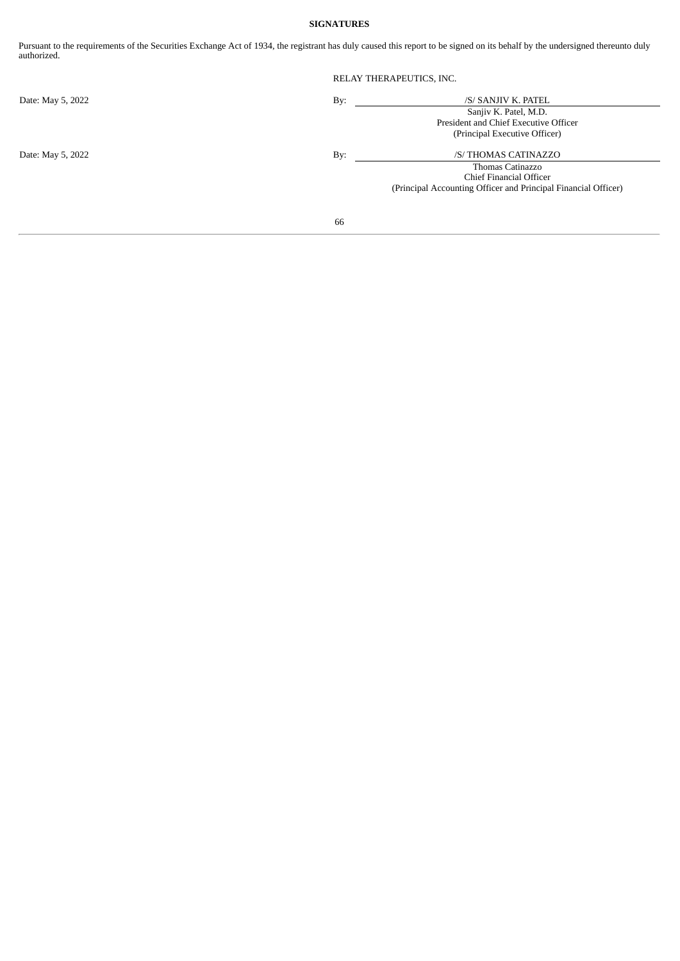# **SIGNATURES**

Pursuant to the requirements of the Securities Exchange Act of 1934, the registrant has duly caused this report to be signed on its behalf by the undersigned thereunto duly authorized.

# RELAY THERAPEUTICS, INC.

| Date: May 5, 2022 | By: | /S/ SANJIV K. PATEL<br>Sanjiv K. Patel, M.D.<br>President and Chief Executive Officer<br>(Principal Executive Officer)                |
|-------------------|-----|---------------------------------------------------------------------------------------------------------------------------------------|
| Date: May 5, 2022 | By: | /S/ THOMAS CATINAZZO<br>Thomas Catinazzo<br>Chief Financial Officer<br>(Principal Accounting Officer and Principal Financial Officer) |
|                   | 66  |                                                                                                                                       |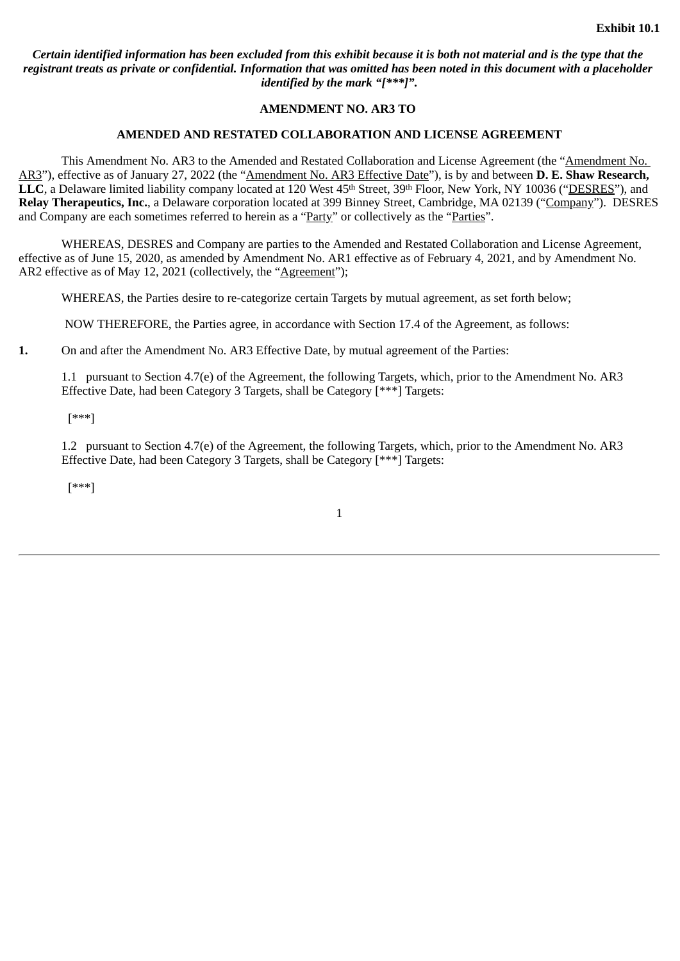*Certain identified information has been excluded from this exhibit because it is both not material and is the type that the registrant treats as private or confidential. Information that was omitted has been noted in this document with a placeholder identified by the mark "[\*\*\*]".*

#### **AMENDMENT NO. AR3 TO**

#### **AMENDED AND RESTATED COLLABORATION AND LICENSE AGREEMENT**

This Amendment No. AR3 to the Amended and Restated Collaboration and License Agreement (the "Amendment No. AR3"), effective as of January 27, 2022 (the "Amendment No. AR3 Effective Date"), is by and between **D. E. Shaw Research,** LLC, a Delaware limited liability company located at 120 West 45<sup>th</sup> Street, 39<sup>th</sup> Floor, New York, NY 10036 ("DESRES"), and **Relay Therapeutics, Inc.**, a Delaware corporation located at 399 Binney Street, Cambridge, MA 02139 ("Company"). DESRES and Company are each sometimes referred to herein as a "Party" or collectively as the "Parties".

WHEREAS, DESRES and Company are parties to the Amended and Restated Collaboration and License Agreement, effective as of June 15, 2020, as amended by Amendment No. AR1 effective as of February 4, 2021, and by Amendment No. AR2 effective as of May 12, 2021 (collectively, the "Agreement");

WHEREAS, the Parties desire to re-categorize certain Targets by mutual agreement, as set forth below;

NOW THEREFORE, the Parties agree, in accordance with Section 17.4 of the Agreement, as follows:

**1.** On and after the Amendment No. AR3 Effective Date, by mutual agreement of the Parties:

1.1 pursuant to Section 4.7(e) of the Agreement, the following Targets, which, prior to the Amendment No. AR3 Effective Date, had been Category 3 Targets, shall be Category [\*\*\*] Targets:

[\*\*\*]

1.2 pursuant to Section 4.7(e) of the Agreement, the following Targets, which, prior to the Amendment No. AR3 Effective Date, had been Category 3 Targets, shall be Category [\*\*\*] Targets:

[\*\*\*]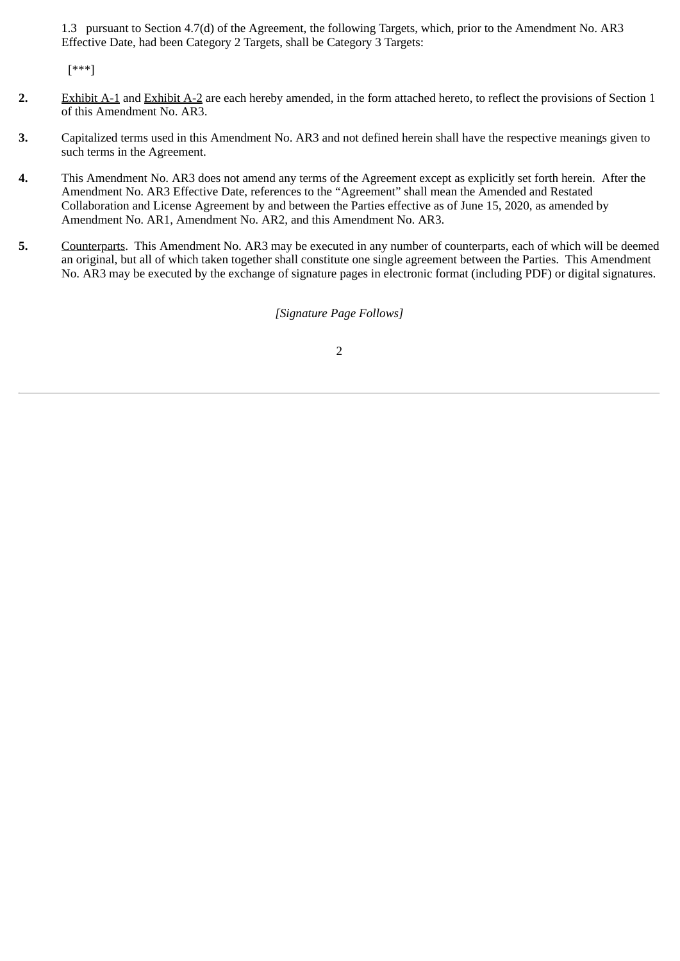1.3 pursuant to Section 4.7(d) of the Agreement, the following Targets, which, prior to the Amendment No. AR3 Effective Date, had been Category 2 Targets, shall be Category 3 Targets:

[\*\*\*]

- **2.** Exhibit A-1 and Exhibit A-2 are each hereby amended, in the form attached hereto, to reflect the provisions of Section 1 of this Amendment No. AR3.
- **3.** Capitalized terms used in this Amendment No. AR3 and not defined herein shall have the respective meanings given to such terms in the Agreement.
- **4.** This Amendment No. AR3 does not amend any terms of the Agreement except as explicitly set forth herein. After the Amendment No. AR3 Effective Date, references to the "Agreement" shall mean the Amended and Restated Collaboration and License Agreement by and between the Parties effective as of June 15, 2020, as amended by Amendment No. AR1, Amendment No. AR2, and this Amendment No. AR3.
- **5.** Counterparts. This Amendment No. AR3 may be executed in any number of counterparts, each of which will be deemed an original, but all of which taken together shall constitute one single agreement between the Parties. This Amendment No. AR3 may be executed by the exchange of signature pages in electronic format (including PDF) or digital signatures.

*[Signature Page Follows]*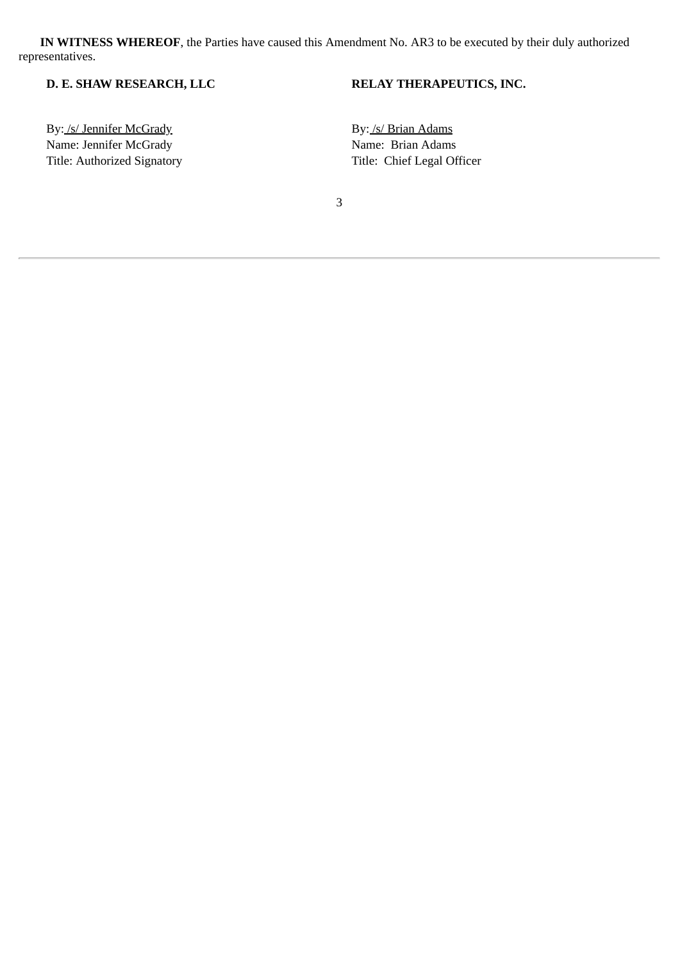**IN WITNESS WHEREOF**, the Parties have caused this Amendment No. AR3 to be executed by their duly authorized representatives.

## **D. E. SHAW RESEARCH, LLC RELAY THERAPEUTICS, INC.**

By: /s/ Jennifer McGrady By: /s/ Brian Adams Name: Jennifer McGrady Name: Brian Adams Title: Authorized Signatory Title: Chief Legal Officer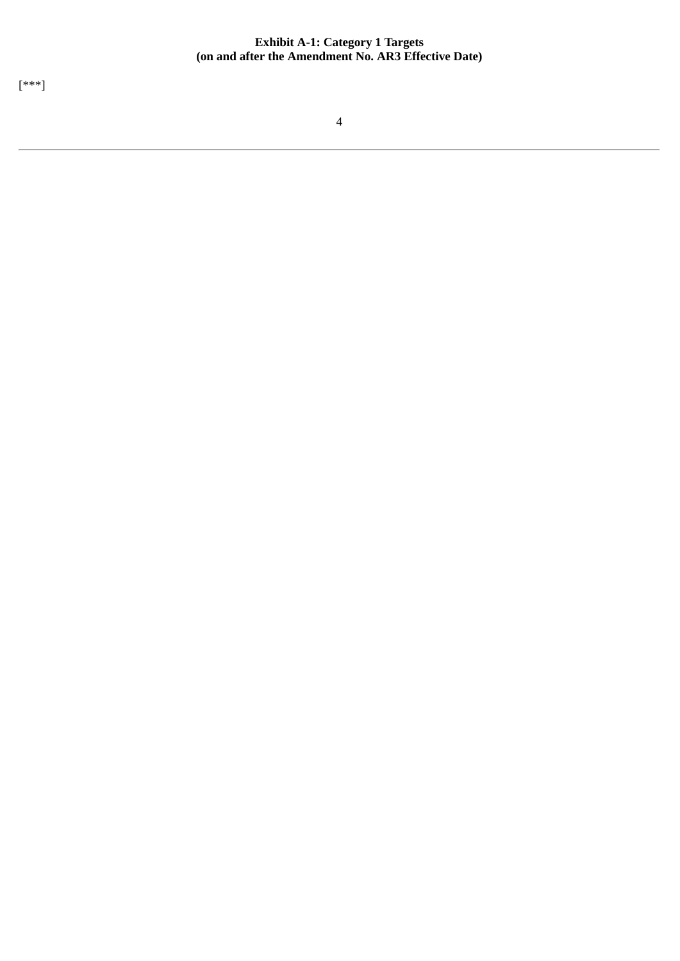#### **Exhibit A-1: Category 1 Targets (on and after the Amendment No. AR3 Effective Date)**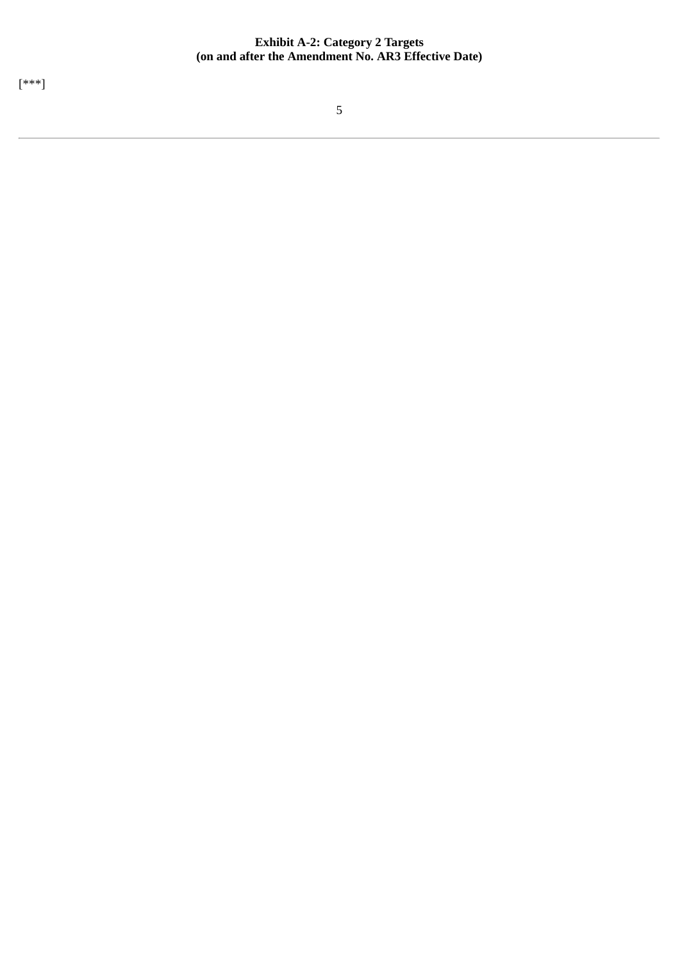#### **Exhibit A-2: Category 2 Targets (on and after the Amendment No. AR3 Effective Date)**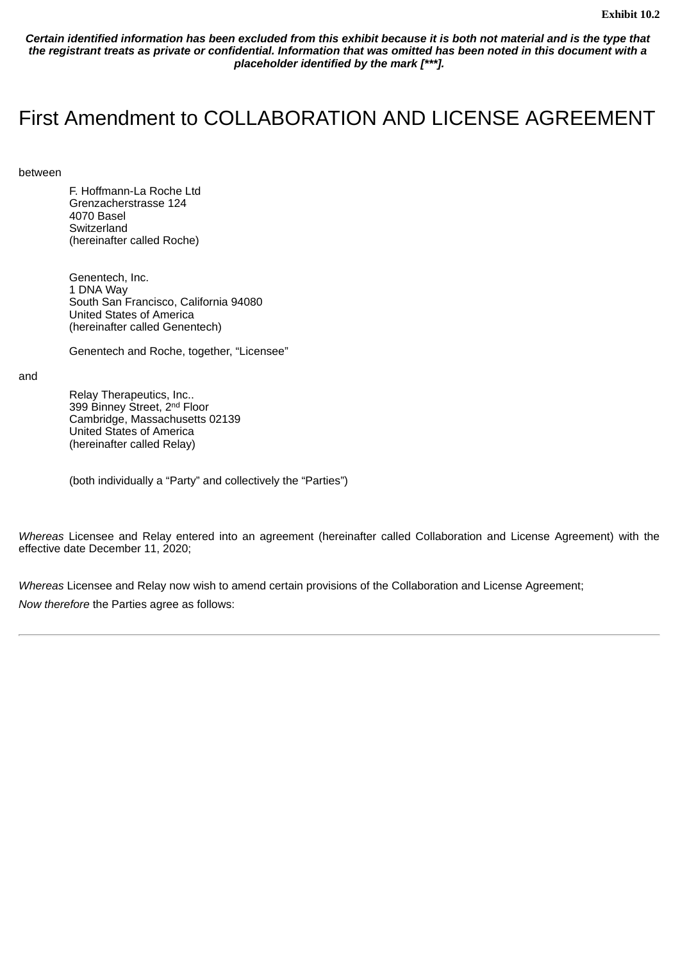Certain identified information has been excluded from this exhibit because it is both not material and is the type that the registrant treats as private or confidential. Information that was omitted has been noted in this document with a *placeholder identified by the mark [\*\*\*].*

# First Amendment to COLLABORATION AND LICENSE AGREEMENT

between

F. Hoffmann-La Roche Ltd Grenzacherstrasse 124 4070 Basel Switzerland (hereinafter called Roche)

Genentech, Inc. 1 DNA Way South San Francisco, California 94080 United States of America (hereinafter called Genentech)

Genentech and Roche, together, "Licensee"

and

Relay Therapeutics, Inc.. 399 Binney Street, 2nd Floor Cambridge, Massachusetts 02139 United States of America (hereinafter called Relay)

(both individually a "Party" and collectively the "Parties")

*Whereas* Licensee and Relay entered into an agreement (hereinafter called Collaboration and License Agreement) with the effective date December 11, 2020;

*Whereas* Licensee and Relay now wish to amend certain provisions of the Collaboration and License Agreement; *Now therefore* the Parties agree as follows: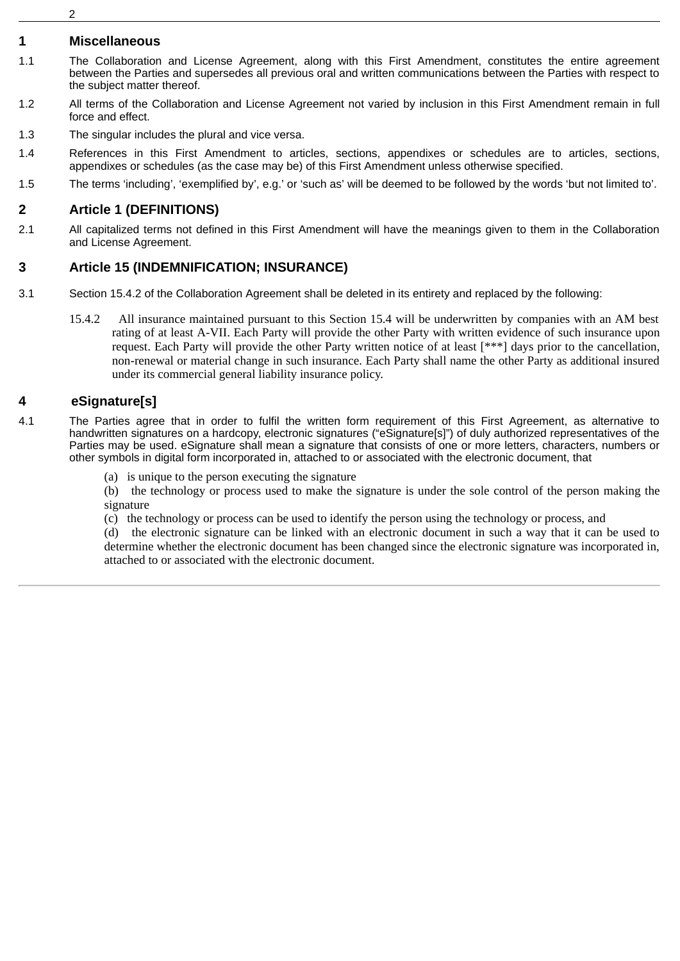## **1 Miscellaneous**

- 1.1 The Collaboration and License Agreement, along with this First Amendment, constitutes the entire agreement between the Parties and supersedes all previous oral and written communications between the Parties with respect to the subject matter thereof.
- 1.2 All terms of the Collaboration and License Agreement not varied by inclusion in this First Amendment remain in full force and effect.
- 1.3 The singular includes the plural and vice versa.
- 1.4 References in this First Amendment to articles, sections, appendixes or schedules are to articles, sections, appendixes or schedules (as the case may be) of this First Amendment unless otherwise specified.
- 1.5 The terms 'including', 'exemplified by', e.g.' or 'such as' will be deemed to be followed by the words 'but not limited to'.

## **2 Article 1 (DEFINITIONS)**

2.1 All capitalized terms not defined in this First Amendment will have the meanings given to them in the Collaboration and License Agreement.

## **3 Article 15 (INDEMNIFICATION; INSURANCE)**

- 3.1 Section 15.4.2 of the Collaboration Agreement shall be deleted in its entirety and replaced by the following:
	- 15.4.2 All insurance maintained pursuant to this Section 15.4 will be underwritten by companies with an AM best rating of at least A-VII. Each Party will provide the other Party with written evidence of such insurance upon request. Each Party will provide the other Party written notice of at least [\*\*\*] days prior to the cancellation, non-renewal or material change in such insurance. Each Party shall name the other Party as additional insured under its commercial general liability insurance policy.

### **4 eSignature[s]**

4.1 The Parties agree that in order to fulfil the written form requirement of this First Agreement, as alternative to handwritten signatures on a hardcopy, electronic signatures ("eSignature[s]") of duly authorized representatives of the Parties may be used. eSignature shall mean a signature that consists of one or more letters, characters, numbers or other symbols in digital form incorporated in, attached to or associated with the electronic document, that

(a) is unique to the person executing the signature

(b) the technology or process used to make the signature is under the sole control of the person making the signature

(c) the technology or process can be used to identify the person using the technology or process, and

(d) the electronic signature can be linked with an electronic document in such a way that it can be used to determine whether the electronic document has been changed since the electronic signature was incorporated in, attached to or associated with the electronic document.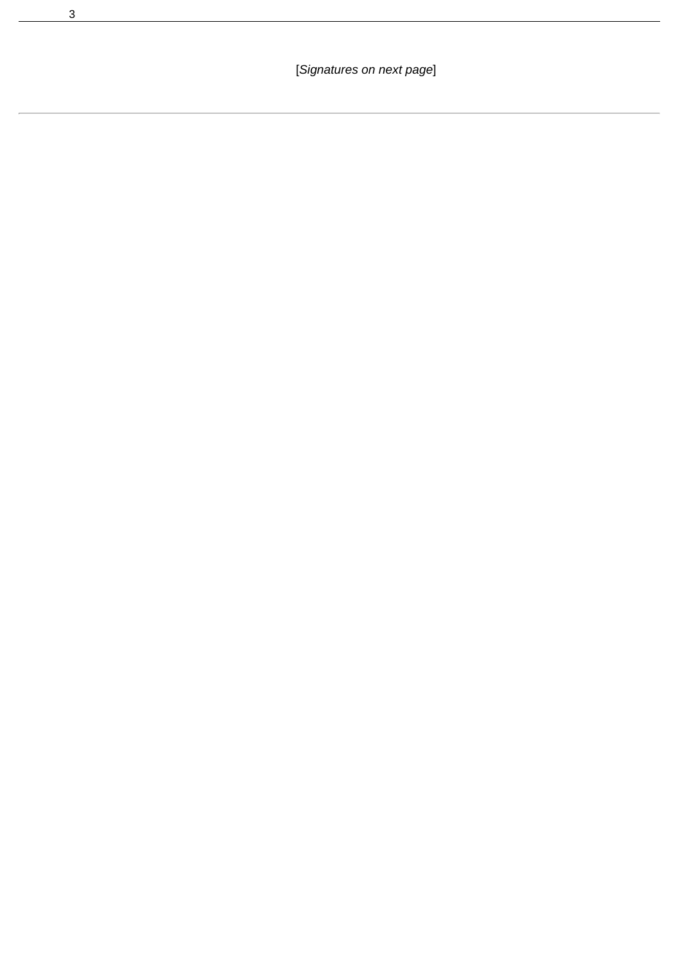[*Signatures on next page*]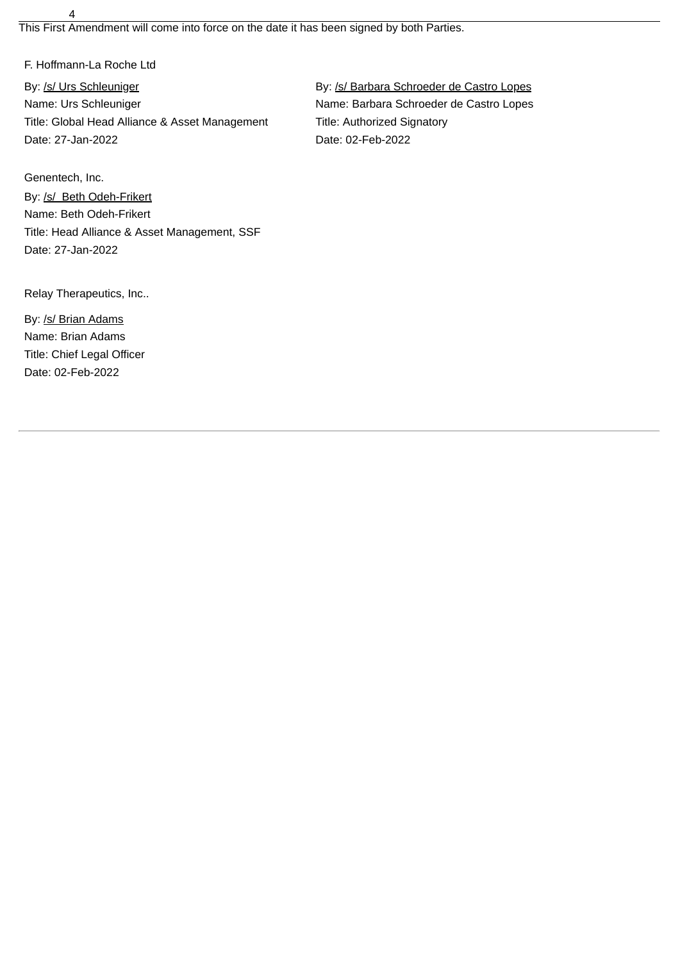#### 4

This First Amendment will come into force on the date it has been signed by both Parties.

F. Hoffmann-La Roche Ltd

By: /s/ Urs Schleuniger Name: Urs Schleuniger Title: Global Head Alliance & Asset Management Date: 27-Jan-2022

By: /s/ Barbara Schroeder de Castro Lopes Name: Barbara Schroeder de Castro Lopes Title: Authorized Signatory Date: 02-Feb-2022

Genentech, Inc. By: /s/ Beth Odeh-Frikert Name: Beth Odeh-Frikert Title: Head Alliance & Asset Management, SSF Date: 27-Jan-2022

Relay Therapeutics, Inc..

By: /s/ Brian Adams Name: Brian Adams Title: Chief Legal Officer Date: 02-Feb-2022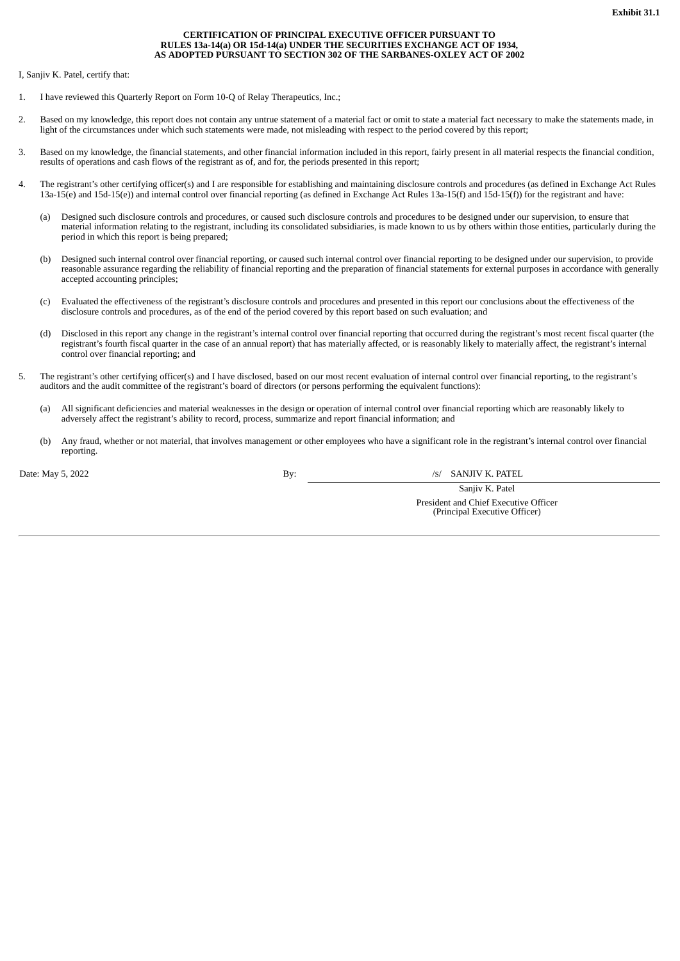#### **CERTIFICATION OF PRINCIPAL EXECUTIVE OFFICER PURSUANT TO RULES 13a-14(a) OR 15d-14(a) UNDER THE SECURITIES EXCHANGE ACT OF 1934, AS ADOPTED PURSUANT TO SECTION 302 OF THE SARBANES-OXLEY ACT OF 2002**

I, Sanjiv K. Patel, certify that:

- 1. I have reviewed this Quarterly Report on Form 10-Q of Relay Therapeutics, Inc.;
- 2. Based on my knowledge, this report does not contain any untrue statement of a material fact or omit to state a material fact necessary to make the statements made, in light of the circumstances under which such statements were made, not misleading with respect to the period covered by this report;
- 3. Based on my knowledge, the financial statements, and other financial information included in this report, fairly present in all material respects the financial condition, results of operations and cash flows of the registrant as of, and for, the periods presented in this report;
- 4. The registrant's other certifying officer(s) and I are responsible for establishing and maintaining disclosure controls and procedures (as defined in Exchange Act Rules 13a-15(e) and 15d-15(e)) and internal control over financial reporting (as defined in Exchange Act Rules 13a-15(f) and 15d-15(f)) for the registrant and have:
	- (a) Designed such disclosure controls and procedures, or caused such disclosure controls and procedures to be designed under our supervision, to ensure that material information relating to the registrant, including its consolidated subsidiaries, is made known to us by others within those entities, particularly during the period in which this report is being prepared;
	- (b) Designed such internal control over financial reporting, or caused such internal control over financial reporting to be designed under our supervision, to provide reasonable assurance regarding the reliability of financial reporting and the preparation of financial statements for external purposes in accordance with generally accepted accounting principles;
	- (c) Evaluated the effectiveness of the registrant's disclosure controls and procedures and presented in this report our conclusions about the effectiveness of the disclosure controls and procedures, as of the end of the period covered by this report based on such evaluation; and
	- (d) Disclosed in this report any change in the registrant's internal control over financial reporting that occurred during the registrant's most recent fiscal quarter (the registrant's fourth fiscal quarter in the case of an annual report) that has materially affected, or is reasonably likely to materially affect, the registrant's internal control over financial reporting; and
- 5. The registrant's other certifying officer(s) and I have disclosed, based on our most recent evaluation of internal control over financial reporting, to the registrant's auditors and the audit committee of the registrant's board of directors (or persons performing the equivalent functions):
	- (a) All significant deficiencies and material weaknesses in the design or operation of internal control over financial reporting which are reasonably likely to adversely affect the registrant's ability to record, process, summarize and report financial information; and
	- (b) Any fraud, whether or not material, that involves management or other employees who have a significant role in the registrant's internal control over financial reporting.

Date: May 5, 2022 By: /s/ SANJIV K. PATEL

Sanjiv K. Patel President and Chief Executive Officer (Principal Executive Officer)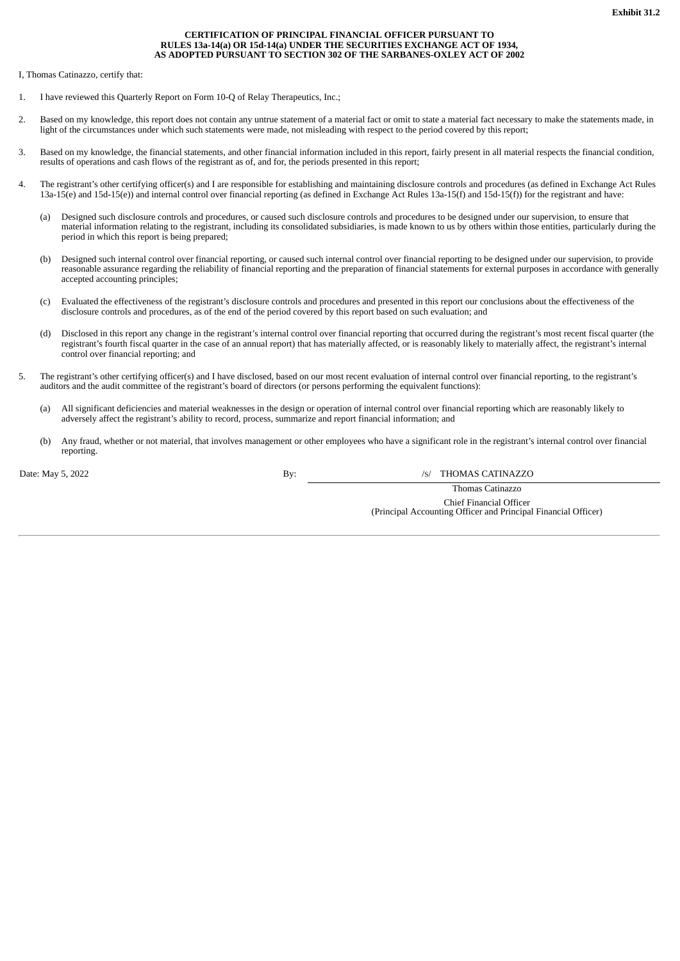#### **CERTIFICATION OF PRINCIPAL FINANCIAL OFFICER PURSUANT TO RULES 13a-14(a) OR 15d-14(a) UNDER THE SECURITIES EXCHANGE ACT OF 1934, AS ADOPTED PURSUANT TO SECTION 302 OF THE SARBANES-OXLEY ACT OF 2002**

I, Thomas Catinazzo, certify that:

- 1. I have reviewed this Quarterly Report on Form 10-Q of Relay Therapeutics, Inc.;
- 2. Based on my knowledge, this report does not contain any untrue statement of a material fact or omit to state a material fact necessary to make the statements made, in light of the circumstances under which such statements were made, not misleading with respect to the period covered by this report;
- 3. Based on my knowledge, the financial statements, and other financial information included in this report, fairly present in all material respects the financial condition, results of operations and cash flows of the registrant as of, and for, the periods presented in this report;
- 4. The registrant's other certifying officer(s) and I are responsible for establishing and maintaining disclosure controls and procedures (as defined in Exchange Act Rules 13a-15(e) and 15d-15(e)) and internal control over financial reporting (as defined in Exchange Act Rules 13a-15(f) and 15d-15(f)) for the registrant and have:
	- (a) Designed such disclosure controls and procedures, or caused such disclosure controls and procedures to be designed under our supervision, to ensure that material information relating to the registrant, including its consolidated subsidiaries, is made known to us by others within those entities, particularly during the period in which this report is being prepared;
	- (b) Designed such internal control over financial reporting, or caused such internal control over financial reporting to be designed under our supervision, to provide reasonable assurance regarding the reliability of financial reporting and the preparation of financial statements for external purposes in accordance with generally accepted accounting principles;
	- (c) Evaluated the effectiveness of the registrant's disclosure controls and procedures and presented in this report our conclusions about the effectiveness of the disclosure controls and procedures, as of the end of the period covered by this report based on such evaluation; and
	- (d) Disclosed in this report any change in the registrant's internal control over financial reporting that occurred during the registrant's most recent fiscal quarter (the registrant's fourth fiscal quarter in the case of an annual report) that has materially affected, or is reasonably likely to materially affect, the registrant's internal control over financial reporting; and
- 5. The registrant's other certifying officer(s) and I have disclosed, based on our most recent evaluation of internal control over financial reporting, to the registrant's auditors and the audit committee of the registrant's board of directors (or persons performing the equivalent functions):
	- (a) All significant deficiencies and material weaknesses in the design or operation of internal control over financial reporting which are reasonably likely to adversely affect the registrant's ability to record, process, summarize and report financial information; and
	- (b) Any fraud, whether or not material, that involves management or other employees who have a significant role in the registrant's internal control over financial reporting.

Date: May 5, 2022 **By:** /S/ THOMAS CATINAZZO

Thomas Catinazzo Chief Financial Officer (Principal Accounting Officer and Principal Financial Officer)